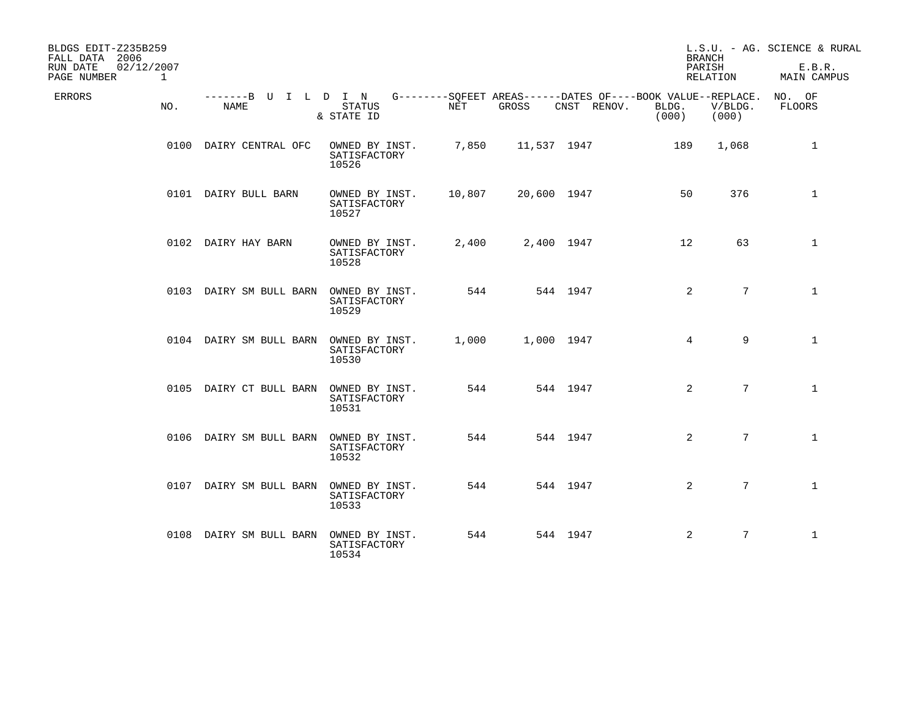| BLDGS EDIT-Z235B259<br>FALL DATA 2006<br>RUN DATE<br>02/12/2007<br>PAGE NUMBER | $\mathbf{1}$ |                                        |                                         |        |             |                                                                            | <b>BRANCH</b><br>PARISH<br>RELATION |                  | L.S.U. - AG. SCIENCE & RURAL<br>E.B.R.<br>MAIN CAMPUS |
|--------------------------------------------------------------------------------|--------------|----------------------------------------|-----------------------------------------|--------|-------------|----------------------------------------------------------------------------|-------------------------------------|------------------|-------------------------------------------------------|
| <b>ERRORS</b>                                                                  | NO.          | -------B U I L D I N<br>NAME           | <b>STATUS</b><br>& STATE ID             | NET    | GROSS       | G--------SOFEET AREAS------DATES OF----BOOK VALUE--REPLACE.<br>CNST RENOV. | BLDG.<br>(000)                      | V/BLDG.<br>(000) | NO. OF<br>FLOORS                                      |
|                                                                                |              | 0100 DAIRY CENTRAL OFC                 | OWNED BY INST.<br>SATISFACTORY<br>10526 | 7,850  | 11,537 1947 |                                                                            | 189                                 | 1,068            | $\mathbf 1$                                           |
|                                                                                |              | 0101 DAIRY BULL BARN                   | OWNED BY INST.<br>SATISFACTORY<br>10527 | 10,807 | 20,600 1947 |                                                                            | 50                                  | 376              | $\mathbf 1$                                           |
|                                                                                |              | 0102 DAIRY HAY BARN                    | OWNED BY INST.<br>SATISFACTORY<br>10528 | 2,400  | 2,400 1947  |                                                                            | 12                                  | 63               | $\mathbf{1}$                                          |
|                                                                                |              | 0103 DAIRY SM BULL BARN                | OWNED BY INST.<br>SATISFACTORY<br>10529 | 544    |             | 544 1947                                                                   | 2                                   | $7\overline{ }$  | $\mathbf{1}$                                          |
|                                                                                |              | 0104 DAIRY SM BULL BARN OWNED BY INST. | SATISFACTORY<br>10530                   | 1,000  | 1,000 1947  |                                                                            | $\overline{4}$                      | 9                | $\mathbf{1}$                                          |
|                                                                                |              | 0105 DAIRY CT BULL BARN                | OWNED BY INST.<br>SATISFACTORY<br>10531 | 544    |             | 544 1947                                                                   | 2                                   | $7\overline{ }$  | $\mathbf{1}$                                          |
|                                                                                |              | 0106 DAIRY SM BULL BARN                | OWNED BY INST.<br>SATISFACTORY<br>10532 | 544    |             | 544 1947                                                                   | 2                                   | $7\overline{ }$  | $\mathbf{1}$                                          |
|                                                                                |              | 0107 DAIRY SM BULL BARN                | OWNED BY INST.<br>SATISFACTORY<br>10533 | 544    |             | 544 1947                                                                   | 2                                   | $7\overline{ }$  | $\mathbf{1}$                                          |
|                                                                                |              | 0108 DAIRY SM BULL BARN                | OWNED BY INST.<br>SATISFACTORY<br>10534 | 544    |             | 544 1947                                                                   | 2                                   | $7\overline{ }$  | $\mathbf{1}$                                          |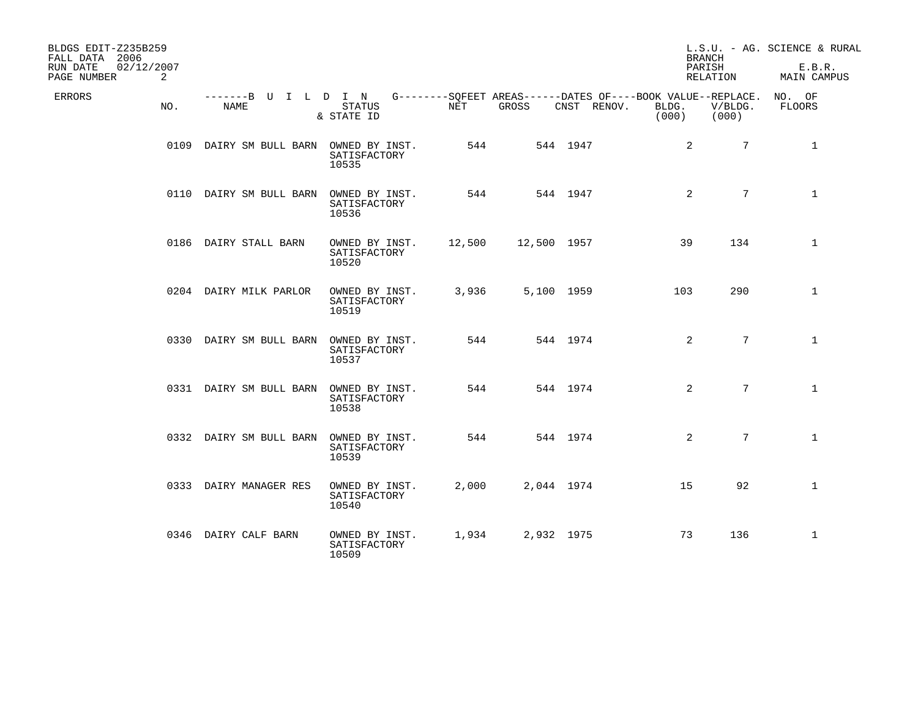| BLDGS EDIT-Z235B259<br>FALL DATA 2006<br>RUN DATE<br>02/12/2007<br>PAGE NUMBER<br>2 |                                        |                                         |        |             |             | <b>BRANCH</b><br>PARISH                                                       | RELATION         | L.S.U. - AG. SCIENCE & RURAL<br>E.B.R.<br>MAIN CAMPUS |
|-------------------------------------------------------------------------------------|----------------------------------------|-----------------------------------------|--------|-------------|-------------|-------------------------------------------------------------------------------|------------------|-------------------------------------------------------|
| ERRORS<br>NO.                                                                       | -------B U I L D I N<br>NAME           | STATUS<br>& STATE ID                    | NET    | GROSS       | CNST RENOV. | G--------SQFEET AREAS------DATES OF----BOOK VALUE--REPLACE.<br>BLDG.<br>(000) | V/BLDG.<br>(000) | NO. OF<br>FLOORS                                      |
|                                                                                     | 0109 DAIRY SM BULL BARN OWNED BY INST. | SATISFACTORY<br>10535                   | 544    |             | 544 1947    | 2                                                                             | $7\phantom{.0}$  | $\mathbf 1$                                           |
|                                                                                     | 0110 DAIRY SM BULL BARN                | OWNED BY INST.<br>SATISFACTORY<br>10536 | 544    |             | 544 1947    | 2                                                                             | $7\overline{ }$  | $\mathbf{1}$                                          |
|                                                                                     | 0186 DAIRY STALL BARN                  | OWNED BY INST.<br>SATISFACTORY<br>10520 | 12,500 | 12,500 1957 |             | 39                                                                            | 134              | $\mathbf{1}$                                          |
|                                                                                     | 0204 DAIRY MILK PARLOR                 | OWNED BY INST.<br>SATISFACTORY<br>10519 | 3,936  | 5,100 1959  |             | 103                                                                           | 290              | $\mathbf{1}$                                          |
|                                                                                     | 0330 DAIRY SM BULL BARN                | OWNED BY INST.<br>SATISFACTORY<br>10537 | 544    |             | 544 1974    | 2                                                                             | $7\overline{ }$  | $\mathbf{1}$                                          |
|                                                                                     | 0331 DAIRY SM BULL BARN                | OWNED BY INST.<br>SATISFACTORY<br>10538 | 544    |             | 544 1974    | 2                                                                             | $7\overline{ }$  | $\mathbf{1}$                                          |
|                                                                                     | 0332 DAIRY SM BULL BARN                | OWNED BY INST.<br>SATISFACTORY<br>10539 | 544    |             | 544 1974    | 2                                                                             | 7 <sup>1</sup>   | $\mathbf{1}$                                          |
|                                                                                     | 0333 DAIRY MANAGER RES                 | OWNED BY INST.<br>SATISFACTORY<br>10540 | 2,000  | 2,044 1974  |             | 15                                                                            | 92               | $\mathbf{1}$                                          |
|                                                                                     | 0346 DAIRY CALF BARN                   | OWNED BY INST.<br>SATISFACTORY<br>10509 | 1,934  | 2,932 1975  |             | 73                                                                            | 136              | $\mathbf{1}$                                          |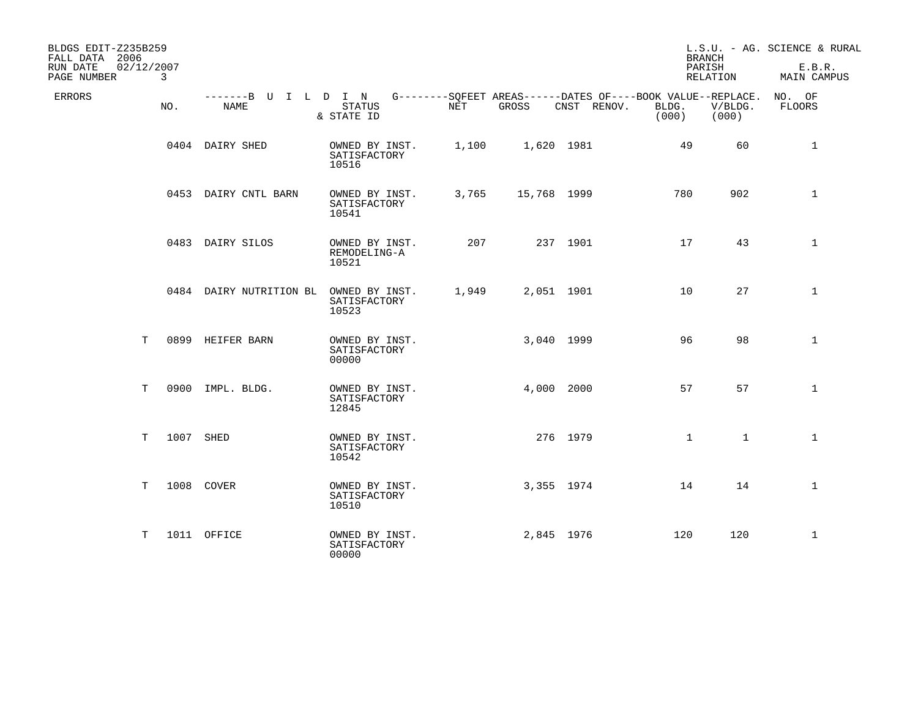| BLDGS EDIT-Z235B259<br>FALL DATA 2006<br>RUN DATE<br>PAGE NUMBER | 02/12/2007<br>3 |                                                                                          |                                         |       |             |             | <b>BRANCH</b><br>PARISH | RELATION         | L.S.U. - AG. SCIENCE & RURAL<br>E.B.R.<br><b>MAIN CAMPUS</b> |
|------------------------------------------------------------------|-----------------|------------------------------------------------------------------------------------------|-----------------------------------------|-------|-------------|-------------|-------------------------|------------------|--------------------------------------------------------------|
| ERRORS                                                           | NO.             | -------B U I L D I N G--------SQFEET AREAS------DATES OF----BOOK VALUE--REPLACE.<br>NAME | STATUS<br>& STATE ID                    | NET   | GROSS       | CNST RENOV. | BLDG.<br>(000)          | V/BLDG.<br>(000) | NO. OF<br>FLOORS                                             |
|                                                                  |                 | 0404 DAIRY SHED                                                                          | OWNED BY INST.<br>SATISFACTORY<br>10516 | 1,100 | 1,620 1981  |             | 49                      | 60               | $\mathbf 1$                                                  |
|                                                                  |                 | 0453 DAIRY CNTL BARN                                                                     | OWNED BY INST.<br>SATISFACTORY<br>10541 | 3,765 | 15,768 1999 |             | 780                     | 902              | $\mathbf{1}$                                                 |
|                                                                  |                 | 0483 DAIRY SILOS                                                                         | OWNED BY INST.<br>REMODELING-A<br>10521 | 207   |             | 237 1901    | 17                      | 43               | $\mathbf 1$                                                  |
|                                                                  |                 | 0484 DAIRY NUTRITION BL OWNED BY INST.                                                   | SATISFACTORY<br>10523                   | 1,949 | 2,051 1901  |             | 10                      | 27               | $\mathbf{1}$                                                 |
|                                                                  | T               | 0899 HEIFER BARN                                                                         | OWNED BY INST.<br>SATISFACTORY<br>00000 |       | 3,040 1999  |             | 96                      | 98               | $\mathbf{1}$                                                 |
|                                                                  | T               | 0900 IMPL. BLDG.                                                                         | OWNED BY INST.<br>SATISFACTORY<br>12845 |       | 4,000 2000  |             | 57                      | 57               | $\mathbf{1}$                                                 |
|                                                                  | Т               | 1007 SHED                                                                                | OWNED BY INST.<br>SATISFACTORY<br>10542 |       | 276 1979    |             | $\mathbf 1$             | $\mathbf{1}$     | $\mathbf 1$                                                  |
|                                                                  | T               | 1008 COVER                                                                               | OWNED BY INST.<br>SATISFACTORY<br>10510 |       | 3,355 1974  |             | 14                      | 14               | $\mathbf{1}$                                                 |
|                                                                  | Т               | 1011 OFFICE                                                                              | OWNED BY INST.<br>SATISFACTORY<br>00000 |       | 2,845 1976  |             | 120                     | 120              | $\mathbf 1$                                                  |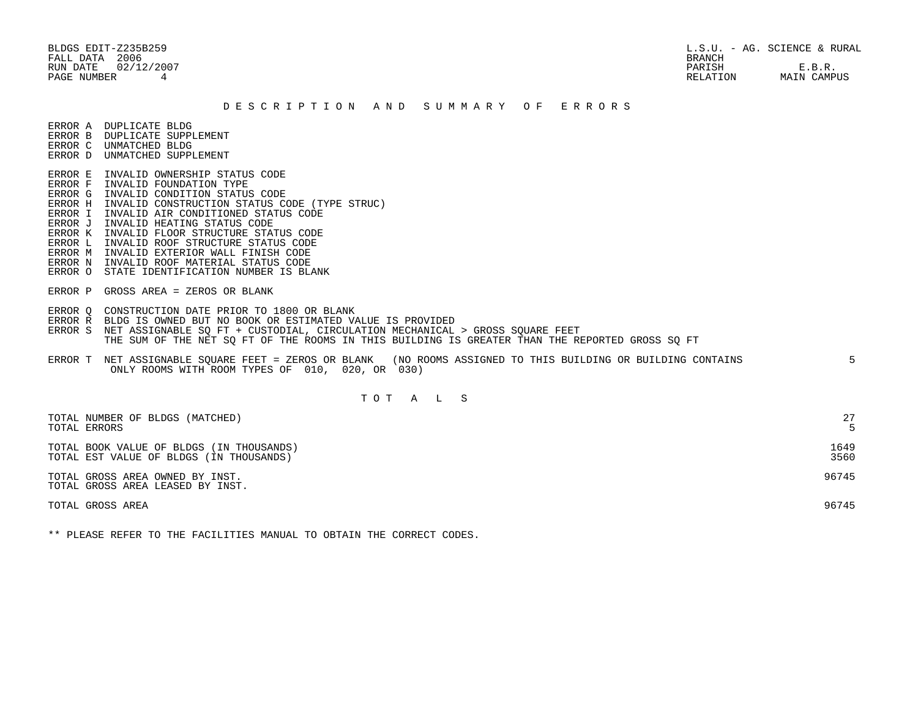BLDGS EDIT-Z235B259 L.S.U. - AG. SCIENCE & RURAL RUN DATE 02/12/2007 PARISH E.B.R. PAGE NUMBER 4 RELATION MAIN CAMPUS

#### D E S C R I P T I O N A N D S U M M A R Y O F E R R O R S

ERROR A DUPLICATE BLDG

- ERROR B DUPLICATE SUPPLEMENT
- ERROR C UNMATCHED BLDG ERROR D UNMATCHED SUPPLEMENT
- 
- ERROR E INVALID OWNERSHIP STATUS CODE
- ERROR F INVALID FOUNDATION TYPE
- ERROR G INVALID CONDITION STATUS CODE
- ERROR H INVALID CONSTRUCTION STATUS CODE (TYPE STRUC)
- ERROR I INVALID AIR CONDITIONED STATUS CODE
- ERROR J INVALID HEATING STATUS CODE
- ERROR K INVALID FLOOR STRUCTURE STATUS CODE
- ERROR L INVALID ROOF STRUCTURE STATUS CODE
- ERROR M INVALID EXTERIOR WALL FINISH CODE
- ERROR N INVALID ROOF MATERIAL STATUS CODE
- ERROR O STATE IDENTIFICATION NUMBER IS BLANK
- ERROR P GROSS AREA = ZEROS OR BLANK
- ERROR Q CONSTRUCTION DATE PRIOR TO 1800 OR BLANK
- ERROR R BLDG IS OWNED BUT NO BOOK OR ESTIMATED VALUE IS PROVIDED
- ERROR S NET ASSIGNABLE SQ FT + CUSTODIAL, CIRCULATION MECHANICAL > GROSS SQUARE FEET THE SUM OF THE NET SQ FT OF THE ROOMS IN THIS BUILDING IS GREATER THAN THE REPORTED GROSS SQ FT
- ERROR T NET ASSIGNABLE SQUARE FEET = ZEROS OR BLANK (NO ROOMS ASSIGNED TO THIS BUILDING OR BUILDING CONTAINS 5 ONLY ROOMS WITH ROOM TYPES OF 010, 020, OR 030)

# T O T A L S

| TOTAL NUMBER OF BLDGS (MATCHED)<br>TOTAL ERRORS                                     | 27           |
|-------------------------------------------------------------------------------------|--------------|
| TOTAL BOOK VALUE OF BLDGS (IN THOUSANDS)<br>TOTAL EST VALUE OF BLDGS (IN THOUSANDS) | 1649<br>3560 |
| TOTAL GROSS AREA OWNED BY INST.<br>TOTAL GROSS AREA LEASED BY INST.                 | 96745        |
| TOTAL GROSS AREA                                                                    | 96745        |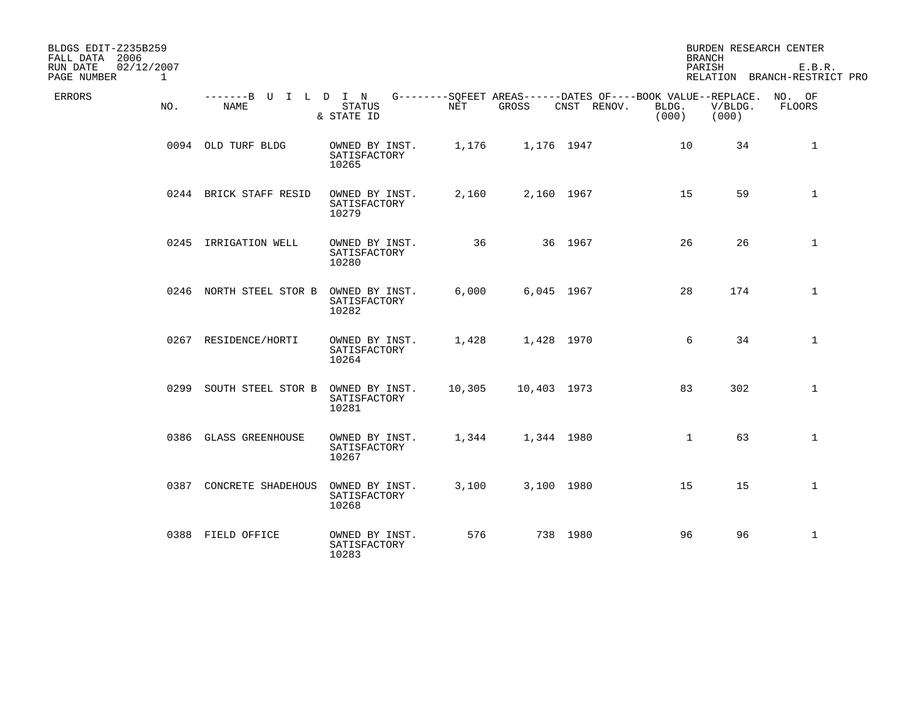| BLDGS EDIT-Z235B259<br>FALL DATA 2006                 |                                     |                                         |        |             |                                                                            | <b>BRANCH</b>  |                  | BURDEN RESEARCH CENTER                 |
|-------------------------------------------------------|-------------------------------------|-----------------------------------------|--------|-------------|----------------------------------------------------------------------------|----------------|------------------|----------------------------------------|
| RUN DATE<br>02/12/2007<br>PAGE NUMBER<br>$\mathbf{1}$ |                                     |                                         |        |             |                                                                            | PARISH         |                  | E.B.R.<br>RELATION BRANCH-RESTRICT PRO |
| ERRORS<br>NO.                                         | -------B U I L D I N<br><b>NAME</b> | <b>STATUS</b><br>& STATE ID             | NET    | GROSS       | G--------SQFEET AREAS------DATES OF----BOOK VALUE--REPLACE.<br>CNST RENOV. | BLDG.<br>(000) | V/BLDG.<br>(000) | NO. OF<br>FLOORS                       |
|                                                       | 0094 OLD TURF BLDG                  | OWNED BY INST.<br>SATISFACTORY<br>10265 | 1,176  | 1,176 1947  |                                                                            | 10             | 34               | 1                                      |
|                                                       | 0244 BRICK STAFF RESID              | OWNED BY INST.<br>SATISFACTORY<br>10279 | 2,160  | 2,160 1967  |                                                                            | 15             | 59               | $\mathbf{1}$                           |
|                                                       | 0245 IRRIGATION WELL                | OWNED BY INST.<br>SATISFACTORY<br>10280 | 36     |             | 36 1967                                                                    | 26             | 26               | $\mathbf{1}$                           |
|                                                       | 0246 NORTH STEEL STOR B             | OWNED BY INST.<br>SATISFACTORY<br>10282 | 6,000  | 6,045 1967  |                                                                            | 28             | 174              | $\mathbf{1}$                           |
|                                                       | 0267 RESIDENCE/HORTI                | OWNED BY INST.<br>SATISFACTORY<br>10264 | 1,428  | 1,428 1970  |                                                                            | 6              | 34               | $\mathbf{1}$                           |
|                                                       | 0299 SOUTH STEEL STOR B             | OWNED BY INST.<br>SATISFACTORY<br>10281 | 10,305 | 10,403 1973 |                                                                            | 83             | 302              | $\mathbf{1}$                           |
|                                                       | 0386 GLASS GREENHOUSE               | OWNED BY INST.<br>SATISFACTORY<br>10267 | 1,344  | 1,344 1980  |                                                                            | $\mathbf{1}$   | 63               | $\mathbf{1}$                           |
| 0387                                                  | CONCRETE SHADEHOUS                  | OWNED BY INST.<br>SATISFACTORY<br>10268 | 3,100  | 3,100 1980  |                                                                            | 15             | 15               | $\mathbf{1}$                           |
|                                                       | 0388 FIELD OFFICE                   | OWNED BY INST.<br>SATISFACTORY<br>10283 | 576    |             | 738 1980                                                                   | 96             | 96               | $\mathbf{1}$                           |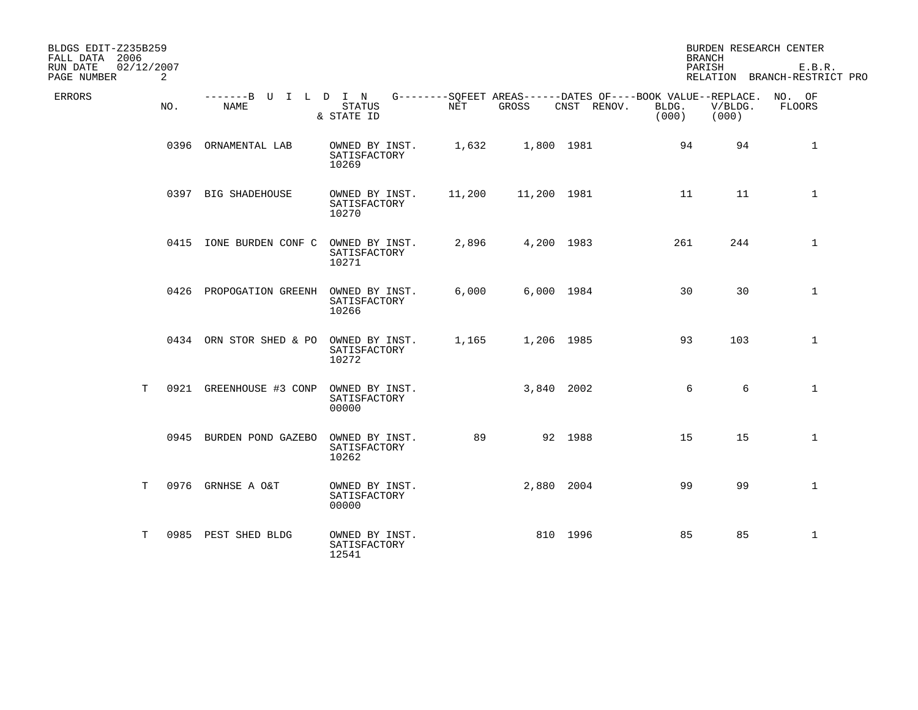| BLDGS EDIT-Z235B259<br>FALL DATA 2006 |                 |                              |                                         |        |             |                                                                                   | <b>BRANCH</b>  |                  | BURDEN RESEARCH CENTER                 |
|---------------------------------------|-----------------|------------------------------|-----------------------------------------|--------|-------------|-----------------------------------------------------------------------------------|----------------|------------------|----------------------------------------|
| RUN DATE<br>PAGE NUMBER               | 02/12/2007<br>2 |                              |                                         |        |             |                                                                                   | PARISH         |                  | E.B.R.<br>RELATION BRANCH-RESTRICT PRO |
| ERRORS                                | NO.             | -------B U I L D I N<br>NAME | <b>STATUS</b><br>& STATE ID             | NET    | GROSS       | G--------SQFEET AREAS------DATES OF----BOOK VALUE--REPLACE. NO. OF<br>CNST RENOV. | BLDG.<br>(000) | V/BLDG.<br>(000) | FLOORS                                 |
|                                       |                 | 0396 ORNAMENTAL LAB          | OWNED BY INST.<br>SATISFACTORY<br>10269 | 1,632  |             | 1,800 1981                                                                        | 94             | 94               | 1                                      |
|                                       |                 | 0397 BIG SHADEHOUSE          | OWNED BY INST.<br>SATISFACTORY<br>10270 | 11,200 | 11,200 1981 |                                                                                   | 11             | 11               | $\mathbf{1}$                           |
|                                       |                 | 0415 IONE BURDEN CONF C      | OWNED BY INST.<br>SATISFACTORY<br>10271 | 2,896  |             | 4,200 1983                                                                        | 261            | 244              | $\mathbf{1}$                           |
|                                       |                 | 0426 PROPOGATION GREENH      | OWNED BY INST.<br>SATISFACTORY<br>10266 | 6,000  |             | 6,000 1984                                                                        | 30             | 30               | $\mathbf 1$                            |
|                                       |                 | 0434 ORN STOR SHED & PO      | OWNED BY INST.<br>SATISFACTORY<br>10272 | 1,165  |             | 1,206 1985                                                                        | 93             | 103              | $\mathbf 1$                            |
| T.                                    |                 | 0921 GREENHOUSE #3 CONP      | OWNED BY INST.<br>SATISFACTORY<br>00000 |        |             | 3,840 2002                                                                        | 6              | 6                | $\mathbf{1}$                           |
|                                       |                 | 0945 BURDEN POND GAZEBO      | OWNED BY INST.<br>SATISFACTORY<br>10262 | 89     |             | 92 1988                                                                           | 15             | 15               | $\mathbf 1$                            |
|                                       | T.              | 0976 GRNHSE A O&T            | OWNED BY INST.<br>SATISFACTORY<br>00000 |        |             | 2,880 2004                                                                        | 99             | 99               | $\mathbf{1}$                           |
| Т                                     |                 | 0985 PEST SHED BLDG          | OWNED BY INST.<br>SATISFACTORY<br>12541 |        |             | 810 1996                                                                          | 85             | 85               | $\mathbf{1}$                           |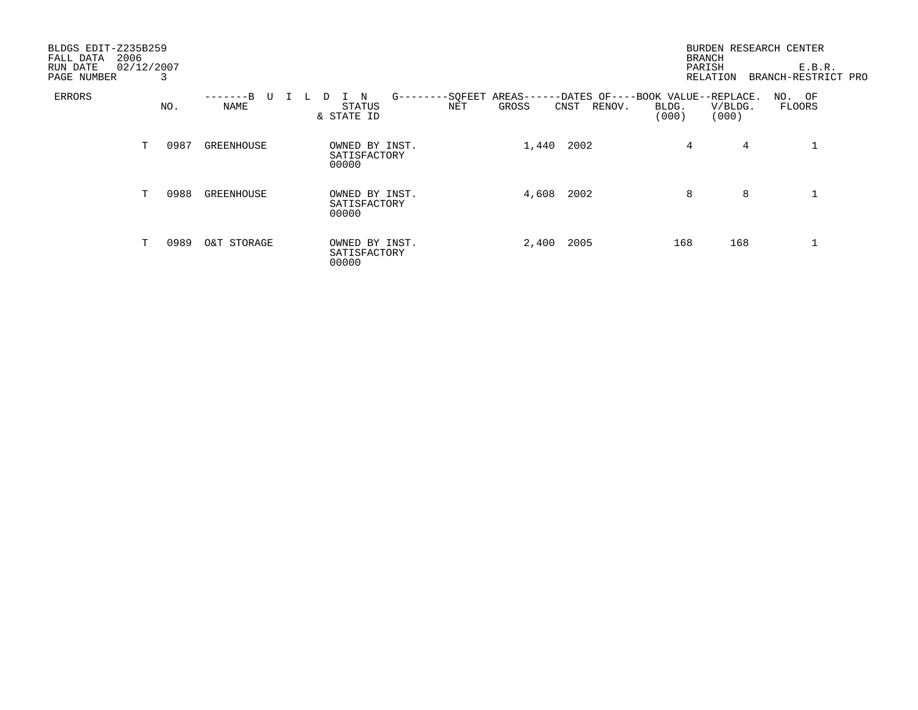| BLDGS EDIT-Z235B259<br>2006<br>FALL DATA<br>RUN DATE<br>PAGE NUMBER | 02/12/2007 | 3    |                       |                                                                 |                                                                        | <b>BRANCH</b>  | BURDEN RESEARCH CENTER<br>PARISH<br><b>RELATION</b> | E.B.R.<br>BRANCH-RESTRICT PRO |
|---------------------------------------------------------------------|------------|------|-----------------------|-----------------------------------------------------------------|------------------------------------------------------------------------|----------------|-----------------------------------------------------|-------------------------------|
| ERRORS                                                              |            | NO.  | -------B<br>U<br>NAME | -SQFEET<br>$G$ -------<br>N<br>D<br>STATUS<br>NET<br>& STATE ID | AREAS------DATES OF----BOOK VALUE--REPLACE.<br>GROSS<br>RENOV.<br>CNST | BLDG.<br>(000) | V/BLDG.<br>(000)                                    | NO. OF<br>FLOORS              |
|                                                                     | т          | 0987 | GREENHOUSE            | OWNED BY INST.<br>SATISFACTORY<br>00000                         | 1,440<br>2002                                                          | 4              | 4                                                   |                               |
|                                                                     | T          | 0988 | GREENHOUSE            | OWNED BY INST.<br>SATISFACTORY<br>00000                         | 2002<br>4,608                                                          | 8              | 8                                                   |                               |
|                                                                     | T.         | 0989 | O&T STORAGE           | OWNED BY INST.<br>SATISFACTORY<br>00000                         | 2005<br>2,400                                                          | 168            | 168                                                 |                               |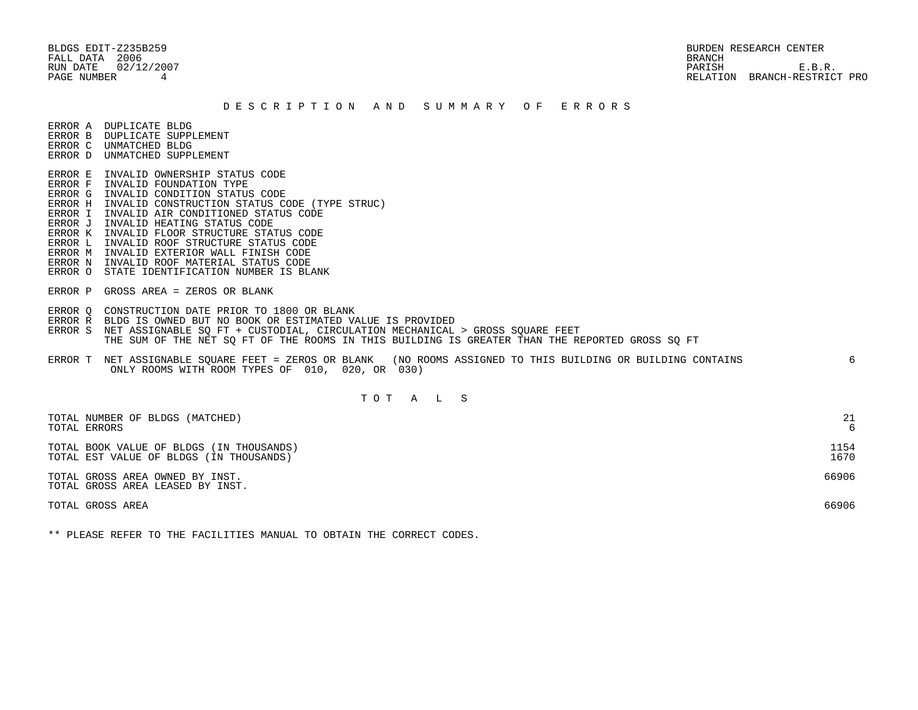BLDGS EDIT-Z235B259 BURDEN RESEARCH CENTER FALL DATA 2006 BRANCH

# RUN DATE 02/12/2007 PARISH E.B.R. PAGE NUMBER 4 RELATION BRANCH-RESTRICT PRO

#### D E S C R I P T I O N A N D S U M M A R Y O F E R R O R S

ERROR A DUPLICATE BLDG

- ERROR B DUPLICATE SUPPLEMENT ERROR C UNMATCHED BLDG
- ERROR D UNMATCHED SUPPLEMENT
- ERROR E INVALID OWNERSHIP STATUS CODE
- ERROR F INVALID FOUNDATION TYPE
- ERROR G INVALID CONDITION STATUS CODE
- ERROR H INVALID CONSTRUCTION STATUS CODE (TYPE STRUC)
- ERROR I INVALID AIR CONDITIONED STATUS CODE
- ERROR J INVALID HEATING STATUS CODE
- ERROR K INVALID FLOOR STRUCTURE STATUS CODE
- ERROR L INVALID ROOF STRUCTURE STATUS CODE
- ERROR M INVALID EXTERIOR WALL FINISH CODE
- ERROR N INVALID ROOF MATERIAL STATUS CODE
- ERROR O STATE IDENTIFICATION NUMBER IS BLANK
- ERROR P GROSS AREA = ZEROS OR BLANK
- ERROR Q CONSTRUCTION DATE PRIOR TO 1800 OR BLANK
- ERROR R BLDG IS OWNED BUT NO BOOK OR ESTIMATED VALUE IS PROVIDED
- ERROR S NET ASSIGNABLE SQ FT + CUSTODIAL, CIRCULATION MECHANICAL > GROSS SQUARE FEET THE SUM OF THE NET SQ FT OF THE ROOMS IN THIS BUILDING IS GREATER THAN THE REPORTED GROSS SQ FT
- ERROR T NET ASSIGNABLE SQUARE FEET = ZEROS OR BLANK (NO ROOMS ASSIGNED TO THIS BUILDING OR BUILDING CONTAINS 6 ONLY ROOMS WITH ROOM TYPES OF 010, 020, OR 030)

# T O T A L S

| TOTAL NUMBER OF BLDGS (MATCHED)                                     | 21    |
|---------------------------------------------------------------------|-------|
| TOTAL ERRORS                                                        | 6     |
| TOTAL BOOK VALUE OF BLDGS (IN THOUSANDS)                            | 1154  |
| TOTAL EST VALUE OF BLDGS (IN THOUSANDS)                             | 1670  |
| TOTAL GROSS AREA OWNED BY INST.<br>TOTAL GROSS AREA LEASED BY INST. | 66906 |
| TOTAL GROSS AREA                                                    | 66906 |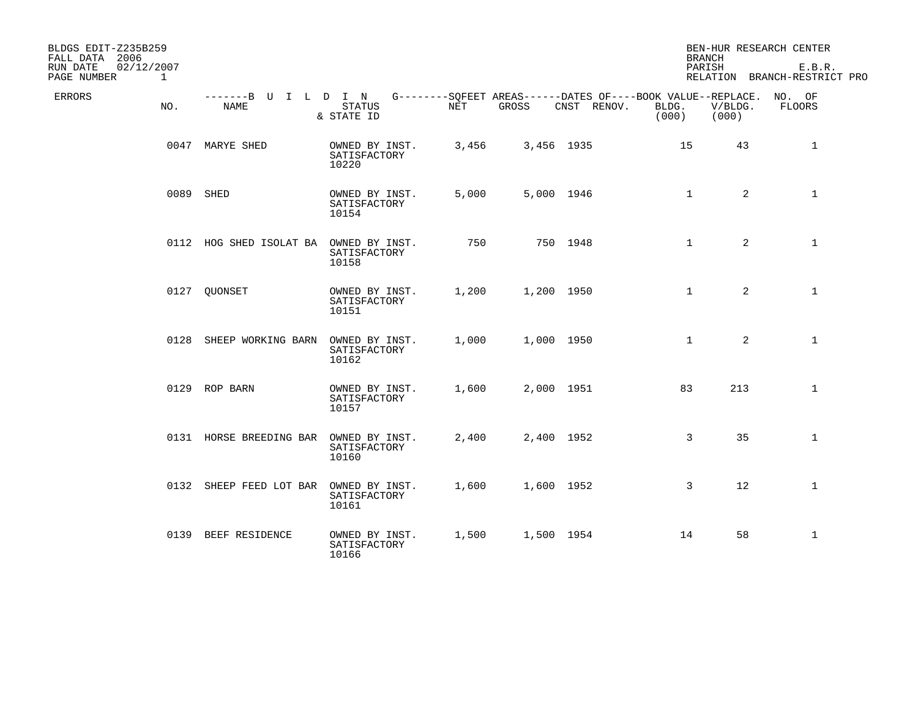| BLDGS EDIT-Z235B259<br>FALL DATA 2006                 |                              |                                         |       |            |                                                                            | <b>BRANCH</b>  |                  | BEN-HUR RESEARCH CENTER                |
|-------------------------------------------------------|------------------------------|-----------------------------------------|-------|------------|----------------------------------------------------------------------------|----------------|------------------|----------------------------------------|
| RUN DATE<br>02/12/2007<br>PAGE NUMBER<br>$\mathbf{1}$ |                              |                                         |       |            |                                                                            | PARISH         |                  | E.B.R.<br>RELATION BRANCH-RESTRICT PRO |
| ERRORS<br>NO.                                         | -------B U I L D I N<br>NAME | <b>STATUS</b><br>& STATE ID             | NET   | GROSS      | G--------SQFEET AREAS------DATES OF----BOOK VALUE--REPLACE.<br>CNST RENOV. | BLDG.<br>(000) | V/BLDG.<br>(000) | NO. OF<br>FLOORS                       |
|                                                       | 0047 MARYE SHED              | OWNED BY INST.<br>SATISFACTORY<br>10220 | 3,456 | 3,456 1935 |                                                                            | 15             | 43               | 1                                      |
|                                                       | 0089 SHED                    | OWNED BY INST.<br>SATISFACTORY<br>10154 | 5,000 | 5,000 1946 |                                                                            | $\mathbf{1}$   | $\overline{2}$   | $\mathbf{1}$                           |
|                                                       | 0112 HOG SHED ISOLAT BA      | OWNED BY INST.<br>SATISFACTORY<br>10158 | 750   |            | 750 1948                                                                   | $\mathbf{1}$   | $\overline{2}$   | $\mathbf{1}$                           |
|                                                       | 0127 QUONSET                 | OWNED BY INST.<br>SATISFACTORY<br>10151 | 1,200 | 1,200 1950 |                                                                            | $\mathbf{1}$   | $\overline{2}$   | $\mathbf{1}$                           |
|                                                       | 0128 SHEEP WORKING BARN      | OWNED BY INST.<br>SATISFACTORY<br>10162 | 1,000 | 1,000 1950 |                                                                            | $\mathbf{1}$   | $\overline{2}$   | $\mathbf{1}$                           |
|                                                       | 0129 ROP BARN                | OWNED BY INST.<br>SATISFACTORY<br>10157 | 1,600 | 2,000 1951 |                                                                            | 83             | 213              | $\mathbf{1}$                           |
|                                                       | 0131 HORSE BREEDING BAR      | OWNED BY INST.<br>SATISFACTORY<br>10160 | 2,400 | 2,400 1952 |                                                                            | 3              | 35               | $\mathbf{1}$                           |
| 0132                                                  | SHEEP FEED LOT BAR           | OWNED BY INST.<br>SATISFACTORY<br>10161 | 1,600 | 1,600 1952 |                                                                            | 3              | 12               | $\mathbf{1}$                           |
|                                                       | 0139 BEEF RESIDENCE          | OWNED BY INST.<br>SATISFACTORY<br>10166 | 1,500 | 1,500 1954 |                                                                            | 14             | 58               | $\mathbf{1}$                           |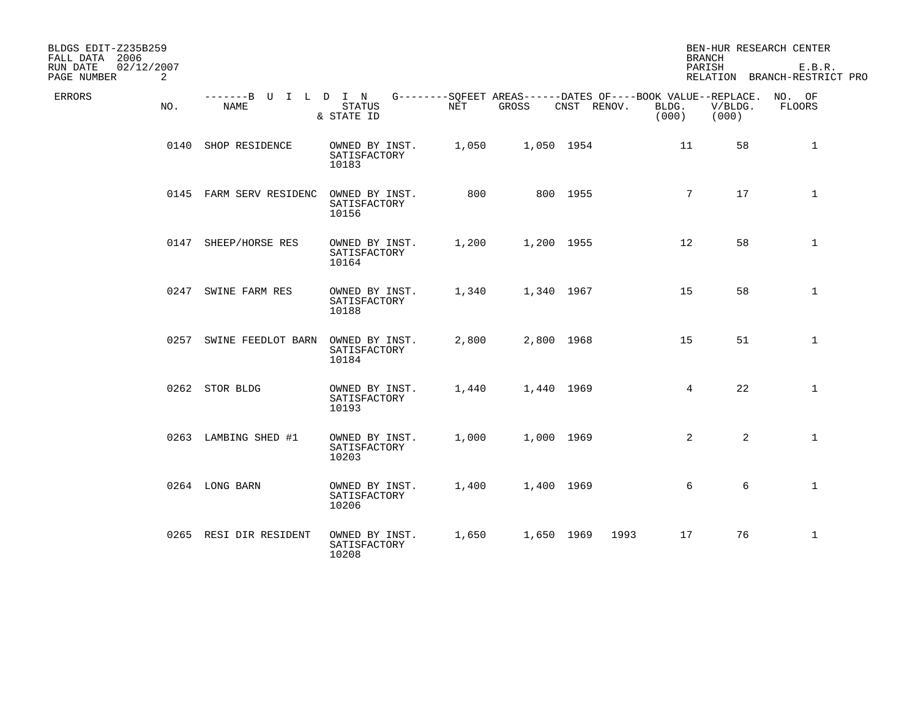| BLDGS EDIT-Z235B259<br>FALL DATA 2006      |                                     |                                         |       |            |             | <b>BRANCH</b>                                                                 |                  | BEN-HUR RESEARCH CENTER                |
|--------------------------------------------|-------------------------------------|-----------------------------------------|-------|------------|-------------|-------------------------------------------------------------------------------|------------------|----------------------------------------|
| 02/12/2007<br>RUN DATE<br>PAGE NUMBER<br>2 |                                     |                                         |       |            |             | PARISH                                                                        |                  | E.B.R.<br>RELATION BRANCH-RESTRICT PRO |
| <b>ERRORS</b><br>NO.                       | -------B U I L D I N<br><b>NAME</b> | <b>STATUS</b><br>& STATE ID             | NET   | GROSS      | CNST RENOV. | G--------SQFEET AREAS------DATES OF----BOOK VALUE--REPLACE.<br>BLDG.<br>(000) | V/BLDG.<br>(000) | NO. OF<br>FLOORS                       |
| 0140                                       | SHOP RESIDENCE                      | OWNED BY INST.<br>SATISFACTORY<br>10183 | 1,050 | 1,050 1954 |             | 11                                                                            | 58               | $\mathbf{1}$                           |
|                                            | 0145 FARM SERV RESIDENC             | OWNED BY INST.<br>SATISFACTORY<br>10156 | 800   |            | 800 1955    | $7\phantom{.0}$                                                               | 17               | $\mathbf{1}$                           |
|                                            | 0147 SHEEP/HORSE RES                | OWNED BY INST.<br>SATISFACTORY<br>10164 | 1,200 | 1,200 1955 |             | $12 \overline{ }$                                                             | 58               | $\mathbf{1}$                           |
| 0247                                       | SWINE FARM RES                      | OWNED BY INST.<br>SATISFACTORY<br>10188 | 1,340 | 1,340 1967 |             | 15                                                                            | 58               | $\mathbf 1$                            |
| 0257                                       | SWINE FEEDLOT BARN                  | OWNED BY INST.<br>SATISFACTORY<br>10184 | 2,800 | 2,800 1968 |             | 15                                                                            | 51               | $\mathbf{1}$                           |
|                                            | 0262 STOR BLDG                      | OWNED BY INST.<br>SATISFACTORY<br>10193 | 1,440 | 1,440 1969 |             | $4\overline{ }$                                                               | 22               | $\mathbf{1}$                           |
|                                            | 0263 LAMBING SHED #1                | OWNED BY INST.<br>SATISFACTORY<br>10203 | 1,000 | 1,000 1969 |             | 2                                                                             | 2                | $\mathbf{1}$                           |
|                                            | 0264 LONG BARN                      | OWNED BY INST.<br>SATISFACTORY<br>10206 | 1,400 | 1,400 1969 |             | 6                                                                             | 6                | $\mathbf{1}$                           |
|                                            | 0265 RESI DIR RESIDENT              | OWNED BY INST.<br>SATISFACTORY<br>10208 | 1,650 | 1,650 1969 | 1993        | 17                                                                            | 76               | $\mathbf{1}$                           |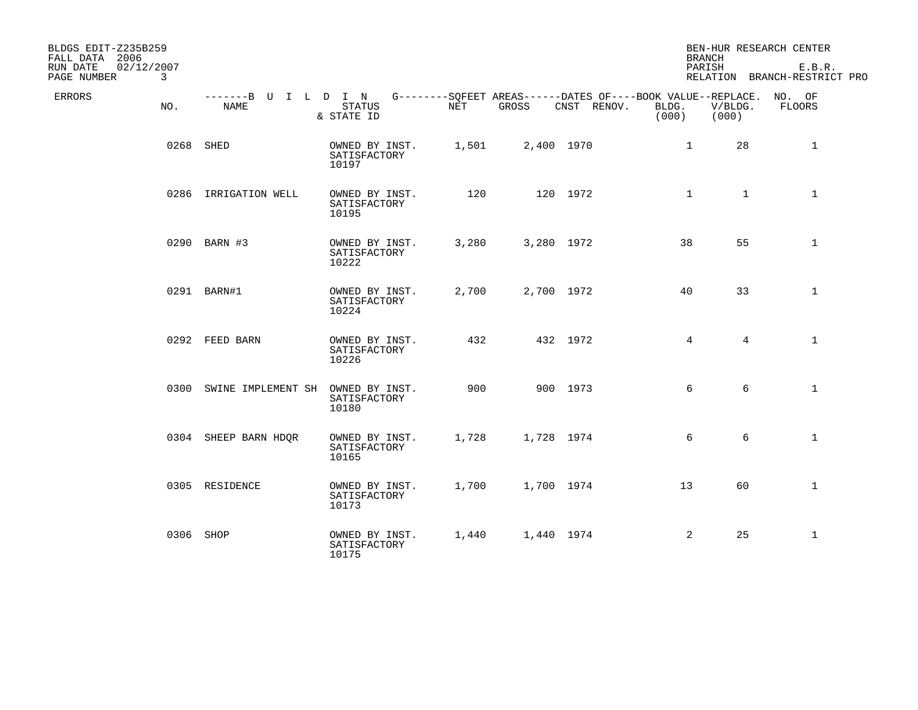| BLDGS EDIT-Z235B259<br>FALL DATA 2006      |                              |                                         |       |            |                                                                            |                | <b>BRANCH</b>    | BEN-HUR RESEARCH CENTER                |
|--------------------------------------------|------------------------------|-----------------------------------------|-------|------------|----------------------------------------------------------------------------|----------------|------------------|----------------------------------------|
| 02/12/2007<br>RUN DATE<br>PAGE NUMBER<br>3 |                              |                                         |       |            |                                                                            |                | PARISH           | E.B.R.<br>RELATION BRANCH-RESTRICT PRO |
| ERRORS<br>NO.                              | -------B U I L D I N<br>NAME | <b>STATUS</b><br>& STATE ID             | NET   | GROSS      | G--------SQFEET AREAS------DATES OF----BOOK VALUE--REPLACE.<br>CNST RENOV. | BLDG.<br>(000) | V/BLDG.<br>(000) | NO. OF<br>FLOORS                       |
| 0268                                       | SHED                         | OWNED BY INST.<br>SATISFACTORY<br>10197 | 1,501 | 2,400 1970 |                                                                            | $\mathbf{1}$   | 28               | 1                                      |
|                                            | 0286 IRRIGATION WELL         | OWNED BY INST.<br>SATISFACTORY<br>10195 | 120   | 120 1972   |                                                                            | $\mathbf{1}$   | $\mathbf{1}$     | $\mathbf{1}$                           |
|                                            | 0290 BARN #3                 | OWNED BY INST.<br>SATISFACTORY<br>10222 | 3,280 | 3,280 1972 |                                                                            | 38             | 55               | $\mathbf{1}$                           |
|                                            | 0291 BARN#1                  | OWNED BY INST.<br>SATISFACTORY<br>10224 | 2,700 | 2,700 1972 |                                                                            | 40             | 33               | $\mathbf{1}$                           |
|                                            | 0292 FEED BARN               | OWNED BY INST.<br>SATISFACTORY<br>10226 | 432   | 432 1972   |                                                                            | 4              | 4                | $\mathbf{1}$                           |
|                                            | 0300 SWINE IMPLEMENT SH      | OWNED BY INST.<br>SATISFACTORY<br>10180 | 900   | 900 1973   |                                                                            | 6              | 6                | $\mathbf{1}$                           |
|                                            | 0304 SHEEP BARN HDQR         | OWNED BY INST.<br>SATISFACTORY<br>10165 | 1,728 | 1,728 1974 |                                                                            | 6              | 6                | $\mathbf{1}$                           |
|                                            | 0305 RESIDENCE               | OWNED BY INST.<br>SATISFACTORY<br>10173 | 1,700 | 1,700 1974 |                                                                            | 13             | 60               | $\mathbf{1}$                           |
|                                            | 0306 SHOP                    | OWNED BY INST.<br>SATISFACTORY<br>10175 | 1,440 | 1,440 1974 |                                                                            | 2              | 25               | $\mathbf{1}$                           |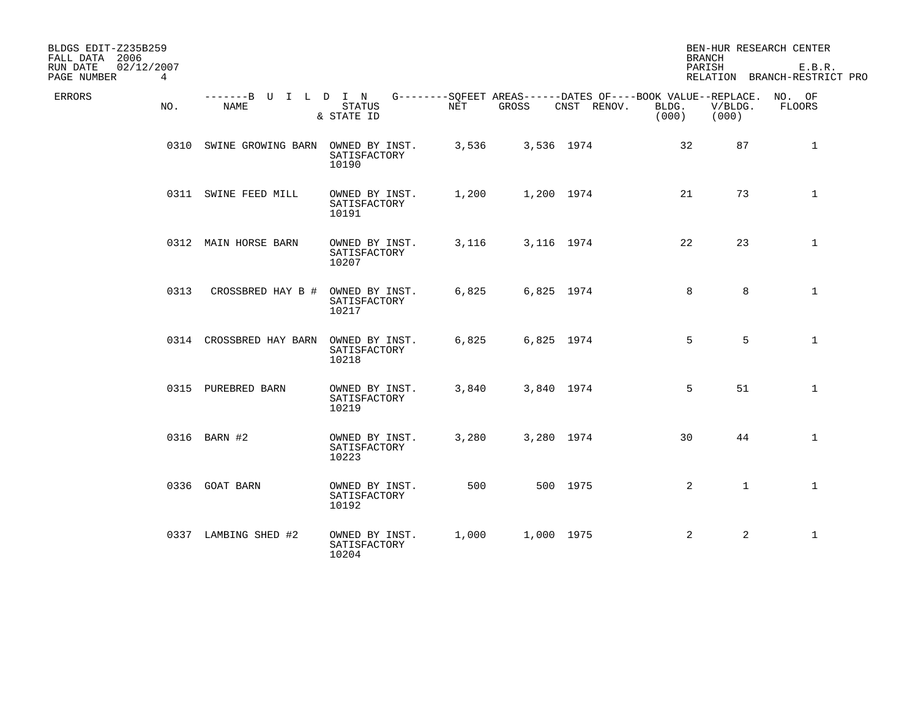| BLDGS EDIT-Z235B259<br>FALL DATA 2006                |                              |                                         |       |            |                                                                            | <b>BRANCH</b>  |                  | BEN-HUR RESEARCH CENTER                |
|------------------------------------------------------|------------------------------|-----------------------------------------|-------|------------|----------------------------------------------------------------------------|----------------|------------------|----------------------------------------|
| 02/12/2007<br>RUN DATE<br>PAGE NUMBER<br>$4^{\circ}$ |                              |                                         |       |            |                                                                            | PARISH         |                  | E.B.R.<br>RELATION BRANCH-RESTRICT PRO |
| <b>ERRORS</b><br>NO.                                 | -------B U I L D I N<br>NAME | <b>STATUS</b><br>& STATE ID             | NET   | GROSS      | G--------SQFEET AREAS------DATES OF----BOOK VALUE--REPLACE.<br>CNST RENOV. | BLDG.<br>(000) | V/BLDG.<br>(000) | NO. OF<br>FLOORS                       |
|                                                      | 0310 SWINE GROWING BARN      | OWNED BY INST.<br>SATISFACTORY<br>10190 | 3,536 | 3,536 1974 |                                                                            | 32             | 87               | $\mathbf 1$                            |
|                                                      | 0311 SWINE FEED MILL         | OWNED BY INST.<br>SATISFACTORY<br>10191 | 1,200 | 1,200 1974 |                                                                            | 21             | 73               | $\mathbf{1}$                           |
|                                                      | 0312 MAIN HORSE BARN         | OWNED BY INST.<br>SATISFACTORY<br>10207 | 3,116 |            | 3,116 1974                                                                 | 22             | 23               | $\mathbf{1}$                           |
| 0313                                                 | CROSSBRED HAY B #            | OWNED BY INST.<br>SATISFACTORY<br>10217 | 6,825 | 6,825 1974 |                                                                            | 8              | 8                | $\mathbf 1$                            |
|                                                      | 0314 CROSSBRED HAY BARN      | OWNED BY INST.<br>SATISFACTORY<br>10218 | 6,825 | 6,825 1974 |                                                                            | 5              | 5                | $\mathbf{1}$                           |
|                                                      | 0315 PUREBRED BARN           | OWNED BY INST.<br>SATISFACTORY<br>10219 | 3,840 |            | 3,840 1974                                                                 | 5              | 51               | $\mathbf{1}$                           |
|                                                      | 0316 BARN #2                 | OWNED BY INST.<br>SATISFACTORY<br>10223 | 3,280 |            | 3,280 1974                                                                 | 30             | 44               | $\mathbf{1}$                           |
|                                                      | 0336 GOAT BARN               | OWNED BY INST.<br>SATISFACTORY<br>10192 | 500   |            | 500 1975                                                                   | $\overline{a}$ | $\mathbf{1}$     | $\mathbf{1}$                           |
|                                                      | 0337 LAMBING SHED #2         | OWNED BY INST.<br>SATISFACTORY<br>10204 | 1,000 | 1,000 1975 |                                                                            | 2              | 2                | $\mathbf{1}$                           |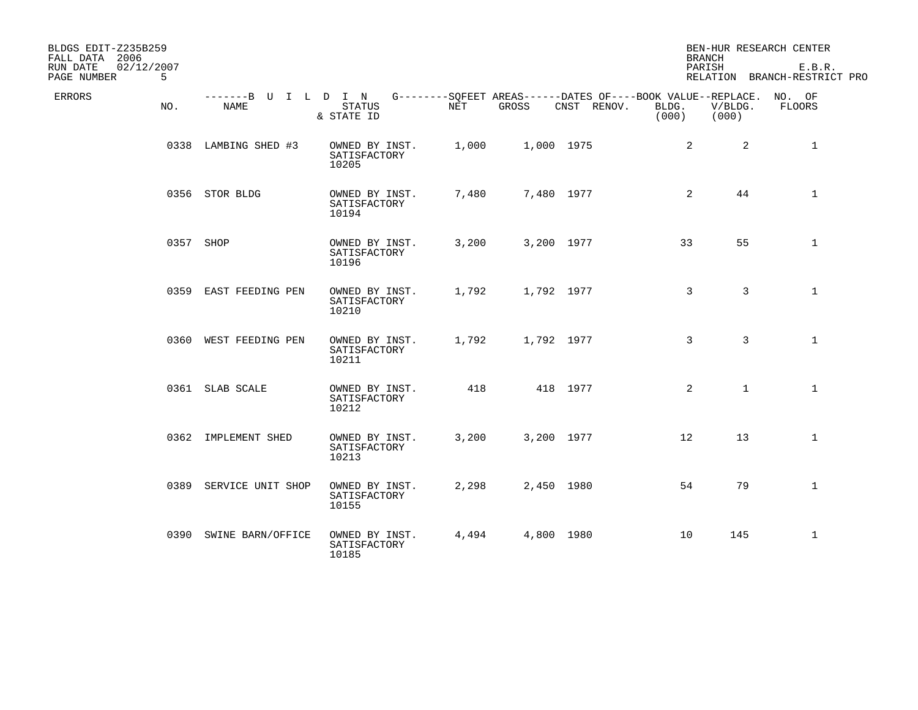| BLDGS EDIT-Z235B259<br>FALL DATA 2006      |                              |                                         |       |            |                                                                            |                | <b>BRANCH</b>    | BEN-HUR RESEARCH CENTER                |
|--------------------------------------------|------------------------------|-----------------------------------------|-------|------------|----------------------------------------------------------------------------|----------------|------------------|----------------------------------------|
| RUN DATE<br>02/12/2007<br>PAGE NUMBER<br>5 |                              |                                         |       |            |                                                                            |                | PARISH           | E.B.R.<br>RELATION BRANCH-RESTRICT PRO |
| ERRORS<br>NO.                              | -------B U I L D I N<br>NAME | <b>STATUS</b><br>& STATE ID             | NET   | GROSS      | G--------SQFEET AREAS------DATES OF----BOOK VALUE--REPLACE.<br>CNST RENOV. | BLDG.<br>(000) | V/BLDG.<br>(000) | NO. OF<br><b>FLOORS</b>                |
|                                            | 0338 LAMBING SHED #3         | OWNED BY INST.<br>SATISFACTORY<br>10205 | 1,000 | 1,000 1975 |                                                                            | 2              | $\overline{2}$   | $\mathbf 1$                            |
|                                            | 0356 STOR BLDG               | OWNED BY INST.<br>SATISFACTORY<br>10194 | 7,480 | 7,480 1977 |                                                                            | 2              | 44               | $\mathbf 1$                            |
|                                            | 0357 SHOP                    | OWNED BY INST.<br>SATISFACTORY<br>10196 | 3,200 | 3,200 1977 |                                                                            | 33             | 55               | $\mathbf{1}$                           |
|                                            | 0359 EAST FEEDING PEN        | OWNED BY INST.<br>SATISFACTORY<br>10210 | 1,792 | 1,792 1977 |                                                                            | 3              | 3                | $\mathbf{1}$                           |
|                                            | 0360 WEST FEEDING PEN        | OWNED BY INST.<br>SATISFACTORY<br>10211 | 1,792 | 1,792 1977 |                                                                            | 3              | 3                | $\mathbf{1}$                           |
|                                            | 0361 SLAB SCALE              | OWNED BY INST.<br>SATISFACTORY<br>10212 | 418   |            | 418 1977                                                                   | 2              | $\mathbf{1}$     | $\mathbf{1}$                           |
|                                            | 0362 IMPLEMENT SHED          | OWNED BY INST.<br>SATISFACTORY<br>10213 | 3,200 | 3,200 1977 |                                                                            | 12             | 13               | $\mathbf{1}$                           |
|                                            | 0389 SERVICE UNIT SHOP       | OWNED BY INST.<br>SATISFACTORY<br>10155 | 2,298 | 2,450 1980 |                                                                            | 54             | 79               | $\mathbf{1}$                           |
|                                            | 0390 SWINE BARN/OFFICE       | OWNED BY INST.<br>SATISFACTORY<br>10185 | 4,494 | 4,800 1980 |                                                                            | 10             | 145              | $\mathbf{1}$                           |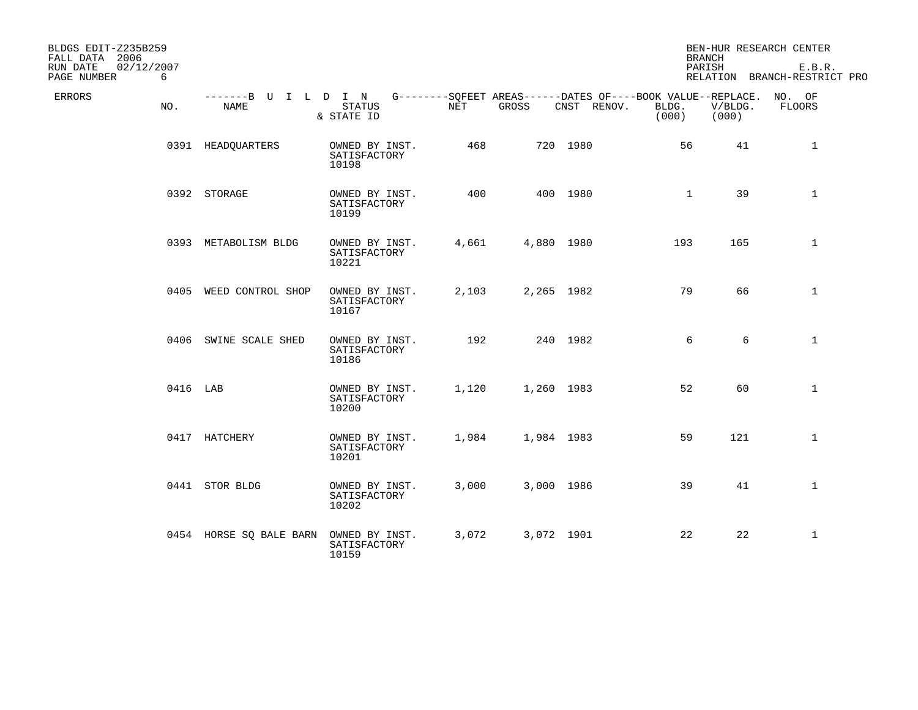| BLDGS EDIT-Z235B259<br>FALL DATA 2006      |          |                              |                                         |                                                                    |       |             | <b>BRANCH</b>  |                  | BEN-HUR RESEARCH CENTER                |
|--------------------------------------------|----------|------------------------------|-----------------------------------------|--------------------------------------------------------------------|-------|-------------|----------------|------------------|----------------------------------------|
| RUN DATE<br>02/12/2007<br>PAGE NUMBER<br>6 |          |                              |                                         |                                                                    |       |             | PARISH         |                  | E.B.R.<br>RELATION BRANCH-RESTRICT PRO |
| ERRORS                                     | NO.      | -------B U I L D I N<br>NAME | STATUS<br>& STATE ID                    | G--------SQFEET AREAS------DATES OF----BOOK VALUE--REPLACE.<br>NET | GROSS | CNST RENOV. | BLDG.<br>(000) | V/BLDG.<br>(000) | NO. OF<br>FLOORS                       |
|                                            |          | 0391 HEADQUARTERS            | OWNED BY INST.<br>SATISFACTORY<br>10198 | 468                                                                |       | 720 1980    | 56             | 41               | $\mathbf{1}$                           |
|                                            |          | 0392 STORAGE                 | OWNED BY INST.<br>SATISFACTORY<br>10199 | 400                                                                |       | 400 1980    | $\mathbf{1}$   | 39               | $\mathbf{1}$                           |
|                                            |          | 0393 METABOLISM BLDG         | OWNED BY INST.<br>SATISFACTORY<br>10221 | 4,661                                                              |       | 4,880 1980  | 193            | 165              | $\mathbf 1$                            |
|                                            |          | 0405 WEED CONTROL SHOP       | OWNED BY INST.<br>SATISFACTORY<br>10167 | 2,103                                                              |       | 2,265 1982  | 79             | 66               | $\mathbf 1$                            |
|                                            |          | 0406 SWINE SCALE SHED        | OWNED BY INST.<br>SATISFACTORY<br>10186 | 192                                                                |       | 240 1982    | 6              | 6                | $\mathbf{1}$                           |
|                                            | 0416 LAB |                              | OWNED BY INST.<br>SATISFACTORY<br>10200 | 1,120                                                              |       | 1,260 1983  | 52             | 60               | $\mathbf 1$                            |
|                                            |          | 0417 HATCHERY                | OWNED BY INST.<br>SATISFACTORY<br>10201 | 1,984                                                              |       | 1,984 1983  | 59             | 121              | $\mathbf{1}$                           |
|                                            |          | 0441 STOR BLDG               | OWNED BY INST.<br>SATISFACTORY<br>10202 | 3,000                                                              |       | 3,000 1986  | 39             | 41               | $\mathbf{1}$                           |
|                                            |          | 0454 HORSE SQ BALE BARN      | OWNED BY INST.<br>SATISFACTORY<br>10159 | 3,072                                                              |       | 3,072 1901  | 22             | 22               | $\mathbf{1}$                           |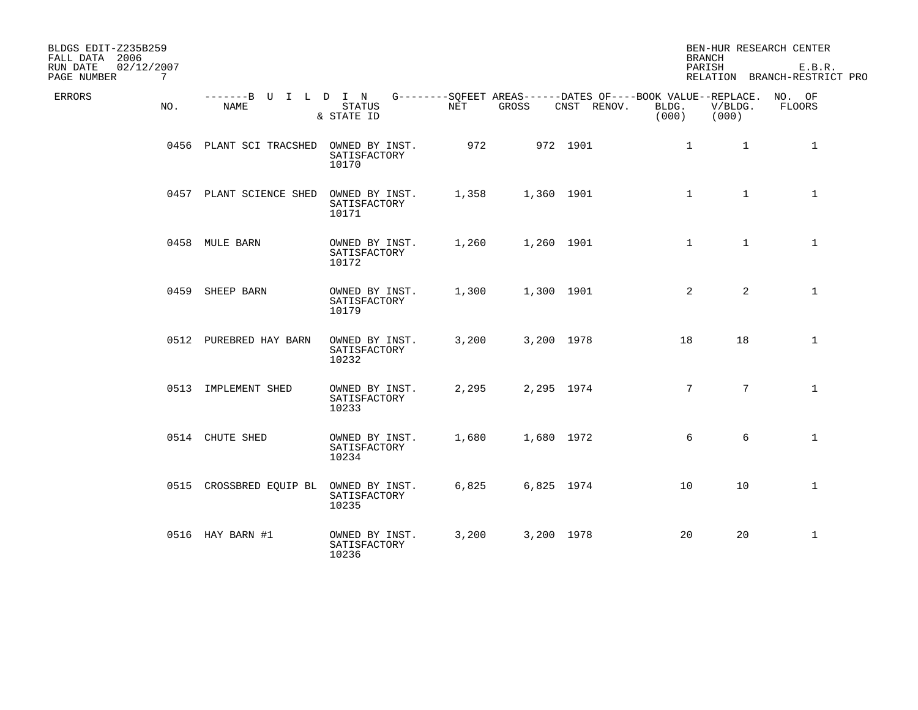| BLDGS EDIT-Z235B259<br>FALL DATA 2006                    |                                     |                                         |       |            |             |                | <b>BRANCH</b>    | BEN-HUR RESEARCH CENTER                                                      |
|----------------------------------------------------------|-------------------------------------|-----------------------------------------|-------|------------|-------------|----------------|------------------|------------------------------------------------------------------------------|
| RUN DATE<br>02/12/2007<br>PAGE NUMBER<br>$7\overline{ }$ |                                     |                                         |       |            |             |                | PARISH           | E.B.R.<br>RELATION BRANCH-RESTRICT PRO                                       |
| ERRORS<br>NO.                                            | -------B U I L D I N<br><b>NAME</b> | <b>STATUS</b><br>& STATE ID             | NET   | GROSS      | CNST RENOV. | BLDG.<br>(000) | V/BLDG.<br>(000) | G--------SQFEET AREAS------DATES OF----BOOK VALUE--REPLACE. NO. OF<br>FLOORS |
|                                                          | 0456 PLANT SCI TRACSHED             | OWNED BY INST.<br>SATISFACTORY<br>10170 | 972   |            | 972 1901    |                | $\mathbf{1}$     | $\mathbf{1}$<br>1                                                            |
|                                                          | 0457 PLANT SCIENCE SHED             | OWNED BY INST.<br>SATISFACTORY<br>10171 | 1,358 |            | 1,360 1901  |                | $\mathbf{1}$     | $\mathbf{1}$<br>$\mathbf{1}$                                                 |
|                                                          | 0458 MULE BARN                      | OWNED BY INST.<br>SATISFACTORY<br>10172 | 1,260 |            | 1,260 1901  |                | $\mathbf{1}$     | $\mathbf{1}$<br>$\mathbf{1}$                                                 |
|                                                          | 0459 SHEEP BARN                     | OWNED BY INST.<br>SATISFACTORY<br>10179 | 1,300 |            | 1,300 1901  |                | 2                | 2<br>$\mathbf{1}$                                                            |
|                                                          | 0512 PUREBRED HAY BARN              | OWNED BY INST.<br>SATISFACTORY<br>10232 | 3,200 |            | 3,200 1978  | 18             | 18               | $\mathbf{1}$                                                                 |
|                                                          | 0513 IMPLEMENT SHED                 | OWNED BY INST.<br>SATISFACTORY<br>10233 | 2,295 |            | 2,295 1974  |                | $7\overline{ }$  | $7\phantom{.0}$<br>$\mathbf{1}$                                              |
|                                                          | 0514 CHUTE SHED                     | OWNED BY INST.<br>SATISFACTORY<br>10234 | 1,680 |            | 1,680 1972  |                | 6                | 6<br>$\mathbf 1$                                                             |
|                                                          | 0515 CROSSBRED EQUIP BL             | OWNED BY INST.<br>SATISFACTORY<br>10235 | 6,825 | 6,825 1974 |             | 10             | 10               | $\mathbf{1}$                                                                 |
|                                                          | 0516 HAY BARN #1                    | OWNED BY INST.<br>SATISFACTORY<br>10236 | 3,200 | 3,200 1978 |             | 20             | 20               | $\mathbf{1}$                                                                 |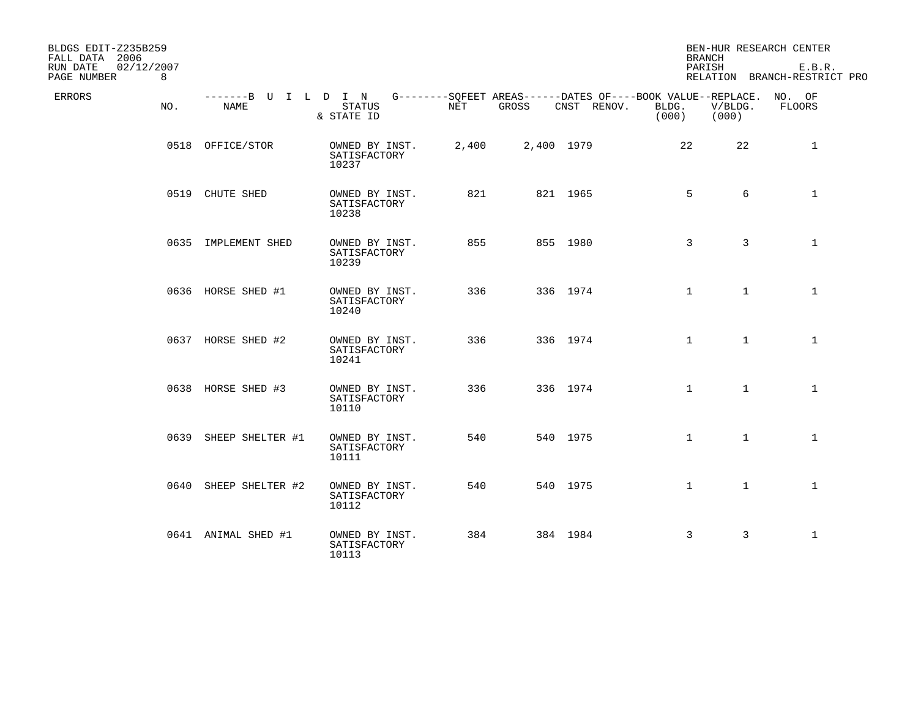| BLDGS EDIT-Z235B259<br>FALL DATA 2006      |                       |                                                                                                                        |       |            |             | <b>BRANCH</b>  |                  | BEN-HUR RESEARCH CENTER                |
|--------------------------------------------|-----------------------|------------------------------------------------------------------------------------------------------------------------|-------|------------|-------------|----------------|------------------|----------------------------------------|
| 02/12/2007<br>RUN DATE<br>PAGE NUMBER<br>8 |                       |                                                                                                                        |       |            |             | PARISH         |                  | E.B.R.<br>RELATION BRANCH-RESTRICT PRO |
| ERRORS<br>NO.                              | NAME                  | -------B U I L D I N G--------SQFEET AREAS------DATES OF----BOOK VALUE--REPLACE. NO. OF<br><b>STATUS</b><br>& STATE ID | NET   | GROSS      | CNST RENOV. | BLDG.<br>(000) | V/BLDG.<br>(000) | FLOORS                                 |
|                                            | 0518 OFFICE/STOR      | OWNED BY INST.<br>SATISFACTORY<br>10237                                                                                | 2,400 | 2,400 1979 |             | 22             | 22               | $\mathbf 1$                            |
|                                            | 0519 CHUTE SHED       | OWNED BY INST.<br>SATISFACTORY<br>10238                                                                                | 821   |            | 821 1965    | 5              | 6                | $\mathbf{1}$                           |
|                                            | 0635 IMPLEMENT SHED   | OWNED BY INST.<br>SATISFACTORY<br>10239                                                                                | 855   |            | 855 1980    | 3              | 3                | $\mathbf{1}$                           |
|                                            | 0636 HORSE SHED #1    | OWNED BY INST.<br>SATISFACTORY<br>10240                                                                                | 336   |            | 336 1974    | $\mathbf{1}$   | $\mathbf{1}$     | $\mathbf{1}$                           |
|                                            | 0637 HORSE SHED #2    | OWNED BY INST.<br>SATISFACTORY<br>10241                                                                                | 336   |            | 336 1974    | $\mathbf{1}$   | $\mathbf{1}$     | $\mathbf{1}$                           |
|                                            | 0638 HORSE SHED #3    | OWNED BY INST.<br>SATISFACTORY<br>10110                                                                                | 336   |            | 336 1974    | $\mathbf{1}$   | $\mathbf{1}$     | $\mathbf{1}$                           |
|                                            | 0639 SHEEP SHELTER #1 | OWNED BY INST.<br>SATISFACTORY<br>10111                                                                                | 540   |            | 540 1975    | $\mathbf{1}$   | $\mathbf{1}$     | $\mathbf{1}$                           |
|                                            | 0640 SHEEP SHELTER #2 | OWNED BY INST.<br>SATISFACTORY<br>10112                                                                                | 540   |            | 540 1975    | $\mathbf{1}$   | $\mathbf{1}$     | $\mathbf{1}$                           |
|                                            | 0641 ANIMAL SHED #1   | OWNED BY INST.<br>SATISFACTORY<br>10113                                                                                | 384   |            | 384 1984    | 3              | 3                | $\mathbf{1}$                           |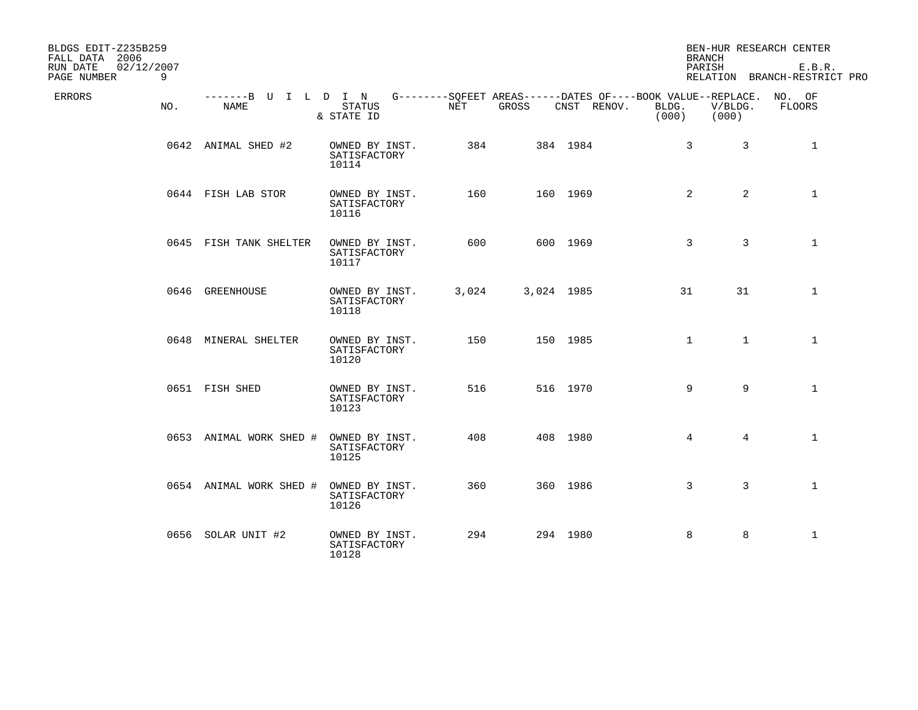| BLDGS EDIT-Z235B259<br>FALL DATA 2006      |                              |                                         |       |            |                                                                                   |                | <b>BRANCH</b>    | BEN-HUR RESEARCH CENTER                |
|--------------------------------------------|------------------------------|-----------------------------------------|-------|------------|-----------------------------------------------------------------------------------|----------------|------------------|----------------------------------------|
| RUN DATE<br>02/12/2007<br>PAGE NUMBER<br>9 |                              |                                         |       |            |                                                                                   |                | PARISH           | E.B.R.<br>RELATION BRANCH-RESTRICT PRO |
| ERRORS<br>NO.                              | -------B U I L D I N<br>NAME | STATUS<br>& STATE ID                    | NET   | GROSS      | G--------SQFEET AREAS------DATES OF----BOOK VALUE--REPLACE. NO. OF<br>CNST RENOV. | BLDG.<br>(000) | V/BLDG.<br>(000) | FLOORS                                 |
|                                            | 0642 ANIMAL SHED #2          | OWNED BY INST.<br>SATISFACTORY<br>10114 | 384   |            | 384 1984                                                                          | $\mathbf{3}$   | $\overline{3}$   | 1                                      |
|                                            | 0644 FISH LAB STOR           | OWNED BY INST.<br>SATISFACTORY<br>10116 | 160   |            | 160 1969                                                                          | 2              | $\overline{2}$   | $\mathbf{1}$                           |
|                                            | 0645 FISH TANK SHELTER       | OWNED BY INST.<br>SATISFACTORY<br>10117 | 600   |            | 600 1969                                                                          | 3              | 3                | $\mathbf{1}$                           |
|                                            | 0646 GREENHOUSE              | OWNED BY INST.<br>SATISFACTORY<br>10118 | 3,024 | 3,024 1985 |                                                                                   | 31             | 31               | $\mathbf{1}$                           |
|                                            | 0648 MINERAL SHELTER         | OWNED BY INST.<br>SATISFACTORY<br>10120 | 150   |            | 150 1985                                                                          | $\mathbf{1}$   | $\mathbf{1}$     | $\mathbf{1}$                           |
|                                            | 0651 FISH SHED               | OWNED BY INST.<br>SATISFACTORY<br>10123 | 516   |            | 516 1970                                                                          | 9              | 9                | $\mathbf{1}$                           |
|                                            | 0653 ANIMAL WORK SHED #      | OWNED BY INST.<br>SATISFACTORY<br>10125 | 408   |            | 408 1980                                                                          | $\overline{4}$ | $\overline{4}$   | $\mathbf{1}$                           |
|                                            | 0654 ANIMAL WORK SHED #      | OWNED BY INST.<br>SATISFACTORY<br>10126 | 360   |            | 360 1986                                                                          | 3              | 3                | $\mathbf{1}$                           |
|                                            | 0656 SOLAR UNIT #2           | OWNED BY INST.<br>SATISFACTORY<br>10128 | 294   |            | 294 1980                                                                          | 8              | 8                | $\mathbf{1}$                           |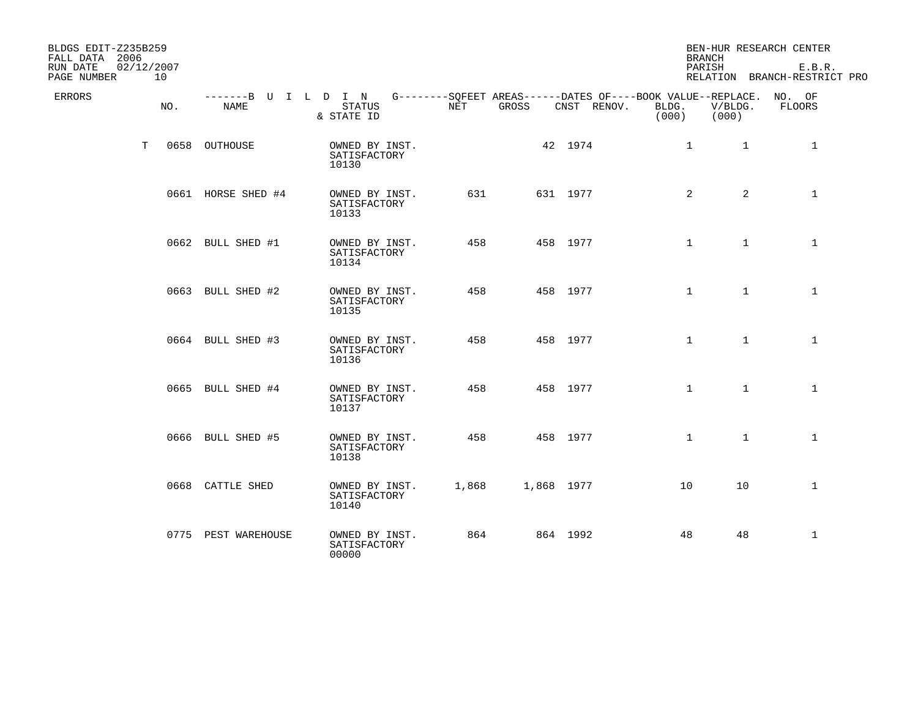| BLDGS EDIT-Z235B259<br>FALL DATA 2006 |                  |                              |                                         |       |            |             | <b>BRANCH</b>                                                                        |                  | BEN-HUR RESEARCH CENTER                |
|---------------------------------------|------------------|------------------------------|-----------------------------------------|-------|------------|-------------|--------------------------------------------------------------------------------------|------------------|----------------------------------------|
| RUN DATE<br>PAGE NUMBER               | 02/12/2007<br>10 |                              |                                         |       |            |             | PARISH                                                                               |                  | E.B.R.<br>RELATION BRANCH-RESTRICT PRO |
| ERRORS                                | NO.              | -------B U I L D I N<br>NAME | STATUS<br>& STATE ID                    | NET   | GROSS      | CNST RENOV. | G--------SQFEET AREAS------DATES OF----BOOK VALUE--REPLACE. NO. OF<br>BLDG.<br>(000) | V/BLDG.<br>(000) | FLOORS                                 |
|                                       | T                | 0658 OUTHOUSE                | OWNED BY INST.<br>SATISFACTORY<br>10130 |       |            | 42 1974     | $\mathbf{1}$                                                                         | $\mathbf{1}$     | 1                                      |
|                                       |                  | 0661 HORSE SHED #4           | OWNED BY INST.<br>SATISFACTORY<br>10133 | 631   |            | 631 1977    | 2                                                                                    | $\overline{a}$   | $\mathbf{1}$                           |
|                                       |                  | 0662 BULL SHED #1            | OWNED BY INST.<br>SATISFACTORY<br>10134 | 458   |            | 458 1977    | $\mathbf{1}$                                                                         | $\mathbf{1}$     | $\mathbf{1}$                           |
|                                       |                  | 0663 BULL SHED #2            | OWNED BY INST.<br>SATISFACTORY<br>10135 | 458   |            | 458 1977    | $\mathbf{1}$                                                                         | $\mathbf{1}$     | $\mathbf{1}$                           |
|                                       |                  | 0664 BULL SHED #3            | OWNED BY INST.<br>SATISFACTORY<br>10136 | 458   |            | 458 1977    | $\mathbf{1}$                                                                         | $\mathbf{1}$     | $\mathbf{1}$                           |
|                                       |                  | 0665 BULL SHED #4            | OWNED BY INST.<br>SATISFACTORY<br>10137 | 458   |            | 458 1977    | $\mathbf{1}$                                                                         | $\mathbf{1}$     | $\mathbf{1}$                           |
|                                       |                  | 0666 BULL SHED #5            | OWNED BY INST.<br>SATISFACTORY<br>10138 | 458   |            | 458 1977    | $\mathbf 1$                                                                          | $\mathbf{1}$     | $\mathbf{1}$                           |
|                                       |                  | 0668 CATTLE SHED             | OWNED BY INST.<br>SATISFACTORY<br>10140 | 1,868 | 1,868 1977 |             | 10                                                                                   | 10               | $\mathbf{1}$                           |
|                                       |                  | 0775 PEST WAREHOUSE          | OWNED BY INST.<br>SATISFACTORY<br>00000 | 864   |            | 864 1992    | 48                                                                                   | 48               | $\mathbf{1}$                           |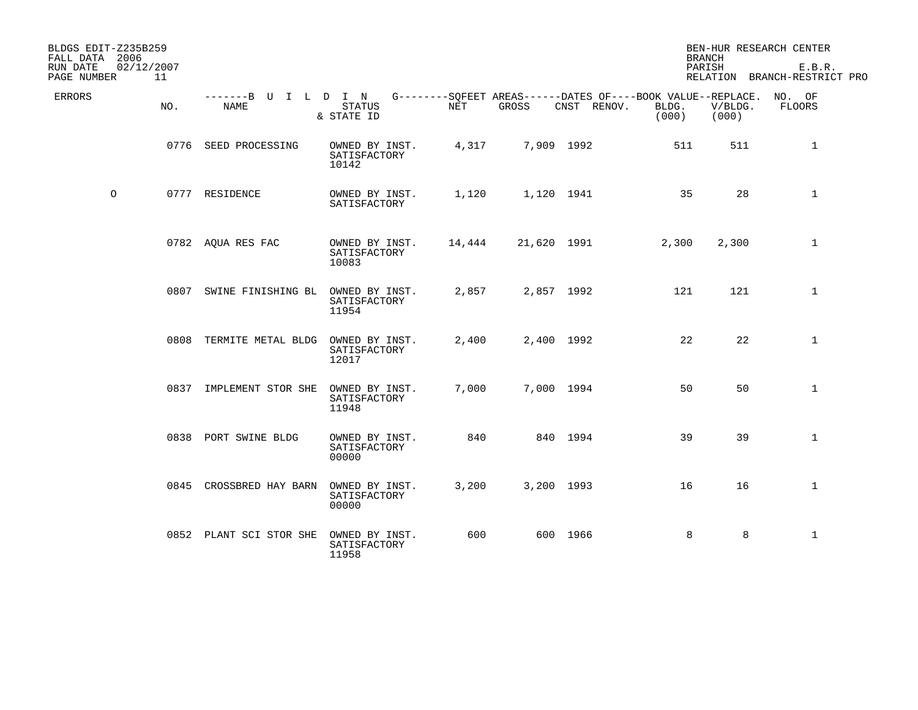| BLDGS EDIT-Z235B259<br>FALL DATA 2006 |     |                              |                                         |        |             |                                                                                   | <b>BRANCH</b>  |                  | BEN-HUR RESEARCH CENTER                |
|---------------------------------------|-----|------------------------------|-----------------------------------------|--------|-------------|-----------------------------------------------------------------------------------|----------------|------------------|----------------------------------------|
| RUN DATE<br>02/12/2007<br>PAGE NUMBER | 11  |                              |                                         |        |             |                                                                                   | PARISH         |                  | E.B.R.<br>RELATION BRANCH-RESTRICT PRO |
| ERRORS                                | NO. | -------B U I L D I N<br>NAME | <b>STATUS</b><br>& STATE ID             | NET    | GROSS       | G--------SOFEET AREAS------DATES OF----BOOK VALUE--REPLACE. NO. OF<br>CNST RENOV. | BLDG.<br>(000) | V/BLDG.<br>(000) | FLOORS                                 |
|                                       |     | 0776 SEED PROCESSING         | OWNED BY INST.<br>SATISFACTORY<br>10142 | 4,317  |             | 7,909 1992                                                                        | 511            | 511              | 1                                      |
| $\circ$                               |     | 0777 RESIDENCE               | OWNED BY INST.<br>SATISFACTORY          | 1,120  |             | 1,120 1941                                                                        | 35             | 28               | $\mathbf{1}$                           |
|                                       |     | 0782 AQUA RES FAC            | OWNED BY INST.<br>SATISFACTORY<br>10083 | 14,444 | 21,620 1991 |                                                                                   | 2,300          | 2,300            | $\mathbf{1}$                           |
|                                       |     | 0807 SWINE FINISHING BL      | OWNED BY INST.<br>SATISFACTORY<br>11954 | 2,857  |             | 2,857 1992                                                                        | 121            | 121              | $\mathbf 1$                            |
|                                       |     | 0808 TERMITE METAL BLDG      | OWNED BY INST.<br>SATISFACTORY<br>12017 | 2,400  |             | 2,400 1992                                                                        | 22             | 22               | $\mathbf 1$                            |
|                                       |     | 0837 IMPLEMENT STOR SHE      | OWNED BY INST.<br>SATISFACTORY<br>11948 | 7,000  |             | 7,000 1994                                                                        | 50             | 50               | $\mathbf 1$                            |
|                                       |     | 0838 PORT SWINE BLDG         | OWNED BY INST.<br>SATISFACTORY<br>00000 | 840    |             | 840 1994                                                                          | 39             | 39               | $\mathbf{1}$                           |
|                                       |     | 0845 CROSSBRED HAY BARN      | OWNED BY INST.<br>SATISFACTORY<br>00000 | 3,200  |             | 3,200 1993                                                                        | 16             | 16               | $\mathbf{1}$                           |
|                                       |     | 0852 PLANT SCI STOR SHE      | OWNED BY INST.<br>SATISFACTORY<br>11958 | 600    |             | 600 1966                                                                          | 8              | 8                | $\mathbf{1}$                           |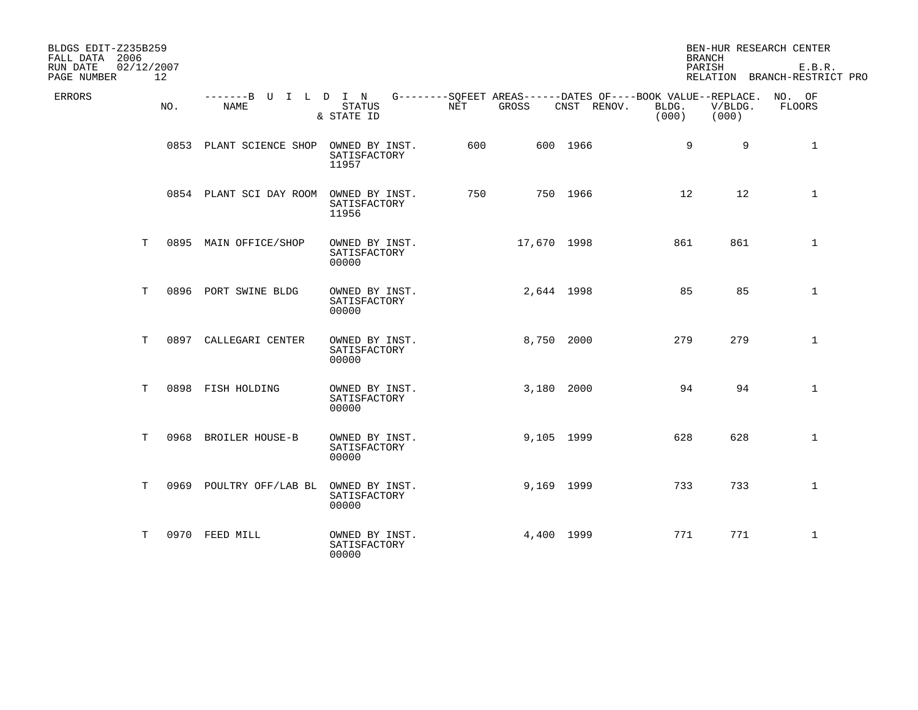| BLDGS EDIT-Z235B259<br>FALL DATA 2006 |                 |                              |                                         |                                                                    |             |             | <b>BRANCH</b>     |                  | BEN-HUR RESEARCH CENTER                |
|---------------------------------------|-----------------|------------------------------|-----------------------------------------|--------------------------------------------------------------------|-------------|-------------|-------------------|------------------|----------------------------------------|
| 02/12/2007<br>RUN DATE<br>PAGE NUMBER | 12 <sup>°</sup> |                              |                                         |                                                                    |             |             | PARISH            |                  | E.B.R.<br>RELATION BRANCH-RESTRICT PRO |
| <b>ERRORS</b>                         | NO.             | -------B U I L D I N<br>NAME | <b>STATUS</b><br>& STATE ID             | G--------SQFEET AREAS------DATES OF----BOOK VALUE--REPLACE.<br>NET | GROSS       | CNST RENOV. | BLDG.<br>(000)    | V/BLDG.<br>(000) | NO. OF<br>FLOORS                       |
|                                       |                 | 0853 PLANT SCIENCE SHOP      | OWNED BY INST.<br>SATISFACTORY<br>11957 | 600                                                                |             | 600 1966    | 9                 | 9                | 1                                      |
|                                       |                 | 0854 PLANT SCI DAY ROOM      | OWNED BY INST.<br>SATISFACTORY<br>11956 | 750                                                                |             | 750 1966    | $12 \overline{ }$ | 12               | $\mathbf{1}$                           |
| Т                                     |                 | 0895 MAIN OFFICE/SHOP        | OWNED BY INST.<br>SATISFACTORY<br>00000 |                                                                    | 17,670 1998 |             | 861               | 861              | $\mathbf 1$                            |
| Т                                     |                 | 0896 PORT SWINE BLDG         | OWNED BY INST.<br>SATISFACTORY<br>00000 |                                                                    | 2,644 1998  |             | 85                | 85               | $\mathbf 1$                            |
| T                                     | 0897            | CALLEGARI CENTER             | OWNED BY INST.<br>SATISFACTORY<br>00000 |                                                                    | 8,750 2000  |             | 279               | 279              | $\mathbf{1}$                           |
| Т                                     |                 | 0898 FISH HOLDING            | OWNED BY INST.<br>SATISFACTORY<br>00000 |                                                                    | 3,180 2000  |             | 94                | 94               | $\mathbf{1}$                           |
| T                                     | 0968            | <b>BROILER HOUSE-B</b>       | OWNED BY INST.<br>SATISFACTORY<br>00000 |                                                                    | 9,105 1999  |             | 628               | 628              | $\mathbf{1}$                           |
| T.                                    |                 | 0969 POULTRY OFF/LAB BL      | OWNED BY INST.<br>SATISFACTORY<br>00000 |                                                                    | 9,169 1999  |             | 733               | 733              | $\mathbf{1}$                           |
| т                                     |                 | 0970 FEED MILL               | OWNED BY INST.<br>SATISFACTORY<br>00000 |                                                                    | 4,400 1999  |             | 771               | 771              | $\mathbf{1}$                           |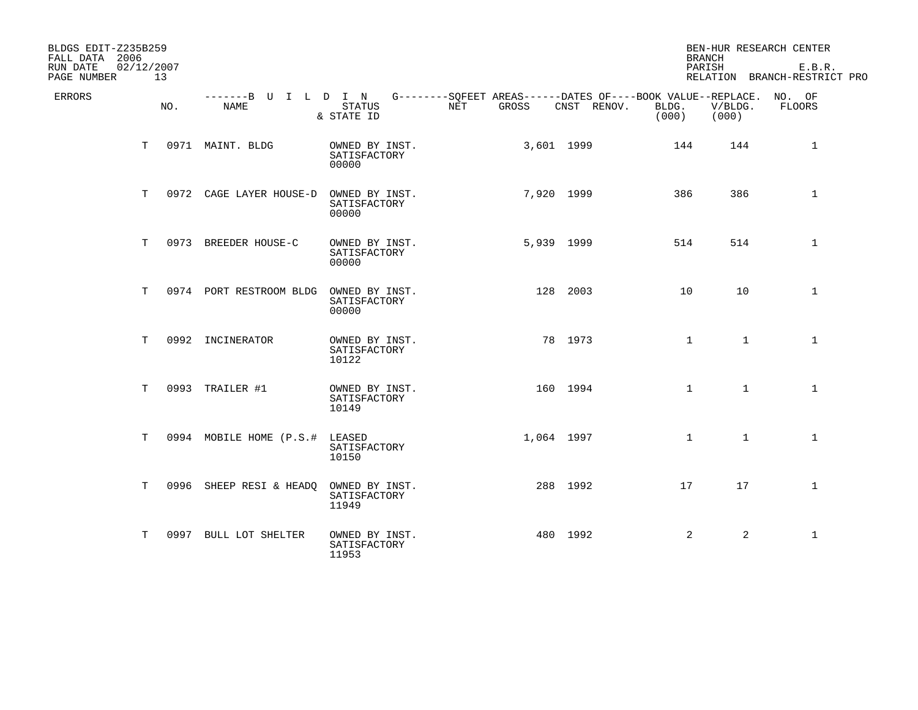| BLDGS EDIT-Z235B259<br>FALL DATA 2006 |                  |                                                                                                 |                                         |     |       |            |             |                | <b>BRANCH</b>    | BEN-HUR RESEARCH CENTER                |
|---------------------------------------|------------------|-------------------------------------------------------------------------------------------------|-----------------------------------------|-----|-------|------------|-------------|----------------|------------------|----------------------------------------|
| RUN DATE<br>PAGE NUMBER               | 02/12/2007<br>13 |                                                                                                 |                                         |     |       |            |             |                | PARISH           | E.B.R.<br>RELATION BRANCH-RESTRICT PRO |
| ERRORS                                | NO.              | -------B U I L D I N G--------SQFEET AREAS------DATES OF----BOOK VALUE--REPLACE. NO. OF<br>NAME | <b>STATUS</b><br>& STATE ID             | NET | GROSS |            | CNST RENOV. | BLDG.<br>(000) | V/BLDG.<br>(000) | FLOORS                                 |
|                                       | T.               | 0971 MAINT. BLDG                                                                                | OWNED BY INST.<br>SATISFACTORY<br>00000 |     |       | 3,601 1999 |             | 144            | 144              | 1                                      |
|                                       | T.               | 0972 CAGE LAYER HOUSE-D                                                                         | OWNED BY INST.<br>SATISFACTORY<br>00000 |     |       | 7,920 1999 |             | 386            | 386              | $\mathbf 1$                            |
|                                       | Т                | 0973 BREEDER HOUSE-C                                                                            | OWNED BY INST.<br>SATISFACTORY<br>00000 |     |       | 5,939 1999 |             | 514            | 514              | $\mathbf 1$                            |
|                                       | T.               | 0974 PORT RESTROOM BLDG                                                                         | OWNED BY INST.<br>SATISFACTORY<br>00000 |     |       | 128 2003   |             | 10             | 10               | $\mathbf{1}$                           |
|                                       | T                | 0992 INCINERATOR                                                                                | OWNED BY INST.<br>SATISFACTORY<br>10122 |     |       | 78 1973    |             | $\mathbf{1}$   | $\mathbf{1}$     | $\mathbf{1}$                           |
|                                       | T.               | 0993 TRAILER #1                                                                                 | OWNED BY INST.<br>SATISFACTORY<br>10149 |     |       | 160 1994   |             | $\mathbf{1}$   | $\mathbf{1}$     | $\mathbf{1}$                           |
|                                       | Т                | 0994 MOBILE HOME (P.S.#                                                                         | LEASED<br>SATISFACTORY<br>10150         |     |       | 1,064 1997 |             | $\mathbf{1}$   | $\mathbf{1}$     | $\mathbf 1$                            |
|                                       | T.               | 0996 SHEEP RESI & HEADQ                                                                         | OWNED BY INST.<br>SATISFACTORY<br>11949 |     |       | 288 1992   |             | 17             | 17               | $\mathbf{1}$                           |
|                                       | т                | 0997 BULL LOT SHELTER                                                                           | OWNED BY INST.<br>SATISFACTORY<br>11953 |     |       | 480 1992   |             | $\overline{2}$ | 2                | $\mathbf{1}$                           |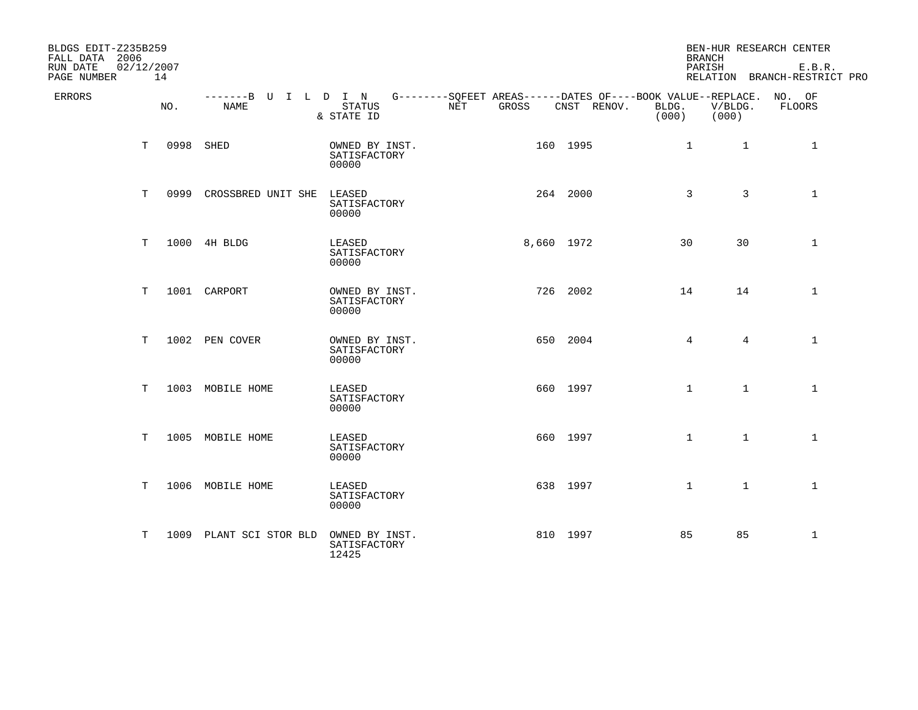| BLDGS EDIT-Z235B259<br>FALL DATA 2006 |    |                  |                                     |                                                                                                          |              |             | <b>BRANCH</b>  |                  | BEN-HUR RESEARCH CENTER                |
|---------------------------------------|----|------------------|-------------------------------------|----------------------------------------------------------------------------------------------------------|--------------|-------------|----------------|------------------|----------------------------------------|
| RUN DATE<br>PAGE NUMBER               |    | 02/12/2007<br>14 |                                     |                                                                                                          |              |             | PARISH         |                  | E.B.R.<br>RELATION BRANCH-RESTRICT PRO |
| <b>ERRORS</b>                         |    | NO.              | -------B U I L D I N<br><b>NAME</b> | G--------SOFEET AREAS------DATES OF----BOOK VALUE--REPLACE. NO. OF<br><b>STATUS</b><br>NET<br>& STATE ID | <b>GROSS</b> | CNST RENOV. | BLDG.<br>(000) | V/BLDG.<br>(000) | <b>FLOORS</b>                          |
|                                       | T. |                  | 0998 SHED                           | OWNED BY INST.<br>SATISFACTORY<br>00000                                                                  |              | 160 1995    | $\mathbf{1}$   | $\mathbf{1}$     | 1                                      |
|                                       | T. |                  | 0999 CROSSBRED UNIT SHE             | LEASED<br>SATISFACTORY<br>00000                                                                          |              | 264 2000    | 3              | 3                | $\mathbf{1}$                           |
|                                       | T  |                  | 1000 4H BLDG                        | LEASED<br>SATISFACTORY<br>00000                                                                          | 8,660 1972   |             | 30             | 30               | $\mathbf{1}$                           |
|                                       | Т  |                  | 1001 CARPORT                        | OWNED BY INST.<br>SATISFACTORY<br>00000                                                                  |              | 726 2002    | 14             | 14               | $\mathbf 1$                            |
|                                       | T  |                  | 1002 PEN COVER                      | OWNED BY INST.<br>SATISFACTORY<br>00000                                                                  |              | 650 2004    | 4              | $4^{\circ}$      | $\mathbf{1}$                           |
|                                       | T. |                  | 1003 MOBILE HOME                    | LEASED<br>SATISFACTORY<br>00000                                                                          |              | 660 1997    | $\mathbf{1}$   | $\mathbf{1}$     | $\mathbf{1}$                           |
|                                       | T. |                  | 1005 MOBILE HOME                    | LEASED<br>SATISFACTORY<br>00000                                                                          |              | 660 1997    | $\mathbf{1}$   | $\mathbf{1}$     | $\mathbf{1}$                           |
|                                       | т  |                  | 1006 MOBILE HOME                    | LEASED<br>SATISFACTORY<br>00000                                                                          |              | 638 1997    | $\mathbf{1}$   | $\mathbf{1}$     | $\mathbf{1}$                           |
|                                       | т  |                  | 1009 PLANT SCI STOR BLD             | OWNED BY INST.<br>SATISFACTORY<br>12425                                                                  |              | 810 1997    | 85             | 85               | $\mathbf{1}$                           |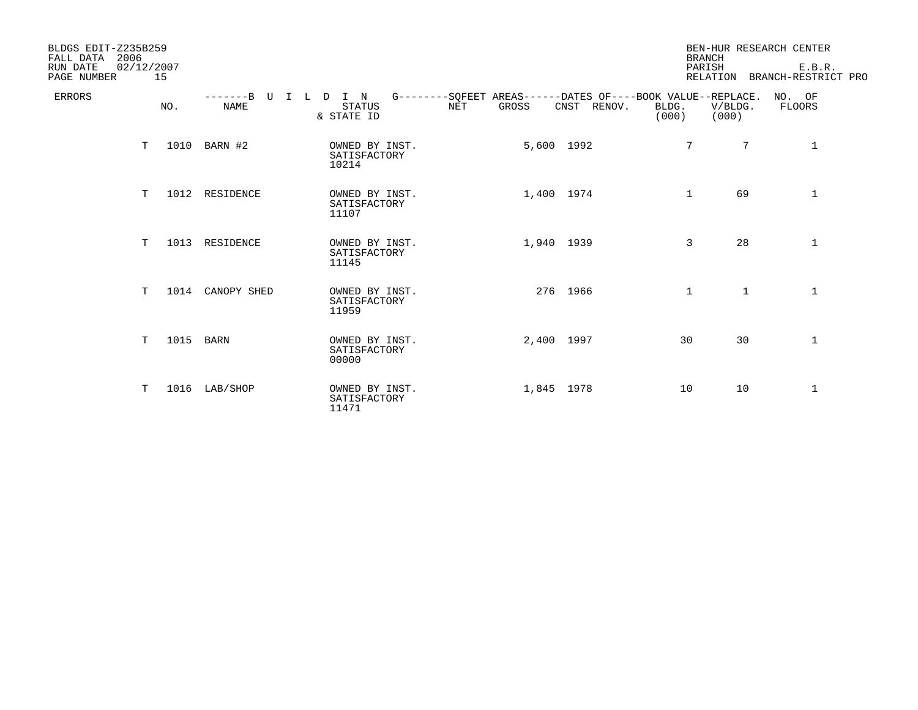| BLDGS EDIT-Z235B259<br>2006<br>FALL DATA<br>RUN DATE<br>PAGE NUMBER | 02/12/2007 | 15   |                         |                                          |                                                                           |       |             | <b>BRANCH</b><br>PARISH |                  | BEN-HUR RESEARCH CENTER<br>E.B.R.<br>RELATION BRANCH-RESTRICT PRO |
|---------------------------------------------------------------------|------------|------|-------------------------|------------------------------------------|---------------------------------------------------------------------------|-------|-------------|-------------------------|------------------|-------------------------------------------------------------------|
| <b>ERRORS</b>                                                       |            | NO.  | $---B$ U<br><b>NAME</b> | I L D I N<br><b>STATUS</b><br>& STATE ID | G--------SQFEET AREAS------DATES OF----BOOK VALUE--REPLACE.<br><b>NET</b> | GROSS | CNST RENOV. | BLDG.<br>(000)          | V/BLDG.<br>(000) | NO. OF<br>FLOORS                                                  |
|                                                                     | T.         |      | 1010 BARN #2            | OWNED BY INST.<br>SATISFACTORY<br>10214  |                                                                           |       | 5,600 1992  | $7\phantom{.0}$         | 7                | 1                                                                 |
|                                                                     | T.         |      | 1012 RESIDENCE          | OWNED BY INST.<br>SATISFACTORY<br>11107  |                                                                           |       | 1,400 1974  | $\mathbf{1}$            | 69               | $\mathbf 1$                                                       |
|                                                                     | T.         | 1013 | RESIDENCE               | OWNED BY INST.<br>SATISFACTORY<br>11145  |                                                                           |       | 1,940 1939  | 3                       | 28               | $\mathbf{1}$                                                      |
|                                                                     | T.         | 1014 | CANOPY SHED             | OWNED BY INST.<br>SATISFACTORY<br>11959  |                                                                           |       | 276 1966    | $\mathbf{1}$            | $\mathbf{1}$     | $\mathbf{1}$                                                      |
|                                                                     | т          | 1015 | <b>BARN</b>             | OWNED BY INST.<br>SATISFACTORY<br>00000  |                                                                           |       | 2,400 1997  | 30                      | 30               | $\mathbf{1}$                                                      |
|                                                                     | T.         |      | 1016 LAB/SHOP           | OWNED BY INST.<br>SATISFACTORY<br>11471  |                                                                           |       | 1,845 1978  | 10                      | 10               | $\mathbf{1}$                                                      |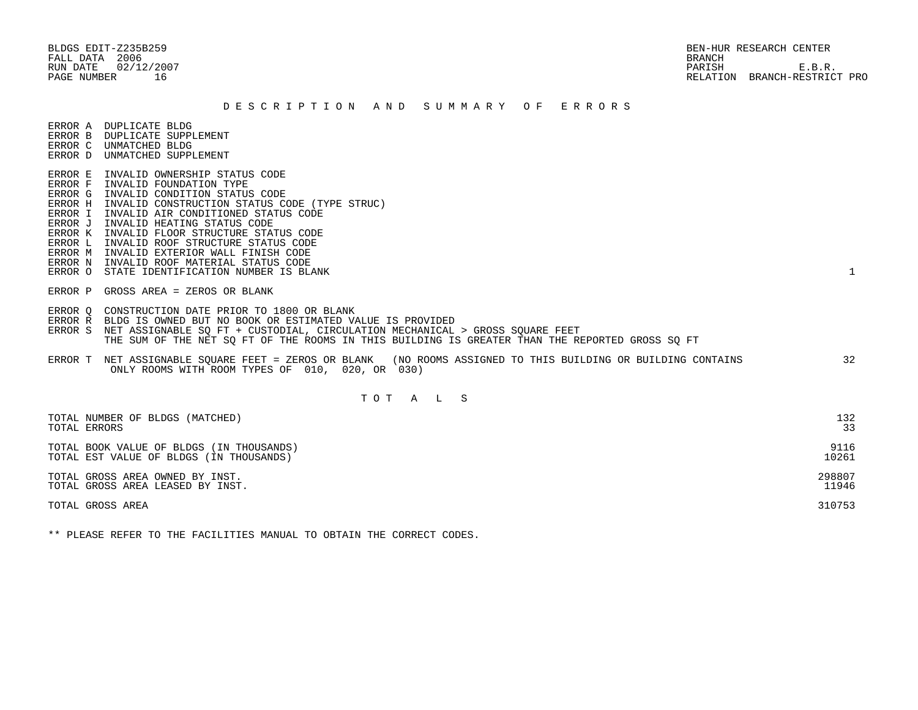# BLDGS EDIT-Z235B259 BEN-HUR RESEARCH CENTER RUN DATE 02/12/2007 PARISH E.B.R. PAGE NUMBER 16 RELATION BRANCH-RESTRICT PRO

#### D E S C R I P T I O N A N D S U M M A R Y O F E R R O R S

ERROR A DUPLICATE BLDG

- ERROR B DUPLICATE SUPPLEMENT
- ERROR C UNMATCHED BLDG ERROR D UNMATCHED SUPPLEMENT
- 
- ERROR E INVALID OWNERSHIP STATUS CODE
- ERROR F INVALID FOUNDATION TYPE
- ERROR G INVALID CONDITION STATUS CODE
- ERROR H INVALID CONSTRUCTION STATUS CODE (TYPE STRUC)
- ERROR I INVALID AIR CONDITIONED STATUS CODE
- ERROR J INVALID HEATING STATUS CODE
- ERROR K INVALID FLOOR STRUCTURE STATUS CODE
- ERROR L INVALID ROOF STRUCTURE STATUS CODE
- ERROR M INVALID EXTERIOR WALL FINISH CODE
- ERROR N INVALID ROOF MATERIAL STATUS CODE
- ERROR O STATE IDENTIFICATION NUMBER IS BLANK 1
- ERROR P GROSS AREA = ZEROS OR BLANK
- ERROR Q CONSTRUCTION DATE PRIOR TO 1800 OR BLANK
- ERROR R BLDG IS OWNED BUT NO BOOK OR ESTIMATED VALUE IS PROVIDED
- ERROR S NET ASSIGNABLE SQ FT + CUSTODIAL, CIRCULATION MECHANICAL > GROSS SQUARE FEET THE SUM OF THE NET SQ FT OF THE ROOMS IN THIS BUILDING IS GREATER THAN THE REPORTED GROSS SQ FT
- ERROR T NET ASSIGNABLE SQUARE FEET = ZEROS OR BLANK (NO ROOMS ASSIGNED TO THIS BUILDING OR BUILDING CONTAINS 32 ONLY ROOMS WITH ROOM TYPES OF 010, 020, OR 030)

# T O T A L S

| TOTAL NUMBER OF BLDGS (MATCHED)          | 132    |
|------------------------------------------|--------|
| TOTAL ERRORS                             | 33     |
| TOTAL BOOK VALUE OF BLDGS (IN THOUSANDS) | 9116   |
| TOTAL EST VALUE OF BLDGS (IN THOUSANDS)  | 10261  |
| TOTAL GROSS AREA OWNED BY INST.          | 298807 |
| TOTAL GROSS AREA LEASED BY INST.         | 11946  |
| TOTAL GROSS AREA                         | 310753 |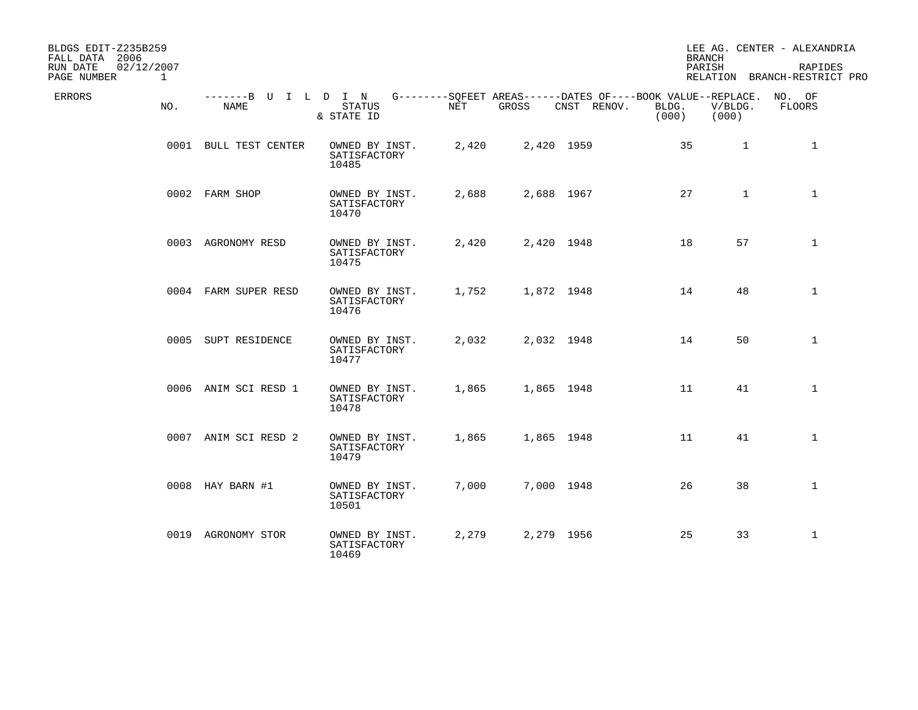| BLDGS EDIT-Z235B259<br>FALL DATA 2006                 |                              |                                         |            |            |                                                                                   | <b>BRANCH</b>  |                  | LEE AG. CENTER - ALEXANDRIA             |
|-------------------------------------------------------|------------------------------|-----------------------------------------|------------|------------|-----------------------------------------------------------------------------------|----------------|------------------|-----------------------------------------|
| 02/12/2007<br>RUN DATE<br>PAGE NUMBER<br>$\mathbf{1}$ |                              |                                         |            |            |                                                                                   | PARISH         |                  | RAPIDES<br>RELATION BRANCH-RESTRICT PRO |
| ERRORS<br>NO.                                         | -------B U I L D I N<br>NAME | <b>STATUS</b><br>& STATE ID             | <b>NET</b> | GROSS      | G--------SOFEET AREAS------DATES OF----BOOK VALUE--REPLACE. NO. OF<br>CNST RENOV. | BLDG.<br>(000) | V/BLDG.<br>(000) | FLOORS                                  |
|                                                       | 0001 BULL TEST CENTER        | OWNED BY INST.<br>SATISFACTORY<br>10485 | 2,420      | 2,420 1959 |                                                                                   | 35             | $\mathbf{1}$     | 1                                       |
|                                                       | 0002 FARM SHOP               | OWNED BY INST.<br>SATISFACTORY<br>10470 | 2,688      | 2,688 1967 |                                                                                   | 27             | $\mathbf{1}$     | $\mathbf{1}$                            |
|                                                       | 0003 AGRONOMY RESD           | OWNED BY INST.<br>SATISFACTORY<br>10475 | 2,420      | 2,420 1948 |                                                                                   | 18             | 57               | $\mathbf{1}$                            |
|                                                       | 0004 FARM SUPER RESD         | OWNED BY INST.<br>SATISFACTORY<br>10476 | 1,752      | 1,872 1948 |                                                                                   | 14             | 48               | $\mathbf{1}$                            |
|                                                       | 0005 SUPT RESIDENCE          | OWNED BY INST.<br>SATISFACTORY<br>10477 | 2,032      | 2,032 1948 |                                                                                   | 14             | 50               | $\mathbf{1}$                            |
|                                                       | 0006 ANIM SCI RESD 1         | OWNED BY INST.<br>SATISFACTORY<br>10478 | 1,865      | 1,865 1948 |                                                                                   | 11             | 41               | $\mathbf{1}$                            |
|                                                       | 0007 ANIM SCI RESD 2         | OWNED BY INST.<br>SATISFACTORY<br>10479 | 1,865      | 1,865 1948 |                                                                                   | 11             | 41               | $\mathbf{1}$                            |
|                                                       | 0008 HAY BARN #1             | OWNED BY INST.<br>SATISFACTORY<br>10501 | 7,000      | 7,000 1948 |                                                                                   | 26             | 38               | $\mathbf{1}$                            |
|                                                       | 0019 AGRONOMY STOR           | OWNED BY INST.<br>SATISFACTORY<br>10469 | 2,279      | 2,279 1956 |                                                                                   | 25             | 33               | $\mathbf{1}$                            |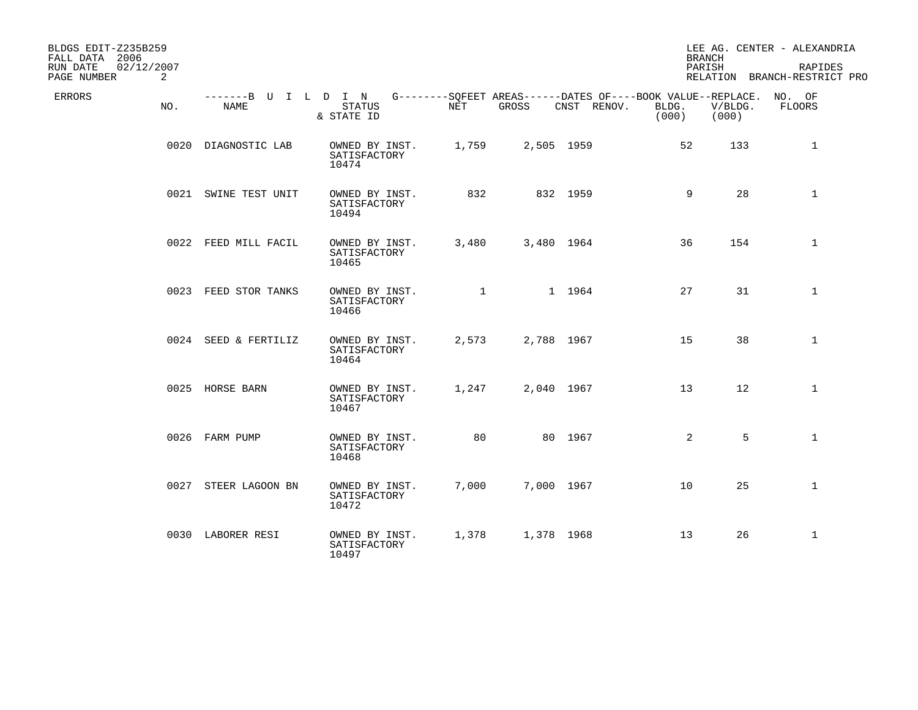| BLDGS EDIT-Z235B259<br>FALL DATA 2006 |     |                              |                                         |              |            |                                                                            |                | <b>BRANCH</b>    | LEE AG. CENTER - ALEXANDRIA             |
|---------------------------------------|-----|------------------------------|-----------------------------------------|--------------|------------|----------------------------------------------------------------------------|----------------|------------------|-----------------------------------------|
| RUN DATE<br>02/12/2007<br>PAGE NUMBER | 2   |                              |                                         |              |            |                                                                            |                | PARISH           | RAPIDES<br>RELATION BRANCH-RESTRICT PRO |
| ERRORS                                | NO. | -------B U I L D I N<br>NAME | <b>STATUS</b><br>& STATE ID             | NET          | GROSS      | G--------SOFEET AREAS------DATES OF----BOOK VALUE--REPLACE.<br>CNST RENOV. | BLDG.<br>(000) | V/BLDG.<br>(000) | NO. OF<br>FLOORS                        |
|                                       |     | 0020 DIAGNOSTIC LAB          | OWNED BY INST.<br>SATISFACTORY<br>10474 | 1,759        | 2,505 1959 |                                                                            | 52             | 133              | 1                                       |
|                                       |     | 0021 SWINE TEST UNIT         | OWNED BY INST.<br>SATISFACTORY<br>10494 | 832          |            | 832 1959                                                                   | 9              | 28               | $\mathbf 1$                             |
|                                       |     | 0022 FEED MILL FACIL         | OWNED BY INST.<br>SATISFACTORY<br>10465 | 3,480        | 3,480 1964 |                                                                            | 36             | 154              | $\mathbf{1}$                            |
|                                       |     | 0023 FEED STOR TANKS         | OWNED BY INST.<br>SATISFACTORY<br>10466 | $\mathbf{1}$ |            | 1 1964                                                                     | 27             | 31               | $\mathbf{1}$                            |
|                                       |     | 0024 SEED & FERTILIZ         | OWNED BY INST.<br>SATISFACTORY<br>10464 | 2,573        | 2,788 1967 |                                                                            | 15             | 38               | $\mathbf{1}$                            |
|                                       |     | 0025 HORSE BARN              | OWNED BY INST.<br>SATISFACTORY<br>10467 | 1,247        | 2,040 1967 |                                                                            | 13             | 12               | $\mathbf{1}$                            |
|                                       |     | 0026 FARM PUMP               | OWNED BY INST.<br>SATISFACTORY<br>10468 | 80           |            | 80 1967                                                                    | 2              | 5                | $\mathbf{1}$                            |
|                                       |     | 0027 STEER LAGOON BN         | OWNED BY INST.<br>SATISFACTORY<br>10472 | 7,000        | 7,000 1967 |                                                                            | 10             | 25               | $\mathbf{1}$                            |
|                                       |     | 0030 LABORER RESI            | OWNED BY INST.<br>SATISFACTORY<br>10497 | 1,378        | 1,378 1968 |                                                                            | 13             | 26               | $\mathbf{1}$                            |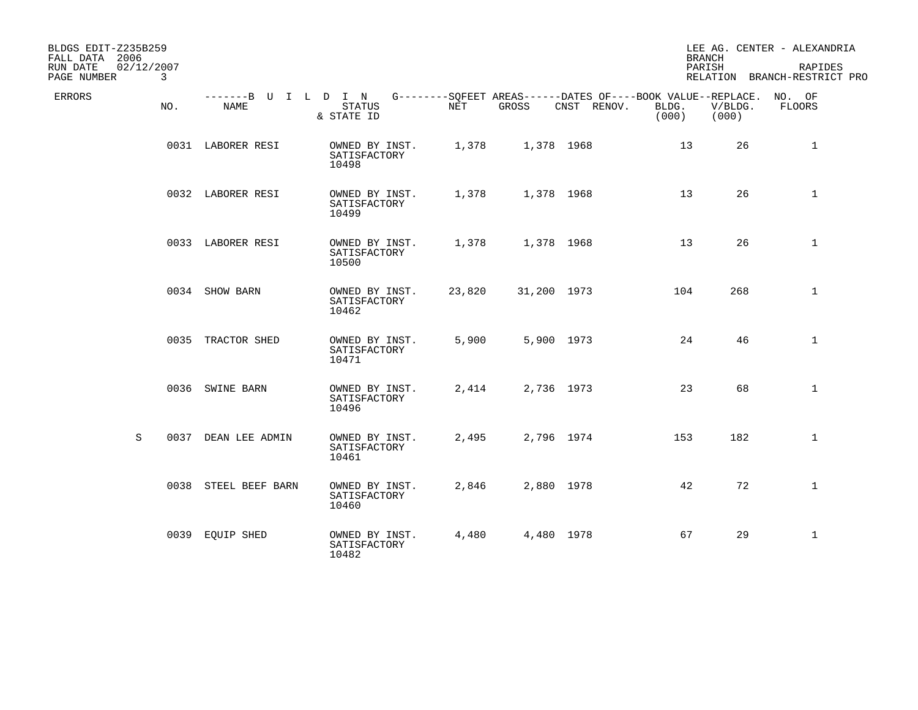| BLDGS EDIT-Z235B259<br>FALL DATA 2006      |      |                              |                                         |        |             |                                                                            |                | <b>BRANCH</b>    | LEE AG. CENTER - ALEXANDRIA             |
|--------------------------------------------|------|------------------------------|-----------------------------------------|--------|-------------|----------------------------------------------------------------------------|----------------|------------------|-----------------------------------------|
| 02/12/2007<br>RUN DATE<br>PAGE NUMBER<br>3 |      |                              |                                         |        |             |                                                                            |                | PARISH           | RAPIDES<br>RELATION BRANCH-RESTRICT PRO |
| <b>ERRORS</b><br>NO.                       |      | -------B U I L D I N<br>NAME | <b>STATUS</b><br>& STATE ID             | NET    | GROSS       | G--------SQFEET AREAS------DATES OF----BOOK VALUE--REPLACE.<br>CNST RENOV. | BLDG.<br>(000) | V/BLDG.<br>(000) | NO. OF<br>FLOORS                        |
|                                            |      | 0031 LABORER RESI            | OWNED BY INST.<br>SATISFACTORY<br>10498 | 1,378  | 1,378 1968  |                                                                            | 13             | 26               | $\mathbf 1$                             |
|                                            |      | 0032 LABORER RESI            | OWNED BY INST.<br>SATISFACTORY<br>10499 | 1,378  | 1,378 1968  |                                                                            | 13             | 26               | $\mathbf{1}$                            |
|                                            |      | 0033 LABORER RESI            | OWNED BY INST.<br>SATISFACTORY<br>10500 | 1,378  | 1,378 1968  |                                                                            | 13             | 26               | $\mathbf{1}$                            |
|                                            |      | 0034 SHOW BARN               | OWNED BY INST.<br>SATISFACTORY<br>10462 | 23,820 | 31,200 1973 |                                                                            | 104            | 268              | $\mathbf 1$                             |
|                                            |      | 0035 TRACTOR SHED            | OWNED BY INST.<br>SATISFACTORY<br>10471 | 5,900  | 5,900 1973  |                                                                            | 24             | 46               | $\mathbf{1}$                            |
|                                            |      | 0036 SWINE BARN              | OWNED BY INST.<br>SATISFACTORY<br>10496 | 2,414  |             | 2,736 1973                                                                 | 23             | 68               | $\mathbf{1}$                            |
| S                                          | 0037 | DEAN LEE ADMIN               | OWNED BY INST.<br>SATISFACTORY<br>10461 | 2,495  | 2,796 1974  |                                                                            | 153            | 182              | $\mathbf{1}$                            |
|                                            |      | 0038 STEEL BEEF BARN         | OWNED BY INST.<br>SATISFACTORY<br>10460 | 2,846  | 2,880 1978  |                                                                            | 42             | 72               | $\mathbf{1}$                            |
|                                            |      | 0039 EQUIP SHED              | OWNED BY INST.<br>SATISFACTORY<br>10482 | 4,480  | 4,480 1978  |                                                                            | 67             | 29               | $\mathbf{1}$                            |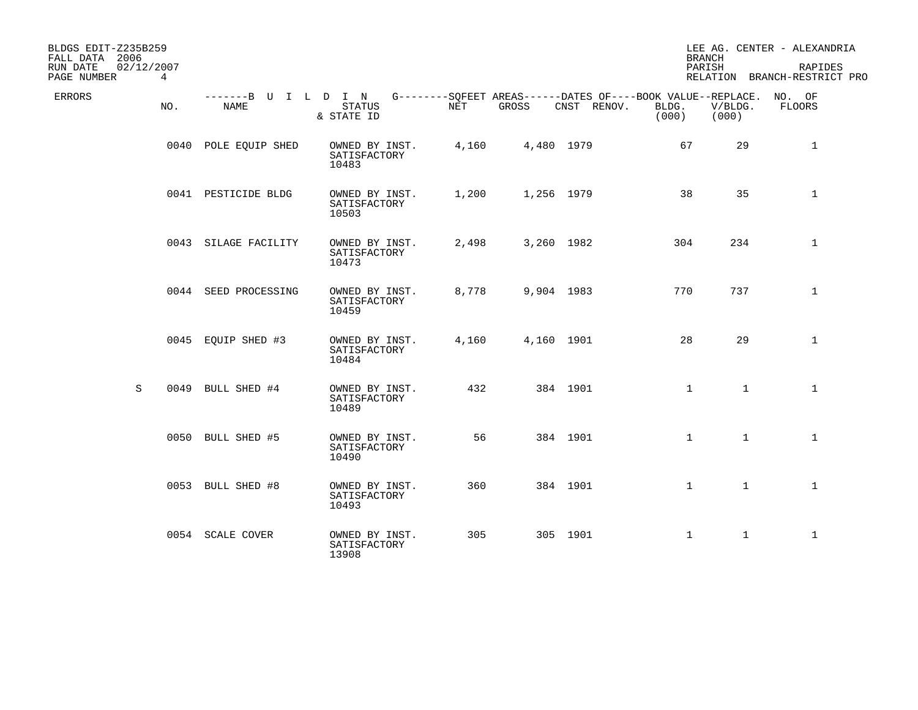| BLDGS EDIT-Z235B259<br>FALL DATA 2006 |      |                              |                                         |       |            |                                                                            |                | <b>BRANCH</b>    | LEE AG. CENTER - ALEXANDRIA             |
|---------------------------------------|------|------------------------------|-----------------------------------------|-------|------------|----------------------------------------------------------------------------|----------------|------------------|-----------------------------------------|
| RUN DATE<br>02/12/2007<br>PAGE NUMBER | 4    |                              |                                         |       |            |                                                                            |                | PARISH           | RAPIDES<br>RELATION BRANCH-RESTRICT PRO |
| ERRORS                                | NO.  | -------B U I L D I N<br>NAME | <b>STATUS</b><br>& STATE ID             | NET   | GROSS      | G--------SOFEET AREAS------DATES OF----BOOK VALUE--REPLACE.<br>CNST RENOV. | BLDG.<br>(000) | V/BLDG.<br>(000) | NO. OF<br>FLOORS                        |
|                                       |      | 0040 POLE EQUIP SHED         | OWNED BY INST.<br>SATISFACTORY<br>10483 | 4,160 | 4,480 1979 |                                                                            | 67             | 29               | $\mathbf 1$                             |
|                                       |      | 0041 PESTICIDE BLDG          | OWNED BY INST.<br>SATISFACTORY<br>10503 | 1,200 | 1,256 1979 |                                                                            | 38             | 35               | $\mathbf{1}$                            |
|                                       |      | 0043 SILAGE FACILITY         | OWNED BY INST.<br>SATISFACTORY<br>10473 | 2,498 | 3,260 1982 |                                                                            | 304            | 234              | $\mathbf{1}$                            |
|                                       |      | 0044 SEED PROCESSING         | OWNED BY INST.<br>SATISFACTORY<br>10459 | 8,778 | 9,904 1983 |                                                                            | 770            | 737              | $\mathbf{1}$                            |
|                                       |      | 0045 EQUIP SHED #3           | OWNED BY INST.<br>SATISFACTORY<br>10484 | 4,160 | 4,160 1901 |                                                                            | 28             | 29               | $\mathbf{1}$                            |
| S                                     | 0049 | BULL SHED #4                 | OWNED BY INST.<br>SATISFACTORY<br>10489 | 432   |            | 384 1901                                                                   | $\mathbf{1}$   | 1                | $\mathbf{1}$                            |
|                                       |      | 0050 BULL SHED #5            | OWNED BY INST.<br>SATISFACTORY<br>10490 | 56    |            | 384 1901                                                                   | $\mathbf{1}$   | $\mathbf{1}$     | $\mathbf{1}$                            |
|                                       |      | 0053 BULL SHED #8            | OWNED BY INST.<br>SATISFACTORY<br>10493 | 360   |            | 384 1901                                                                   | $\mathbf{1}$   | $\mathbf{1}$     | $\mathbf{1}$                            |
|                                       |      | 0054 SCALE COVER             | OWNED BY INST.<br>SATISFACTORY<br>13908 | 305   |            | 305 1901                                                                   | $\mathbf{1}$   | $\mathbf{1}$     | $\mathbf{1}$                            |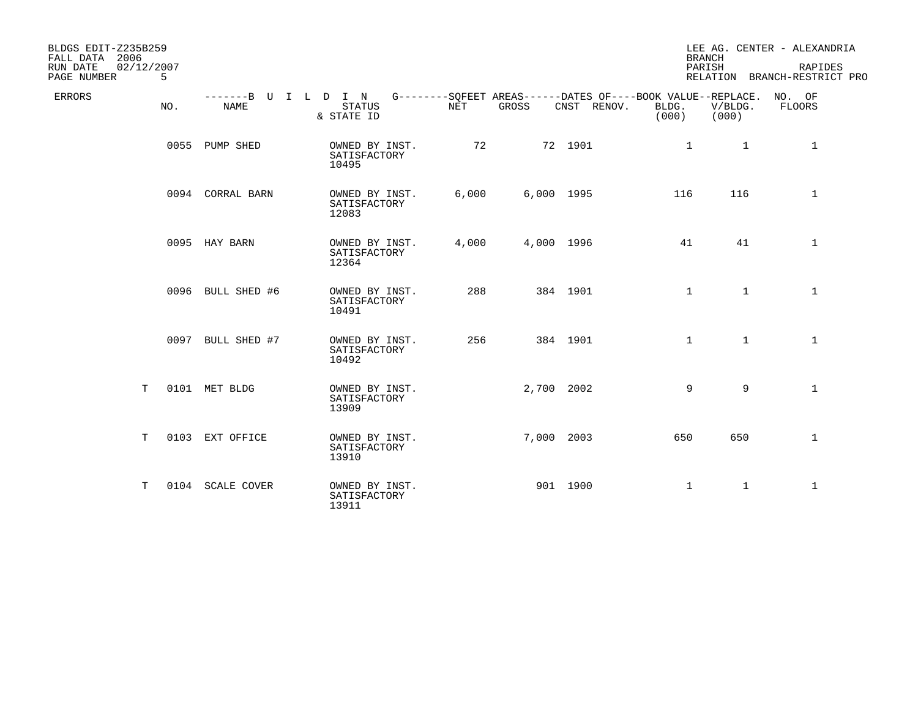| BLDGS EDIT-Z235B259<br>FALL DATA 2006<br>02/12/2007<br>RUN DATE<br>PAGE NUMBER<br>5 |                   |                                                                                                                        |       |            |             | <b>BRANCH</b><br>PARISH |                  | LEE AG. CENTER - ALEXANDRIA<br>RAPIDES<br>RELATION BRANCH-RESTRICT PRO |
|-------------------------------------------------------------------------------------|-------------------|------------------------------------------------------------------------------------------------------------------------|-------|------------|-------------|-------------------------|------------------|------------------------------------------------------------------------|
| ERRORS<br>NO.                                                                       | <b>NAME</b>       | -------B U I L D I N G--------SQFEET AREAS------DATES OF----BOOK VALUE--REPLACE. NO. OF<br><b>STATUS</b><br>& STATE ID | NET   | GROSS      | CNST RENOV. | BLDG.<br>(000)          | V/BLDG.<br>(000) | FLOORS                                                                 |
|                                                                                     | 0055 PUMP SHED    | OWNED BY INST.<br>SATISFACTORY<br>10495                                                                                | 72    |            | 72 1901     | $\mathbf{1}$            | $\mathbf{1}$     | $\mathbf 1$                                                            |
|                                                                                     | 0094 CORRAL BARN  | OWNED BY INST.<br>SATISFACTORY<br>12083                                                                                | 6,000 | 6,000 1995 |             | 116                     | 116              | $\mathbf{1}$                                                           |
|                                                                                     | 0095 HAY BARN     | OWNED BY INST.<br>SATISFACTORY<br>12364                                                                                | 4,000 | 4,000 1996 |             | 41                      | 41               | $\mathbf{1}$                                                           |
|                                                                                     | 0096 BULL SHED #6 | OWNED BY INST.<br>SATISFACTORY<br>10491                                                                                | 288   |            | 384 1901    | $\mathbf{1}$            | $\mathbf{1}$     | $\mathbf{1}$                                                           |
|                                                                                     | 0097 BULL SHED #7 | OWNED BY INST.<br>SATISFACTORY<br>10492                                                                                | 256   |            | 384 1901    | $\mathbf{1}$            | $\mathbf{1}$     | $\mathbf{1}$                                                           |
| Т                                                                                   | 0101 MET BLDG     | OWNED BY INST.<br>SATISFACTORY<br>13909                                                                                |       | 2,700 2002 |             | 9                       | 9                | $\mathbf{1}$                                                           |
| T                                                                                   | 0103 EXT OFFICE   | OWNED BY INST.<br>SATISFACTORY<br>13910                                                                                |       | 7,000 2003 |             | 650                     | 650              | $\mathbf{1}$                                                           |
| T.                                                                                  | 0104 SCALE COVER  | OWNED BY INST.<br>SATISFACTORY<br>13911                                                                                |       |            | 901 1900    | $\mathbf{1}$            | $\mathbf{1}$     | $\mathbf{1}$                                                           |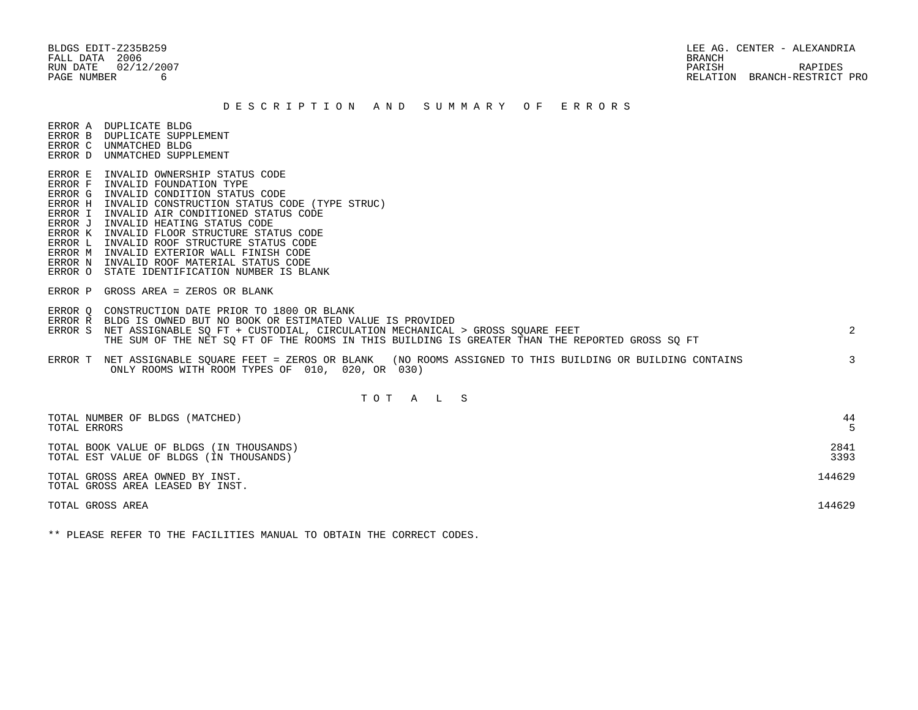BLDGS EDIT-Z235B259 LEE AG. CENTER - ALEXANDRIA RUN DATE 02/12/2007 PARISH RAPIDES PAGE NUMBER 6 RELATION BRANCH-RESTRICT PRO

#### D E S C R I P T I O N A N D S U M M A R Y O F E R R O R S

ERROR A DUPLICATE BLDG

- ERROR B DUPLICATE SUPPLEMENT
- ERROR C UNMATCHED BLDG ERROR D UNMATCHED SUPPLEMENT
- 
- ERROR E INVALID OWNERSHIP STATUS CODE
- ERROR F INVALID FOUNDATION TYPE
- ERROR G INVALID CONDITION STATUS CODE
- ERROR H INVALID CONSTRUCTION STATUS CODE (TYPE STRUC)
- ERROR I INVALID AIR CONDITIONED STATUS CODE
- ERROR J INVALID HEATING STATUS CODE
- ERROR K INVALID FLOOR STRUCTURE STATUS CODE
- ERROR L INVALID ROOF STRUCTURE STATUS CODE
- ERROR M INVALID EXTERIOR WALL FINISH CODE
- ERROR N INVALID ROOF MATERIAL STATUS CODE
- ERROR O STATE IDENTIFICATION NUMBER IS BLANK
- ERROR P GROSS AREA = ZEROS OR BLANK
- ERROR Q CONSTRUCTION DATE PRIOR TO 1800 OR BLANK
- ERROR R BLDG IS OWNED BUT NO BOOK OR ESTIMATED VALUE IS PROVIDED
- ERROR S NET ASSIGNABLE SO FT + CUSTODIAL, CIRCULATION MECHANICAL > GROSS SOUARE FEET 2 THE SUM OF THE NET SQ FT OF THE ROOMS IN THIS BUILDING IS GREATER THAN THE REPORTED GROSS SQ FT
- ERROR T NET ASSIGNABLE SQUARE FEET = ZEROS OR BLANK (NO ROOMS ASSIGNED TO THIS BUILDING OR BUILDING CONTAINS 3 ONLY ROOMS WITH ROOM TYPES OF 010, 020, OR 030)

# T O T A L S

| TOTAL NUMBER OF BLDGS (MATCHED)<br>TOTAL ERRORS                                     | 44           |
|-------------------------------------------------------------------------------------|--------------|
| TOTAL BOOK VALUE OF BLDGS (IN THOUSANDS)<br>TOTAL EST VALUE OF BLDGS (IN THOUSANDS) | 2841<br>3393 |
| TOTAL GROSS AREA OWNED BY INST.<br>TOTAL GROSS AREA LEASED BY INST.                 | 144629       |
| TOTAL GROSS AREA                                                                    | 144629       |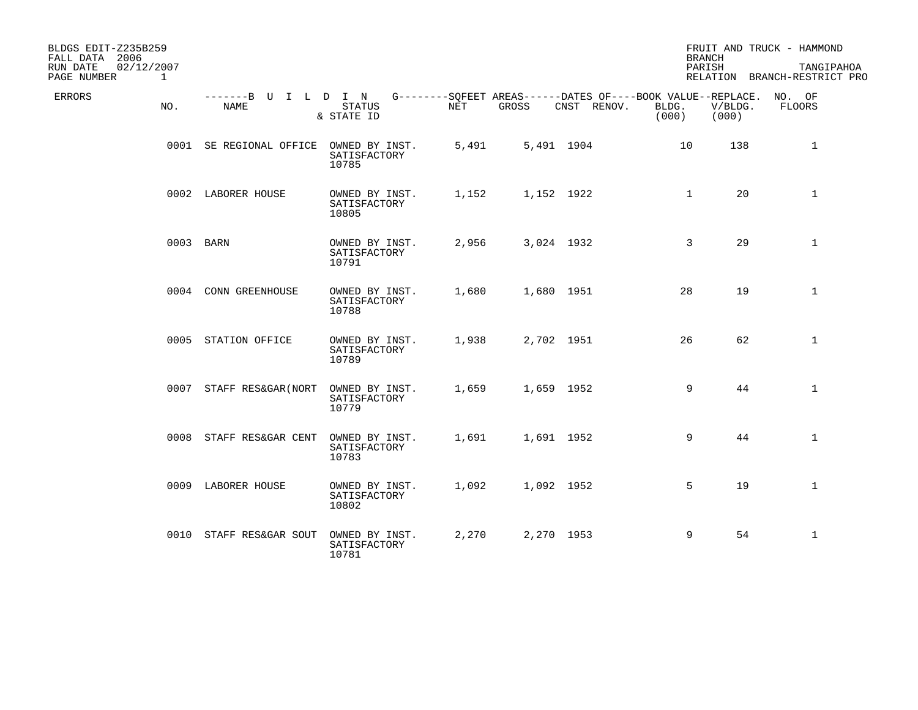| BLDGS EDIT-Z235B259<br>FALL DATA 2006<br>02/12/2007<br>RUN DATE |                              |                                         |            |       |                                                                                   |                | <b>BRANCH</b><br>PARISH | FRUIT AND TRUCK - HAMMOND<br>TANGIPAHOA |
|-----------------------------------------------------------------|------------------------------|-----------------------------------------|------------|-------|-----------------------------------------------------------------------------------|----------------|-------------------------|-----------------------------------------|
| $\mathbf{1}$<br>PAGE NUMBER                                     |                              |                                         |            |       |                                                                                   |                |                         | RELATION BRANCH-RESTRICT PRO            |
| <b>ERRORS</b><br>NO.                                            | -------B U I L D I N<br>NAME | <b>STATUS</b><br>& STATE ID             | <b>NET</b> | GROSS | G--------SQFEET AREAS------DATES OF----BOOK VALUE--REPLACE. NO. OF<br>CNST RENOV. | BLDG.<br>(000) | V/BLDG.<br>(000)        | FLOORS                                  |
|                                                                 | 0001 SE REGIONAL OFFICE      | OWNED BY INST.<br>SATISFACTORY<br>10785 | 5,491      |       | 5,491 1904                                                                        | 10             | 138                     | $\mathbf{1}$                            |
|                                                                 | 0002 LABORER HOUSE           | OWNED BY INST.<br>SATISFACTORY<br>10805 | 1,152      |       | 1,152 1922                                                                        | $\mathbf{1}$   | 20                      | $\mathbf{1}$                            |
|                                                                 | 0003 BARN                    | OWNED BY INST.<br>SATISFACTORY<br>10791 | 2,956      |       | 3,024 1932                                                                        | 3              | 29                      | $\mathbf{1}$                            |
|                                                                 | 0004 CONN GREENHOUSE         | OWNED BY INST.<br>SATISFACTORY<br>10788 | 1,680      |       | 1,680 1951                                                                        | 28             | 19                      | $\mathbf{1}$                            |
|                                                                 | 0005 STATION OFFICE          | OWNED BY INST.<br>SATISFACTORY<br>10789 | 1,938      |       | 2,702 1951                                                                        | 26             | 62                      | $\mathbf{1}$                            |
|                                                                 | 0007<br>STAFF RES&GAR (NORT  | OWNED BY INST.<br>SATISFACTORY<br>10779 | 1,659      |       | 1,659 1952                                                                        | 9              | 44                      | $\mathbf{1}$                            |
|                                                                 | 0008<br>STAFF RES&GAR CENT   | OWNED BY INST.<br>SATISFACTORY<br>10783 | 1,691      |       | 1,691 1952                                                                        | 9              | 44                      | $\mathbf 1$                             |
|                                                                 | 0009 LABORER HOUSE           | OWNED BY INST.<br>SATISFACTORY<br>10802 | 1,092      |       | 1,092 1952                                                                        | 5              | 19                      | $\mathbf{1}$                            |
|                                                                 | 0010 STAFF RES&GAR SOUT      | OWNED BY INST.<br>SATISFACTORY<br>10781 | 2,270      |       | 2,270 1953                                                                        | 9              | 54                      | $\mathbf{1}$                            |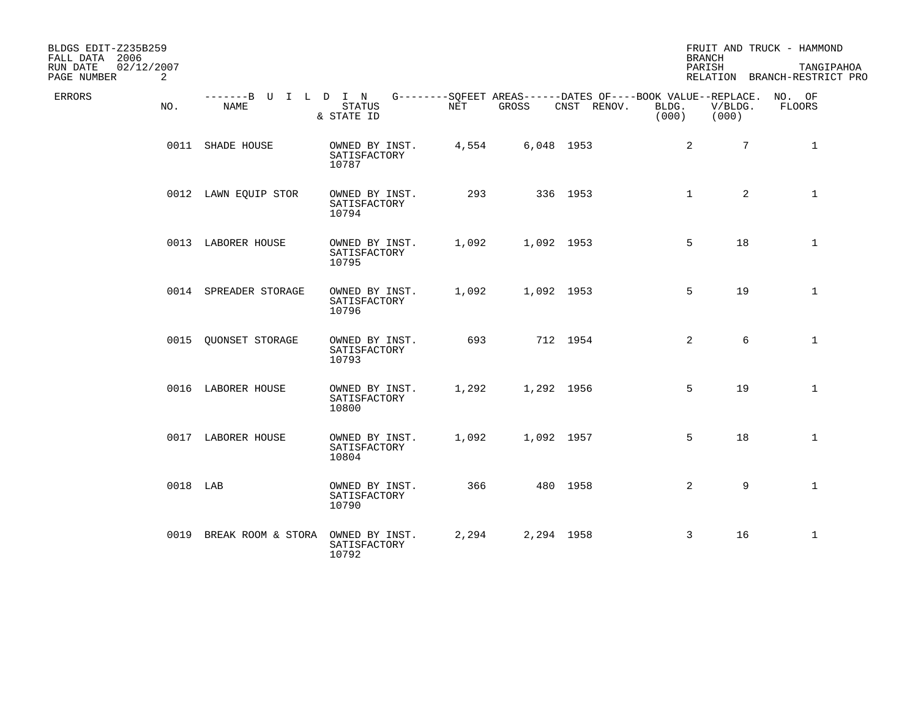| BLDGS EDIT-Z235B259<br>FALL DATA 2006<br>RUN DATE<br>02/12/2007 |                                        |                                         |            |              |                                                                                   |                | <b>BRANCH</b><br>PARISH | FRUIT AND TRUCK - HAMMOND<br>TANGIPAHOA       |
|-----------------------------------------------------------------|----------------------------------------|-----------------------------------------|------------|--------------|-----------------------------------------------------------------------------------|----------------|-------------------------|-----------------------------------------------|
| PAGE NUMBER<br>2<br><b>ERRORS</b><br>NO.                        | -------B U I L D I N<br><b>NAME</b>    | <b>STATUS</b><br>& STATE ID             | <b>NET</b> | <b>GROSS</b> | G--------SOFEET AREAS------DATES OF----BOOK VALUE--REPLACE. NO. OF<br>CNST RENOV. | BLDG.<br>(000) | V/BLDG.<br>(000)        | RELATION BRANCH-RESTRICT PRO<br><b>FLOORS</b> |
|                                                                 | 0011 SHADE HOUSE                       | OWNED BY INST.<br>SATISFACTORY<br>10787 | 4,554      |              | 6,048 1953                                                                        |                | $\overline{2}$          | $7\overline{ }$<br>$\mathbf{1}$               |
|                                                                 | 0012 LAWN EQUIP STOR                   | OWNED BY INST.<br>SATISFACTORY<br>10794 | 293        |              | 336 1953                                                                          |                | $\mathbf{1}$            | $\overline{a}$<br>$\mathbf{1}$                |
|                                                                 | 0013 LABORER HOUSE                     | OWNED BY INST.<br>SATISFACTORY<br>10795 | 1,092      |              | 1,092 1953                                                                        |                | 5<br>18                 | $\mathbf{1}$                                  |
|                                                                 | 0014 SPREADER STORAGE                  | OWNED BY INST.<br>SATISFACTORY<br>10796 | 1,092      |              | 1,092 1953                                                                        |                | 5<br>19                 | $\mathbf{1}$                                  |
|                                                                 | 0015 OUONSET STORAGE                   | OWNED BY INST.<br>SATISFACTORY<br>10793 | 693        |              | 712 1954                                                                          |                | 2                       | 6<br>$\mathbf{1}$                             |
|                                                                 | 0016 LABORER HOUSE                     | OWNED BY INST.<br>SATISFACTORY<br>10800 | 1,292      | 1,292 1956   |                                                                                   |                | 5<br>19                 | $\mathbf{1}$                                  |
|                                                                 | 0017 LABORER HOUSE                     | OWNED BY INST.<br>SATISFACTORY<br>10804 | 1,092      |              | 1,092 1957                                                                        |                | 5<br>18                 | $\mathbf{1}$                                  |
| 0018 LAB                                                        |                                        | OWNED BY INST.<br>SATISFACTORY<br>10790 | 366        |              | 480 1958                                                                          |                | 2                       | 9<br>$\mathbf{1}$                             |
|                                                                 | 0019 BREAK ROOM & STORA OWNED BY INST. | SATISFACTORY<br>10792                   | 2,294      |              | 2,294 1958                                                                        |                | 16<br>3                 | $\mathbf{1}$                                  |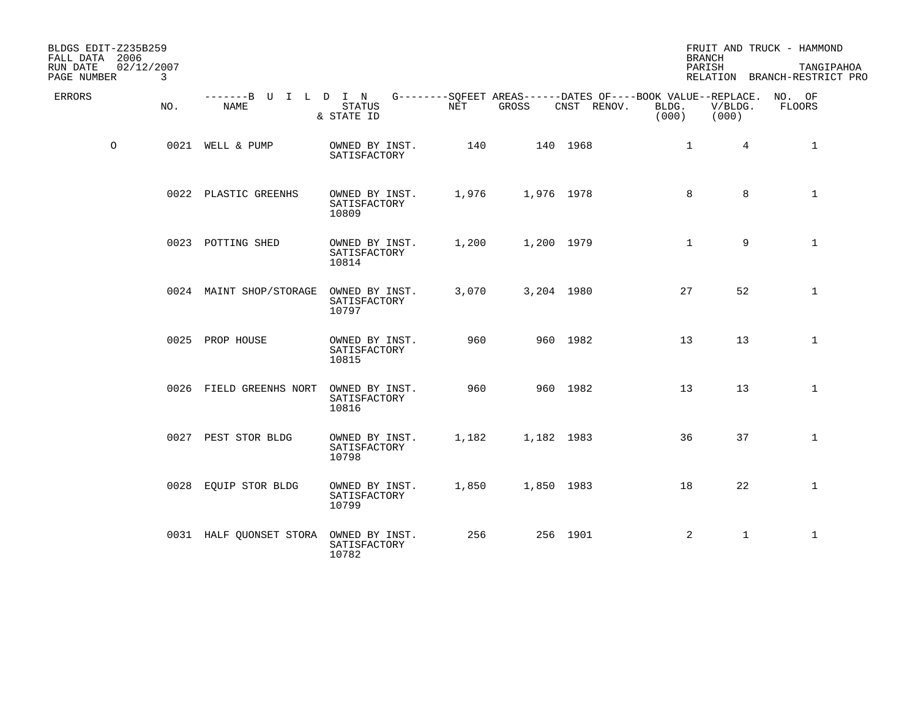| BLDGS EDIT-Z235B259<br>FALL DATA 2006<br>RUN DATE<br>02/12/2007 |     |                              |                                         |            |            |                                                                                   |                | <b>BRANCH</b><br>PARISH | FRUIT AND TRUCK - HAMMOND<br>TANGIPAHOA |
|-----------------------------------------------------------------|-----|------------------------------|-----------------------------------------|------------|------------|-----------------------------------------------------------------------------------|----------------|-------------------------|-----------------------------------------|
| PAGE NUMBER                                                     | 3   |                              |                                         |            |            |                                                                                   |                |                         | RELATION BRANCH-RESTRICT PRO            |
| <b>ERRORS</b>                                                   | NO. | -------B U I L D I N<br>NAME | <b>STATUS</b><br>& STATE ID             | <b>NET</b> | GROSS      | G--------SOFEET AREAS------DATES OF----BOOK VALUE--REPLACE. NO. OF<br>CNST RENOV. | BLDG.<br>(000) | V/BLDG.<br>(000)        | FLOORS                                  |
| $\circ$                                                         |     | 0021 WELL & PUMP             | OWNED BY INST.<br>SATISFACTORY          | 140        |            | 140 1968                                                                          | $\mathbf{1}$   | $4^{\circ}$             | $\mathbf{1}$                            |
|                                                                 |     | 0022 PLASTIC GREENHS         | OWNED BY INST.<br>SATISFACTORY<br>10809 | 1,976      | 1,976 1978 |                                                                                   | 8              | 8                       | $\mathbf{1}$                            |
|                                                                 |     | 0023 POTTING SHED            | OWNED BY INST.<br>SATISFACTORY<br>10814 | 1,200      |            | 1,200 1979                                                                        | $\mathbf{1}$   | 9                       | $\mathbf{1}$                            |
|                                                                 |     | 0024 MAINT SHOP/STORAGE      | OWNED BY INST.<br>SATISFACTORY<br>10797 | 3,070      |            | 3,204 1980                                                                        | 27             | 52                      | $\mathbf{1}$                            |
|                                                                 |     | 0025 PROP HOUSE              | OWNED BY INST.<br>SATISFACTORY<br>10815 | 960        |            | 960 1982                                                                          | 13             | 13                      | $\mathbf{1}$                            |
|                                                                 |     | 0026 FIELD GREENHS NORT      | OWNED BY INST.<br>SATISFACTORY<br>10816 | 960        |            | 960 1982                                                                          | 13             | 13                      | $\mathbf{1}$                            |
|                                                                 |     | 0027 PEST STOR BLDG          | OWNED BY INST.<br>SATISFACTORY<br>10798 | 1,182      |            | 1,182 1983                                                                        | 36             | 37                      | $\mathbf{1}$                            |
|                                                                 |     | 0028 EQUIP STOR BLDG         | OWNED BY INST.<br>SATISFACTORY<br>10799 | 1,850      |            | 1,850 1983                                                                        | 18             | 22                      | $\mathbf{1}$                            |
|                                                                 |     | 0031 HALF QUONSET STORA      | OWNED BY INST.<br>SATISFACTORY<br>10782 | 256        |            | 256 1901                                                                          | 2              | $\mathbf{1}$            | $\mathbf{1}$                            |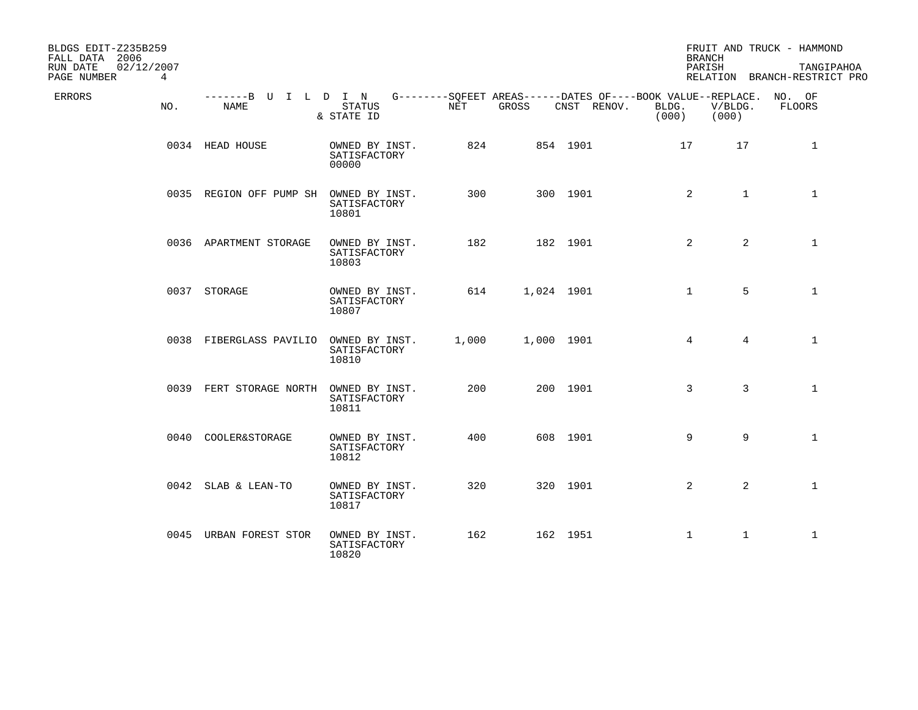| BLDGS EDIT-Z235B259<br>FALL DATA 2006                    |                              |                                         |       |       |             |                                                                                      | <b>BRANCH</b>    |                | FRUIT AND TRUCK - HAMMOND                  |
|----------------------------------------------------------|------------------------------|-----------------------------------------|-------|-------|-------------|--------------------------------------------------------------------------------------|------------------|----------------|--------------------------------------------|
| RUN DATE<br>02/12/2007<br>$4\overline{ }$<br>PAGE NUMBER |                              |                                         |       |       |             |                                                                                      | PARISH           |                | TANGIPAHOA<br>RELATION BRANCH-RESTRICT PRO |
| <b>ERRORS</b><br>NO.                                     | -------B U I L D I N<br>NAME | <b>STATUS</b><br>& STATE ID             | NET   | GROSS | CNST RENOV. | G--------SQFEET AREAS------DATES OF----BOOK VALUE--REPLACE. NO. OF<br>BLDG.<br>(000) | V/BLDG.<br>(000) |                | FLOORS                                     |
|                                                          | 0034 HEAD HOUSE              | OWNED BY INST.<br>SATISFACTORY<br>00000 | 824   |       | 854 1901    |                                                                                      | 17               | 17             | 1                                          |
|                                                          | 0035 REGION OFF PUMP SH      | OWNED BY INST.<br>SATISFACTORY<br>10801 | 300   |       | 300 1901    |                                                                                      | $\overline{2}$   | $\mathbf{1}$   | $\mathbf{1}$                               |
|                                                          | 0036 APARTMENT STORAGE       | OWNED BY INST.<br>SATISFACTORY<br>10803 | 182   |       | 182 1901    |                                                                                      | 2                | $\overline{2}$ | $\mathbf{1}$                               |
|                                                          | 0037 STORAGE                 | OWNED BY INST.<br>SATISFACTORY<br>10807 | 614   |       | 1,024 1901  |                                                                                      | $\mathbf 1$      | 5              | $\mathbf{1}$                               |
|                                                          | 0038 FIBERGLASS PAVILIO      | OWNED BY INST.<br>SATISFACTORY<br>10810 | 1,000 |       | 1,000 1901  |                                                                                      | $4\overline{ }$  | $4^{\circ}$    | $\mathbf{1}$                               |
|                                                          | 0039 FERT STORAGE NORTH      | OWNED BY INST.<br>SATISFACTORY<br>10811 | 200   |       | 200 1901    |                                                                                      | 3                | $\overline{3}$ | $\mathbf{1}$                               |
|                                                          | 0040 COOLER&STORAGE          | OWNED BY INST.<br>SATISFACTORY<br>10812 | 400   |       | 608 1901    |                                                                                      | 9                | 9              | $\mathbf 1$                                |
|                                                          | 0042 SLAB & LEAN-TO          | OWNED BY INST.<br>SATISFACTORY<br>10817 | 320   |       | 320 1901    |                                                                                      | $\overline{2}$   | $\overline{2}$ | $\mathbf{1}$                               |
|                                                          | 0045 URBAN FOREST STOR       | OWNED BY INST.<br>SATISFACTORY<br>10820 | 162   |       | 162 1951    |                                                                                      | $\mathbf 1$      | $\mathbf{1}$   | $\mathbf{1}$                               |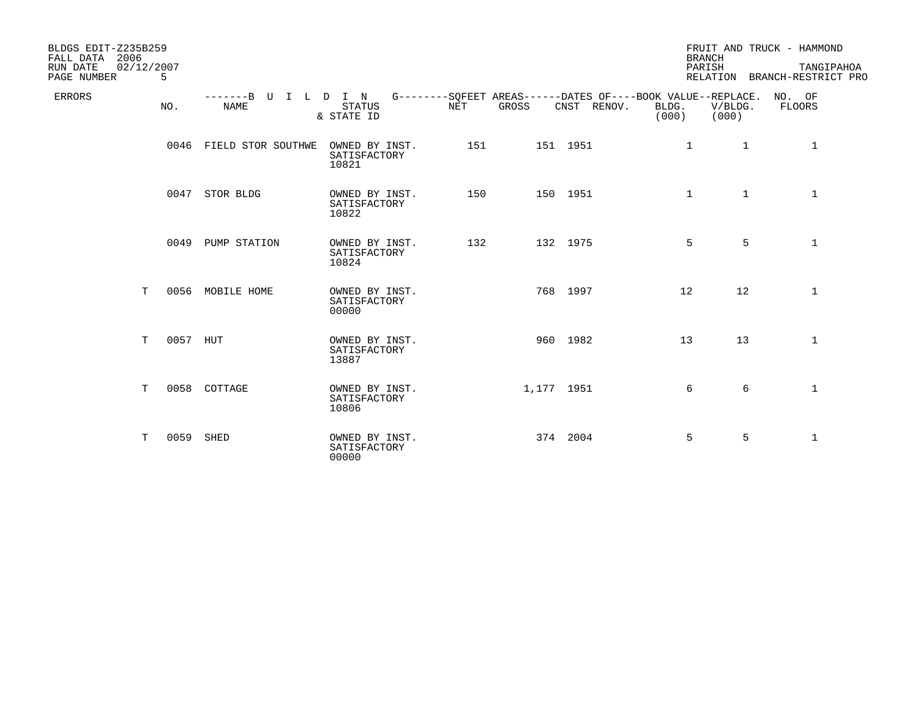| BLDGS EDIT-Z235B259<br>2006<br>FALL DATA<br>RUN DATE<br>02/12/2007<br>PAGE NUMBER | 5        |                           |                                          |            |            |                                                                            | <b>BRANCH</b><br>PARISH |                  | FRUIT AND TRUCK - HAMMOND<br>TANGIPAHOA<br>RELATION BRANCH-RESTRICT PRO |
|-----------------------------------------------------------------------------------|----------|---------------------------|------------------------------------------|------------|------------|----------------------------------------------------------------------------|-------------------------|------------------|-------------------------------------------------------------------------|
| <b>ERRORS</b>                                                                     | NO.      | $-----B$ U<br><b>NAME</b> | I L D I N<br><b>STATUS</b><br>& STATE ID | <b>NET</b> | GROSS      | G--------SQFEET AREAS------DATES OF----BOOK VALUE--REPLACE.<br>CNST RENOV. | BLDG.<br>(000)          | V/BLDG.<br>(000) | NO. OF<br>FLOORS                                                        |
|                                                                                   | 0046     | FIELD STOR SOUTHWE        | OWNED BY INST.<br>SATISFACTORY<br>10821  | 151        |            | 151 1951                                                                   | 1                       | 1                | $\mathbf{1}$                                                            |
|                                                                                   |          | 0047 STOR BLDG            | OWNED BY INST.<br>SATISFACTORY<br>10822  | 150        |            | 150 1951                                                                   | $\mathbf{1}$            | $\mathbf{1}$     | $\mathbf{1}$                                                            |
|                                                                                   |          | 0049 PUMP STATION         | OWNED BY INST.<br>SATISFACTORY<br>10824  | 132        |            | 132 1975                                                                   | 5                       | 5                | $\mathbf 1$                                                             |
| T.                                                                                |          | 0056 MOBILE HOME          | OWNED BY INST.<br>SATISFACTORY<br>00000  |            |            | 768 1997                                                                   | 12                      | 12               | $\mathbf{1}$                                                            |
| T.                                                                                | 0057 HUT |                           | OWNED BY INST.<br>SATISFACTORY<br>13887  |            |            | 960 1982                                                                   | 13                      | 13               | 1                                                                       |
| T.                                                                                |          | 0058 COTTAGE              | OWNED BY INST.<br>SATISFACTORY<br>10806  |            | 1,177 1951 |                                                                            | 6                       | 6                | $\mathbf{1}$                                                            |
| т                                                                                 | 0059     | SHED                      | OWNED BY INST.<br>SATISFACTORY<br>00000  |            |            | 374 2004                                                                   | 5                       | 5                | $\mathbf 1$                                                             |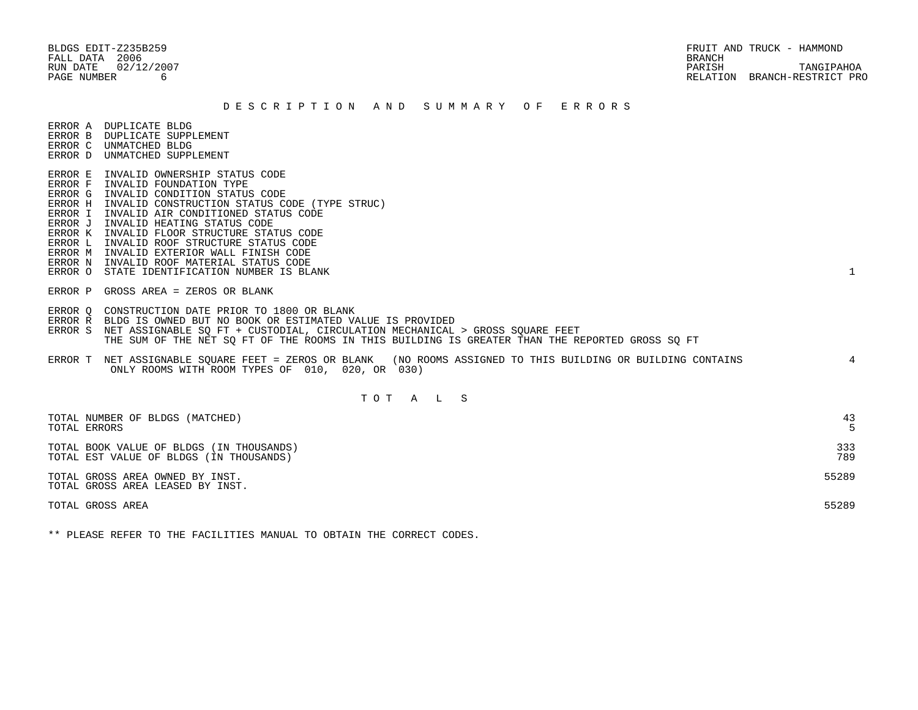#### D E S C R I P T I O N A N D S U M M A R Y O F E R R O R S

ERROR A DUPLICATE BLDG

- ERROR B DUPLICATE SUPPLEMENT
- ERROR C UNMATCHED BLDG ERROR D UNMATCHED SUPPLEMENT
- 
- ERROR E INVALID OWNERSHIP STATUS CODE
- ERROR F INVALID FOUNDATION TYPE
- ERROR G INVALID CONDITION STATUS CODE
- ERROR H INVALID CONSTRUCTION STATUS CODE (TYPE STRUC)
- ERROR I INVALID AIR CONDITIONED STATUS CODE
- ERROR J INVALID HEATING STATUS CODE
- ERROR K INVALID FLOOR STRUCTURE STATUS CODE
- ERROR L INVALID ROOF STRUCTURE STATUS CODE
- ERROR M INVALID EXTERIOR WALL FINISH CODE
- ERROR N INVALID ROOF MATERIAL STATUS CODE
- ERROR O STATE IDENTIFICATION NUMBER IS BLANK 1
- ERROR P GROSS AREA = ZEROS OR BLANK
- ERROR Q CONSTRUCTION DATE PRIOR TO 1800 OR BLANK
- ERROR R BLDG IS OWNED BUT NO BOOK OR ESTIMATED VALUE IS PROVIDED
- ERROR S NET ASSIGNABLE SQ FT + CUSTODIAL, CIRCULATION MECHANICAL > GROSS SQUARE FEET THE SUM OF THE NET SQ FT OF THE ROOMS IN THIS BUILDING IS GREATER THAN THE REPORTED GROSS SQ FT
- ERROR T NET ASSIGNABLE SQUARE FEET = ZEROS OR BLANK (NO ROOMS ASSIGNED TO THIS BUILDING OR BUILDING CONTAINS 4 ONLY ROOMS WITH ROOM TYPES OF 010, 020, OR 030)

# T O T A L S

| TOTAL NUMBER OF BLDGS (MATCHED)<br>TOTAL ERRORS                                     | 43         |
|-------------------------------------------------------------------------------------|------------|
| TOTAL BOOK VALUE OF BLDGS (IN THOUSANDS)<br>TOTAL EST VALUE OF BLDGS (IN THOUSANDS) | 333<br>789 |
| TOTAL GROSS AREA OWNED BY INST.<br>TOTAL GROSS AREA LEASED BY INST.                 | 55289      |
| TOTAL GROSS AREA                                                                    | 55289      |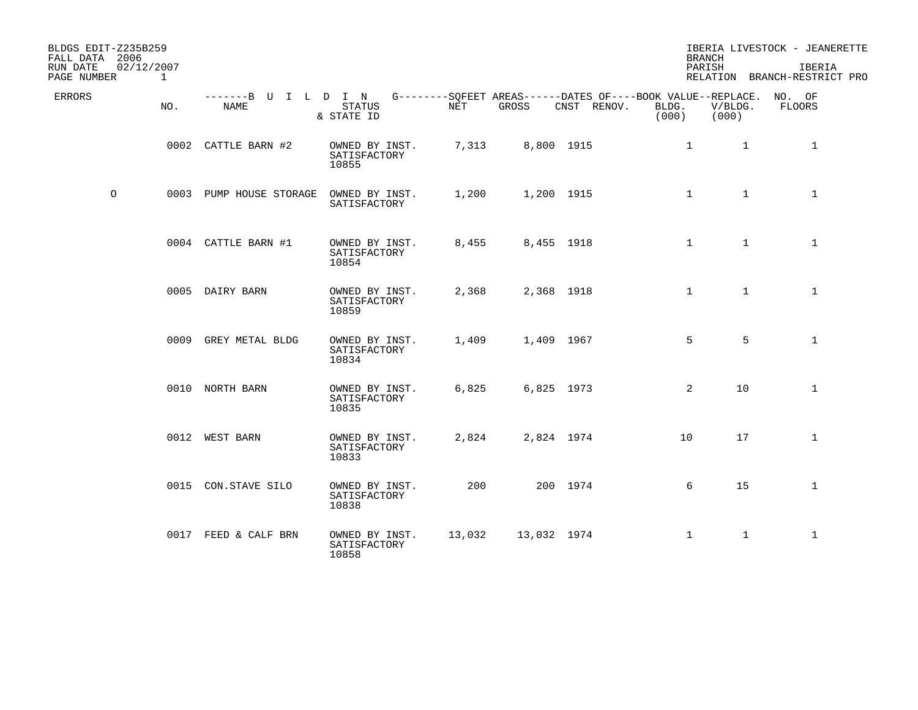| BLDGS EDIT-Z235B259<br>FALL DATA 2006<br>RUN DATE<br>PAGE NUMBER | 02/12/2007<br>1 |                              |                                         |        |             |                                                                                   | <b>BRANCH</b><br>PARISH |                  | IBERIA LIVESTOCK - JEANERETTE<br>IBERIA<br>RELATION BRANCH-RESTRICT PRO |
|------------------------------------------------------------------|-----------------|------------------------------|-----------------------------------------|--------|-------------|-----------------------------------------------------------------------------------|-------------------------|------------------|-------------------------------------------------------------------------|
| ERRORS                                                           | NO.             | -------B U I L D I N<br>NAME | <b>STATUS</b><br>& STATE ID             | NET    | GROSS       | G--------SOFEET AREAS------DATES OF----BOOK VALUE--REPLACE. NO. OF<br>CNST RENOV. | BLDG.<br>(000)          | V/BLDG.<br>(000) | FLOORS                                                                  |
|                                                                  |                 | 0002 CATTLE BARN #2          | OWNED BY INST.<br>SATISFACTORY<br>10855 | 7,313  | 8,800 1915  |                                                                                   | $\mathbf{1}$            | $\mathbf{1}$     | $\mathbf{1}$                                                            |
| $\circ$                                                          |                 | 0003 PUMP HOUSE STORAGE      | OWNED BY INST.<br>SATISFACTORY          | 1,200  | 1,200 1915  |                                                                                   | $\mathbf{1}$            | $\mathbf{1}$     | $\mathbf{1}$                                                            |
|                                                                  |                 | 0004 CATTLE BARN #1          | OWNED BY INST.<br>SATISFACTORY<br>10854 | 8,455  | 8,455 1918  |                                                                                   | $\mathbf{1}$            | $\mathbf{1}$     | $\mathbf{1}$                                                            |
|                                                                  |                 | 0005 DAIRY BARN              | OWNED BY INST.<br>SATISFACTORY<br>10859 | 2,368  | 2,368 1918  |                                                                                   | $\mathbf{1}$            | $\mathbf{1}$     | $\mathbf{1}$                                                            |
|                                                                  |                 | 0009 GREY METAL BLDG         | OWNED BY INST.<br>SATISFACTORY<br>10834 | 1,409  | 1,409 1967  |                                                                                   | 5                       | 5                | $\mathbf{1}$                                                            |
|                                                                  |                 | 0010 NORTH BARN              | OWNED BY INST.<br>SATISFACTORY<br>10835 | 6,825  | 6,825 1973  |                                                                                   | 2                       | 10               | $\mathbf{1}$                                                            |
|                                                                  |                 | 0012 WEST BARN               | OWNED BY INST.<br>SATISFACTORY<br>10833 | 2,824  | 2,824 1974  |                                                                                   | 10                      | 17               | $\mathbf{1}$                                                            |
|                                                                  |                 | 0015 CON.STAVE SILO          | OWNED BY INST.<br>SATISFACTORY<br>10838 | 200    |             | 200 1974                                                                          | 6                       | 15               | $\mathbf{1}$                                                            |
|                                                                  |                 | 0017 FEED & CALF BRN         | OWNED BY INST.<br>SATISFACTORY<br>10858 | 13,032 | 13,032 1974 |                                                                                   | $\mathbf{1}$            | $\mathbf{1}$     | $\mathbf{1}$                                                            |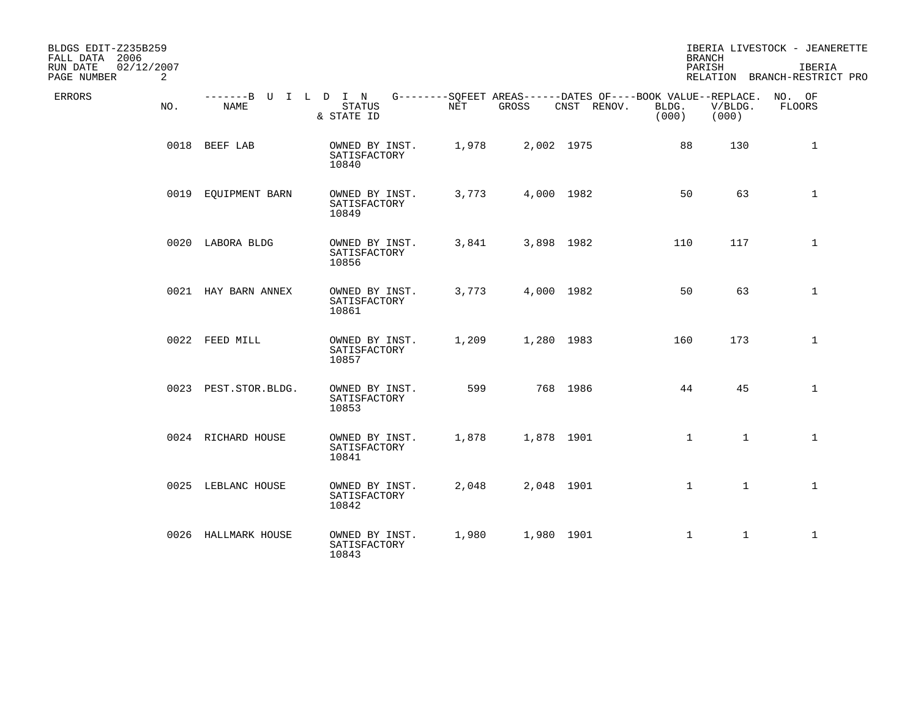| BLDGS EDIT-Z235B259<br>FALL DATA 2006<br>RUN DATE<br>02/12/2007<br>PAGE NUMBER<br>2 |                              |                                         |       |            |                                                                            | <b>BRANCH</b><br>PARISH |                  | IBERIA LIVESTOCK - JEANERETTE<br>IBERIA<br>RELATION BRANCH-RESTRICT PRO |
|-------------------------------------------------------------------------------------|------------------------------|-----------------------------------------|-------|------------|----------------------------------------------------------------------------|-------------------------|------------------|-------------------------------------------------------------------------|
| ERRORS<br>NO.                                                                       | -------B U I L D I N<br>NAME | <b>STATUS</b><br>& STATE ID             | NET   | GROSS      | G--------SQFEET AREAS------DATES OF----BOOK VALUE--REPLACE.<br>CNST RENOV. | BLDG.<br>(000)          | V/BLDG.<br>(000) | NO. OF<br>FLOORS                                                        |
|                                                                                     | 0018 BEEF LAB                | OWNED BY INST.<br>SATISFACTORY<br>10840 | 1,978 | 2,002 1975 |                                                                            | 88                      | 130              | $\mathbf 1$                                                             |
|                                                                                     | 0019 EQUIPMENT BARN          | OWNED BY INST.<br>SATISFACTORY<br>10849 | 3,773 | 4,000 1982 |                                                                            | 50                      | 63               | $\mathbf 1$                                                             |
|                                                                                     | 0020 LABORA BLDG             | OWNED BY INST.<br>SATISFACTORY<br>10856 | 3,841 | 3,898 1982 |                                                                            | 110                     | 117              | $\mathbf{1}$                                                            |
|                                                                                     | 0021 HAY BARN ANNEX          | OWNED BY INST.<br>SATISFACTORY<br>10861 | 3,773 | 4,000 1982 |                                                                            | 50                      | 63               | $\mathbf{1}$                                                            |
|                                                                                     | 0022 FEED MILL               | OWNED BY INST.<br>SATISFACTORY<br>10857 | 1,209 | 1,280 1983 |                                                                            | 160                     | 173              | $\mathbf{1}$                                                            |
|                                                                                     | 0023 PEST.STOR.BLDG.         | OWNED BY INST.<br>SATISFACTORY<br>10853 | 599   |            | 768 1986                                                                   | 44                      | 45               | $\mathbf{1}$                                                            |
|                                                                                     | 0024 RICHARD HOUSE           | OWNED BY INST.<br>SATISFACTORY<br>10841 | 1,878 | 1,878 1901 |                                                                            | $\mathbf{1}$            | $\mathbf{1}$     | $\mathbf{1}$                                                            |
|                                                                                     | 0025 LEBLANC HOUSE           | OWNED BY INST.<br>SATISFACTORY<br>10842 | 2,048 | 2,048 1901 |                                                                            | $\mathbf{1}$            | $\mathbf{1}$     | $\mathbf{1}$                                                            |
|                                                                                     | 0026 HALLMARK HOUSE          | OWNED BY INST.<br>SATISFACTORY<br>10843 | 1,980 | 1,980 1901 |                                                                            | $\mathbf{1}$            | $\mathbf{1}$     | $\mathbf{1}$                                                            |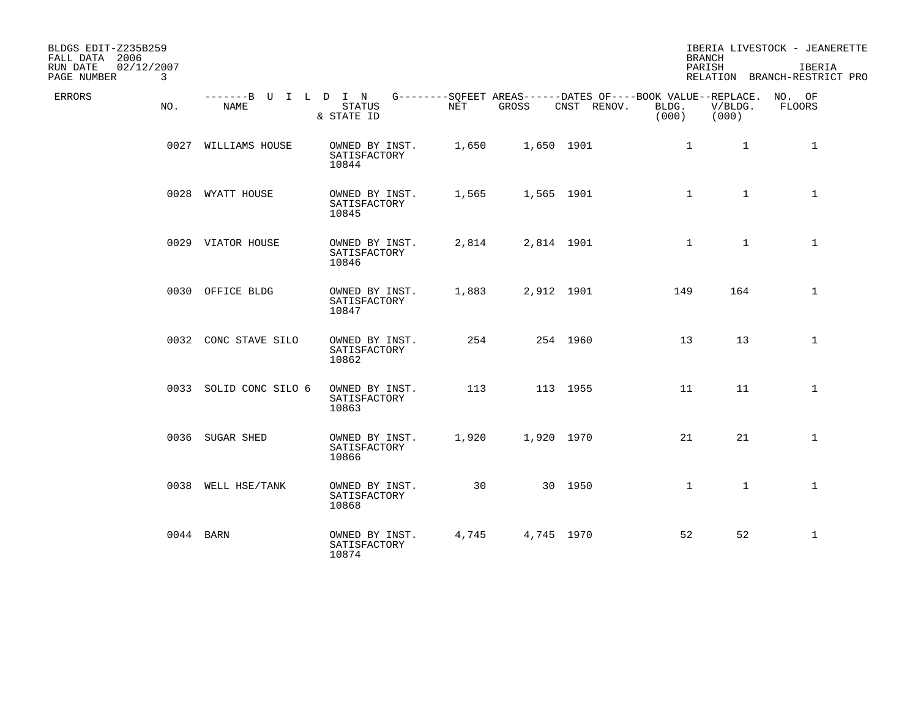| BLDGS EDIT-Z235B259<br>FALL DATA 2006<br>RUN DATE<br>02/12/2007<br>PAGE NUMBER<br>3 |                        |                                                                                                                 |       |            |             |                | <b>BRANCH</b><br>PARISH | IBERIA LIVESTOCK - JEANERETTE<br>IBERIA<br>RELATION BRANCH-RESTRICT PRO |
|-------------------------------------------------------------------------------------|------------------------|-----------------------------------------------------------------------------------------------------------------|-------|------------|-------------|----------------|-------------------------|-------------------------------------------------------------------------|
| ERRORS<br>NO.                                                                       | NAME                   | -------B U I L D I N G--------SQFEET AREAS------DATES OF----BOOK VALUE--REPLACE. NO. OF<br>STATUS<br>& STATE ID | NET   | GROSS      | CNST RENOV. | BLDG.<br>(000) | V/BLDG.<br>(000)        | FLOORS                                                                  |
|                                                                                     | 0027 WILLIAMS HOUSE    | OWNED BY INST.<br>SATISFACTORY<br>10844                                                                         | 1,650 | 1,650 1901 |             | 1              | 1                       | 1                                                                       |
|                                                                                     | 0028 WYATT HOUSE       | OWNED BY INST.<br>SATISFACTORY<br>10845                                                                         | 1,565 | 1,565 1901 |             | $\mathbf{1}$   | $\mathbf{1}$            | $\mathbf{1}$                                                            |
|                                                                                     | 0029 VIATOR HOUSE      | OWNED BY INST.<br>SATISFACTORY<br>10846                                                                         | 2,814 | 2,814 1901 |             | $\mathbf{1}$   | $\mathbf{1}$            | $\mathbf{1}$                                                            |
|                                                                                     | 0030 OFFICE BLDG       | OWNED BY INST.<br>SATISFACTORY<br>10847                                                                         | 1,883 | 2,912 1901 |             | 149            | 164                     | $\mathbf{1}$                                                            |
|                                                                                     | 0032 CONC STAVE SILO   | OWNED BY INST.<br>SATISFACTORY<br>10862                                                                         | 254   |            | 254 1960    | 13             | 13                      | $\mathbf{1}$                                                            |
|                                                                                     | 0033 SOLID CONC SILO 6 | OWNED BY INST.<br>SATISFACTORY<br>10863                                                                         | 113   |            | 113 1955    | 11             | 11                      | $\mathbf{1}$                                                            |
|                                                                                     | 0036 SUGAR SHED        | OWNED BY INST.<br>SATISFACTORY<br>10866                                                                         | 1,920 | 1,920 1970 |             | 21             | 21                      | $\mathbf{1}$                                                            |
|                                                                                     | 0038 WELL HSE/TANK     | OWNED BY INST.<br>SATISFACTORY<br>10868                                                                         | 30    |            | 30 1950     | $\mathbf{1}$   | $\mathbf{1}$            | $\mathbf{1}$                                                            |
|                                                                                     | 0044 BARN              | OWNED BY INST.<br>SATISFACTORY<br>10874                                                                         | 4,745 | 4,745 1970 |             | 52             | 52                      | $\mathbf{1}$                                                            |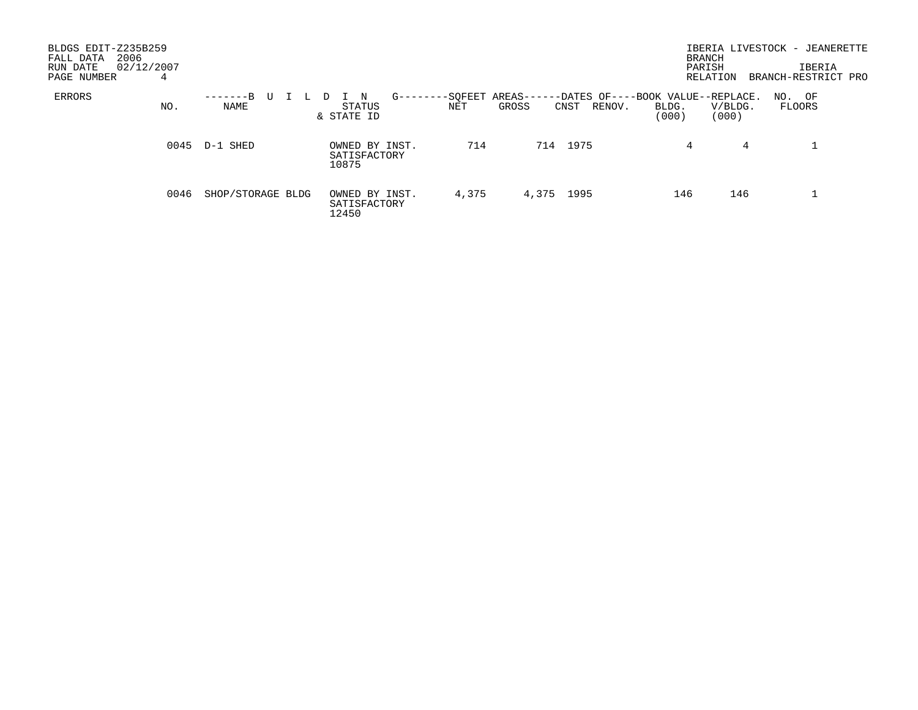| BLDGS EDIT-Z235B259<br>2006<br>FALL DATA<br>02/12/2007<br>RUN DATE<br>PAGE NUMBER | 4    |                             |                                         |                           |                                    | <b>BRANCH</b><br>PARISH<br>RELATION                                     | IBERIA LIVESTOCK - JEANERETTE<br>IBERIA<br>BRANCH-RESTRICT PRO |
|-----------------------------------------------------------------------------------|------|-----------------------------|-----------------------------------------|---------------------------|------------------------------------|-------------------------------------------------------------------------|----------------------------------------------------------------|
| ERRORS                                                                            | NO.  | -------B<br>U<br>L.<br>NAME | N<br>STATUS<br>& STATE ID               | -SQFEET<br>G------<br>NET | AREAS--<br>GROSS<br>RENOV.<br>CNST | -DATES OF----BOOK VALUE--REPLACE.<br>V/BLDG.<br>BLDG.<br>(000)<br>(000) | NO. OF<br>FLOORS                                               |
|                                                                                   |      | 0045 D-1 SHED               | OWNED BY INST.<br>SATISFACTORY<br>10875 | 714                       | 714 1975                           | 4                                                                       | 4                                                              |
|                                                                                   | 0046 | SHOP/STORAGE BLDG           | OWNED BY INST.<br>SATISFACTORY<br>12450 | 4,375                     | 4,375 1995                         | 146                                                                     | 146                                                            |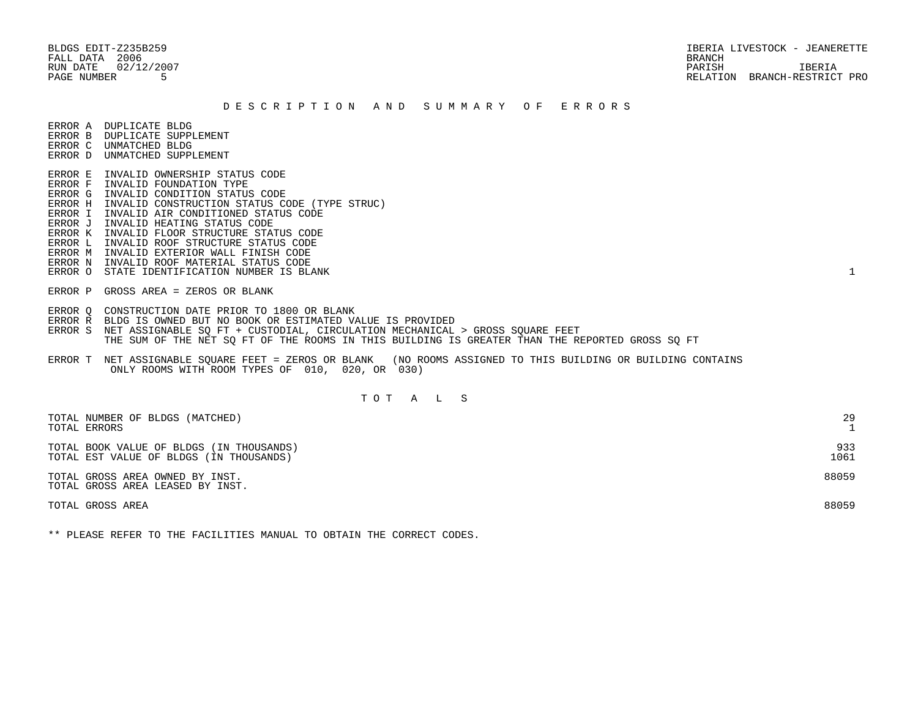BLDGS EDIT-Z235B259 IBERIA LIVESTOCK - JEANERETTE RUN DATE 02/12/2007 PARISH IBERIA PAGE NUMBER 5 RELATION BRANCH-RESTRICT PRO

#### D E S C R I P T I O N A N D S U M M A R Y O F E R R O R S

ERROR A DUPLICATE BLDG

- ERROR B DUPLICATE SUPPLEMENT
- ERROR C UNMATCHED BLDG ERROR D UNMATCHED SUPPLEMENT
- ERROR E INVALID OWNERSHIP STATUS CODE
- ERROR F INVALID FOUNDATION TYPE
- ERROR G INVALID CONDITION STATUS CODE
- ERROR H INVALID CONSTRUCTION STATUS CODE (TYPE STRUC)
- ERROR I INVALID AIR CONDITIONED STATUS CODE
- ERROR J INVALID HEATING STATUS CODE
- ERROR K INVALID FLOOR STRUCTURE STATUS CODE
- ERROR L INVALID ROOF STRUCTURE STATUS CODE
- ERROR M INVALID EXTERIOR WALL FINISH CODE
- ERROR N INVALID ROOF MATERIAL STATUS CODE
- ERROR O STATE IDENTIFICATION NUMBER IS BLANK 1
- ERROR P GROSS AREA = ZEROS OR BLANK
- ERROR Q CONSTRUCTION DATE PRIOR TO 1800 OR BLANK
- ERROR R BLDG IS OWNED BUT NO BOOK OR ESTIMATED VALUE IS PROVIDED
- ERROR S NET ASSIGNABLE SO FT + CUSTODIAL, CIRCULATION MECHANICAL > GROSS SOUARE FEET THE SUM OF THE NET SQ FT OF THE ROOMS IN THIS BUILDING IS GREATER THAN THE REPORTED GROSS SQ FT
- ERROR T NET ASSIGNABLE SQUARE FEET = ZEROS OR BLANK (NO ROOMS ASSIGNED TO THIS BUILDING OR BUILDING CONTAINS ONLY ROOMS WITH ROOM TYPES OF 010, 020, OR 030)

# T O T A L S

| TOTAL NUMBER OF BLDGS (MATCHED)<br>TOTAL ERRORS                                     | 29          |
|-------------------------------------------------------------------------------------|-------------|
| TOTAL BOOK VALUE OF BLDGS (IN THOUSANDS)<br>TOTAL EST VALUE OF BLDGS (IN THOUSANDS) | 933<br>1061 |
| TOTAL GROSS AREA OWNED BY INST.<br>TOTAL GROSS AREA LEASED BY INST.                 | 88059       |
| TOTAL GROSS AREA                                                                    | 88059       |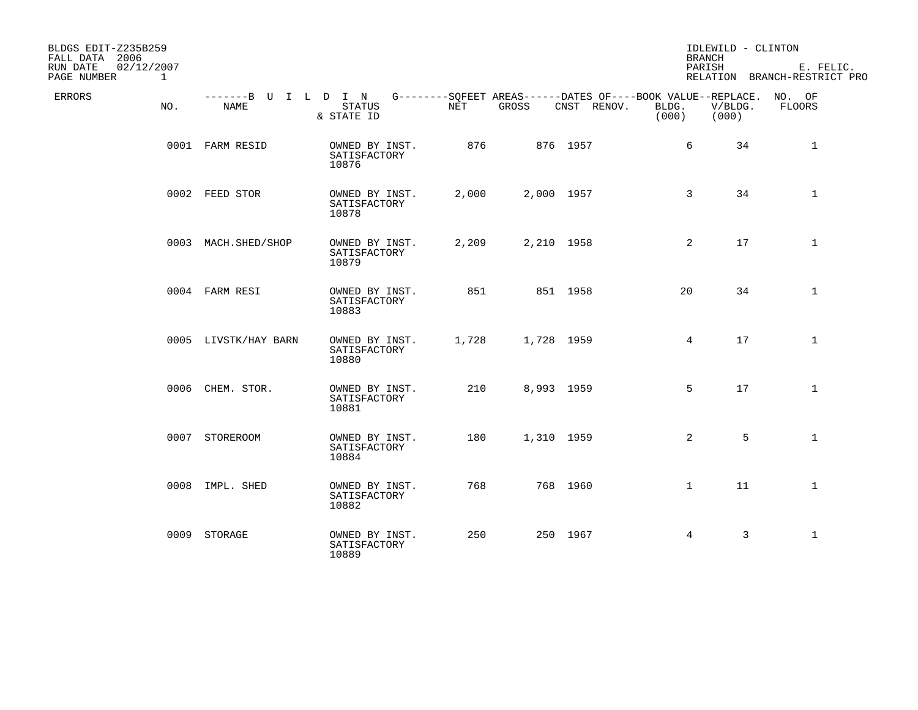| BLDGS EDIT-Z235B259<br>FALL DATA 2006<br>RUN DATE<br>02/12/2007<br>PAGE NUMBER | $\mathbf{1}$ |                              |                                         |       |            |                                                                                   | <b>BRANCH</b><br>PARISH | IDLEWILD - CLINTON | E. FELIC.<br>RELATION BRANCH-RESTRICT PRO |
|--------------------------------------------------------------------------------|--------------|------------------------------|-----------------------------------------|-------|------------|-----------------------------------------------------------------------------------|-------------------------|--------------------|-------------------------------------------|
| <b>ERRORS</b>                                                                  | NO.          | -------B U I L D I N<br>NAME | <b>STATUS</b><br>& STATE ID             | NET   | GROSS      | G--------SOFEET AREAS------DATES OF----BOOK VALUE--REPLACE. NO. OF<br>CNST RENOV. | BLDG.<br>(000)          | V/BLDG.<br>(000)   | FLOORS                                    |
|                                                                                |              | 0001 FARM RESID              | OWNED BY INST.<br>SATISFACTORY<br>10876 | 876   |            | 876 1957                                                                          | 6                       | 34                 | 1                                         |
|                                                                                |              | 0002 FEED STOR               | OWNED BY INST.<br>SATISFACTORY<br>10878 | 2,000 | 2,000 1957 |                                                                                   | 3                       | 34                 | $\mathbf 1$                               |
|                                                                                |              | 0003 MACH.SHED/SHOP          | OWNED BY INST.<br>SATISFACTORY<br>10879 | 2,209 | 2,210 1958 |                                                                                   | 2                       | 17                 | $\mathbf{1}$                              |
|                                                                                |              | 0004 FARM RESI               | OWNED BY INST.<br>SATISFACTORY<br>10883 | 851   |            | 851 1958                                                                          | 20                      | 34                 | $\mathbf{1}$                              |
|                                                                                |              | 0005 LIVSTK/HAY BARN         | OWNED BY INST.<br>SATISFACTORY<br>10880 | 1,728 | 1,728 1959 |                                                                                   | $4\overline{ }$         | 17                 | $\mathbf{1}$                              |
|                                                                                |              | 0006 CHEM. STOR.             | OWNED BY INST.<br>SATISFACTORY<br>10881 | 210   | 8,993 1959 |                                                                                   | 5                       | 17                 | $\mathbf{1}$                              |
|                                                                                |              | 0007 STOREROOM               | OWNED BY INST.<br>SATISFACTORY<br>10884 | 180   | 1,310 1959 |                                                                                   | 2                       | 5                  | $\mathbf{1}$                              |
|                                                                                |              | 0008 IMPL. SHED              | OWNED BY INST.<br>SATISFACTORY<br>10882 | 768   |            | 768 1960                                                                          | $\mathbf{1}$            | 11                 | $\mathbf{1}$                              |
|                                                                                |              | 0009 STORAGE                 | OWNED BY INST.<br>SATISFACTORY<br>10889 | 250   |            | 250 1967                                                                          | 4                       | $\mathbf{3}$       | $\mathbf{1}$                              |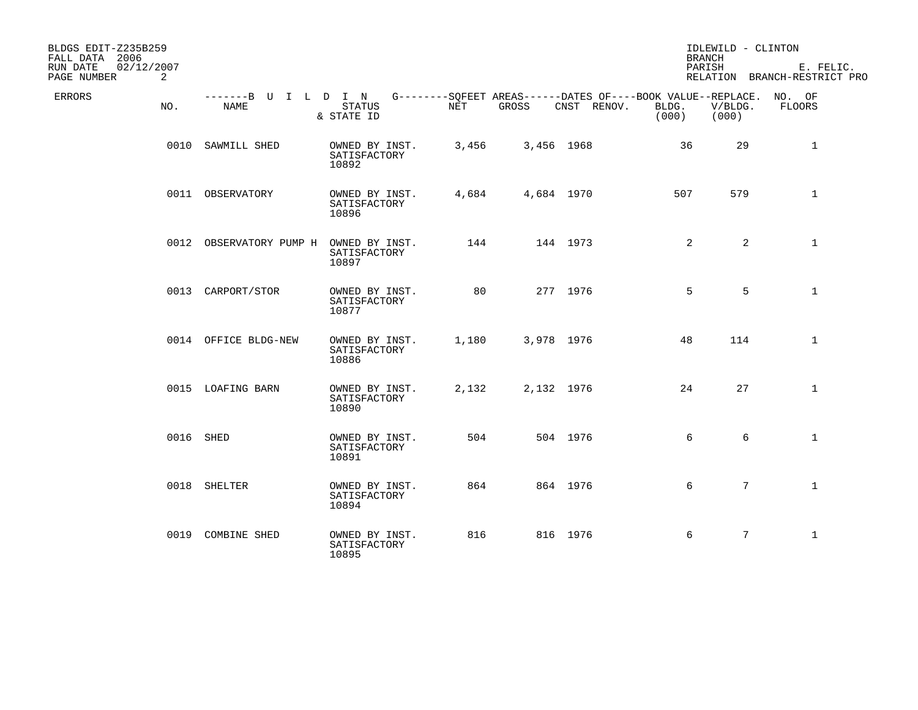| BLDGS EDIT-Z235B259<br>FALL DATA 2006      |                                     |                                         |            |       |                                                                                   | <b>BRANCH</b>  | IDLEWILD - CLINTON |                                           |
|--------------------------------------------|-------------------------------------|-----------------------------------------|------------|-------|-----------------------------------------------------------------------------------|----------------|--------------------|-------------------------------------------|
| 02/12/2007<br>RUN DATE<br>PAGE NUMBER<br>2 |                                     |                                         |            |       |                                                                                   | PARISH         |                    | E. FELIC.<br>RELATION BRANCH-RESTRICT PRO |
| <b>ERRORS</b><br>NO.                       | -------B U I L D I N<br><b>NAME</b> | <b>STATUS</b><br>& STATE ID             | <b>NET</b> | GROSS | G--------SQFEET AREAS------DATES OF----BOOK VALUE--REPLACE. NO. OF<br>CNST RENOV. | BLDG.<br>(000) | V/BLDG.<br>(000)   | <b>FLOORS</b>                             |
|                                            | 0010 SAWMILL SHED                   | OWNED BY INST.<br>SATISFACTORY<br>10892 | 3,456      |       | 3,456 1968                                                                        | 36             | 29                 | $\mathbf{1}$                              |
|                                            | 0011 OBSERVATORY                    | OWNED BY INST.<br>SATISFACTORY<br>10896 | 4,684      |       | 4,684 1970                                                                        | 507            | 579                | $\mathbf{1}$                              |
|                                            | 0012 OBSERVATORY PUMP H             | OWNED BY INST.<br>SATISFACTORY<br>10897 | 144        |       | 144 1973                                                                          | 2              | $\overline{a}$     | $\mathbf{1}$                              |
|                                            | 0013 CARPORT/STOR                   | OWNED BY INST.<br>SATISFACTORY<br>10877 | 80         |       | 277 1976                                                                          | 5              | 5                  | $\mathbf{1}$                              |
|                                            | 0014 OFFICE BLDG-NEW                | OWNED BY INST.<br>SATISFACTORY<br>10886 | 1,180      |       | 3,978 1976                                                                        | 48             | 114                | $\mathbf{1}$                              |
|                                            | 0015 LOAFING BARN                   | OWNED BY INST.<br>SATISFACTORY<br>10890 | 2,132      |       | 2,132 1976                                                                        | 24             | 27                 | $\mathbf{1}$                              |
|                                            | 0016 SHED                           | OWNED BY INST.<br>SATISFACTORY<br>10891 | 504        |       | 504 1976                                                                          | 6              | 6                  | $\mathbf{1}$                              |
|                                            | 0018 SHELTER                        | OWNED BY INST.<br>SATISFACTORY<br>10894 | 864        |       | 864 1976                                                                          | 6              | $7\overline{ }$    | $\mathbf{1}$                              |
|                                            | 0019 COMBINE SHED                   | OWNED BY INST.<br>SATISFACTORY<br>10895 | 816        |       | 816 1976                                                                          | 6              | $7\overline{ }$    | $\mathbf{1}$                              |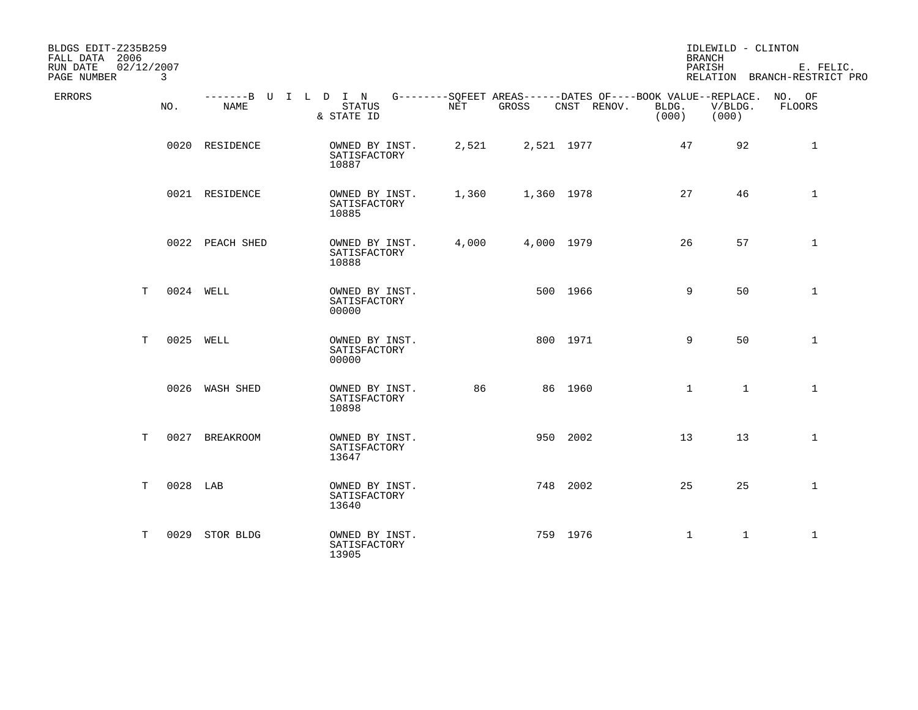| BLDGS EDIT-Z235B259<br>FALL DATA 2006 |                            |                              |                                         |       |       |                                                                                   | <b>BRANCH</b>  | IDLEWILD - CLINTON |                                           |
|---------------------------------------|----------------------------|------------------------------|-----------------------------------------|-------|-------|-----------------------------------------------------------------------------------|----------------|--------------------|-------------------------------------------|
| RUN DATE<br>PAGE NUMBER               | 02/12/2007<br>$\mathbf{3}$ |                              |                                         |       |       |                                                                                   | PARISH         |                    | E. FELIC.<br>RELATION BRANCH-RESTRICT PRO |
| ERRORS                                | NO.                        | -------B U I L D I N<br>NAME | <b>STATUS</b><br>& STATE ID             | NET   | GROSS | G--------SQFEET AREAS------DATES OF----BOOK VALUE--REPLACE. NO. OF<br>CNST RENOV. | BLDG.<br>(000) | V/BLDG.<br>(000)   | FLOORS                                    |
|                                       |                            | 0020 RESIDENCE               | OWNED BY INST.<br>SATISFACTORY<br>10887 | 2,521 |       | 2,521 1977                                                                        | 47             | 92                 | 1                                         |
|                                       |                            | 0021 RESIDENCE               | OWNED BY INST.<br>SATISFACTORY<br>10885 | 1,360 |       | 1,360 1978                                                                        | 27             | 46                 | $\mathbf 1$                               |
|                                       |                            | 0022 PEACH SHED              | OWNED BY INST.<br>SATISFACTORY<br>10888 | 4,000 |       | 4,000 1979                                                                        | 26             | 57                 | $\mathbf 1$                               |
|                                       | T.                         | 0024 WELL                    | OWNED BY INST.<br>SATISFACTORY<br>00000 |       |       | 500 1966                                                                          | 9              | 50                 | $\mathbf 1$                               |
|                                       | Т                          | 0025 WELL                    | OWNED BY INST.<br>SATISFACTORY<br>00000 |       |       | 800 1971                                                                          | 9              | 50                 | $\mathbf{1}$                              |
|                                       |                            | 0026 WASH SHED               | OWNED BY INST.<br>SATISFACTORY<br>10898 | 86    |       | 86 1960                                                                           | $\mathbf{1}$   | 1                  | $\mathbf{1}$                              |
|                                       | T<br>0027                  | <b>BREAKROOM</b>             | OWNED BY INST.<br>SATISFACTORY<br>13647 |       |       | 950 2002                                                                          | 13             | 13                 | $\mathbf{1}$                              |
|                                       | 0028 LAB<br>T              |                              | OWNED BY INST.<br>SATISFACTORY<br>13640 |       |       | 748 2002                                                                          | 25             | 25                 | $\mathbf{1}$                              |
|                                       | т                          | 0029 STOR BLDG               | OWNED BY INST.<br>SATISFACTORY<br>13905 |       |       | 759 1976                                                                          | $\mathbf 1$    | $\mathbf{1}$       | $\mathbf{1}$                              |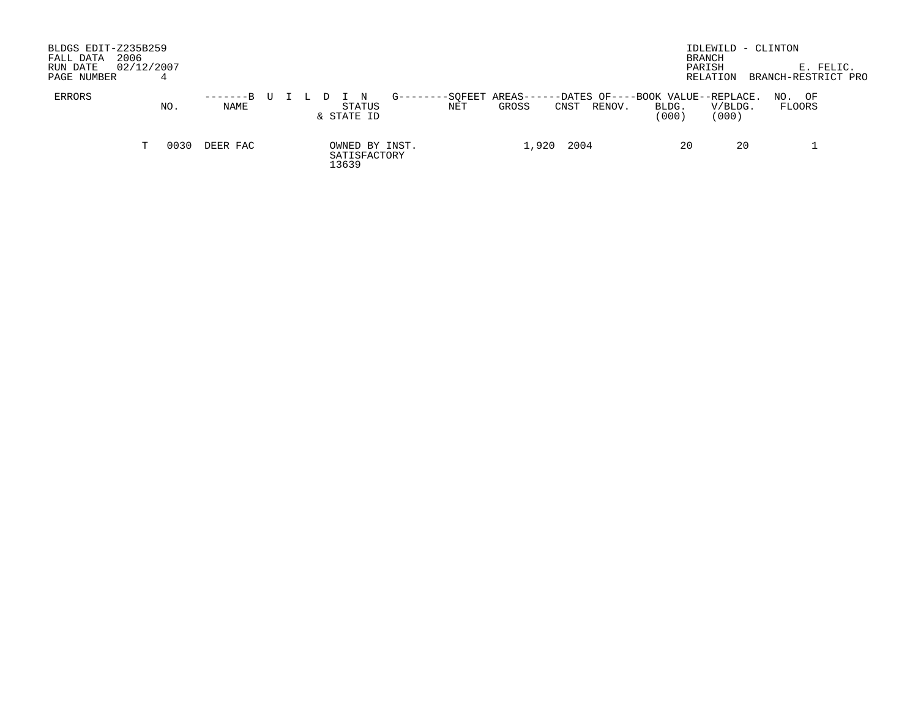| BLDGS EDIT-Z235B259<br>2006<br>FALL DATA<br>RUN DATE<br>PAGE NUMBER |    | 02/12/2007 |                    |  |  |       |                      |                |                |                 |      |        |                                                     | BRANCH<br>PARISH | RELATION         | IDLEWILD - CLINTON<br>BRANCH-RESTRICT PRO | E. FELIC. |
|---------------------------------------------------------------------|----|------------|--------------------|--|--|-------|----------------------|----------------|----------------|-----------------|------|--------|-----------------------------------------------------|------------------|------------------|-------------------------------------------|-----------|
| ERRORS                                                              |    | NO.        | $-----B$ U<br>NAME |  |  |       | STATUS<br>& STATE ID | $G - -$        | -SOFEET<br>NET | AREAS-<br>GROSS | CNST | RENOV. | -DATES OF----BOOK VALUE--REPLACE.<br>BLDG.<br>(000) |                  | V/BLDG.<br>(000) | OF<br>NO.<br>FLOORS                       |           |
|                                                                     | T. | 0030       | DEER FAC           |  |  | 13639 | SATISFACTORY         | OWNED BY INST. |                | 1,920           | 2004 |        |                                                     | 20               | 20               |                                           |           |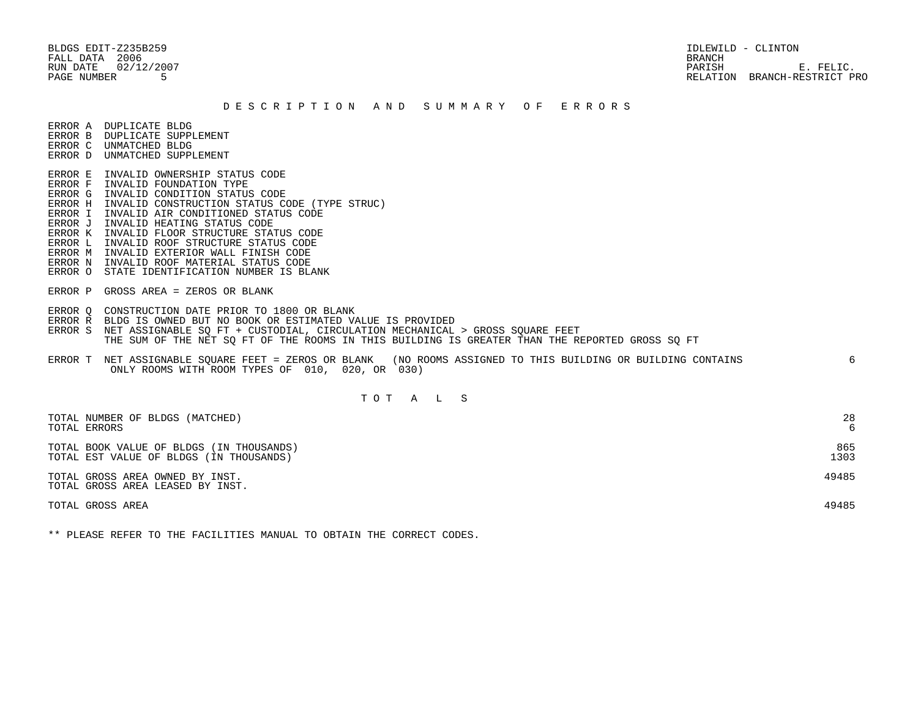BLDGS EDIT-Z235B259 IDLEWILD - CLINTON FALL DATA 2006 BRANCH

RUN DATE  $02/12/2007$  E. FELIC. PAGE NUMBER 5 RELATION BRANCH-RESTRICT PRO

#### D E S C R I P T I O N A N D S U M M A R Y O F E R R O R S

ERROR A DUPLICATE BLDG

- ERROR B DUPLICATE SUPPLEMENT
- ERROR C UNMATCHED BLDG ERROR D UNMATCHED SUPPLEMENT
- 
- ERROR E INVALID OWNERSHIP STATUS CODE
- ERROR F INVALID FOUNDATION TYPE ERROR G INVALID CONDITION STATUS CODE
- ERROR H INVALID CONSTRUCTION STATUS CODE (TYPE STRUC)
- ERROR I INVALID AIR CONDITIONED STATUS CODE
- ERROR J INVALID HEATING STATUS CODE
- ERROR K INVALID FLOOR STRUCTURE STATUS CODE
- ERROR L INVALID ROOF STRUCTURE STATUS CODE
- ERROR M INVALID EXTERIOR WALL FINISH CODE
- ERROR N INVALID ROOF MATERIAL STATUS CODE
- ERROR O STATE IDENTIFICATION NUMBER IS BLANK
- ERROR P GROSS AREA = ZEROS OR BLANK
- ERROR Q CONSTRUCTION DATE PRIOR TO 1800 OR BLANK
- ERROR R BLDG IS OWNED BUT NO BOOK OR ESTIMATED VALUE IS PROVIDED
- ERROR S NET ASSIGNABLE SO FT + CUSTODIAL, CIRCULATION MECHANICAL > GROSS SOUARE FEET THE SUM OF THE NET SQ FT OF THE ROOMS IN THIS BUILDING IS GREATER THAN THE REPORTED GROSS SQ FT
- ERROR T NET ASSIGNABLE SQUARE FEET = ZEROS OR BLANK (NO ROOMS ASSIGNED TO THIS BUILDING OR BUILDING CONTAINS 6 ONLY ROOMS WITH ROOM TYPES OF 010, 020, OR 030)

# T O T A L S

| TOTAL NUMBER OF BLDGS (MATCHED)                                     | 28    |
|---------------------------------------------------------------------|-------|
| TOTAL ERRORS                                                        | 6     |
| TOTAL BOOK VALUE OF BLDGS (IN THOUSANDS)                            | 865   |
| TOTAL EST VALUE OF BLDGS (IN THOUSANDS)                             | 1303  |
| TOTAL GROSS AREA OWNED BY INST.<br>TOTAL GROSS AREA LEASED BY INST. | 49485 |
| TOTAL GROSS AREA                                                    | 49485 |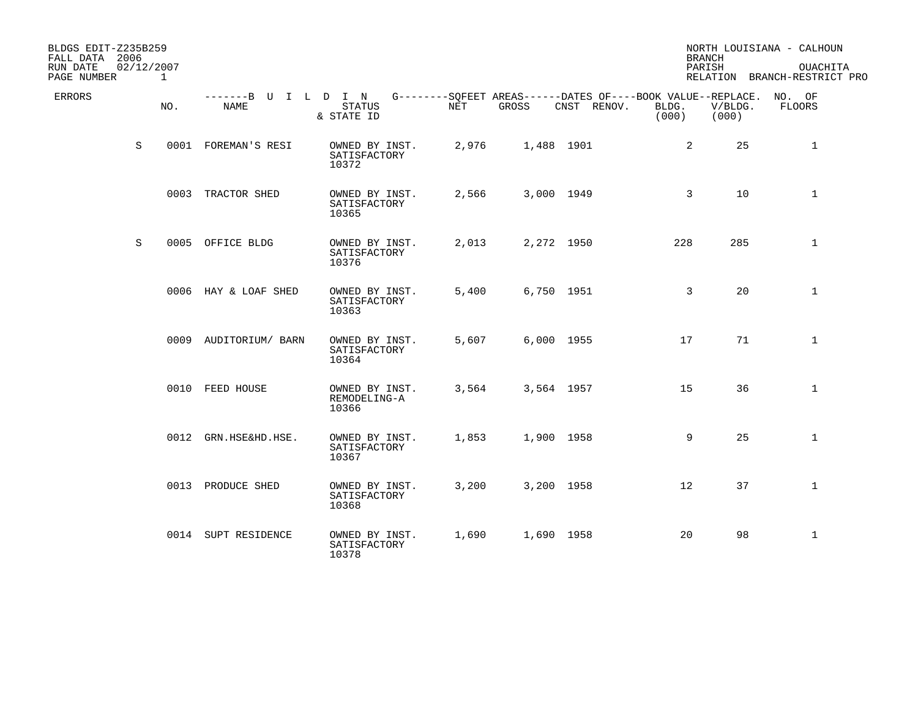| BLDGS EDIT-Z235B259<br>FALL DATA 2006 |   |                            |                                     |                                         |       |            |                                                                            |                | <b>BRANCH</b>    | NORTH LOUISIANA - CALHOUN                |
|---------------------------------------|---|----------------------------|-------------------------------------|-----------------------------------------|-------|------------|----------------------------------------------------------------------------|----------------|------------------|------------------------------------------|
| RUN DATE<br>PAGE NUMBER               |   | 02/12/2007<br>$\mathbf{1}$ |                                     |                                         |       |            |                                                                            |                | PARISH           | OUACHITA<br>RELATION BRANCH-RESTRICT PRO |
| <b>ERRORS</b>                         |   | NO.                        | -------B U I L D I N<br><b>NAME</b> | <b>STATUS</b><br>& STATE ID             | NET   | GROSS      | G--------SOFEET AREAS------DATES OF----BOOK VALUE--REPLACE.<br>CNST RENOV. | BLDG.<br>(000) | V/BLDG.<br>(000) | NO. OF<br>FLOORS                         |
|                                       | S |                            | 0001 FOREMAN'S RESI                 | OWNED BY INST.<br>SATISFACTORY<br>10372 | 2,976 | 1,488 1901 |                                                                            | 2              | 25               | 1                                        |
|                                       |   |                            | 0003 TRACTOR SHED                   | OWNED BY INST.<br>SATISFACTORY<br>10365 | 2,566 | 3,000 1949 |                                                                            | 3              | 10               | $\mathbf 1$                              |
|                                       | S |                            | 0005 OFFICE BLDG                    | OWNED BY INST.<br>SATISFACTORY<br>10376 | 2,013 |            | 2,272 1950                                                                 | 228            | 285              | $\mathbf{1}$                             |
|                                       |   |                            | 0006 HAY & LOAF SHED                | OWNED BY INST.<br>SATISFACTORY<br>10363 | 5,400 | 6,750 1951 |                                                                            | $\overline{3}$ | 20               | $\mathbf{1}$                             |
|                                       |   |                            | 0009 AUDITORIUM/ BARN               | OWNED BY INST.<br>SATISFACTORY<br>10364 | 5,607 |            | 6,000 1955                                                                 | 17             | 71               | $\mathbf{1}$                             |
|                                       |   |                            | 0010 FEED HOUSE                     | OWNED BY INST.<br>REMODELING-A<br>10366 | 3,564 | 3,564 1957 |                                                                            | 15             | 36               | $\mathbf{1}$                             |
|                                       |   |                            | 0012 GRN.HSE&HD.HSE.                | OWNED BY INST.<br>SATISFACTORY<br>10367 | 1,853 | 1,900 1958 |                                                                            | 9              | 25               | $\mathbf{1}$                             |
|                                       |   |                            | 0013 PRODUCE SHED                   | OWNED BY INST.<br>SATISFACTORY<br>10368 | 3,200 | 3,200 1958 |                                                                            | 12             | 37               | $\mathbf{1}$                             |
|                                       |   |                            | 0014 SUPT RESIDENCE                 | OWNED BY INST.<br>SATISFACTORY<br>10378 | 1,690 | 1,690 1958 |                                                                            | 20             | 98               | $\mathbf{1}$                             |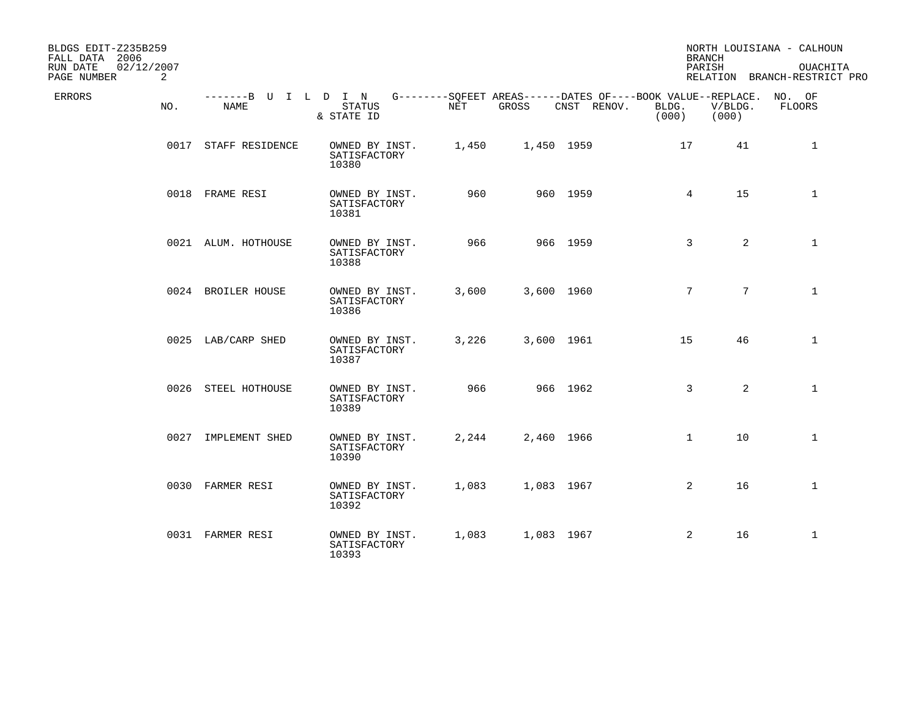| BLDGS EDIT-Z235B259<br>FALL DATA 2006<br>02/12/2007<br>RUN DATE<br>PAGE NUMBER<br>2 |                              |                                         |       |            |                                                                            | <b>BRANCH</b><br>PARISH |                  | NORTH LOUISIANA - CALHOUN<br>OUACHITA<br>RELATION BRANCH-RESTRICT PRO |
|-------------------------------------------------------------------------------------|------------------------------|-----------------------------------------|-------|------------|----------------------------------------------------------------------------|-------------------------|------------------|-----------------------------------------------------------------------|
| <b>ERRORS</b><br>NO.                                                                | -------B U I L D I N<br>NAME | <b>STATUS</b><br>& STATE ID             | NET   | GROSS      | G--------SQFEET AREAS------DATES OF----BOOK VALUE--REPLACE.<br>CNST RENOV. | BLDG.<br>(000)          | V/BLDG.<br>(000) | NO. OF<br>FLOORS                                                      |
|                                                                                     | 0017 STAFF RESIDENCE         | OWNED BY INST.<br>SATISFACTORY<br>10380 | 1,450 | 1,450 1959 |                                                                            | 17                      | 41               | $\mathbf{1}$                                                          |
|                                                                                     | 0018 FRAME RESI              | OWNED BY INST.<br>SATISFACTORY<br>10381 | 960   |            | 960 1959                                                                   | 4                       | 15               | $\mathbf{1}$                                                          |
|                                                                                     | 0021 ALUM. HOTHOUSE          | OWNED BY INST.<br>SATISFACTORY<br>10388 | 966   |            | 966 1959                                                                   | 3                       | $\overline{a}$   | $\mathbf 1$                                                           |
|                                                                                     | 0024 BROILER HOUSE           | OWNED BY INST.<br>SATISFACTORY<br>10386 | 3,600 | 3,600 1960 |                                                                            | $7\overline{ }$         | $7\overline{ }$  | $\mathbf{1}$                                                          |
|                                                                                     | 0025 LAB/CARP SHED           | OWNED BY INST.<br>SATISFACTORY<br>10387 | 3,226 | 3,600 1961 |                                                                            | 15                      | 46               | $\mathbf{1}$                                                          |
|                                                                                     | 0026 STEEL HOTHOUSE          | OWNED BY INST.<br>SATISFACTORY<br>10389 | 966   |            | 966 1962                                                                   | 3                       | $\overline{2}$   | $\mathbf{1}$                                                          |
|                                                                                     | 0027 IMPLEMENT SHED          | OWNED BY INST.<br>SATISFACTORY<br>10390 | 2,244 | 2,460 1966 |                                                                            | $\mathbf{1}$            | 10               | $\mathbf{1}$                                                          |
|                                                                                     | 0030 FARMER RESI             | OWNED BY INST.<br>SATISFACTORY<br>10392 | 1,083 | 1,083 1967 |                                                                            | 2                       | 16               | $\mathbf{1}$                                                          |
|                                                                                     | 0031 FARMER RESI             | OWNED BY INST.<br>SATISFACTORY<br>10393 | 1,083 | 1,083 1967 |                                                                            | $\overline{a}$          | 16               | $\mathbf{1}$                                                          |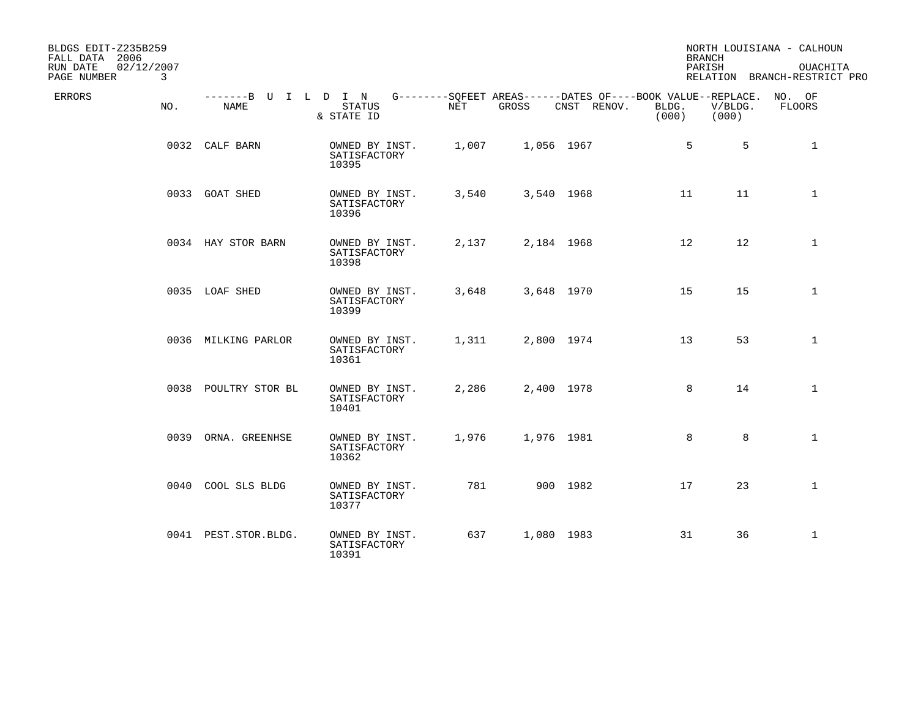| BLDGS EDIT-Z235B259<br>FALL DATA 2006<br>RUN DATE<br>02/12/2007<br>PAGE NUMBER<br>3 |                              |                                         |       |            |                                                                            | <b>BRANCH</b><br>PARISH |                  | NORTH LOUISIANA - CALHOUN<br><b>OUACHITA</b><br>RELATION BRANCH-RESTRICT PRO |
|-------------------------------------------------------------------------------------|------------------------------|-----------------------------------------|-------|------------|----------------------------------------------------------------------------|-------------------------|------------------|------------------------------------------------------------------------------|
| ERRORS<br>NO.                                                                       | -------B U I L D I N<br>NAME | STATUS<br>& STATE ID                    | NET   | GROSS      | G--------SQFEET AREAS------DATES OF----BOOK VALUE--REPLACE.<br>CNST RENOV. | BLDG.<br>(000)          | V/BLDG.<br>(000) | NO. OF<br>FLOORS                                                             |
|                                                                                     | 0032 CALF BARN               | OWNED BY INST.<br>SATISFACTORY<br>10395 | 1,007 | 1,056 1967 |                                                                            | 5                       | 5                | $\mathbf{1}$                                                                 |
|                                                                                     | 0033 GOAT SHED               | OWNED BY INST.<br>SATISFACTORY<br>10396 | 3,540 | 3,540 1968 |                                                                            | 11                      | 11               | $\mathbf{1}$                                                                 |
|                                                                                     | 0034 HAY STOR BARN           | OWNED BY INST.<br>SATISFACTORY<br>10398 | 2,137 | 2,184 1968 |                                                                            | 12                      | 12               | $\mathbf{1}$                                                                 |
|                                                                                     | 0035 LOAF SHED               | OWNED BY INST.<br>SATISFACTORY<br>10399 | 3,648 | 3,648 1970 |                                                                            | 15                      | 15               | $\mathbf{1}$                                                                 |
|                                                                                     | 0036 MILKING PARLOR          | OWNED BY INST.<br>SATISFACTORY<br>10361 | 1,311 | 2,800 1974 |                                                                            | 13                      | 53               | $\mathbf{1}$                                                                 |
|                                                                                     | 0038 POULTRY STOR BL         | OWNED BY INST.<br>SATISFACTORY<br>10401 | 2,286 | 2,400 1978 |                                                                            | 8                       | 14               | $\mathbf{1}$                                                                 |
|                                                                                     | 0039 ORNA. GREENHSE          | OWNED BY INST.<br>SATISFACTORY<br>10362 | 1,976 | 1,976 1981 |                                                                            | 8                       | 8                | $\mathbf{1}$                                                                 |
|                                                                                     | 0040 COOL SLS BLDG           | OWNED BY INST.<br>SATISFACTORY<br>10377 | 781   |            | 900 1982                                                                   | 17                      | 23               | $\mathbf{1}$                                                                 |
|                                                                                     | 0041 PEST.STOR.BLDG.         | OWNED BY INST.<br>SATISFACTORY<br>10391 | 637   | 1,080 1983 |                                                                            | 31                      | 36               | $\mathbf{1}$                                                                 |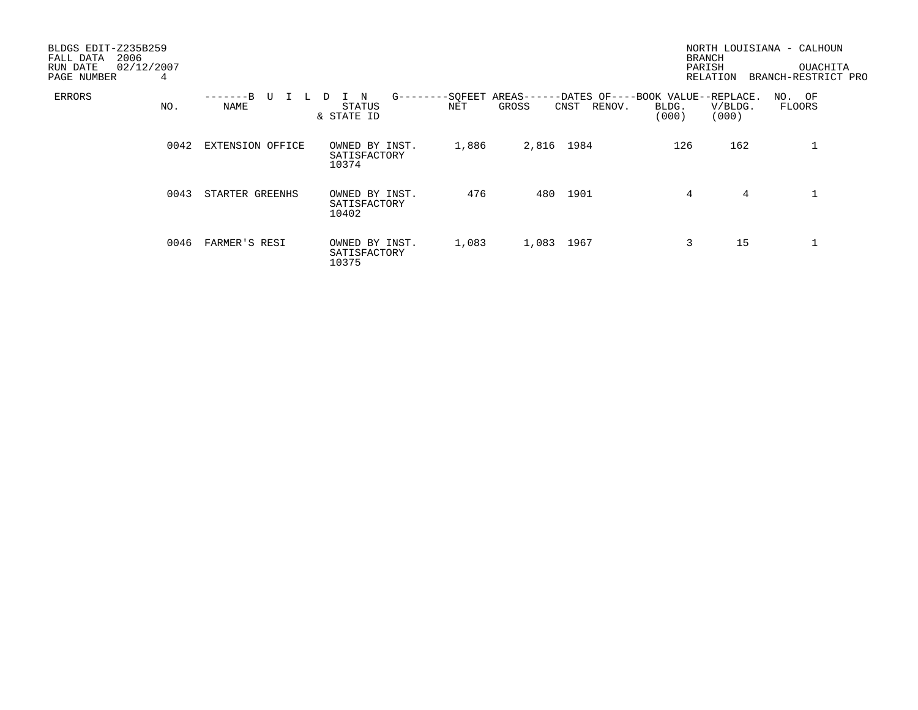| BLDGS EDIT-Z235B259<br>2006<br>FALL DATA<br>02/12/2007<br>RUN DATE<br>PAGE NUMBER | 4    |                  |                                               |       |                                                                                | <b>BRANCH</b><br>PARISH | RELATION         | NORTH LOUISIANA - CALHOUN<br>OUACHITA<br>BRANCH-RESTRICT PRO |
|-----------------------------------------------------------------------------------|------|------------------|-----------------------------------------------|-------|--------------------------------------------------------------------------------|-------------------------|------------------|--------------------------------------------------------------|
| ERRORS                                                                            | NO.  | TT<br>NAME       | N<br>$G$ -------<br>D<br>STATUS<br>& STATE ID | NET   | -SQFEET AREAS------DATES OF----BOOK VALUE--REPLACE.<br>GROSS<br>RENOV.<br>CNST | BLDG.<br>(000)          | V/BLDG.<br>(000) | NO. OF<br>FLOORS                                             |
|                                                                                   | 0042 | EXTENSION OFFICE | OWNED BY INST.<br>SATISFACTORY<br>10374       | 1,886 | 2,816 1984                                                                     | 126                     | 162              |                                                              |
|                                                                                   | 0043 | STARTER GREENHS  | OWNED BY INST.<br>SATISFACTORY<br>10402       | 476   | 480 1901                                                                       | 4                       | 4                |                                                              |
|                                                                                   | 0046 | FARMER'S RESI    | OWNED BY INST.<br>SATISFACTORY<br>10375       | 1,083 | 1,083 1967                                                                     | 3                       | 15               |                                                              |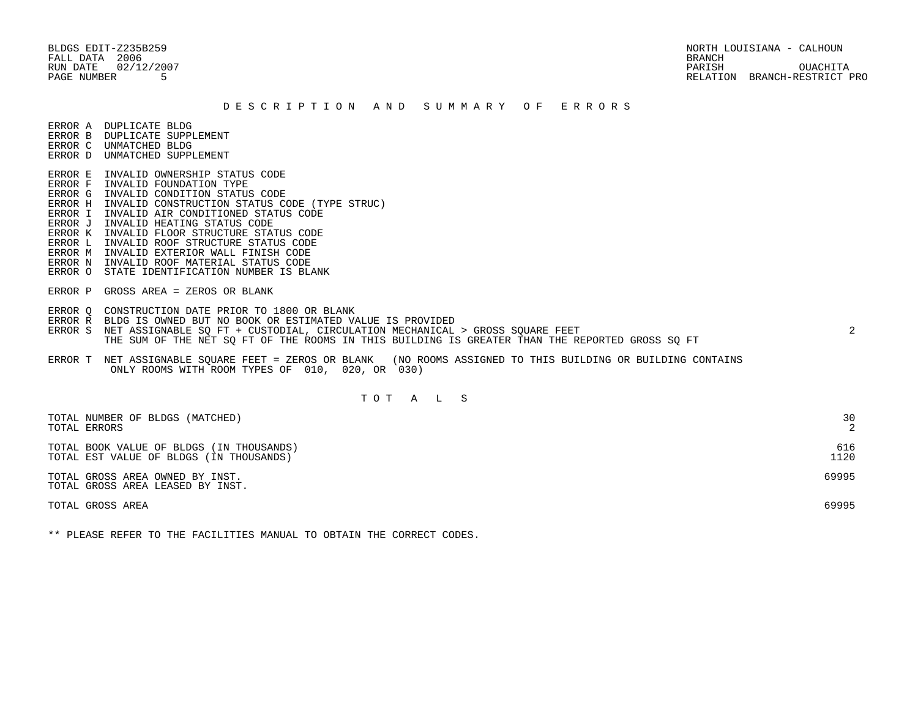BLDGS EDIT-Z235B259 NORTH LOUISIANA - CALHOUN RUN DATE 02/12/2007 PARISH OUACHITA PAGE NUMBER 5 RELATION BRANCH-RESTRICT PRO

#### D E S C R I P T I O N A N D S U M M A R Y O F E R R O R S

ERROR A DUPLICATE BLDG

- ERROR B DUPLICATE SUPPLEMENT
- ERROR C UNMATCHED BLDG ERROR D UNMATCHED SUPPLEMENT
- ERROR E INVALID OWNERSHIP STATUS CODE
- ERROR F INVALID FOUNDATION TYPE
- ERROR G INVALID CONDITION STATUS CODE
- ERROR H INVALID CONSTRUCTION STATUS CODE (TYPE STRUC)
- ERROR I INVALID AIR CONDITIONED STATUS CODE
- ERROR J INVALID HEATING STATUS CODE
- ERROR K INVALID FLOOR STRUCTURE STATUS CODE
- ERROR L INVALID ROOF STRUCTURE STATUS CODE
- ERROR M INVALID EXTERIOR WALL FINISH CODE
- ERROR N INVALID ROOF MATERIAL STATUS CODE
- ERROR O STATE IDENTIFICATION NUMBER IS BLANK
- ERROR P GROSS AREA = ZEROS OR BLANK
- ERROR Q CONSTRUCTION DATE PRIOR TO 1800 OR BLANK
- ERROR R BLDG IS OWNED BUT NO BOOK OR ESTIMATED VALUE IS PROVIDED
- ERROR S NET ASSIGNABLE SO FT + CUSTODIAL, CIRCULATION MECHANICAL > GROSS SOUARE FEET 2 THE SUM OF THE NET SQ FT OF THE ROOMS IN THIS BUILDING IS GREATER THAN THE REPORTED GROSS SQ FT
- ERROR T NET ASSIGNABLE SQUARE FEET = ZEROS OR BLANK (NO ROOMS ASSIGNED TO THIS BUILDING OR BUILDING CONTAINS ONLY ROOMS WITH ROOM TYPES OF 010, 020, OR 030)

# T O T A L S

| TOTAL NUMBER OF BLDGS (MATCHED)                                     | 30    |
|---------------------------------------------------------------------|-------|
| TOTAL ERRORS                                                        | 2     |
| TOTAL BOOK VALUE OF BLDGS (IN THOUSANDS)                            | 616   |
| TOTAL EST VALUE OF BLDGS (IN THOUSANDS)                             | 1120  |
| TOTAL GROSS AREA OWNED BY INST.<br>TOTAL GROSS AREA LEASED BY INST. | 69995 |
| TOTAL GROSS AREA                                                    | 69995 |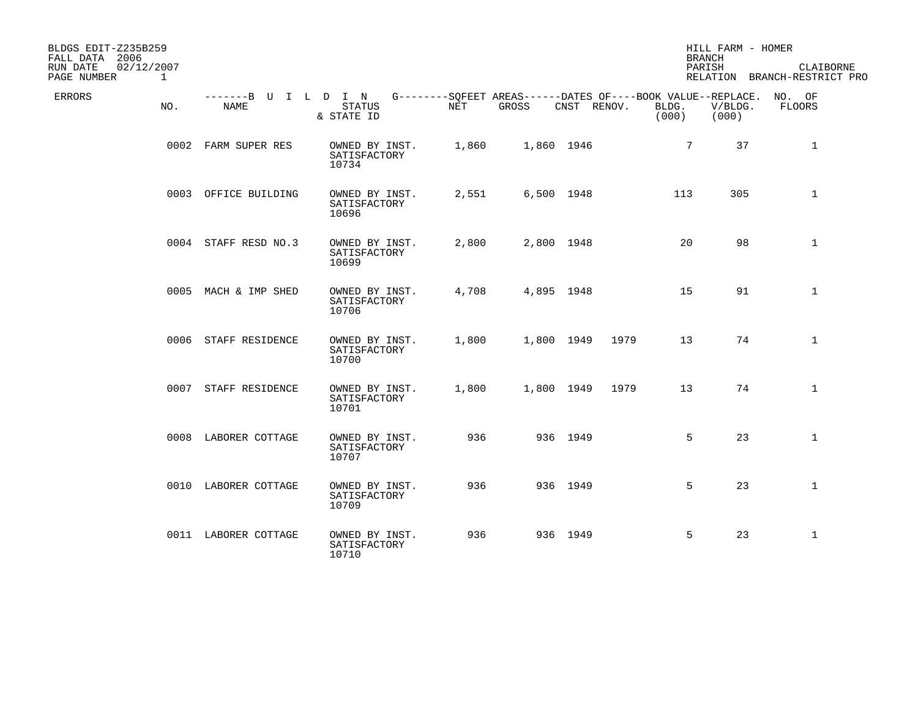| BLDGS EDIT-Z235B259<br>FALL DATA 2006<br>RUN DATE<br>02/12/2007<br>PAGE NUMBER | $\mathbf{1}$ |                              |                                         |       |            |             |                                                                               | HILL FARM - HOMER<br><b>BRANCH</b><br>PARISH | CLAIBORNE<br>RELATION BRANCH-RESTRICT PRO |
|--------------------------------------------------------------------------------|--------------|------------------------------|-----------------------------------------|-------|------------|-------------|-------------------------------------------------------------------------------|----------------------------------------------|-------------------------------------------|
| ERRORS                                                                         | NO.          | -------B U I L D I N<br>NAME | <b>STATUS</b><br>& STATE ID             | NET   | GROSS      | CNST RENOV. | G--------SQFEET AREAS------DATES OF----BOOK VALUE--REPLACE.<br>BLDG.<br>(000) | V/BLDG.<br>(000)                             | NO. OF<br>FLOORS                          |
|                                                                                |              | 0002 FARM SUPER RES          | OWNED BY INST.<br>SATISFACTORY<br>10734 | 1,860 | 1,860 1946 |             | $7\overline{ }$                                                               | 37                                           | $\mathbf{1}$                              |
|                                                                                |              | 0003 OFFICE BUILDING         | OWNED BY INST.<br>SATISFACTORY<br>10696 | 2,551 | 6,500 1948 |             | 113                                                                           | 305                                          | $\mathbf 1$                               |
|                                                                                |              | 0004 STAFF RESD NO.3         | OWNED BY INST.<br>SATISFACTORY<br>10699 | 2,800 | 2,800 1948 |             | 20                                                                            | 98                                           | $\mathbf{1}$                              |
|                                                                                |              | 0005 MACH & IMP SHED         | OWNED BY INST.<br>SATISFACTORY<br>10706 | 4,708 | 4,895 1948 |             | 15                                                                            | 91                                           | $\mathbf{1}$                              |
|                                                                                |              | 0006 STAFF RESIDENCE         | OWNED BY INST.<br>SATISFACTORY<br>10700 | 1,800 | 1,800 1949 | 1979        | 13                                                                            | 74                                           | $\mathbf{1}$                              |
|                                                                                |              | 0007 STAFF RESIDENCE         | OWNED BY INST.<br>SATISFACTORY<br>10701 | 1,800 | 1,800 1949 | 1979        | 13                                                                            | 74                                           | $\mathbf{1}$                              |
|                                                                                |              | 0008 LABORER COTTAGE         | OWNED BY INST.<br>SATISFACTORY<br>10707 | 936   |            | 936 1949    | 5                                                                             | 23                                           | $\mathbf{1}$                              |
|                                                                                |              | 0010 LABORER COTTAGE         | OWNED BY INST.<br>SATISFACTORY<br>10709 | 936   |            | 936 1949    | 5                                                                             | 23                                           | $\mathbf{1}$                              |
|                                                                                |              | 0011 LABORER COTTAGE         | OWNED BY INST.<br>SATISFACTORY<br>10710 | 936   |            | 936 1949    | 5                                                                             | 23                                           | $\mathbf{1}$                              |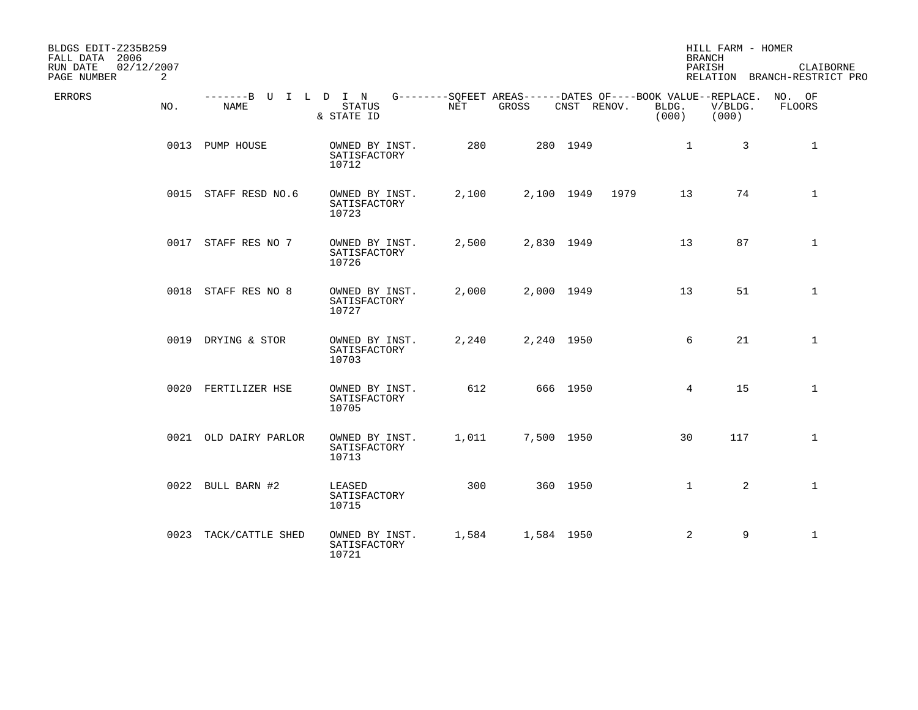| BLDGS EDIT-Z235B259<br>FALL DATA 2006 |     |                              |                                         |       |                                                                             |             |      | <b>BRANCH</b>  | HILL FARM - HOMER |                                           |
|---------------------------------------|-----|------------------------------|-----------------------------------------|-------|-----------------------------------------------------------------------------|-------------|------|----------------|-------------------|-------------------------------------------|
| RUN DATE<br>02/12/2007<br>PAGE NUMBER | 2   |                              |                                         |       |                                                                             |             |      | PARISH         |                   | CLAIBORNE<br>RELATION BRANCH-RESTRICT PRO |
| ERRORS                                | NO. | -------B U I L D I N<br>NAME | STATUS<br>& STATE ID                    | NET   | G--------SQFEET AREAS------DATES OF----BOOK VALUE--REPLACE. NO. OF<br>GROSS | CNST RENOV. |      | BLDG.<br>(000) | V/BLDG.<br>(000)  | FLOORS                                    |
|                                       |     | 0013 PUMP HOUSE              | OWNED BY INST.<br>SATISFACTORY<br>10712 | 280   |                                                                             | 280 1949    |      | $\mathbf{1}$   | 3                 | 1                                         |
|                                       |     | 0015 STAFF RESD NO.6         | OWNED BY INST.<br>SATISFACTORY<br>10723 | 2,100 |                                                                             | 2,100 1949  | 1979 | 13             | 74                | $\mathbf{1}$                              |
|                                       |     | 0017 STAFF RES NO 7          | OWNED BY INST.<br>SATISFACTORY<br>10726 | 2,500 |                                                                             | 2,830 1949  |      | 13             | 87                | $\mathbf{1}$                              |
|                                       |     | 0018 STAFF RES NO 8          | OWNED BY INST.<br>SATISFACTORY<br>10727 | 2,000 |                                                                             | 2,000 1949  |      | 13             | 51                | $\mathbf{1}$                              |
|                                       |     | 0019 DRYING & STOR           | OWNED BY INST.<br>SATISFACTORY<br>10703 | 2,240 | 2,240 1950                                                                  |             |      | 6              | 21                | $\mathbf{1}$                              |
|                                       |     | 0020 FERTILIZER HSE          | OWNED BY INST.<br>SATISFACTORY<br>10705 | 612   |                                                                             | 666 1950    |      | 4              | 15                | $\mathbf{1}$                              |
|                                       |     | 0021 OLD DAIRY PARLOR        | OWNED BY INST.<br>SATISFACTORY<br>10713 | 1,011 |                                                                             | 7,500 1950  |      | 30             | 117               | $\mathbf{1}$                              |
|                                       |     | 0022 BULL BARN #2            | LEASED<br>SATISFACTORY<br>10715         | 300   |                                                                             | 360 1950    |      | $\mathbf{1}$   | $\overline{2}$    | $\mathbf{1}$                              |
|                                       |     | 0023 TACK/CATTLE SHED        | OWNED BY INST.<br>SATISFACTORY<br>10721 | 1,584 |                                                                             | 1,584 1950  |      | 2              | 9                 | $\mathbf{1}$                              |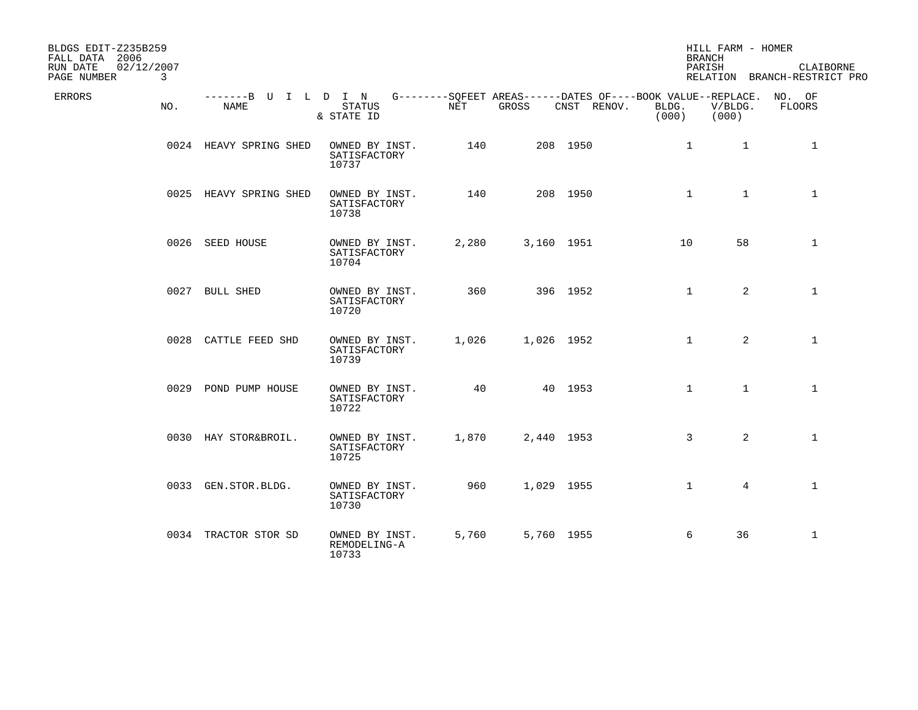| BLDGS EDIT-Z235B259<br>FALL DATA 2006      |     |                                     |                                         |       |       |             |                | HILL FARM - HOMER<br><b>BRANCH</b> |                                                                              |  |
|--------------------------------------------|-----|-------------------------------------|-----------------------------------------|-------|-------|-------------|----------------|------------------------------------|------------------------------------------------------------------------------|--|
| RUN DATE<br>02/12/2007<br>PAGE NUMBER<br>3 |     |                                     |                                         |       |       |             |                | PARISH                             | CLAIBORNE<br>RELATION BRANCH-RESTRICT PRO                                    |  |
| ERRORS                                     | NO. | -------B U I L D I N<br><b>NAME</b> | <b>STATUS</b><br>& STATE ID             | NET   | GROSS | CNST RENOV. | BLDG.<br>(000) | V/BLDG.<br>(000)                   | G--------SQFEET AREAS------DATES OF----BOOK VALUE--REPLACE. NO. OF<br>FLOORS |  |
|                                            |     | 0024 HEAVY SPRING SHED              | OWNED BY INST.<br>SATISFACTORY<br>10737 | 140   |       | 208 1950    |                | $\mathbf{1}$                       | $\mathbf{1}$<br>$\mathbf{1}$                                                 |  |
|                                            |     | 0025 HEAVY SPRING SHED              | OWNED BY INST.<br>SATISFACTORY<br>10738 | 140   |       | 208 1950    |                | $\mathbf{1}$                       | $\mathbf{1}$<br>$\mathbf{1}$                                                 |  |
|                                            |     | 0026 SEED HOUSE                     | OWNED BY INST.<br>SATISFACTORY<br>10704 | 2,280 |       | 3,160 1951  |                | 58<br>10 <sup>°</sup>              | $\mathbf{1}$                                                                 |  |
|                                            |     | 0027 BULL SHED                      | OWNED BY INST.<br>SATISFACTORY<br>10720 | 360   |       | 396 1952    |                | $\mathbf{1}$                       | 2<br>$\mathbf{1}$                                                            |  |
|                                            |     | 0028 CATTLE FEED SHD                | OWNED BY INST.<br>SATISFACTORY<br>10739 | 1,026 |       | 1,026 1952  |                | $\mathbf{1}$                       | $\overline{2}$<br>$\mathbf{1}$                                               |  |
|                                            |     | 0029 POND PUMP HOUSE                | OWNED BY INST.<br>SATISFACTORY<br>10722 | 40    |       | 40 1953     |                | $\mathbf{1}$                       | $\mathbf{1}$<br>$\mathbf{1}$                                                 |  |
|                                            |     | 0030 HAY STOR&BROIL.                | OWNED BY INST.<br>SATISFACTORY<br>10725 | 1,870 |       | 2,440 1953  |                | $\mathbf{3}$                       | $\overline{2}$<br>$\mathbf{1}$                                               |  |
|                                            |     | 0033 GEN.STOR.BLDG.                 | OWNED BY INST.<br>SATISFACTORY<br>10730 | 960   |       | 1,029 1955  |                | $\mathbf{1}$                       | $\mathbf{1}$<br>$\overline{4}$                                               |  |
|                                            |     | 0034 TRACTOR STOR SD                | OWNED BY INST.<br>REMODELING-A<br>10733 | 5,760 |       | 5,760 1955  |                | 6<br>36                            | $\mathbf{1}$                                                                 |  |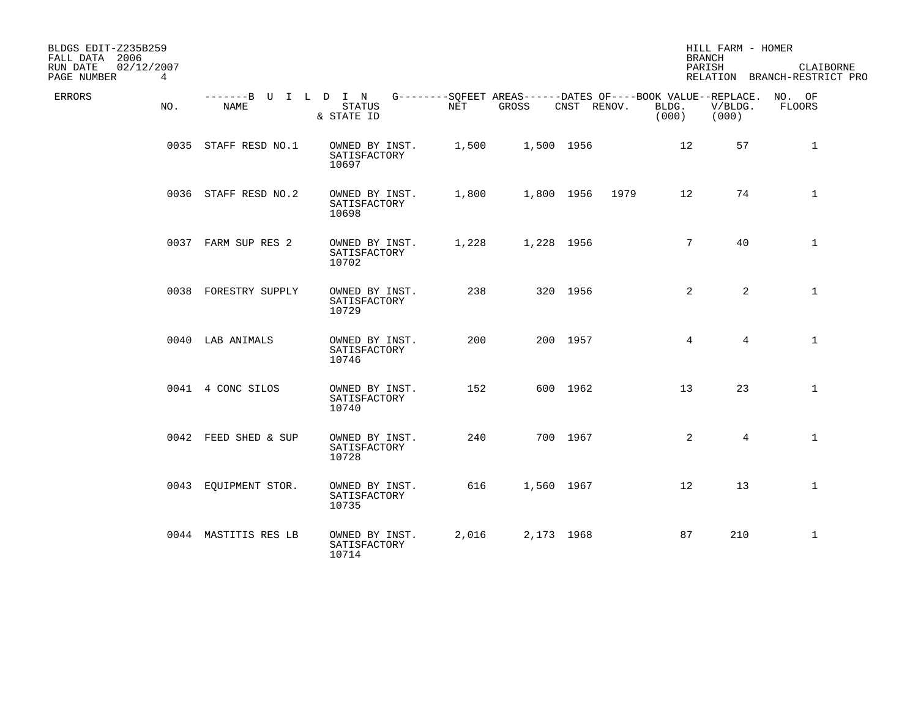| BLDGS EDIT-Z235B259<br>FALL DATA 2006                |                              |                                         |       |                                                                      |             |      | HILL FARM - HOMER<br><b>BRANCH</b> |                  |                                           |
|------------------------------------------------------|------------------------------|-----------------------------------------|-------|----------------------------------------------------------------------|-------------|------|------------------------------------|------------------|-------------------------------------------|
| 02/12/2007<br>RUN DATE<br>PAGE NUMBER<br>$4^{\circ}$ |                              |                                         |       |                                                                      |             |      | PARISH                             |                  | CLAIBORNE<br>RELATION BRANCH-RESTRICT PRO |
| ERRORS<br>NO.                                        | -------B U I L D I N<br>NAME | <b>STATUS</b><br>& STATE ID             | NET   | G--------SQFEET AREAS------DATES OF----BOOK VALUE--REPLACE.<br>GROSS | CNST RENOV. |      | BLDG.<br>(000)                     | V/BLDG.<br>(000) | NO. OF<br>FLOORS                          |
|                                                      | 0035 STAFF RESD NO.1         | OWNED BY INST.<br>SATISFACTORY<br>10697 | 1,500 |                                                                      | 1,500 1956  |      | 12                                 | 57               | $\mathbf{1}$                              |
|                                                      | 0036 STAFF RESD NO.2         | OWNED BY INST.<br>SATISFACTORY<br>10698 | 1,800 |                                                                      | 1,800 1956  | 1979 | 12                                 | 74               | $\mathbf{1}$                              |
|                                                      | 0037 FARM SUP RES 2          | OWNED BY INST.<br>SATISFACTORY<br>10702 | 1,228 | 1,228 1956                                                           |             |      | $7\overline{ }$                    | 40               | $\mathbf{1}$                              |
|                                                      | 0038 FORESTRY SUPPLY         | OWNED BY INST.<br>SATISFACTORY<br>10729 | 238   |                                                                      | 320 1956    |      | 2                                  | $\overline{2}$   | $\mathbf 1$                               |
|                                                      | 0040 LAB ANIMALS             | OWNED BY INST.<br>SATISFACTORY<br>10746 | 200   |                                                                      | 200 1957    |      | 4                                  | 4                | $\mathbf{1}$                              |
|                                                      | 0041 4 CONC SILOS            | OWNED BY INST.<br>SATISFACTORY<br>10740 | 152   |                                                                      | 600 1962    |      | 13                                 | 23               | $\mathbf{1}$                              |
|                                                      | 0042 FEED SHED & SUP         | OWNED BY INST.<br>SATISFACTORY<br>10728 | 240   |                                                                      | 700 1967    |      | 2                                  | $\overline{4}$   | $\mathbf{1}$                              |
|                                                      | 0043 EQUIPMENT STOR.         | OWNED BY INST.<br>SATISFACTORY<br>10735 | 616   |                                                                      | 1,560 1967  |      | 12                                 | 13               | $\mathbf{1}$                              |
|                                                      | 0044 MASTITIS RES LB         | OWNED BY INST.<br>SATISFACTORY<br>10714 | 2,016 |                                                                      | 2,173 1968  |      | 87                                 | 210              | $\mathbf{1}$                              |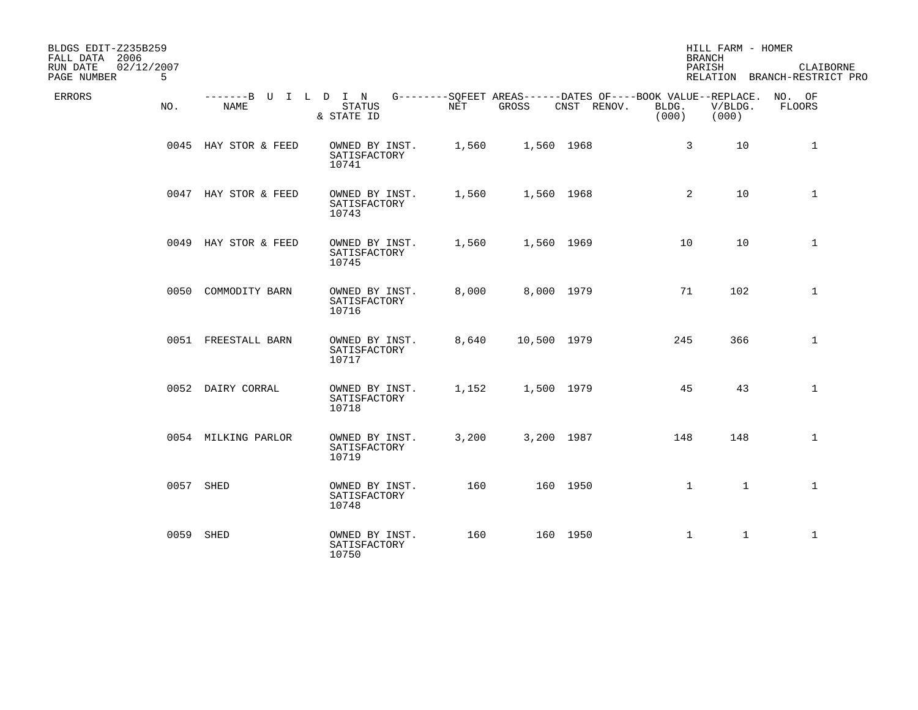| BLDGS EDIT-Z235B259<br>FALL DATA 2006<br>RUN DATE<br>02/12/2007<br>PAGE NUMBER | 5 <sup>5</sup> |                                     |                                         |       |             |                                                                            |                | HILL FARM - HOMER<br><b>BRANCH</b><br>PARISH | CLAIBORNE<br>RELATION BRANCH-RESTRICT PRO |
|--------------------------------------------------------------------------------|----------------|-------------------------------------|-----------------------------------------|-------|-------------|----------------------------------------------------------------------------|----------------|----------------------------------------------|-------------------------------------------|
| ERRORS                                                                         | NO.            | -------B U I L D I N<br><b>NAME</b> | <b>STATUS</b><br>& STATE ID             | NET   | GROSS       | G--------SQFEET AREAS------DATES OF----BOOK VALUE--REPLACE.<br>CNST RENOV. | BLDG.<br>(000) | V/BLDG.<br>(000)                             | NO. OF<br><b>FLOORS</b>                   |
|                                                                                |                | 0045 HAY STOR & FEED                | OWNED BY INST.<br>SATISFACTORY<br>10741 | 1,560 | 1,560 1968  |                                                                            | 3              | 10                                           | $\mathbf{1}$                              |
|                                                                                |                | 0047 HAY STOR & FEED                | OWNED BY INST.<br>SATISFACTORY<br>10743 | 1,560 | 1,560 1968  |                                                                            | 2              | 10                                           | $\mathbf{1}$                              |
|                                                                                |                | 0049 HAY STOR & FEED                | OWNED BY INST.<br>SATISFACTORY<br>10745 | 1,560 | 1,560 1969  |                                                                            | 10             | 10                                           | $\mathbf{1}$                              |
|                                                                                |                | 0050 COMMODITY BARN                 | OWNED BY INST.<br>SATISFACTORY<br>10716 | 8,000 | 8,000 1979  |                                                                            | 71             | 102                                          | $\mathbf 1$                               |
|                                                                                |                | 0051 FREESTALL BARN                 | OWNED BY INST.<br>SATISFACTORY<br>10717 | 8,640 | 10,500 1979 |                                                                            | 245            | 366                                          | $\mathbf{1}$                              |
|                                                                                |                | 0052 DAIRY CORRAL                   | OWNED BY INST.<br>SATISFACTORY<br>10718 | 1,152 | 1,500 1979  |                                                                            | 45             | 43                                           | $\mathbf{1}$                              |
|                                                                                |                | 0054 MILKING PARLOR                 | OWNED BY INST.<br>SATISFACTORY<br>10719 | 3,200 | 3,200 1987  |                                                                            | 148            | 148                                          | $\mathbf{1}$                              |
|                                                                                |                | 0057 SHED                           | OWNED BY INST.<br>SATISFACTORY<br>10748 | 160   |             | 160 1950                                                                   | $\mathbf{1}$   | $\mathbf{1}$                                 | $\mathbf{1}$                              |
|                                                                                |                | 0059 SHED                           | OWNED BY INST.<br>SATISFACTORY<br>10750 | 160   |             | 160 1950                                                                   | $\mathbf 1$    | $\mathbf{1}$                                 | $\mathbf{1}$                              |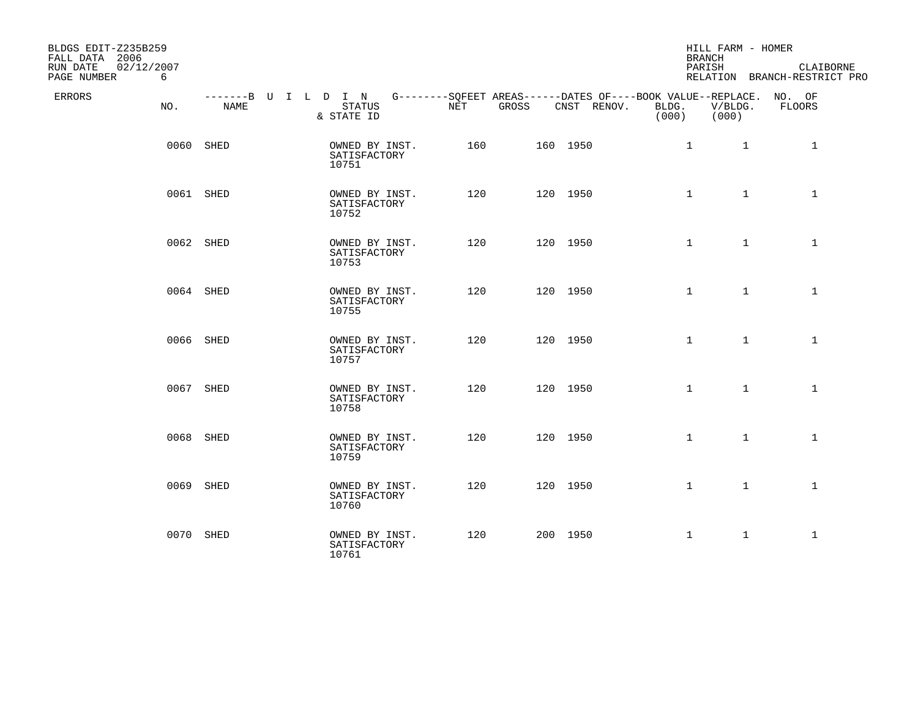| BLDGS EDIT-Z235B259<br>FALL DATA 2006<br>02/12/2007<br>RUN DATE<br>PAGE NUMBER<br>6 |           |                                         |              |                                                                                                        | <b>BRANCH</b><br>PARISH | HILL FARM - HOMER | CLAIBORNE<br>RELATION BRANCH-RESTRICT PRO |
|-------------------------------------------------------------------------------------|-----------|-----------------------------------------|--------------|--------------------------------------------------------------------------------------------------------|-------------------------|-------------------|-------------------------------------------|
| ERRORS<br>NO.                                                                       | NAME      | STATUS<br>& STATE ID                    | NET<br>GROSS | -------B U I L D I N G--------SQFEET AREAS------DATES OF----BOOK VALUE--REPLACE. NO. OF<br>CNST RENOV. | BLDG.<br>(000)          | V/BLDG.<br>(000)  | FLOORS                                    |
|                                                                                     | 0060 SHED | OWNED BY INST.<br>SATISFACTORY<br>10751 | 160          | 160 1950                                                                                               | $\mathbf{1}$            | $\mathbf{1}$      | $\mathbf{1}$                              |
|                                                                                     | 0061 SHED | OWNED BY INST.<br>SATISFACTORY<br>10752 | 120          | 120 1950                                                                                               | $\mathbf{1}$            | $\mathbf{1}$      | $\mathbf{1}$                              |
|                                                                                     | 0062 SHED | OWNED BY INST.<br>SATISFACTORY<br>10753 | 120          | 120 1950                                                                                               | $\mathbf{1}$            | $\mathbf{1}$      | $\mathbf{1}$                              |
|                                                                                     | 0064 SHED | OWNED BY INST.<br>SATISFACTORY<br>10755 | 120          | 120 1950                                                                                               | $\mathbf{1}$            | $\mathbf{1}$      | $\mathbf{1}$                              |
|                                                                                     | 0066 SHED | OWNED BY INST.<br>SATISFACTORY<br>10757 | 120          | 120 1950                                                                                               | $\mathbf{1}$            | $\mathbf{1}$      | $\mathbf{1}$                              |
|                                                                                     | 0067 SHED | OWNED BY INST.<br>SATISFACTORY<br>10758 | 120          | 120 1950                                                                                               | $\mathbf{1}$            | $\mathbf{1}$      | $\mathbf{1}$                              |
|                                                                                     | 0068 SHED | OWNED BY INST.<br>SATISFACTORY<br>10759 | 120          | 120 1950                                                                                               | $\mathbf{1}$            | $\mathbf{1}$      | $\mathbf{1}$                              |
|                                                                                     | 0069 SHED | OWNED BY INST.<br>SATISFACTORY<br>10760 | 120          | 120 1950                                                                                               | $\mathbf{1}$            | $\mathbf{1}$      | $\mathbf{1}$                              |
|                                                                                     | 0070 SHED | OWNED BY INST.<br>SATISFACTORY<br>10761 | 120          | 200 1950                                                                                               | $\mathbf{1}$            | $\mathbf{1}$      | $\mathbf{1}$                              |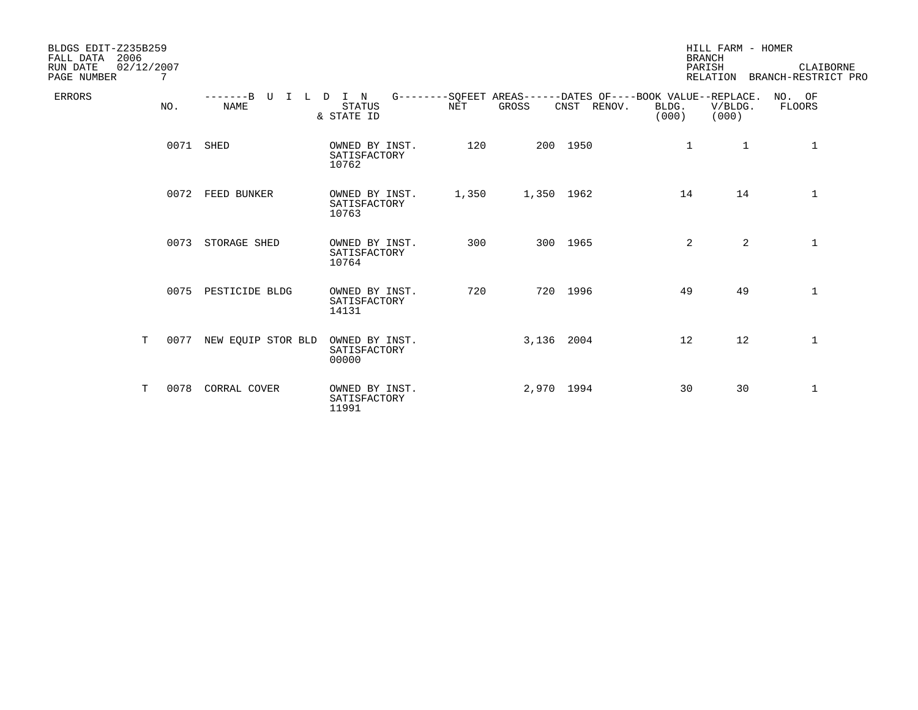| BLDGS EDIT-Z235B259<br>2006<br>FALL DATA<br>RUN DATE<br>02/12/2007<br>PAGE NUMBER | 7    |                                  |                                         |            |            |                                                                            | <b>BRANCH</b><br>PARISH | HILL FARM - HOMER<br>RELATION | CLAIBORNE<br>BRANCH-RESTRICT PRO |
|-----------------------------------------------------------------------------------|------|----------------------------------|-----------------------------------------|------------|------------|----------------------------------------------------------------------------|-------------------------|-------------------------------|----------------------------------|
| <b>ERRORS</b>                                                                     | NO.  | $---B$ U<br>$I-L$<br><b>NAME</b> | I N<br>D<br><b>STATUS</b><br>& STATE ID | <b>NET</b> | GROSS      | G--------SOFEET AREAS------DATES OF----BOOK VALUE--REPLACE.<br>CNST RENOV. | BLDG.<br>(000)          | V/BLDG.<br>(000)              | NO. OF<br>FLOORS                 |
|                                                                                   |      | 0071 SHED                        | OWNED BY INST.<br>SATISFACTORY<br>10762 | 120        |            | 200 1950                                                                   | 1                       | $\mathbf{1}$                  | 1                                |
|                                                                                   | 0072 | FEED BUNKER                      | OWNED BY INST.<br>SATISFACTORY<br>10763 | 1,350      | 1,350 1962 |                                                                            | 14                      | 14                            | $\mathbf 1$                      |
|                                                                                   | 0073 | STORAGE SHED                     | OWNED BY INST.<br>SATISFACTORY<br>10764 | 300        |            | 300 1965                                                                   | $\overline{2}$          | $\overline{a}$                | $\mathbf{1}$                     |
|                                                                                   |      | 0075 PESTICIDE BLDG              | OWNED BY INST.<br>SATISFACTORY<br>14131 | 720        |            | 720 1996                                                                   | 49                      | 49                            | $\mathbf{1}$                     |
| T                                                                                 | 0077 | NEW EQUIP STOR BLD               | OWNED BY INST.<br>SATISFACTORY<br>00000 |            | 3,136 2004 |                                                                            | 12                      | 12                            | $\mathbf{1}$                     |
| T.                                                                                | 0078 | CORRAL COVER                     | OWNED BY INST.<br>SATISFACTORY<br>11991 |            | 2,970 1994 |                                                                            | 30                      | 30                            | $\mathbf{1}$                     |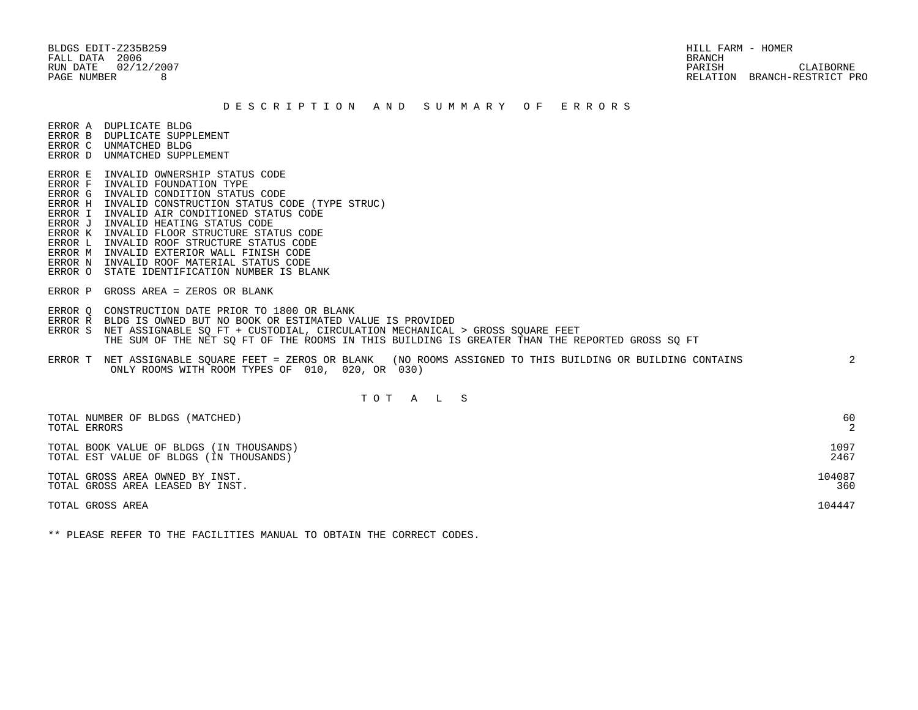BLDGS EDIT-Z235B259 HILL FARM - HOMER FALL DATA 2006 BRANCH

 RUN DATE 02/12/2007 PARISH CLAIBORNE PAGE NUMBER 8 RELATION BRANCH-RESTRICT PRO

#### D E S C R I P T I O N A N D S U M M A R Y O F E R R O R S

ERROR A DUPLICATE BLDG

- ERROR B DUPLICATE SUPPLEMENT
- ERROR C UNMATCHED BLDG ERROR D UNMATCHED SUPPLEMENT
- 
- ERROR E INVALID OWNERSHIP STATUS CODE
- ERROR F INVALID FOUNDATION TYPE ERROR G INVALID CONDITION STATUS CODE
- ERROR H INVALID CONSTRUCTION STATUS CODE (TYPE STRUC)
- ERROR I INVALID AIR CONDITIONED STATUS CODE
- ERROR J INVALID HEATING STATUS CODE
- ERROR K INVALID FLOOR STRUCTURE STATUS CODE
- ERROR L INVALID ROOF STRUCTURE STATUS CODE
- ERROR M INVALID EXTERIOR WALL FINISH CODE
- ERROR N INVALID ROOF MATERIAL STATUS CODE
- ERROR O STATE IDENTIFICATION NUMBER IS BLANK
- ERROR P GROSS AREA = ZEROS OR BLANK
- ERROR Q CONSTRUCTION DATE PRIOR TO 1800 OR BLANK
- ERROR R BLDG IS OWNED BUT NO BOOK OR ESTIMATED VALUE IS PROVIDED
- ERROR S NET ASSIGNABLE SO FT + CUSTODIAL, CIRCULATION MECHANICAL > GROSS SOUARE FEET THE SUM OF THE NET SQ FT OF THE ROOMS IN THIS BUILDING IS GREATER THAN THE REPORTED GROSS SQ FT
- ERROR T NET ASSIGNABLE SQUARE FEET = ZEROS OR BLANK (NO ROOMS ASSIGNED TO THIS BUILDING OR BUILDING CONTAINS 2 ONLY ROOMS WITH ROOM TYPES OF 010, 020, OR 030)

# T O T A L S

| TOTAL NUMBER OF BLDGS (MATCHED)          | 60     |
|------------------------------------------|--------|
| TOTAL ERRORS                             | 2      |
| TOTAL BOOK VALUE OF BLDGS (IN THOUSANDS) | 1097   |
| TOTAL EST VALUE OF BLDGS (IN THOUSANDS)  | 2467   |
| TOTAL GROSS AREA OWNED BY INST.          | 104087 |
| TOTAL GROSS AREA LEASED BY INST.         | 360    |
| TOTAL GROSS AREA                         | 104447 |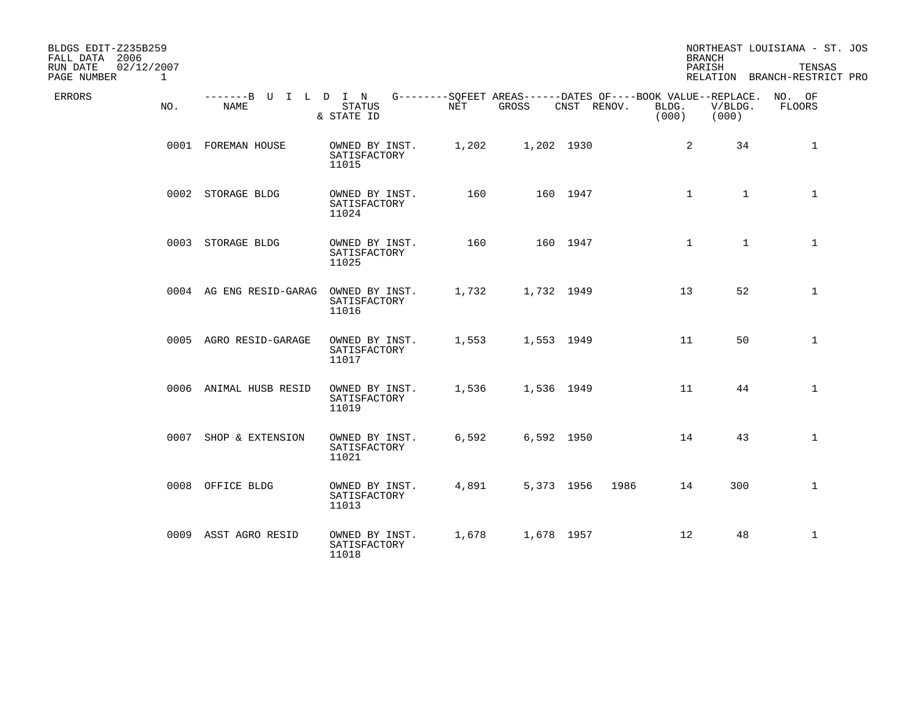| BLDGS EDIT-Z235B259<br>FALL DATA 2006<br>02/12/2007<br>RUN DATE<br>PAGE NUMBER<br>$\mathbf{1}$ |                                                                                                 |                                         |       |            |                    |                | <b>BRANCH</b><br>PARISH      | NORTHEAST LOUISIANA - ST. JOS<br>TENSAS<br>RELATION BRANCH-RESTRICT PRO |
|------------------------------------------------------------------------------------------------|-------------------------------------------------------------------------------------------------|-----------------------------------------|-------|------------|--------------------|----------------|------------------------------|-------------------------------------------------------------------------|
| ERRORS<br>NO.                                                                                  | -------B U I L D I N G--------SQFEET AREAS------DATES OF----BOOK VALUE--REPLACE. NO. OF<br>NAME | STATUS<br>& STATE ID                    | NET   | GROSS      | CNST RENOV.        | BLDG.<br>(000) | V/BLDG.<br>(000)             | FLOORS                                                                  |
|                                                                                                | 0001 FOREMAN HOUSE                                                                              | OWNED BY INST.<br>SATISFACTORY<br>11015 | 1,202 | 1,202 1930 |                    |                | 2<br>34                      | $\mathbf{1}$                                                            |
|                                                                                                | 0002 STORAGE BLDG                                                                               | OWNED BY INST.<br>SATISFACTORY<br>11024 | 160   |            | 160 1947           |                | $\mathbf{1}$<br>$\mathbf{1}$ | $\mathbf{1}$                                                            |
|                                                                                                | 0003 STORAGE BLDG                                                                               | OWNED BY INST.<br>SATISFACTORY<br>11025 | 160   |            | 160 1947           |                | $\mathbf{1}$<br>$\mathbf{1}$ | $\mathbf{1}$                                                            |
|                                                                                                | 0004 AG ENG RESID-GARAG                                                                         | OWNED BY INST.<br>SATISFACTORY<br>11016 | 1,732 | 1,732 1949 |                    |                | 52<br>13                     | $\mathbf{1}$                                                            |
|                                                                                                | 0005 AGRO RESID-GARAGE                                                                          | OWNED BY INST.<br>SATISFACTORY<br>11017 | 1,553 | 1,553 1949 |                    |                | 50<br>11                     | $\mathbf{1}$                                                            |
|                                                                                                | 0006 ANIMAL HUSB RESID                                                                          | OWNED BY INST.<br>SATISFACTORY<br>11019 | 1,536 | 1,536 1949 |                    |                | 11<br>44                     | $\mathbf 1$                                                             |
|                                                                                                | 0007 SHOP & EXTENSION                                                                           | OWNED BY INST.<br>SATISFACTORY<br>11021 | 6,592 | 6,592 1950 |                    |                | 14<br>43                     | $\mathbf{1}$                                                            |
|                                                                                                | 0008 OFFICE BLDG                                                                                | OWNED BY INST.<br>SATISFACTORY<br>11013 | 4,891 |            | 5,373 1956<br>1986 |                | 300<br>14                    | $\mathbf{1}$                                                            |
|                                                                                                | 0009 ASST AGRO RESID                                                                            | OWNED BY INST.<br>SATISFACTORY<br>11018 | 1,678 | 1,678 1957 |                    |                | 12<br>48                     | $\mathbf{1}$                                                            |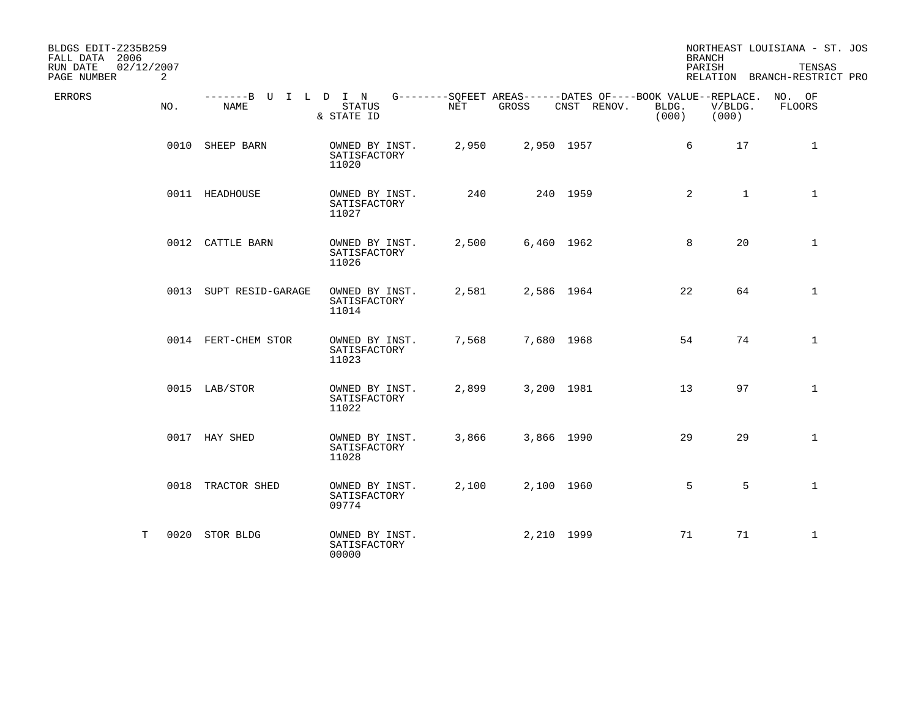| BLDGS EDIT-Z235B259<br>FALL DATA 2006<br>02/12/2007<br>RUN DATE<br>PAGE NUMBER<br>2 |                        |                                                                                                                 |       |            |             |                | <b>BRANCH</b><br>PARISH | NORTHEAST LOUISIANA - ST. JOS<br>TENSAS<br>RELATION BRANCH-RESTRICT PRO |
|-------------------------------------------------------------------------------------|------------------------|-----------------------------------------------------------------------------------------------------------------|-------|------------|-------------|----------------|-------------------------|-------------------------------------------------------------------------|
| ERRORS<br>NO.                                                                       | NAME                   | -------B U I L D I N G--------SQFEET AREAS------DATES OF----BOOK VALUE--REPLACE. NO. OF<br>STATUS<br>& STATE ID | NET   | GROSS      | CNST RENOV. | BLDG.<br>(000) | V/BLDG.<br>(000)        | FLOORS                                                                  |
|                                                                                     | 0010 SHEEP BARN        | OWNED BY INST.<br>SATISFACTORY<br>11020                                                                         | 2,950 | 2,950 1957 |             |                | 6<br>17                 | $\mathbf{1}$                                                            |
|                                                                                     | 0011 HEADHOUSE         | OWNED BY INST.<br>SATISFACTORY<br>11027                                                                         | 240   |            | 240 1959    |                | 2<br>$\mathbf{1}$       | $\mathbf{1}$                                                            |
|                                                                                     | 0012 CATTLE BARN       | OWNED BY INST.<br>SATISFACTORY<br>11026                                                                         | 2,500 | 6,460 1962 |             |                | 8<br>20                 | $\mathbf{1}$                                                            |
|                                                                                     | 0013 SUPT RESID-GARAGE | OWNED BY INST.<br>SATISFACTORY<br>11014                                                                         | 2,581 | 2,586 1964 |             | 22             | 64                      | $\mathbf{1}$                                                            |
|                                                                                     | 0014 FERT-CHEM STOR    | OWNED BY INST.<br>SATISFACTORY<br>11023                                                                         | 7,568 | 7,680 1968 |             | 54             | 74                      | $\mathbf{1}$                                                            |
|                                                                                     | 0015 LAB/STOR          | OWNED BY INST.<br>SATISFACTORY<br>11022                                                                         | 2,899 | 3,200 1981 |             | 13             | 97                      | $\mathbf{1}$                                                            |
|                                                                                     | 0017 HAY SHED          | OWNED BY INST.<br>SATISFACTORY<br>11028                                                                         | 3,866 | 3,866 1990 |             | 29             | 29                      | $\mathbf{1}$                                                            |
|                                                                                     | 0018 TRACTOR SHED      | OWNED BY INST.<br>SATISFACTORY<br>09774                                                                         | 2,100 | 2,100 1960 |             |                | 5<br>5                  | $\mathbf{1}$                                                            |
| Т                                                                                   | 0020 STOR BLDG         | OWNED BY INST.<br>SATISFACTORY<br>00000                                                                         |       | 2,210 1999 |             | 71             | 71                      | $\mathbf{1}$                                                            |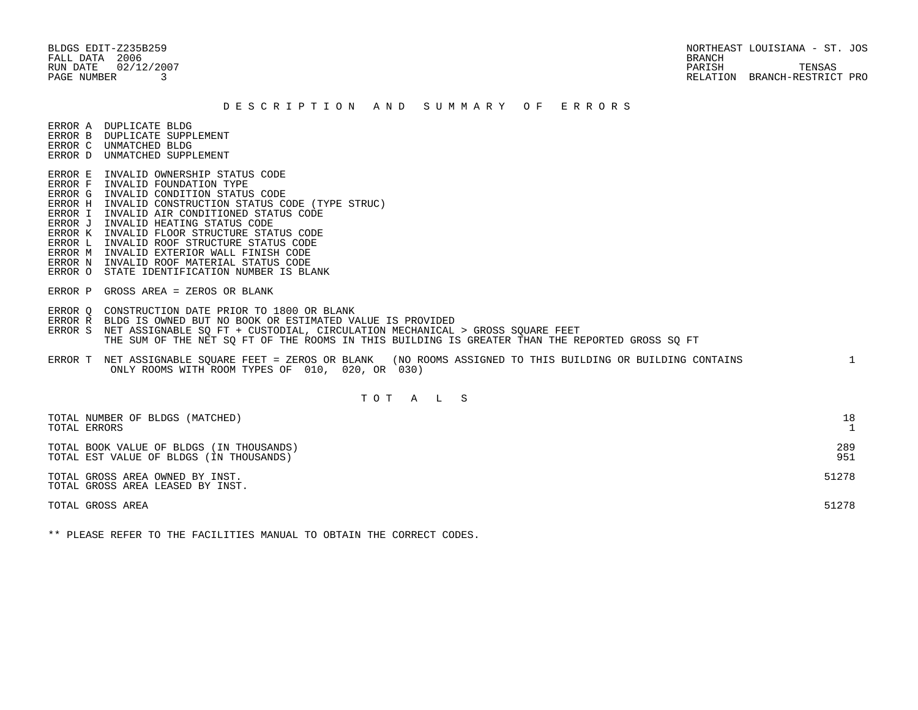BLDGS EDIT-Z235B259 NORTHEAST LOUISIANA - ST. JOS RUN DATE  $02/12/2007$  TENSAS PAGE NUMBER 3 RELATION BRANCH-RESTRICT PRO

#### D E S C R I P T I O N A N D S U M M A R Y O F E R R O R S

ERROR A DUPLICATE BLDG

- ERROR B DUPLICATE SUPPLEMENT
- ERROR C UNMATCHED BLDG ERROR D UNMATCHED SUPPLEMENT
- 
- ERROR E INVALID OWNERSHIP STATUS CODE ERROR F INVALID FOUNDATION TYPE
- ERROR G INVALID CONDITION STATUS CODE
- ERROR H INVALID CONSTRUCTION STATUS CODE (TYPE STRUC)
- ERROR I INVALID AIR CONDITIONED STATUS CODE
- ERROR J INVALID HEATING STATUS CODE
- ERROR K INVALID FLOOR STRUCTURE STATUS CODE
- ERROR L INVALID ROOF STRUCTURE STATUS CODE
- ERROR M INVALID EXTERIOR WALL FINISH CODE
- ERROR N INVALID ROOF MATERIAL STATUS CODE
- ERROR O STATE IDENTIFICATION NUMBER IS BLANK
- ERROR P GROSS AREA = ZEROS OR BLANK
- ERROR Q CONSTRUCTION DATE PRIOR TO 1800 OR BLANK
- ERROR R BLDG IS OWNED BUT NO BOOK OR ESTIMATED VALUE IS PROVIDED
- ERROR S NET ASSIGNABLE SO FT + CUSTODIAL, CIRCULATION MECHANICAL > GROSS SOUARE FEET THE SUM OF THE NET SQ FT OF THE ROOMS IN THIS BUILDING IS GREATER THAN THE REPORTED GROSS SQ FT
- ERROR T NET ASSIGNABLE SQUARE FEET = ZEROS OR BLANK (NO ROOMS ASSIGNED TO THIS BUILDING OR BUILDING CONTAINS 1 ONLY ROOMS WITH ROOM TYPES OF 010, 020, OR 030)

# T O T A L S

| TOTAL NUMBER OF BLDGS (MATCHED)<br>TOTAL ERRORS                                     | 18         |
|-------------------------------------------------------------------------------------|------------|
| TOTAL BOOK VALUE OF BLDGS (IN THOUSANDS)<br>TOTAL EST VALUE OF BLDGS (IN THOUSANDS) | 289<br>951 |
| TOTAL GROSS AREA OWNED BY INST.<br>TOTAL GROSS AREA LEASED BY INST.                 | 51278      |
| TOTAL GROSS AREA                                                                    | 51278      |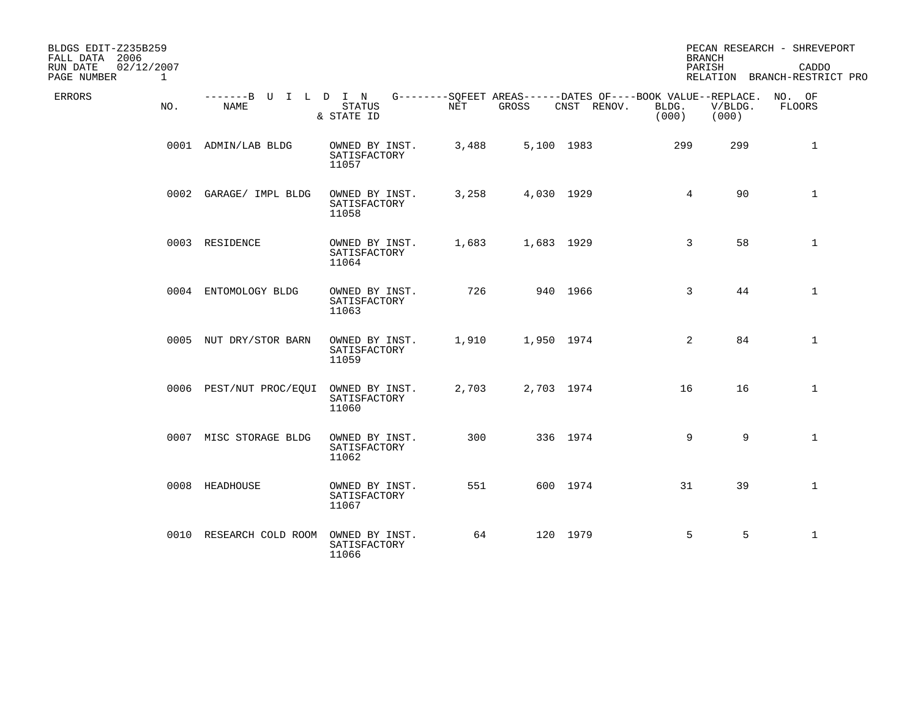| BLDGS EDIT-Z235B259<br>FALL DATA 2006<br>RUN DATE<br>02/12/2007<br>PAGE NUMBER<br>$\mathbf{1}$ |                              |                                         |       |            |                                                                                   | <b>BRANCH</b><br>PARISH |                  | PECAN RESEARCH - SHREVEPORT<br>CADDO<br>RELATION BRANCH-RESTRICT PRO |
|------------------------------------------------------------------------------------------------|------------------------------|-----------------------------------------|-------|------------|-----------------------------------------------------------------------------------|-------------------------|------------------|----------------------------------------------------------------------|
| <b>ERRORS</b><br>NO.                                                                           | -------B U I L D I N<br>NAME | <b>STATUS</b><br>& STATE ID             | NET   | GROSS      | G--------SOFEET AREAS------DATES OF----BOOK VALUE--REPLACE. NO. OF<br>CNST RENOV. | BLDG.<br>(000)          | V/BLDG.<br>(000) | FLOORS                                                               |
|                                                                                                | 0001 ADMIN/LAB BLDG          | OWNED BY INST.<br>SATISFACTORY<br>11057 | 3,488 |            | 5,100 1983                                                                        | 299                     | 299              | $\mathbf{1}$                                                         |
|                                                                                                | 0002 GARAGE/ IMPL BLDG       | OWNED BY INST.<br>SATISFACTORY<br>11058 | 3,258 | 4,030 1929 |                                                                                   | 4                       | 90               | $\mathbf 1$                                                          |
|                                                                                                | 0003 RESIDENCE               | OWNED BY INST.<br>SATISFACTORY<br>11064 | 1,683 | 1,683 1929 |                                                                                   | $\mathbf{3}$            | 58               | $\mathbf{1}$                                                         |
|                                                                                                | 0004 ENTOMOLOGY BLDG         | OWNED BY INST.<br>SATISFACTORY<br>11063 | 726   |            | 940 1966                                                                          | 3                       | 44               | $\mathbf{1}$                                                         |
|                                                                                                | 0005 NUT DRY/STOR BARN       | OWNED BY INST.<br>SATISFACTORY<br>11059 | 1,910 | 1,950 1974 |                                                                                   | 2                       | 84               | $\mathbf{1}$                                                         |
|                                                                                                | 0006 PEST/NUT PROC/EQUI      | OWNED BY INST.<br>SATISFACTORY<br>11060 | 2,703 | 2,703 1974 |                                                                                   | 16                      | 16               | $\mathbf{1}$                                                         |
|                                                                                                | 0007 MISC STORAGE BLDG       | OWNED BY INST.<br>SATISFACTORY<br>11062 | 300   |            | 336 1974                                                                          | 9                       | 9                | $\mathbf{1}$                                                         |
|                                                                                                | 0008 HEADHOUSE               | OWNED BY INST.<br>SATISFACTORY<br>11067 | 551   |            | 600 1974                                                                          | 31                      | 39               | $\mathbf{1}$                                                         |
|                                                                                                | 0010 RESEARCH COLD ROOM      | OWNED BY INST.<br>SATISFACTORY<br>11066 | 64    |            | 120 1979                                                                          | 5                       | 5                | $\mathbf{1}$                                                         |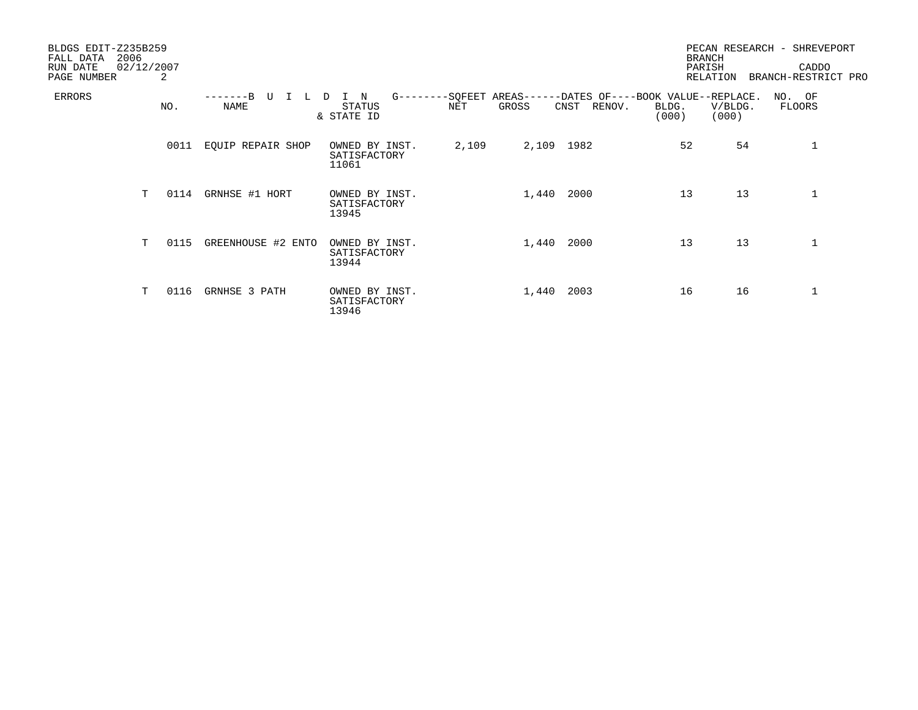| BLDGS EDIT-Z235B259<br>2006<br>FALL DATA<br>02/12/2007<br>RUN DATE<br>PAGE NUMBER | 2    |                    |                                          |       |                                    |                                               | <b>BRANCH</b><br>PARISH | RELATION         | PECAN RESEARCH - SHREVEPORT<br>CADDO<br>BRANCH-RESTRICT PRO |
|-----------------------------------------------------------------------------------|------|--------------------|------------------------------------------|-------|------------------------------------|-----------------------------------------------|-------------------------|------------------|-------------------------------------------------------------|
| <b>ERRORS</b>                                                                     | NO.  | NAME               | $G$ -------<br>N<br>STATUS<br>& STATE ID | NET   | -SQFEET AREAS----<br>GROSS<br>CNST | ---DATES OF----BOOK VALUE--REPLACE.<br>RENOV. | BLDG.<br>(000)          | V/BLDG.<br>(000) | NO. OF<br>FLOORS                                            |
|                                                                                   | 0011 | EQUIP REPAIR SHOP  | OWNED BY INST.<br>SATISFACTORY<br>11061  | 2,109 | 2,109 1982                         |                                               | 52                      | 54               |                                                             |
| T                                                                                 | 0114 | GRNHSE #1 HORT     | OWNED BY INST.<br>SATISFACTORY<br>13945  |       | 1,440                              | 2000                                          | 13                      | 13               | 1                                                           |
| T                                                                                 | 0115 | GREENHOUSE #2 ENTO | OWNED BY INST.<br>SATISFACTORY<br>13944  |       | 1,440                              | 2000                                          | 13                      | 13               |                                                             |
| т                                                                                 | 0116 | GRNHSE 3 PATH      | OWNED BY INST.<br>SATISFACTORY<br>13946  |       | 1,440                              | 2003                                          | 16                      | 16               | 1                                                           |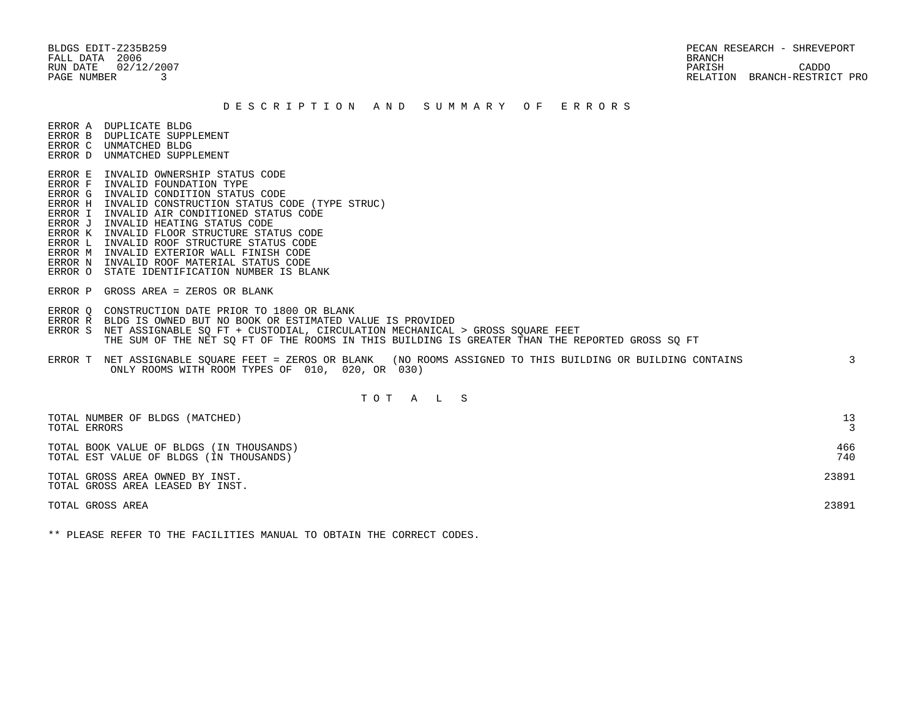BLDGS EDIT-Z235B259 PECAN RESEARCH - SHREVEPORT RUN DATE 02/12/2007 PARISH CADDO PAGE NUMBER 3 RELATION BRANCH-RESTRICT PRO

#### D E S C R I P T I O N A N D S U M M A R Y O F E R R O R S

ERROR A DUPLICATE BLDG

- ERROR B DUPLICATE SUPPLEMENT
- ERROR C UNMATCHED BLDG ERROR D UNMATCHED SUPPLEMENT
- 
- ERROR E INVALID OWNERSHIP STATUS CODE
- ERROR F INVALID FOUNDATION TYPE
- ERROR G INVALID CONDITION STATUS CODE
- ERROR H INVALID CONSTRUCTION STATUS CODE (TYPE STRUC)
- ERROR I INVALID AIR CONDITIONED STATUS CODE
- ERROR J INVALID HEATING STATUS CODE
- ERROR K INVALID FLOOR STRUCTURE STATUS CODE
- ERROR L INVALID ROOF STRUCTURE STATUS CODE
- ERROR M INVALID EXTERIOR WALL FINISH CODE ERROR N INVALID ROOF MATERIAL STATUS CODE
- ERROR O STATE IDENTIFICATION NUMBER IS BLANK
- ERROR P GROSS AREA = ZEROS OR BLANK
- ERROR Q CONSTRUCTION DATE PRIOR TO 1800 OR BLANK
- ERROR R BLDG IS OWNED BUT NO BOOK OR ESTIMATED VALUE IS PROVIDED
- ERROR S NET ASSIGNABLE SO FT + CUSTODIAL, CIRCULATION MECHANICAL > GROSS SOUARE FEET THE SUM OF THE NET SQ FT OF THE ROOMS IN THIS BUILDING IS GREATER THAN THE REPORTED GROSS SQ FT
- ERROR T NET ASSIGNABLE SQUARE FEET = ZEROS OR BLANK (NO ROOMS ASSIGNED TO THIS BUILDING OR BUILDING CONTAINS 3 ONLY ROOMS WITH ROOM TYPES OF 010, 020, OR 030)

# T O T A L S

| TOTAL NUMBER OF BLDGS (MATCHED)<br>TOTAL ERRORS                                     | 13         |
|-------------------------------------------------------------------------------------|------------|
| TOTAL BOOK VALUE OF BLDGS (IN THOUSANDS)<br>TOTAL EST VALUE OF BLDGS (IN THOUSANDS) | 466<br>740 |
| TOTAL GROSS AREA OWNED BY INST.<br>TOTAL GROSS AREA LEASED BY INST.                 | 23891      |
| TOTAL GROSS AREA                                                                    | 23891      |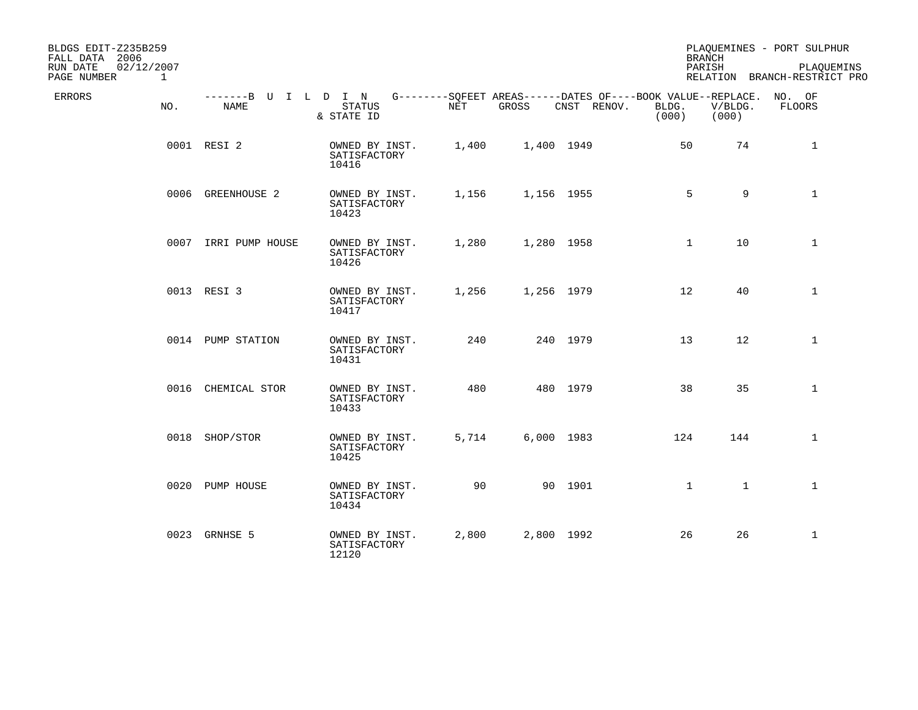| BLDGS EDIT-Z235B259<br>FALL DATA 2006<br>RUN DATE<br>02/12/2007<br>PAGE NUMBER | $\mathbf{1}$ |                              |                                         |       |            |                                                                            |                | <b>BRANCH</b><br>PARISH | PLAQUEMINES - PORT SULPHUR<br>PLAQUEMINS<br>RELATION BRANCH-RESTRICT PRO |
|--------------------------------------------------------------------------------|--------------|------------------------------|-----------------------------------------|-------|------------|----------------------------------------------------------------------------|----------------|-------------------------|--------------------------------------------------------------------------|
| ERRORS                                                                         | NO.          | -------B U I L D I N<br>NAME | <b>STATUS</b><br>& STATE ID             | NET   | GROSS      | G--------SQFEET AREAS------DATES OF----BOOK VALUE--REPLACE.<br>CNST RENOV. | BLDG.<br>(000) | V/BLDG.<br>(000)        | NO. OF<br><b>FLOORS</b>                                                  |
|                                                                                |              | 0001 RESI 2                  | OWNED BY INST.<br>SATISFACTORY<br>10416 | 1,400 | 1,400 1949 |                                                                            | 50             | 74                      | $\mathbf{1}$                                                             |
|                                                                                |              | 0006 GREENHOUSE 2            | OWNED BY INST.<br>SATISFACTORY<br>10423 | 1,156 | 1,156 1955 |                                                                            | 5              | 9                       | $\mathbf{1}$                                                             |
|                                                                                |              | 0007 IRRI PUMP HOUSE         | OWNED BY INST.<br>SATISFACTORY<br>10426 | 1,280 | 1,280 1958 |                                                                            | $\mathbf{1}$   | 10                      | $\mathbf{1}$                                                             |
|                                                                                |              | 0013 RESI 3                  | OWNED BY INST.<br>SATISFACTORY<br>10417 | 1,256 | 1,256 1979 |                                                                            | 12             | 40                      | $\mathbf{1}$                                                             |
|                                                                                |              | 0014 PUMP STATION            | OWNED BY INST.<br>SATISFACTORY<br>10431 | 240   |            | 240 1979                                                                   | 13             | 12                      | $\mathbf{1}$                                                             |
|                                                                                |              | 0016 CHEMICAL STOR           | OWNED BY INST.<br>SATISFACTORY<br>10433 | 480   |            | 480 1979                                                                   | 38             | 35                      | $\mathbf{1}$                                                             |
|                                                                                |              | 0018 SHOP/STOR               | OWNED BY INST.<br>SATISFACTORY<br>10425 | 5,714 | 6,000 1983 |                                                                            | 124            | 144                     | $\mathbf{1}$                                                             |
|                                                                                |              | 0020 PUMP HOUSE              | OWNED BY INST.<br>SATISFACTORY<br>10434 | 90    |            | 90 1901                                                                    | $\mathbf{1}$   | $\mathbf{1}$            | $\mathbf{1}$                                                             |
|                                                                                |              | 0023 GRNHSE 5                | OWNED BY INST.<br>SATISFACTORY<br>12120 | 2,800 | 2,800 1992 |                                                                            | 26             | 26                      | $\mathbf{1}$                                                             |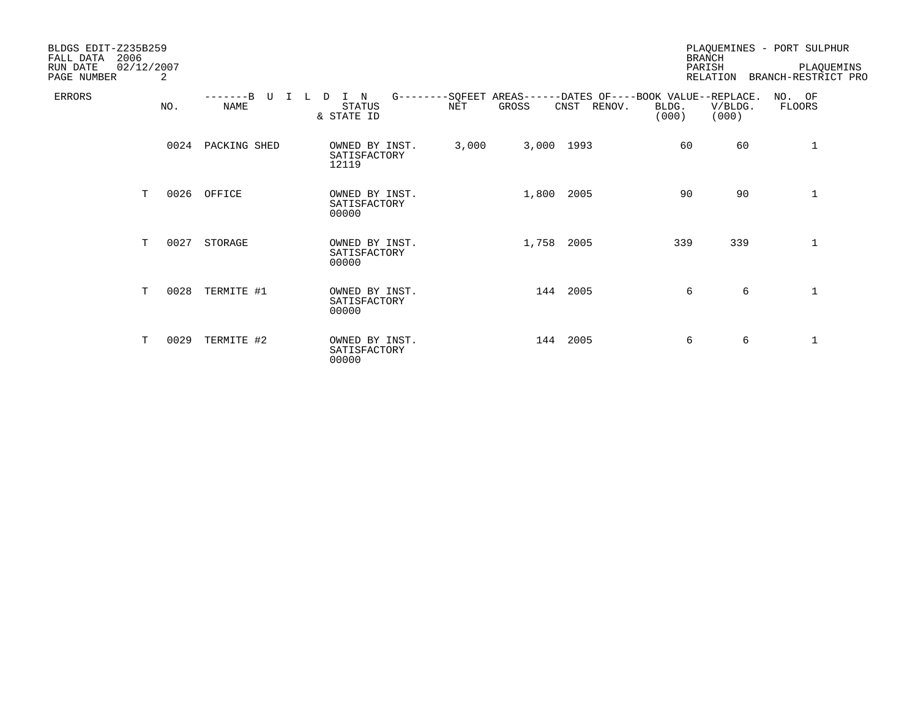| BLDGS EDIT-Z235B259<br>FALL DATA<br>RUN DATE<br>PAGE NUMBER | 2006<br>02/12/2007 | 2    |                            |                                          |            |       |                                                                            |                | <b>BRANCH</b><br>PARISH<br>RELATION | PLAQUEMINES - PORT SULPHUR<br>PLAQUEMINS<br>BRANCH-RESTRICT PRO |
|-------------------------------------------------------------|--------------------|------|----------------------------|------------------------------------------|------------|-------|----------------------------------------------------------------------------|----------------|-------------------------------------|-----------------------------------------------------------------|
| <b>ERRORS</b>                                               |                    | NO.  | $---B$<br>T<br><b>NAME</b> | I N<br>D.<br><b>STATUS</b><br>& STATE ID | <b>NET</b> | GROSS | G--------SQFEET AREAS------DATES OF----BOOK VALUE--REPLACE.<br>CNST RENOV. | BLDG.<br>(000) | V/BLDG.<br>(000)                    | NO. OF<br>FLOORS                                                |
|                                                             |                    | 0024 | PACKING SHED               | OWNED BY INST.<br>SATISFACTORY<br>12119  | 3,000      |       | 3,000 1993                                                                 | 60             | 60                                  | 1                                                               |
|                                                             | T.                 |      | 0026 OFFICE                | OWNED BY INST.<br>SATISFACTORY<br>00000  |            |       | 1,800 2005                                                                 | 90             | 90                                  | 1                                                               |
|                                                             | T.                 | 0027 | STORAGE                    | OWNED BY INST.<br>SATISFACTORY<br>00000  |            | 1,758 | 2005                                                                       | 339            | 339                                 | $\mathbf 1$                                                     |
|                                                             | T                  | 0028 | TERMITE #1                 | OWNED BY INST.<br>SATISFACTORY<br>00000  |            |       | 144 2005                                                                   | 6              | 6                                   | $\mathbf{1}$                                                    |
|                                                             | т                  | 0029 | TERMITE #2                 | OWNED BY INST.<br>SATISFACTORY<br>00000  |            |       | 144 2005                                                                   | 6              | 6                                   | 1                                                               |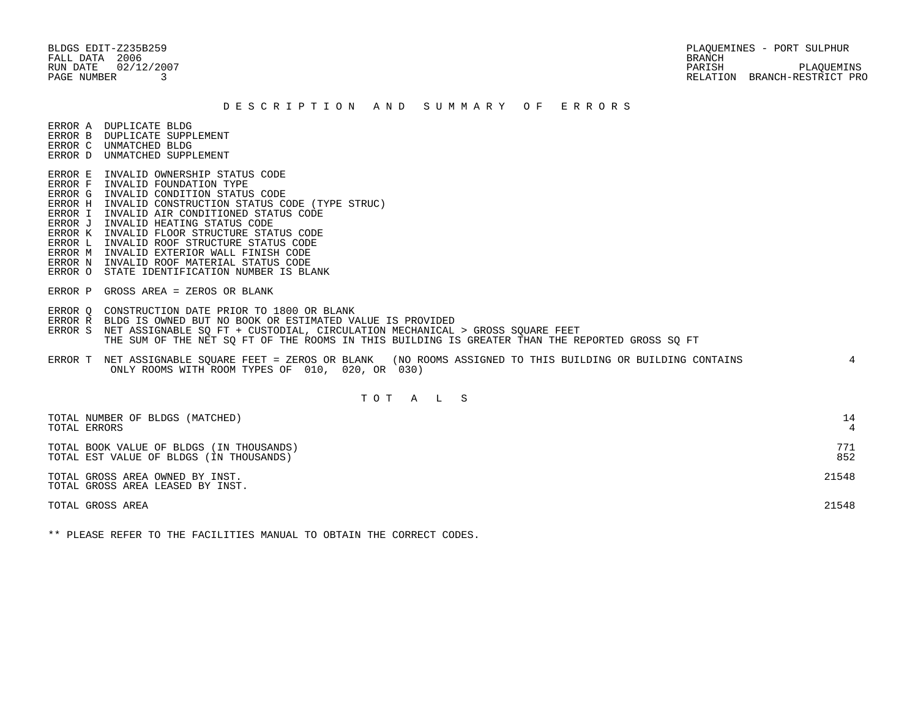FALL DATA 2006

 BLDGS EDIT-Z235B259 PLAQUEMINES - PORT SULPHUR RUN DATE 02/12/2007 PARISH PLAQUEMINS PAGE NUMBER 3 RELATION BRANCH-RESTRICT PRO

#### D E S C R I P T I O N A N D S U M M A R Y O F E R R O R S

ERROR A DUPLICATE BLDG

- ERROR B DUPLICATE SUPPLEMENT
- ERROR C UNMATCHED BLDG ERROR D UNMATCHED SUPPLEMENT
- 
- ERROR E INVALID OWNERSHIP STATUS CODE
- ERROR F INVALID FOUNDATION TYPE
- ERROR G INVALID CONDITION STATUS CODE
- ERROR H INVALID CONSTRUCTION STATUS CODE (TYPE STRUC)
- ERROR I INVALID AIR CONDITIONED STATUS CODE
- ERROR J INVALID HEATING STATUS CODE
- ERROR K INVALID FLOOR STRUCTURE STATUS CODE
- ERROR L INVALID ROOF STRUCTURE STATUS CODE
- ERROR M INVALID EXTERIOR WALL FINISH CODE
- ERROR N INVALID ROOF MATERIAL STATUS CODE
- ERROR O STATE IDENTIFICATION NUMBER IS BLANK
- ERROR P GROSS AREA = ZEROS OR BLANK
- ERROR Q CONSTRUCTION DATE PRIOR TO 1800 OR BLANK
- ERROR R BLDG IS OWNED BUT NO BOOK OR ESTIMATED VALUE IS PROVIDED
- ERROR S NET ASSIGNABLE SQ FT + CUSTODIAL, CIRCULATION MECHANICAL > GROSS SQUARE FEET THE SUM OF THE NET SQ FT OF THE ROOMS IN THIS BUILDING IS GREATER THAN THE REPORTED GROSS SQ FT
- ERROR T NET ASSIGNABLE SQUARE FEET = ZEROS OR BLANK (NO ROOMS ASSIGNED TO THIS BUILDING OR BUILDING CONTAINS 4 ONLY ROOMS WITH ROOM TYPES OF 010, 020, OR 030)

# T O T A L S

| TOTAL NUMBER OF BLDGS (MATCHED)<br>TOTAL ERRORS                                     | 14         |
|-------------------------------------------------------------------------------------|------------|
| TOTAL BOOK VALUE OF BLDGS (IN THOUSANDS)<br>TOTAL EST VALUE OF BLDGS (IN THOUSANDS) | 771<br>852 |
| TOTAL GROSS AREA OWNED BY INST.<br>TOTAL GROSS AREA LEASED BY INST.                 | 21548      |
| TOTAL GROSS AREA                                                                    | 21548      |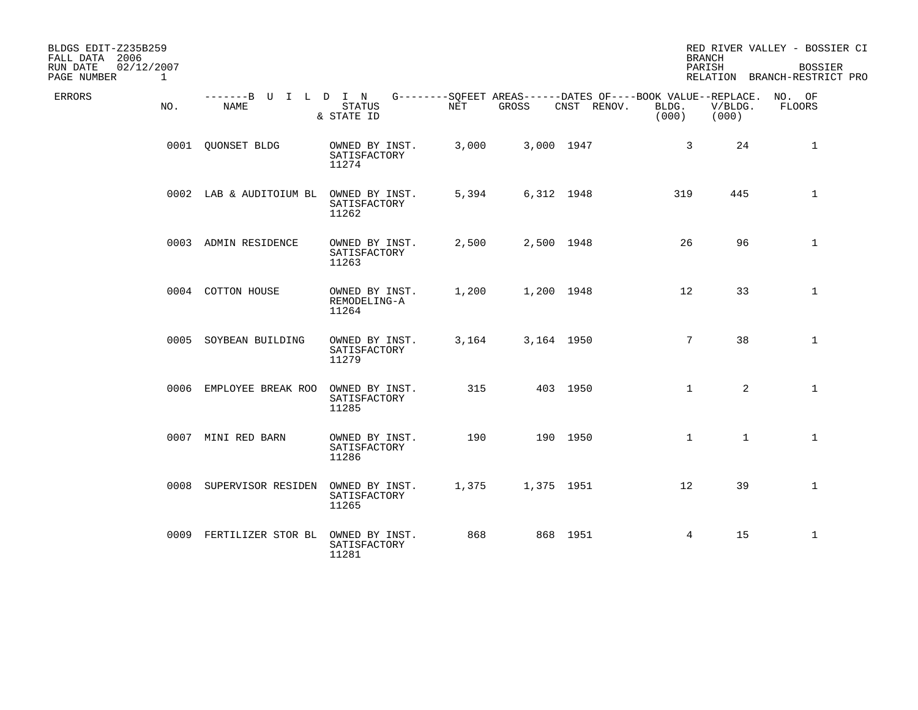| BLDGS EDIT-Z235B259<br>FALL DATA 2006<br>RUN DATE<br>02/12/2007 |              |                              |                                         |       |            |                                                                                   | <b>BRANCH</b><br>PARISH |                  | RED RIVER VALLEY - BOSSIER CI<br><b>BOSSIER</b> |
|-----------------------------------------------------------------|--------------|------------------------------|-----------------------------------------|-------|------------|-----------------------------------------------------------------------------------|-------------------------|------------------|-------------------------------------------------|
| PAGE NUMBER                                                     | $\mathbf{1}$ |                              |                                         |       |            |                                                                                   |                         |                  | RELATION BRANCH-RESTRICT PRO                    |
| ERRORS                                                          | NO.          | -------B U I L D I N<br>NAME | STATUS<br>& STATE ID                    | NET   | GROSS      | G--------SQFEET AREAS------DATES OF----BOOK VALUE--REPLACE. NO. OF<br>CNST RENOV. | BLDG.<br>(000)          | V/BLDG.<br>(000) | FLOORS                                          |
|                                                                 |              | 0001 QUONSET BLDG            | OWNED BY INST.<br>SATISFACTORY<br>11274 | 3,000 | 3,000 1947 |                                                                                   | $\mathbf{3}$            | 24               | $\mathbf{1}$                                    |
|                                                                 |              | 0002 LAB & AUDITOIUM BL      | OWNED BY INST.<br>SATISFACTORY<br>11262 | 5,394 |            | 6,312 1948                                                                        | 319                     | 445              | $\mathbf{1}$                                    |
|                                                                 |              | 0003 ADMIN RESIDENCE         | OWNED BY INST.<br>SATISFACTORY<br>11263 | 2,500 | 2,500 1948 |                                                                                   | 26                      | 96               | $\mathbf{1}$                                    |
|                                                                 |              | 0004 COTTON HOUSE            | OWNED BY INST.<br>REMODELING-A<br>11264 | 1,200 | 1,200 1948 |                                                                                   | 12 <sup>°</sup>         | 33               | $\mathbf{1}$                                    |
|                                                                 |              | 0005 SOYBEAN BUILDING        | OWNED BY INST.<br>SATISFACTORY<br>11279 | 3,164 | 3,164 1950 |                                                                                   | $7\overline{ }$         | 38               | $\mathbf{1}$                                    |
|                                                                 |              | 0006 EMPLOYEE BREAK ROO      | OWNED BY INST.<br>SATISFACTORY<br>11285 | 315   |            | 403 1950                                                                          | $\mathbf{1}$            | $\overline{2}$   | $\mathbf{1}$                                    |
|                                                                 |              | 0007 MINI RED BARN           | OWNED BY INST.<br>SATISFACTORY<br>11286 | 190   |            | 190 1950                                                                          | $\mathbf{1}$            | $\mathbf{1}$     | $\mathbf{1}$                                    |
|                                                                 |              | 0008 SUPERVISOR RESIDEN      | OWNED BY INST.<br>SATISFACTORY<br>11265 | 1,375 | 1,375 1951 |                                                                                   | 12                      | 39               | $\mathbf{1}$                                    |
|                                                                 |              | 0009 FERTILIZER STOR BL      | OWNED BY INST.<br>SATISFACTORY<br>11281 | 868   |            | 868 1951                                                                          | 4                       | 15               | $\mathbf{1}$                                    |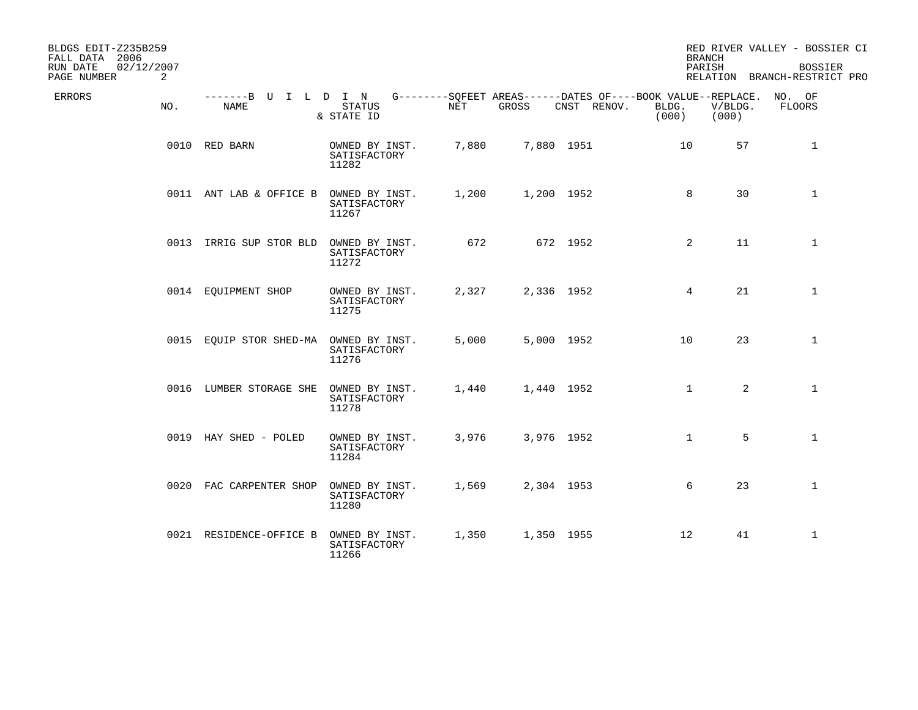| BLDGS EDIT-Z235B259<br>FALL DATA 2006      |                                     |                                         |            |       |             | <b>BRANCH</b>                                                                        |                  | RED RIVER VALLEY - BOSSIER CI                  |
|--------------------------------------------|-------------------------------------|-----------------------------------------|------------|-------|-------------|--------------------------------------------------------------------------------------|------------------|------------------------------------------------|
| 02/12/2007<br>RUN DATE<br>PAGE NUMBER<br>2 |                                     |                                         |            |       |             | PARISH                                                                               |                  | <b>BOSSIER</b><br>RELATION BRANCH-RESTRICT PRO |
| ERRORS<br>NO.                              | -------B U I L D I N<br><b>NAME</b> | <b>STATUS</b><br>& STATE ID             | <b>NET</b> | GROSS | CNST RENOV. | G--------SQFEET AREAS------DATES OF----BOOK VALUE--REPLACE. NO. OF<br>BLDG.<br>(000) | V/BLDG.<br>(000) | <b>FLOORS</b>                                  |
|                                            | 0010 RED BARN                       | OWNED BY INST.<br>SATISFACTORY<br>11282 | 7,880      |       | 7,880 1951  | 10                                                                                   | 57               | $\mathbf{1}$                                   |
|                                            | 0011 ANT LAB & OFFICE B             | OWNED BY INST.<br>SATISFACTORY<br>11267 | 1,200      |       | 1,200 1952  | 8                                                                                    | 30               | $\mathbf{1}$                                   |
|                                            | 0013 IRRIG SUP STOR BLD             | OWNED BY INST.<br>SATISFACTORY<br>11272 | 672        |       | 672 1952    | 2                                                                                    | 11               | $\mathbf{1}$                                   |
|                                            | 0014 EQUIPMENT SHOP                 | OWNED BY INST.<br>SATISFACTORY<br>11275 | 2,327      |       | 2,336 1952  | $4\overline{ }$                                                                      | 21               | $\mathbf{1}$                                   |
|                                            | 0015 EQUIP STOR SHED-MA             | OWNED BY INST.<br>SATISFACTORY<br>11276 | 5,000      |       | 5,000 1952  | 10                                                                                   | 23               | $\mathbf{1}$                                   |
|                                            | 0016 LUMBER STORAGE SHE             | OWNED BY INST.<br>SATISFACTORY<br>11278 | 1,440      |       | 1,440 1952  | $\mathbf{1}$                                                                         | $\overline{2}$   | $\mathbf{1}$                                   |
|                                            | 0019 HAY SHED - POLED               | OWNED BY INST.<br>SATISFACTORY<br>11284 | 3,976      |       | 3,976 1952  | $\mathbf{1}$                                                                         | 5                | $\mathbf{1}$                                   |
|                                            | 0020 FAC CARPENTER SHOP             | OWNED BY INST.<br>SATISFACTORY<br>11280 | 1,569      |       | 2,304 1953  | 6                                                                                    | 23               | $\mathbf{1}$                                   |
|                                            | 0021 RESIDENCE-OFFICE B             | OWNED BY INST.<br>SATISFACTORY<br>11266 | 1,350      |       | 1,350 1955  | 12                                                                                   | 41               | $\mathbf{1}$                                   |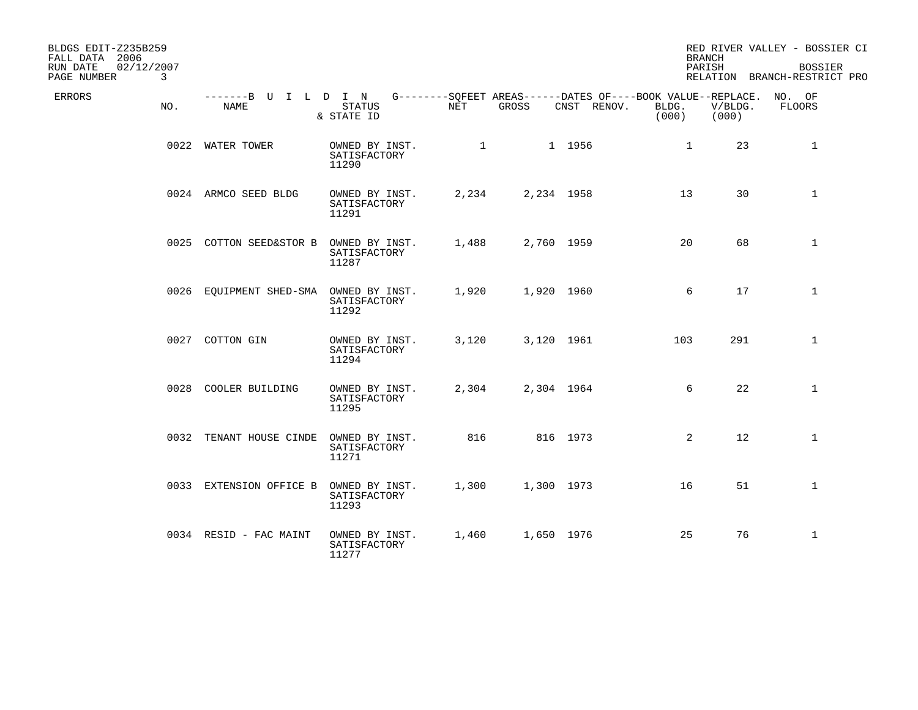| BLDGS EDIT-Z235B259<br>FALL DATA 2006<br>02/12/2007<br>RUN DATE<br>PAGE NUMBER | 3   |                              |                                         |                                                                    |       |             | <b>BRANCH</b><br>PARISH |                  | RED RIVER VALLEY - BOSSIER CI<br><b>BOSSIER</b><br>RELATION BRANCH-RESTRICT PRO |
|--------------------------------------------------------------------------------|-----|------------------------------|-----------------------------------------|--------------------------------------------------------------------|-------|-------------|-------------------------|------------------|---------------------------------------------------------------------------------|
| ERRORS                                                                         | NO. | -------B U I L D I N<br>NAME | STATUS<br>& STATE ID                    | G--------SQFEET AREAS------DATES OF----BOOK VALUE--REPLACE.<br>NET | GROSS | CNST RENOV. | BLDG.<br>(000)          | V/BLDG.<br>(000) | NO. OF<br>FLOORS                                                                |
|                                                                                |     | 0022 WATER TOWER             | OWNED BY INST.<br>SATISFACTORY<br>11290 | 1                                                                  |       | 1 1956      | $\mathbf{1}$            | 23               | $\mathbf{1}$                                                                    |
|                                                                                |     | 0024 ARMCO SEED BLDG         | OWNED BY INST.<br>SATISFACTORY<br>11291 | 2,234                                                              |       | 2,234 1958  | 13                      | 30               | $\mathbf{1}$                                                                    |
|                                                                                |     | 0025 COTTON SEED&STOR B      | OWNED BY INST.<br>SATISFACTORY<br>11287 | 1,488                                                              |       | 2,760 1959  | 20                      | 68               | $\mathbf{1}$                                                                    |
|                                                                                |     | 0026 EQUIPMENT SHED-SMA      | OWNED BY INST.<br>SATISFACTORY<br>11292 | 1,920                                                              |       | 1,920 1960  | 6                       | 17               | $\mathbf 1$                                                                     |
|                                                                                |     | 0027 COTTON GIN              | OWNED BY INST.<br>SATISFACTORY<br>11294 | 3,120                                                              |       | 3,120 1961  | 103                     | 291              | $\mathbf{1}$                                                                    |
|                                                                                |     | 0028 COOLER BUILDING         | OWNED BY INST.<br>SATISFACTORY<br>11295 | 2,304                                                              |       | 2,304 1964  | 6                       | 22               | $\mathbf{1}$                                                                    |
|                                                                                |     | 0032 TENANT HOUSE CINDE      | OWNED BY INST.<br>SATISFACTORY<br>11271 | 816                                                                |       | 816 1973    | $\overline{2}$          | 12               | $\mathbf{1}$                                                                    |
|                                                                                |     | 0033 EXTENSION OFFICE B      | OWNED BY INST.<br>SATISFACTORY<br>11293 | 1,300                                                              |       | 1,300 1973  | 16                      | 51               | $\mathbf{1}$                                                                    |
|                                                                                |     | 0034 RESID - FAC MAINT       | OWNED BY INST.<br>SATISFACTORY<br>11277 | 1,460                                                              |       | 1,650 1976  | 25                      | 76               | $\mathbf{1}$                                                                    |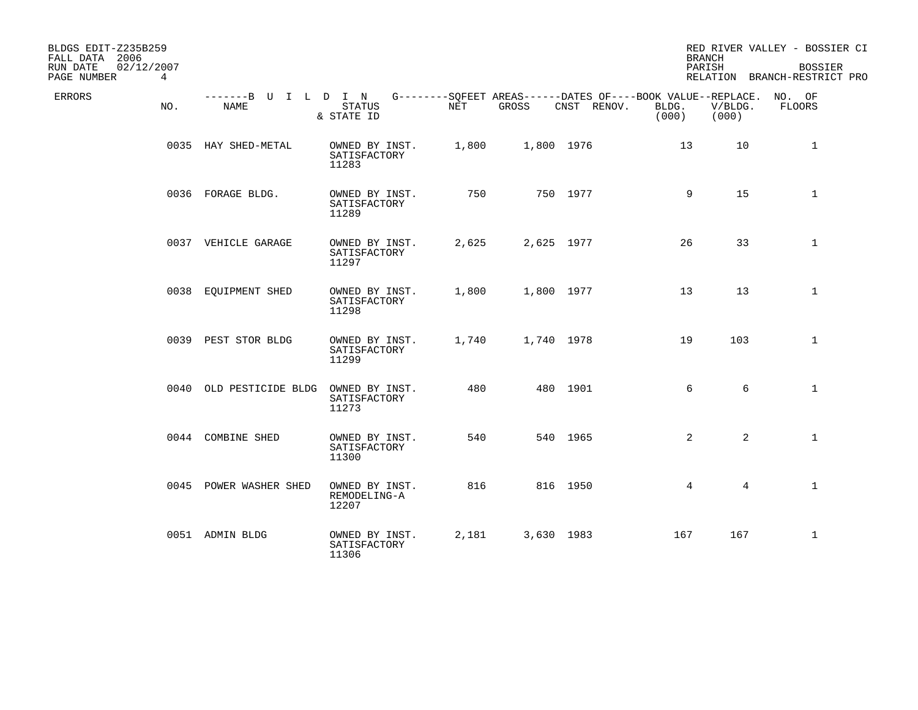| BLDGS EDIT-Z235B259<br>FALL DATA 2006<br>RUN DATE<br>02/12/2007<br>PAGE NUMBER<br>$\overline{4}$ |                              |                                         |       |            |                                                                            | <b>BRANCH</b><br>PARISH |                  | RED RIVER VALLEY - BOSSIER CI<br><b>BOSSIER</b><br>RELATION BRANCH-RESTRICT PRO |
|--------------------------------------------------------------------------------------------------|------------------------------|-----------------------------------------|-------|------------|----------------------------------------------------------------------------|-------------------------|------------------|---------------------------------------------------------------------------------|
| ERRORS<br>NO.                                                                                    | -------B U I L D I N<br>NAME | <b>STATUS</b><br>& STATE ID             | NET   | GROSS      | G--------SQFEET AREAS------DATES OF----BOOK VALUE--REPLACE.<br>CNST RENOV. | BLDG.<br>(000)          | V/BLDG.<br>(000) | NO. OF<br><b>FLOORS</b>                                                         |
|                                                                                                  | 0035 HAY SHED-METAL          | OWNED BY INST.<br>SATISFACTORY<br>11283 | 1,800 | 1,800 1976 |                                                                            | 13                      | 10               | 1                                                                               |
|                                                                                                  | 0036 FORAGE BLDG.            | OWNED BY INST.<br>SATISFACTORY<br>11289 | 750   |            | 750 1977                                                                   | 9                       | 15               | $\mathbf{1}$                                                                    |
|                                                                                                  | 0037 VEHICLE GARAGE          | OWNED BY INST.<br>SATISFACTORY<br>11297 | 2,625 | 2,625 1977 |                                                                            | 26                      | 33               | $\mathbf{1}$                                                                    |
|                                                                                                  | 0038 EQUIPMENT SHED          | OWNED BY INST.<br>SATISFACTORY<br>11298 | 1,800 | 1,800 1977 |                                                                            | 13                      | 13               | $\mathbf{1}$                                                                    |
|                                                                                                  | 0039 PEST STOR BLDG          | OWNED BY INST.<br>SATISFACTORY<br>11299 | 1,740 | 1,740 1978 |                                                                            | 19                      | 103              | $\mathbf{1}$                                                                    |
|                                                                                                  | 0040 OLD PESTICIDE BLDG      | OWNED BY INST.<br>SATISFACTORY<br>11273 | 480   |            | 480 1901                                                                   | 6                       | 6                | $\mathbf{1}$                                                                    |
|                                                                                                  | 0044 COMBINE SHED            | OWNED BY INST.<br>SATISFACTORY<br>11300 | 540   |            | 540 1965                                                                   | 2                       | $\overline{2}$   | $\mathbf{1}$                                                                    |
|                                                                                                  | 0045 POWER WASHER SHED       | OWNED BY INST.<br>REMODELING-A<br>12207 | 816   |            | 816 1950                                                                   | $\overline{4}$          | $\overline{4}$   | $\mathbf{1}$                                                                    |
|                                                                                                  | 0051 ADMIN BLDG              | OWNED BY INST.<br>SATISFACTORY<br>11306 | 2,181 | 3,630 1983 |                                                                            | 167                     | 167              | $\mathbf{1}$                                                                    |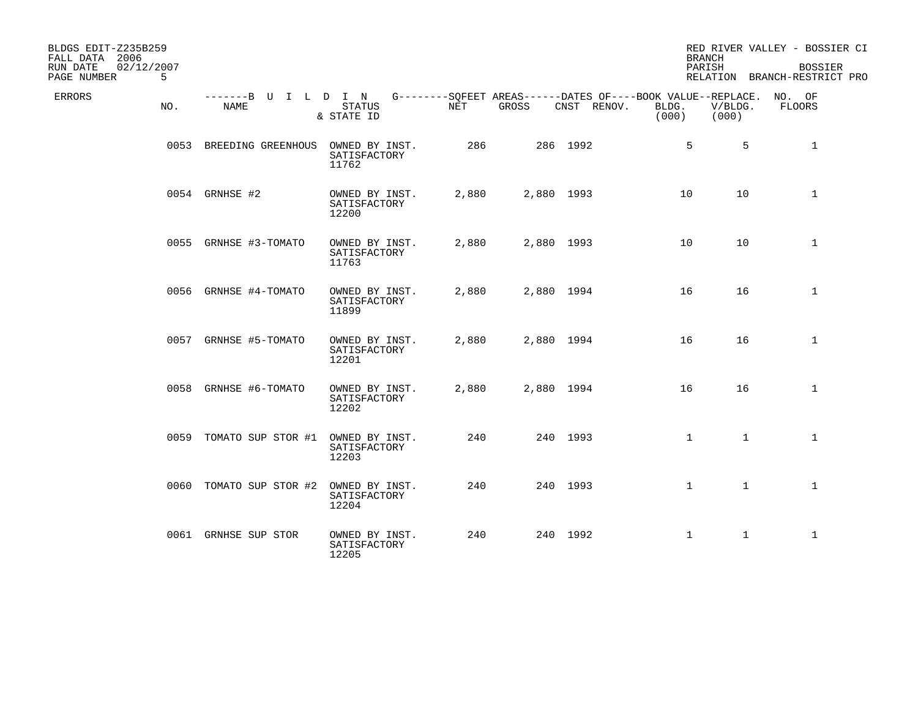| BLDGS EDIT-Z235B259<br>FALL DATA 2006<br>RUN DATE<br>PAGE NUMBER | 02/12/2007<br>5 |                              |                                         |       |            |                                                                                   | <b>BRANCH</b><br>PARISH |                  | RED RIVER VALLEY - BOSSIER CI<br><b>BOSSIER</b><br>RELATION BRANCH-RESTRICT PRO |
|------------------------------------------------------------------|-----------------|------------------------------|-----------------------------------------|-------|------------|-----------------------------------------------------------------------------------|-------------------------|------------------|---------------------------------------------------------------------------------|
| ERRORS                                                           | NO.             | -------B U I L D I N<br>NAME | <b>STATUS</b><br>& STATE ID             | NET   | GROSS      | G--------SQFEET AREAS------DATES OF----BOOK VALUE--REPLACE. NO. OF<br>CNST RENOV. | BLDG.<br>(000)          | V/BLDG.<br>(000) | FLOORS                                                                          |
|                                                                  |                 | 0053 BREEDING GREENHOUS      | OWNED BY INST.<br>SATISFACTORY<br>11762 | 286   |            | 286 1992                                                                          | 5                       | 5                | $\mathbf{1}$                                                                    |
|                                                                  |                 | 0054 GRNHSE #2               | OWNED BY INST.<br>SATISFACTORY<br>12200 | 2,880 | 2,880 1993 |                                                                                   | 10                      | 10               | $\mathbf 1$                                                                     |
|                                                                  |                 | 0055 GRNHSE #3-TOMATO        | OWNED BY INST.<br>SATISFACTORY<br>11763 | 2,880 | 2,880 1993 |                                                                                   | 10                      | 10               | $\mathbf{1}$                                                                    |
|                                                                  |                 | 0056 GRNHSE #4-TOMATO        | OWNED BY INST.<br>SATISFACTORY<br>11899 | 2,880 | 2,880 1994 |                                                                                   | 16                      | 16               | $\mathbf 1$                                                                     |
|                                                                  |                 | 0057 GRNHSE #5-TOMATO        | OWNED BY INST.<br>SATISFACTORY<br>12201 | 2,880 | 2,880 1994 |                                                                                   | 16                      | 16               | $\mathbf 1$                                                                     |
|                                                                  |                 | 0058 GRNHSE #6-TOMATO        | OWNED BY INST.<br>SATISFACTORY<br>12202 | 2,880 | 2,880 1994 |                                                                                   | 16                      | 16               | $\mathbf 1$                                                                     |
|                                                                  |                 | 0059 TOMATO SUP STOR #1      | OWNED BY INST.<br>SATISFACTORY<br>12203 | 240   |            | 240 1993                                                                          | $\mathbf{1}$            | $\mathbf{1}$     | $\mathbf{1}$                                                                    |
|                                                                  |                 | 0060 TOMATO SUP STOR #2      | OWNED BY INST.<br>SATISFACTORY<br>12204 | 240   |            | 240 1993                                                                          | $\mathbf{1}$            | $\mathbf{1}$     | $\mathbf{1}$                                                                    |
|                                                                  |                 | 0061 GRNHSE SUP STOR         | OWNED BY INST.<br>SATISFACTORY<br>12205 | 240   |            | 240 1992                                                                          | $\mathbf 1$             | $\mathbf{1}$     | $\mathbf{1}$                                                                    |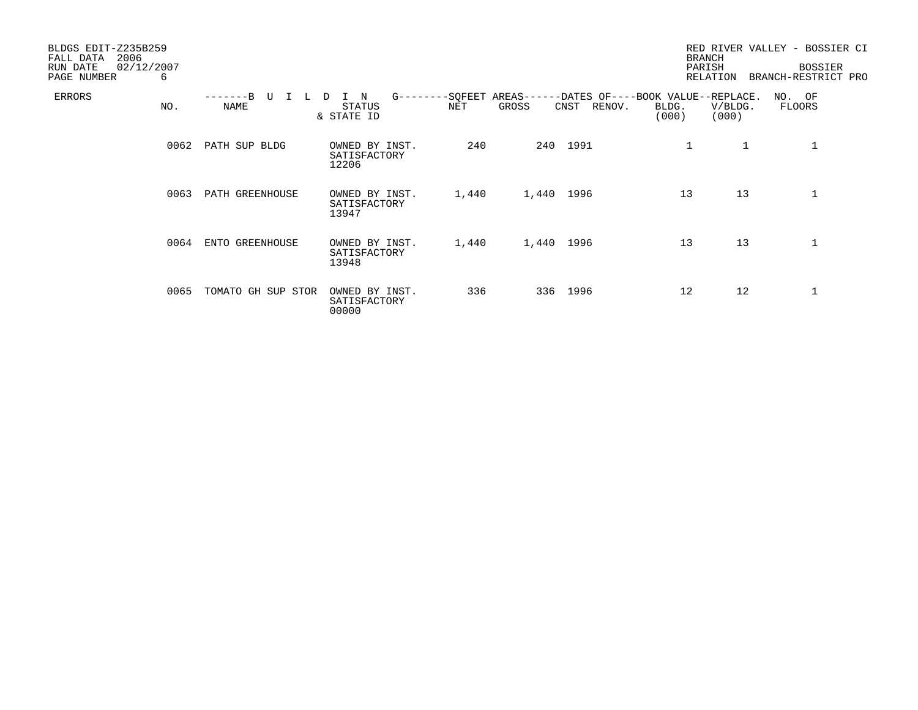| BLDGS EDIT-Z235B259<br>2006<br>FALL DATA<br>RUN DATE<br>PAGE NUMBER | 02/12/2007<br>6 |                    |                                          |       |                                    |                                                                 | <b>BRANCH</b><br>PARISH<br><b>RELATION</b> | RED RIVER VALLEY - BOSSIER CI<br><b>BOSSIER</b><br>BRANCH-RESTRICT PRO |
|---------------------------------------------------------------------|-----------------|--------------------|------------------------------------------|-------|------------------------------------|-----------------------------------------------------------------|--------------------------------------------|------------------------------------------------------------------------|
| <b>ERRORS</b>                                                       | NO.             | NAME               | N<br>$G$ -------<br>STATUS<br>& STATE ID | NET   | -SQFEET AREAS----<br>GROSS<br>CNST | ---DATES OF----BOOK VALUE--REPLACE.<br>RENOV.<br>BLDG.<br>(000) | V/BLDG.<br>(000)                           | NO. OF<br>FLOORS                                                       |
|                                                                     | 0062            | PATH SUP BLDG      | OWNED BY INST.<br>SATISFACTORY<br>12206  | 240   | 240 1991                           | 1                                                               | $\mathbf{1}$                               |                                                                        |
|                                                                     | 0063            | PATH GREENHOUSE    | OWNED BY INST.<br>SATISFACTORY<br>13947  | 1,440 | 1,440 1996                         | 13                                                              | 13                                         | 1                                                                      |
|                                                                     | 0064            | ENTO GREENHOUSE    | OWNED BY INST.<br>SATISFACTORY<br>13948  | 1,440 | 1,440 1996                         | 13                                                              | 13                                         | 1                                                                      |
|                                                                     | 0065            | TOMATO GH SUP STOR | OWNED BY INST.<br>SATISFACTORY<br>00000  | 336   | 336 1996                           | 12                                                              | 12                                         |                                                                        |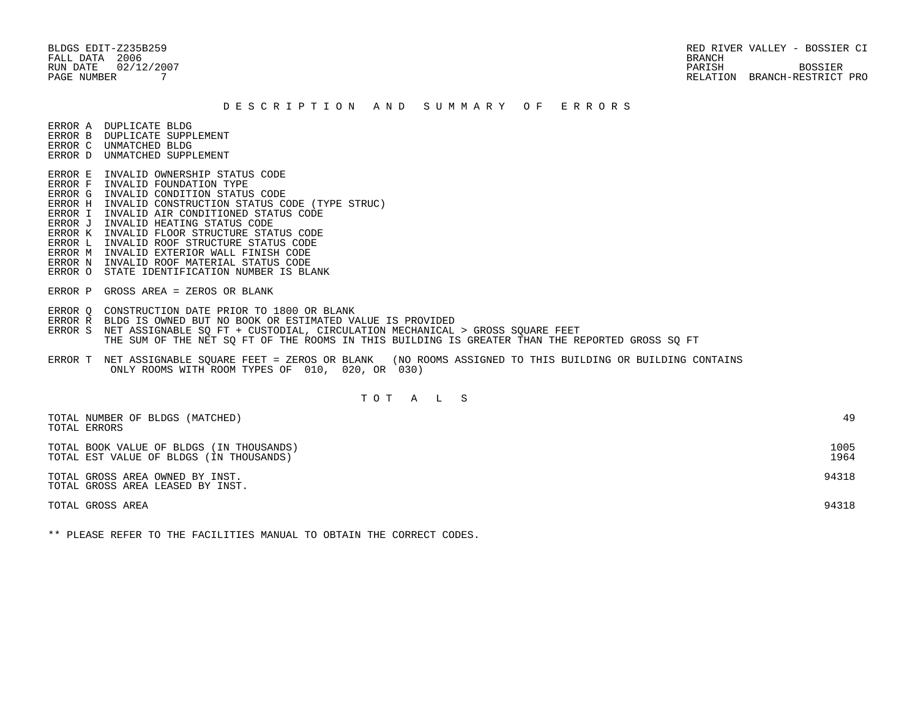BLDGS EDIT-Z235B259 RED RIVER VALLEY - BOSSIER CI RUN DATE  $02/12/2007$  BOSSIER BOSSIER PAGE NUMBER 7 RELATION BRANCH-RESTRICT PRO

### D E S C R I P T I O N A N D S U M M A R Y O F E R R O R S

ERROR A DUPLICATE BLDG

- ERROR B DUPLICATE SUPPLEMENT
- ERROR C UNMATCHED BLDG ERROR D UNMATCHED SUPPLEMENT
- 
- ERROR E INVALID OWNERSHIP STATUS CODE ERROR F INVALID FOUNDATION TYPE
- ERROR G INVALID CONDITION STATUS CODE
- ERROR H INVALID CONSTRUCTION STATUS CODE (TYPE STRUC)
- ERROR I INVALID AIR CONDITIONED STATUS CODE
- ERROR J INVALID HEATING STATUS CODE
- ERROR K INVALID FLOOR STRUCTURE STATUS CODE
- ERROR L INVALID ROOF STRUCTURE STATUS CODE
- ERROR M INVALID EXTERIOR WALL FINISH CODE
- ERROR N INVALID ROOF MATERIAL STATUS CODE
- ERROR O STATE IDENTIFICATION NUMBER IS BLANK
- ERROR P GROSS AREA = ZEROS OR BLANK
- ERROR Q CONSTRUCTION DATE PRIOR TO 1800 OR BLANK
- ERROR R BLDG IS OWNED BUT NO BOOK OR ESTIMATED VALUE IS PROVIDED
- ERROR S NET ASSIGNABLE SO FT + CUSTODIAL, CIRCULATION MECHANICAL > GROSS SOUARE FEET THE SUM OF THE NET SQ FT OF THE ROOMS IN THIS BUILDING IS GREATER THAN THE REPORTED GROSS SQ FT
- ERROR T NET ASSIGNABLE SQUARE FEET = ZEROS OR BLANK (NO ROOMS ASSIGNED TO THIS BUILDING OR BUILDING CONTAINS ONLY ROOMS WITH ROOM TYPES OF 010, 020, OR 030)

# T O T A L S

| TOTAL NUMBER OF BLDGS (MATCHED)<br>TOTAL ERRORS                                     | 49           |
|-------------------------------------------------------------------------------------|--------------|
| TOTAL BOOK VALUE OF BLDGS (IN THOUSANDS)<br>TOTAL EST VALUE OF BLDGS (IN THOUSANDS) | 1005<br>1964 |
| TOTAL GROSS AREA OWNED BY INST.<br>TOTAL GROSS AREA LEASED BY INST.                 | 94318        |
| TOTAL GROSS AREA                                                                    | 94318        |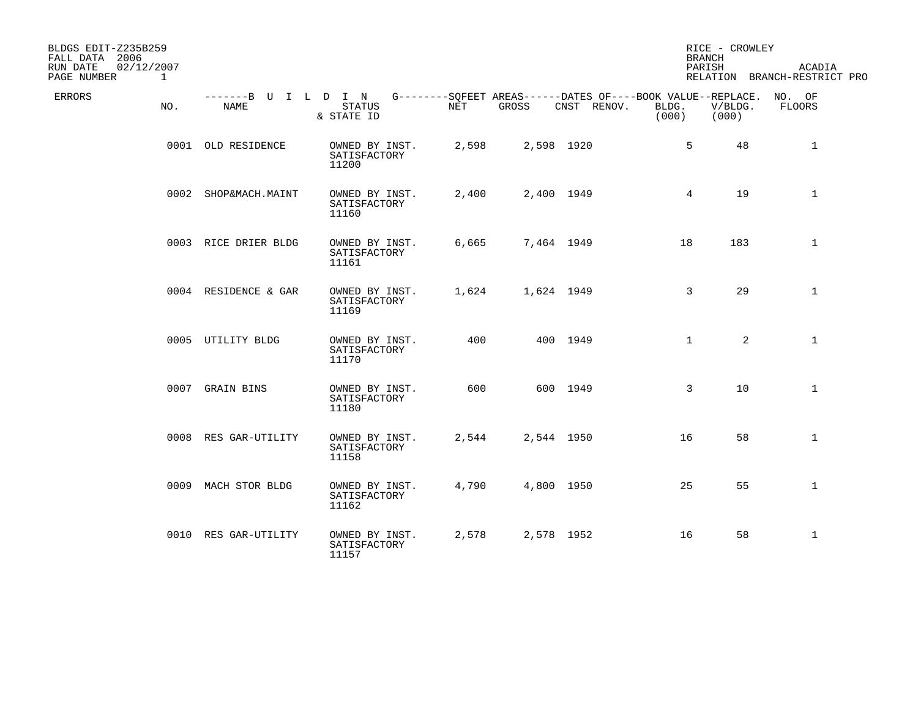| BLDGS EDIT-Z235B259<br>FALL DATA 2006<br>RUN DATE<br>02/12/2007<br>PAGE NUMBER | $\mathbf{1}$ |                      |                                                                                                          |       |            |             | <b>BRANCH</b><br>PARISH | RICE - CROWLEY   | <b>ACADIA</b><br>RELATION BRANCH-RESTRICT PRO |
|--------------------------------------------------------------------------------|--------------|----------------------|----------------------------------------------------------------------------------------------------------|-------|------------|-------------|-------------------------|------------------|-----------------------------------------------|
| ERRORS                                                                         | NO.          | NAME                 | -------B U I L D I N G--------SQFEET AREAS------DATES OF----BOOK VALUE--REPLACE.<br>STATUS<br>& STATE ID | NET   | GROSS      | CNST RENOV. | BLDG.<br>(000)          | V/BLDG.<br>(000) | NO. OF<br>FLOORS                              |
|                                                                                |              | 0001 OLD RESIDENCE   | OWNED BY INST.<br>SATISFACTORY<br>11200                                                                  | 2,598 | 2,598 1920 |             | 5                       | 48               | 1                                             |
|                                                                                |              | 0002 SHOP&MACH.MAINT | OWNED BY INST.<br>SATISFACTORY<br>11160                                                                  | 2,400 | 2,400 1949 |             | $4\overline{ }$         | 19               | $\mathbf{1}$                                  |
|                                                                                |              | 0003 RICE DRIER BLDG | OWNED BY INST.<br>SATISFACTORY<br>11161                                                                  | 6,665 | 7,464 1949 |             | 18                      | 183              | $\mathbf{1}$                                  |
|                                                                                |              | 0004 RESIDENCE & GAR | OWNED BY INST.<br>SATISFACTORY<br>11169                                                                  | 1,624 | 1,624 1949 |             | 3                       | 29               | $\mathbf{1}$                                  |
|                                                                                |              | 0005 UTILITY BLDG    | OWNED BY INST.<br>SATISFACTORY<br>11170                                                                  | 400   |            | 400 1949    | $\mathbf{1}$            | $\overline{2}$   | $\mathbf{1}$                                  |
|                                                                                |              | 0007 GRAIN BINS      | OWNED BY INST.<br>SATISFACTORY<br>11180                                                                  | 600   |            | 600 1949    | 3                       | 10               | $\mathbf{1}$                                  |
|                                                                                |              | 0008 RES GAR-UTILITY | OWNED BY INST.<br>SATISFACTORY<br>11158                                                                  | 2,544 | 2,544 1950 |             | 16                      | 58               | $\mathbf{1}$                                  |
|                                                                                |              | 0009 MACH STOR BLDG  | OWNED BY INST.<br>SATISFACTORY<br>11162                                                                  | 4,790 | 4,800 1950 |             | 25                      | 55               | $\mathbf{1}$                                  |
|                                                                                |              | 0010 RES GAR-UTILITY | OWNED BY INST.<br>SATISFACTORY<br>11157                                                                  | 2,578 | 2,578 1952 |             | 16                      | 58               | $\mathbf{1}$                                  |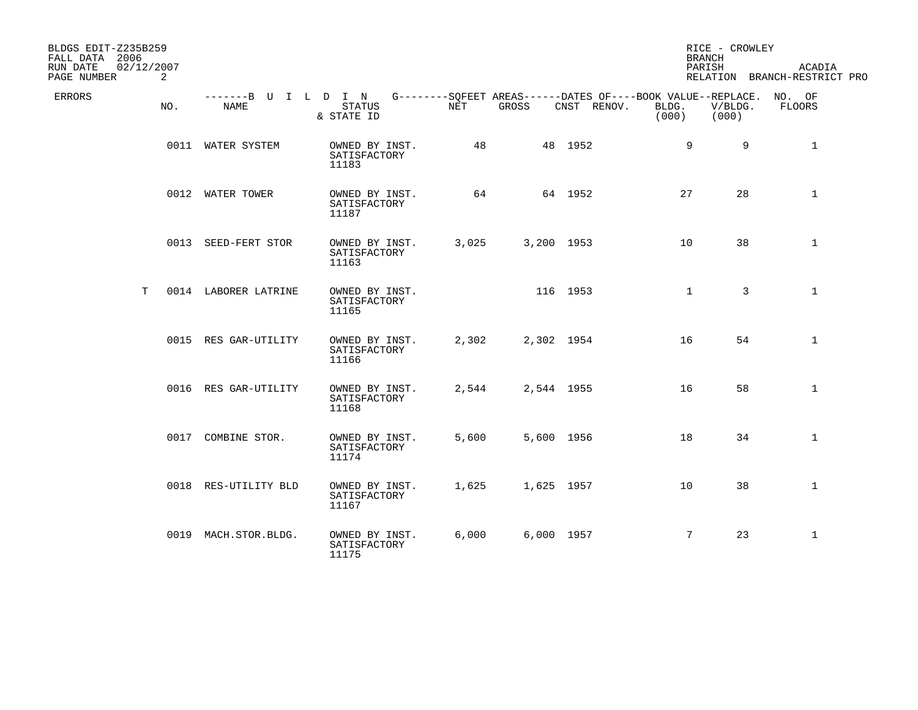| BLDGS EDIT-Z235B259<br>FALL DATA 2006 |     |                              |                                         |                      |            |                                                                                   | <b>BRANCH</b>  | RICE - CROWLEY   |                                               |
|---------------------------------------|-----|------------------------------|-----------------------------------------|----------------------|------------|-----------------------------------------------------------------------------------|----------------|------------------|-----------------------------------------------|
| 02/12/2007<br>RUN DATE<br>PAGE NUMBER | 2   |                              |                                         |                      |            |                                                                                   | PARISH         |                  | <b>ACADIA</b><br>RELATION BRANCH-RESTRICT PRO |
| ERRORS                                | NO. | -------B U I L D I N<br>NAME | STATUS<br>& STATE ID                    | $\operatorname{NET}$ | GROSS      | G--------SQFEET AREAS------DATES OF----BOOK VALUE--REPLACE. NO. OF<br>CNST RENOV. | BLDG.<br>(000) | V/BLDG.<br>(000) | FLOORS                                        |
|                                       |     | 0011 WATER SYSTEM            | OWNED BY INST.<br>SATISFACTORY<br>11183 | 48                   |            | 48 1952                                                                           | 9              | 9                | 1                                             |
|                                       |     | 0012 WATER TOWER             | OWNED BY INST.<br>SATISFACTORY<br>11187 | 64                   |            | 64 1952                                                                           | 27             | 28               | $\mathbf{1}$                                  |
|                                       |     | 0013 SEED-FERT STOR          | OWNED BY INST.<br>SATISFACTORY<br>11163 | 3,025                | 3,200 1953 |                                                                                   | 10             | 38               | $\mathbf{1}$                                  |
| T.                                    |     | 0014 LABORER LATRINE         | OWNED BY INST.<br>SATISFACTORY<br>11165 |                      |            | 116 1953                                                                          | $\mathbf{1}$   | 3                | $\mathbf{1}$                                  |
|                                       |     | 0015 RES GAR-UTILITY         | OWNED BY INST.<br>SATISFACTORY<br>11166 | 2,302                | 2,302 1954 |                                                                                   | 16             | 54               | 1                                             |
|                                       |     | 0016 RES GAR-UTILITY         | OWNED BY INST.<br>SATISFACTORY<br>11168 | 2,544                | 2,544 1955 |                                                                                   | 16             | 58               | $\mathbf{1}$                                  |
|                                       |     | 0017 COMBINE STOR.           | OWNED BY INST.<br>SATISFACTORY<br>11174 | 5,600                | 5,600 1956 |                                                                                   | 18             | 34               | $\mathbf{1}$                                  |
|                                       |     | 0018 RES-UTILITY BLD         | OWNED BY INST.<br>SATISFACTORY<br>11167 | 1,625                | 1,625 1957 |                                                                                   | 10             | 38               | $\mathbf{1}$                                  |
|                                       |     | 0019 MACH.STOR.BLDG.         | OWNED BY INST.<br>SATISFACTORY<br>11175 | 6,000                | 6,000 1957 |                                                                                   | 7              | 23               | $\mathbf{1}$                                  |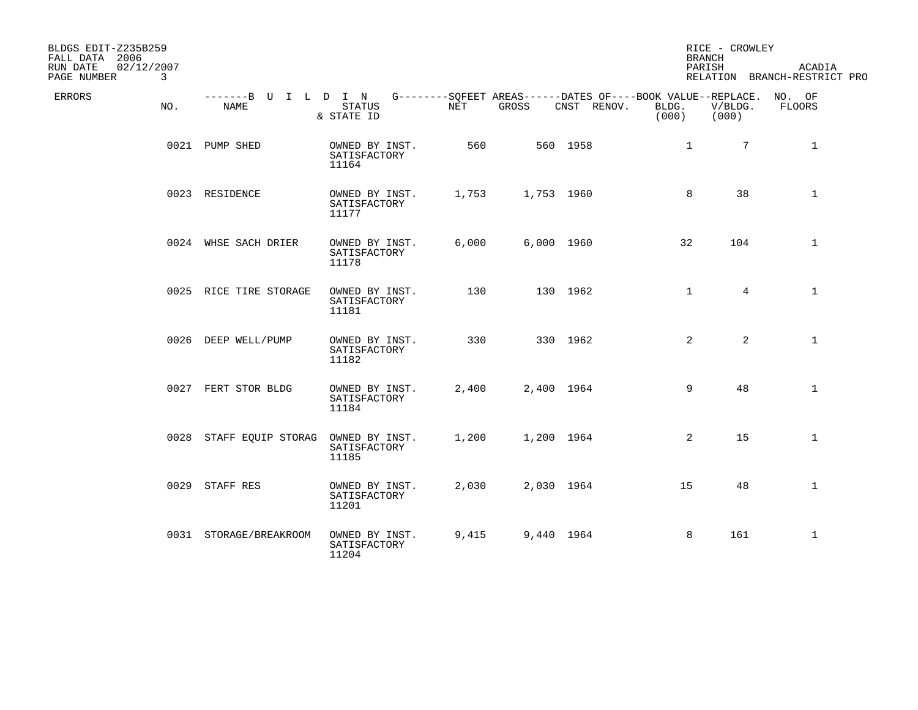| BLDGS EDIT-Z235B259<br>FALL DATA 2006      |                              |                                         |       |            |                                                                                   | <b>BRANCH</b>  | RICE - CROWLEY   |                                        |
|--------------------------------------------|------------------------------|-----------------------------------------|-------|------------|-----------------------------------------------------------------------------------|----------------|------------------|----------------------------------------|
| 02/12/2007<br>RUN DATE<br>PAGE NUMBER<br>3 |                              |                                         |       |            |                                                                                   | PARISH         |                  | ACADIA<br>RELATION BRANCH-RESTRICT PRO |
| ERRORS<br>NO.                              | -------B U I L D I N<br>NAME | STATUS<br>& STATE ID                    | NET   | GROSS      | G--------SOFEET AREAS------DATES OF----BOOK VALUE--REPLACE. NO. OF<br>CNST RENOV. | BLDG.<br>(000) | V/BLDG.<br>(000) | FLOORS                                 |
|                                            | 0021 PUMP SHED               | OWNED BY INST.<br>SATISFACTORY<br>11164 | 560   |            | 560 1958                                                                          | $\mathbf{1}$   | $7\overline{ }$  | $\mathbf{1}$                           |
|                                            | 0023 RESIDENCE               | OWNED BY INST.<br>SATISFACTORY<br>11177 | 1,753 | 1,753 1960 |                                                                                   | 8              | 38               | $\mathbf{1}$                           |
|                                            | 0024 WHSE SACH DRIER         | OWNED BY INST.<br>SATISFACTORY<br>11178 | 6,000 | 6,000 1960 |                                                                                   | 32             | 104              | $\mathbf{1}$                           |
|                                            | 0025 RICE TIRE STORAGE       | OWNED BY INST.<br>SATISFACTORY<br>11181 | 130   |            | 130 1962                                                                          | $\mathbf{1}$   | 4                | $\mathbf{1}$                           |
|                                            | 0026 DEEP WELL/PUMP          | OWNED BY INST.<br>SATISFACTORY<br>11182 | 330   |            | 330 1962                                                                          | 2              | $\overline{a}$   | $\mathbf{1}$                           |
|                                            | 0027 FERT STOR BLDG          | OWNED BY INST.<br>SATISFACTORY<br>11184 | 2,400 | 2,400 1964 |                                                                                   | 9              | 48               | $\mathbf{1}$                           |
|                                            | 0028 STAFF EQUIP STORAG      | OWNED BY INST.<br>SATISFACTORY<br>11185 | 1,200 | 1,200 1964 |                                                                                   | 2              | 15               | $\mathbf{1}$                           |
|                                            | 0029 STAFF RES               | OWNED BY INST.<br>SATISFACTORY<br>11201 | 2,030 | 2,030 1964 |                                                                                   | 15             | 48               | $\mathbf{1}$                           |
|                                            | 0031 STORAGE/BREAKROOM       | OWNED BY INST.<br>SATISFACTORY<br>11204 | 9,415 | 9,440 1964 |                                                                                   | 8              | 161              | $\mathbf 1$                            |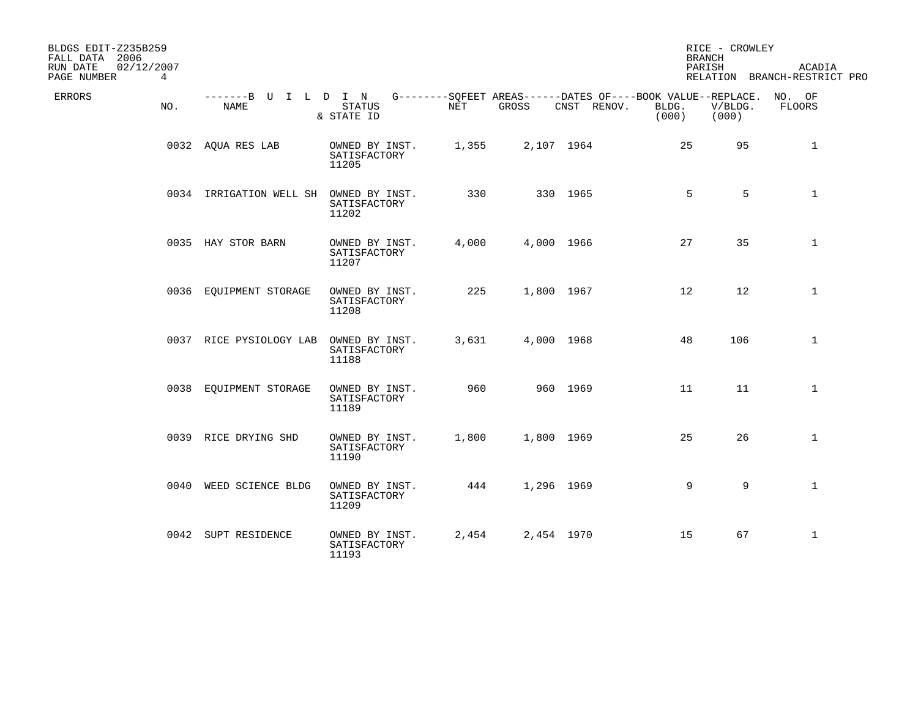| BLDGS EDIT-Z235B259<br>FALL DATA 2006 |             |                              |                                         |       |            |                                                                                   | <b>BRANCH</b>     | RICE - CROWLEY   |                                        |
|---------------------------------------|-------------|------------------------------|-----------------------------------------|-------|------------|-----------------------------------------------------------------------------------|-------------------|------------------|----------------------------------------|
| 02/12/2007<br>RUN DATE<br>PAGE NUMBER | $4^{\circ}$ |                              |                                         |       |            |                                                                                   | PARISH            |                  | ACADIA<br>RELATION BRANCH-RESTRICT PRO |
| <b>ERRORS</b>                         | NO.         | -------B U I L D I N<br>NAME | <b>STATUS</b><br>& STATE ID             | NET   | GROSS      | G--------SOFEET AREAS------DATES OF----BOOK VALUE--REPLACE. NO. OF<br>CNST RENOV. | BLDG.<br>(000)    | V/BLDG.<br>(000) | FLOORS                                 |
|                                       |             | 0032 AQUA RES LAB            | OWNED BY INST.<br>SATISFACTORY<br>11205 | 1,355 |            | 2,107 1964                                                                        | 25                | 95               | $\mathbf{1}$                           |
|                                       |             | 0034 IRRIGATION WELL SH      | OWNED BY INST.<br>SATISFACTORY<br>11202 | 330   |            | 330 1965                                                                          | 5                 | 5                | $\mathbf{1}$                           |
|                                       |             | 0035 HAY STOR BARN           | OWNED BY INST.<br>SATISFACTORY<br>11207 | 4,000 |            | 4,000 1966                                                                        | 27                | 35               | $\mathbf{1}$                           |
|                                       |             | 0036 EOUIPMENT STORAGE       | OWNED BY INST.<br>SATISFACTORY<br>11208 | 225   |            | 1,800 1967                                                                        | $12 \overline{ }$ | 12               | $\mathbf{1}$                           |
|                                       |             | 0037 RICE PYSIOLOGY LAB      | OWNED BY INST.<br>SATISFACTORY<br>11188 | 3,631 |            | 4,000 1968                                                                        | 48                | 106              | $\mathbf{1}$                           |
|                                       |             | 0038 EQUIPMENT STORAGE       | OWNED BY INST.<br>SATISFACTORY<br>11189 | 960   |            | 960 1969                                                                          | 11                | 11               | $\mathbf{1}$                           |
|                                       |             | 0039 RICE DRYING SHD         | OWNED BY INST.<br>SATISFACTORY<br>11190 | 1,800 |            | 1,800 1969                                                                        | 25                | 26               | $\mathbf{1}$                           |
|                                       |             | 0040 WEED SCIENCE BLDG       | OWNED BY INST.<br>SATISFACTORY<br>11209 | 444   | 1,296 1969 |                                                                                   | 9                 | 9                | $\mathbf 1$                            |
|                                       |             | 0042 SUPT RESIDENCE          | OWNED BY INST.<br>SATISFACTORY<br>11193 | 2,454 |            | 2,454 1970                                                                        | 15                | 67               | $\mathbf{1}$                           |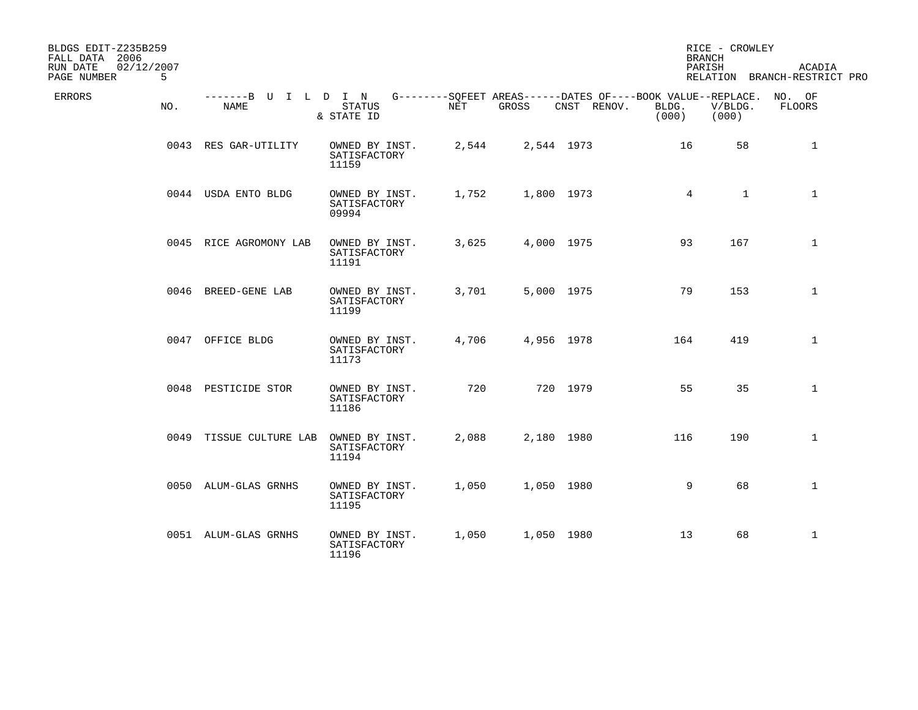| BLDGS EDIT-Z235B259<br>FALL DATA 2006      |     |                              |                                         |       |            |                                                                                   | <b>BRANCH</b>   | RICE - CROWLEY   |                                        |
|--------------------------------------------|-----|------------------------------|-----------------------------------------|-------|------------|-----------------------------------------------------------------------------------|-----------------|------------------|----------------------------------------|
| RUN DATE<br>02/12/2007<br>PAGE NUMBER<br>5 |     |                              |                                         |       |            |                                                                                   | PARISH          |                  | ACADIA<br>RELATION BRANCH-RESTRICT PRO |
| ERRORS                                     | NO. | -------B U I L D I N<br>NAME | STATUS<br>& STATE ID                    | NET   | GROSS      | G--------SQFEET AREAS------DATES OF----BOOK VALUE--REPLACE. NO. OF<br>CNST RENOV. | BLDG.<br>(000)  | V/BLDG.<br>(000) | FLOORS                                 |
|                                            |     | 0043 RES GAR-UTILITY         | OWNED BY INST.<br>SATISFACTORY<br>11159 | 2,544 | 2,544 1973 |                                                                                   | 16              | 58               | $\mathbf{1}$                           |
|                                            |     | 0044 USDA ENTO BLDG          | OWNED BY INST.<br>SATISFACTORY<br>09994 | 1,752 | 1,800 1973 |                                                                                   | $4\overline{ }$ | $\mathbf{1}$     | $\mathbf{1}$                           |
|                                            |     | 0045 RICE AGROMONY LAB       | OWNED BY INST.<br>SATISFACTORY<br>11191 | 3,625 |            | 4,000 1975                                                                        | 93              | 167              | $\mathbf{1}$                           |
|                                            |     | 0046 BREED-GENE LAB          | OWNED BY INST.<br>SATISFACTORY<br>11199 | 3,701 |            | 5,000 1975                                                                        | 79              | 153              | $\mathbf{1}$                           |
|                                            |     | 0047 OFFICE BLDG             | OWNED BY INST.<br>SATISFACTORY<br>11173 | 4,706 | 4,956 1978 |                                                                                   | 164             | 419              | $\mathbf{1}$                           |
|                                            |     | 0048 PESTICIDE STOR          | OWNED BY INST.<br>SATISFACTORY<br>11186 | 720   |            | 720 1979                                                                          | 55              | 35               | $\mathbf{1}$                           |
|                                            |     | 0049 TISSUE CULTURE LAB      | OWNED BY INST.<br>SATISFACTORY<br>11194 | 2,088 |            | 2,180 1980                                                                        | 116             | 190              | $\mathbf{1}$                           |
|                                            |     | 0050 ALUM-GLAS GRNHS         | OWNED BY INST.<br>SATISFACTORY<br>11195 | 1,050 |            | 1,050 1980                                                                        | 9               | 68               | $\mathbf{1}$                           |
|                                            |     | 0051 ALUM-GLAS GRNHS         | OWNED BY INST.<br>SATISFACTORY<br>11196 | 1,050 | 1,050 1980 |                                                                                   | 13              | 68               | $\mathbf{1}$                           |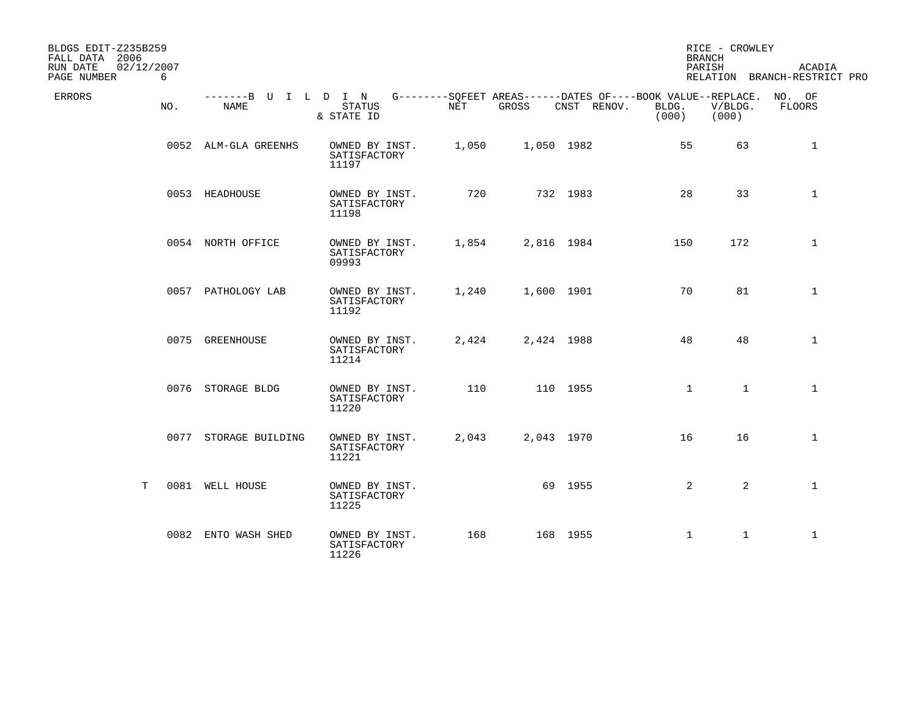| BLDGS EDIT-Z235B259<br>FALL DATA 2006<br>RUN DATE<br>02/12/2007 |     |                       |                                                                                                                        |       |            |             | <b>BRANCH</b><br>PARISH | RICE - CROWLEY   | ACADIA                       |
|-----------------------------------------------------------------|-----|-----------------------|------------------------------------------------------------------------------------------------------------------------|-------|------------|-------------|-------------------------|------------------|------------------------------|
| PAGE NUMBER                                                     | 6   |                       |                                                                                                                        |       |            |             |                         |                  | RELATION BRANCH-RESTRICT PRO |
| ERRORS                                                          | NO. | NAME                  | -------B U I L D I N G--------SOFEET AREAS------DATES OF----BOOK VALUE--REPLACE. NO. OF<br><b>STATUS</b><br>& STATE ID | NET   | GROSS      | CNST RENOV. | BLDG.<br>(000)          | V/BLDG.<br>(000) | FLOORS                       |
|                                                                 |     | 0052 ALM-GLA GREENHS  | OWNED BY INST.<br>SATISFACTORY<br>11197                                                                                | 1,050 | 1,050 1982 |             | 55                      | 63               | $\mathbf{1}$                 |
|                                                                 |     | 0053 HEADHOUSE        | OWNED BY INST.<br>SATISFACTORY<br>11198                                                                                | 720   |            | 732 1983    | 28                      | 33               | $\mathbf 1$                  |
|                                                                 |     | 0054 NORTH OFFICE     | OWNED BY INST.<br>SATISFACTORY<br>09993                                                                                | 1,854 | 2,816 1984 |             | 150                     | 172              | $\mathbf{1}$                 |
|                                                                 |     | 0057 PATHOLOGY LAB    | OWNED BY INST.<br>SATISFACTORY<br>11192                                                                                | 1,240 | 1,600 1901 |             | 70                      | 81               | $\mathbf{1}$                 |
|                                                                 |     | 0075 GREENHOUSE       | OWNED BY INST.<br>SATISFACTORY<br>11214                                                                                | 2,424 | 2,424 1988 |             | 48                      | 48               | $\mathbf{1}$                 |
|                                                                 |     | 0076 STORAGE BLDG     | OWNED BY INST.<br>SATISFACTORY<br>11220                                                                                | 110   |            | 110 1955    | 1                       | 1                | $\mathbf{1}$                 |
|                                                                 |     | 0077 STORAGE BUILDING | OWNED BY INST.<br>SATISFACTORY<br>11221                                                                                | 2,043 | 2,043 1970 |             | 16                      | 16               | $\mathbf{1}$                 |
| T.                                                              |     | 0081 WELL HOUSE       | OWNED BY INST.<br>SATISFACTORY<br>11225                                                                                |       |            | 69 1955     | 2                       | $\overline{a}$   | $\mathbf 1$                  |
|                                                                 |     | 0082 ENTO WASH SHED   | OWNED BY INST.<br>SATISFACTORY<br>11226                                                                                | 168   |            | 168 1955    | $\mathbf 1$             | $\mathbf{1}$     | $\mathbf{1}$                 |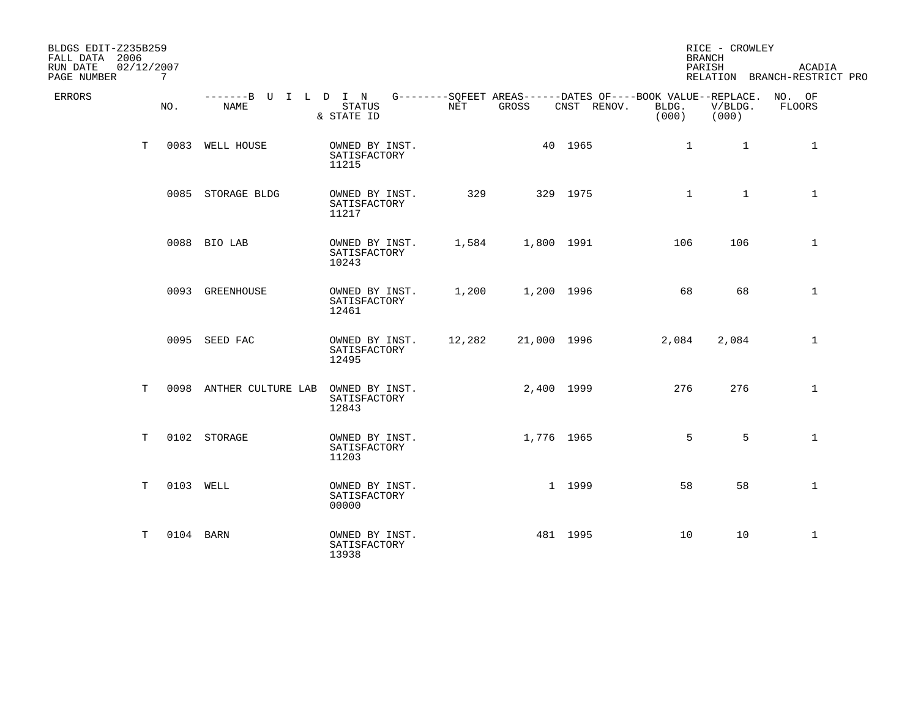| BLDGS EDIT-Z235B259<br>FALL DATA 2006 |    |                |                                                                                                 |                                         |        |             |             |                | RICE - CROWLEY<br><b>BRANCH</b> |                                        |
|---------------------------------------|----|----------------|-------------------------------------------------------------------------------------------------|-----------------------------------------|--------|-------------|-------------|----------------|---------------------------------|----------------------------------------|
| RUN DATE<br>02/12/2007<br>PAGE NUMBER |    | 7 <sup>7</sup> |                                                                                                 |                                         |        |             |             |                | PARISH                          | ACADIA<br>RELATION BRANCH-RESTRICT PRO |
| <b>ERRORS</b>                         |    | NO.            | -------B U I L D I N G--------SOFEET AREAS------DATES OF----BOOK VALUE--REPLACE. NO. OF<br>NAME | STATUS<br>& STATE ID                    | NET    | GROSS       | CNST RENOV. | BLDG.<br>(000) | V/BLDG.<br>(000)                | FLOORS                                 |
|                                       | T  |                | 0083 WELL HOUSE                                                                                 | OWNED BY INST.<br>SATISFACTORY<br>11215 |        |             | 40 1965     | $\mathbf{1}$   | $\overline{1}$                  | 1                                      |
|                                       |    |                | 0085 STORAGE BLDG                                                                               | OWNED BY INST.<br>SATISFACTORY<br>11217 | 329    |             | 329 1975    | $\mathbf{1}$   | $\mathbf{1}$                    | $\mathbf{1}$                           |
|                                       |    |                | 0088 BIO LAB                                                                                    | OWNED BY INST.<br>SATISFACTORY<br>10243 | 1,584  | 1,800 1991  |             | 106            | 106                             | $\mathbf{1}$                           |
|                                       |    |                | 0093 GREENHOUSE                                                                                 | OWNED BY INST.<br>SATISFACTORY<br>12461 | 1,200  | 1,200 1996  |             | 68             | 68                              | $\mathbf{1}$                           |
|                                       |    |                | 0095 SEED FAC                                                                                   | OWNED BY INST.<br>SATISFACTORY<br>12495 | 12,282 | 21,000 1996 |             | 2,084          | 2,084                           | $\mathbf{1}$                           |
|                                       | T. |                | 0098 ANTHER CULTURE LAB                                                                         | OWNED BY INST.<br>SATISFACTORY<br>12843 |        |             | 2,400 1999  | 276            | 276                             | $\mathbf 1$                            |
|                                       | T. |                | 0102 STORAGE                                                                                    | OWNED BY INST.<br>SATISFACTORY<br>11203 |        | 1,776 1965  |             | 5              | 5                               | $\mathbf{1}$                           |
|                                       | T. | 0103 WELL      |                                                                                                 | OWNED BY INST.<br>SATISFACTORY<br>00000 |        |             | 1 1999      | 58             | 58                              | $\mathbf 1$                            |
|                                       | Т  | 0104 BARN      |                                                                                                 | OWNED BY INST.<br>SATISFACTORY<br>13938 |        |             | 481 1995    | 10             | 10                              | $\mathbf{1}$                           |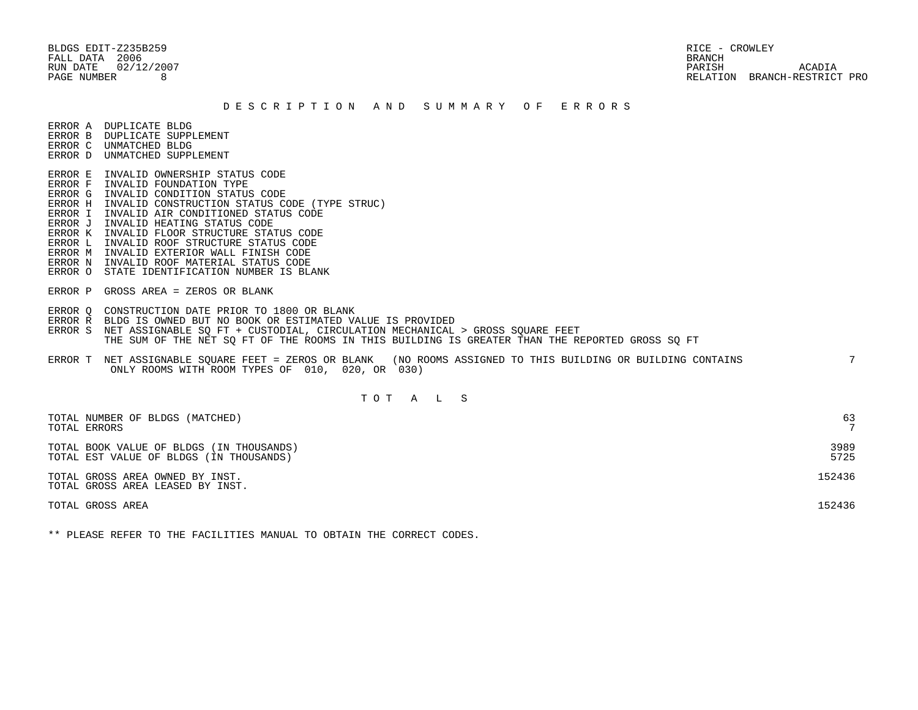BLDGS EDIT-Z235B259 RICE - CROWLEY FALL DATA 2006 BRANCH

 RUN DATE 02/12/2007 PARISH ACADIA PAGE NUMBER 8 RELATION BRANCH-RESTRICT PRO

#### D E S C R I P T I O N A N D S U M M A R Y O F E R R O R S

ERROR A DUPLICATE BLDG

- ERROR B DUPLICATE SUPPLEMENT ERROR C UNMATCHED BLDG
- ERROR D UNMATCHED SUPPLEMENT
- 
- ERROR E INVALID OWNERSHIP STATUS CODE
- ERROR F INVALID FOUNDATION TYPE ERROR G INVALID CONDITION STATUS CODE
- ERROR H INVALID CONSTRUCTION STATUS CODE (TYPE STRUC)
- ERROR I INVALID AIR CONDITIONED STATUS CODE
- ERROR J INVALID HEATING STATUS CODE
- ERROR K INVALID FLOOR STRUCTURE STATUS CODE
- ERROR L INVALID ROOF STRUCTURE STATUS CODE
- ERROR M INVALID EXTERIOR WALL FINISH CODE
- ERROR N INVALID ROOF MATERIAL STATUS CODE
- ERROR O STATE IDENTIFICATION NUMBER IS BLANK
- ERROR P GROSS AREA = ZEROS OR BLANK
- ERROR Q CONSTRUCTION DATE PRIOR TO 1800 OR BLANK
- ERROR R BLDG IS OWNED BUT NO BOOK OR ESTIMATED VALUE IS PROVIDED
- ERROR S NET ASSIGNABLE SO FT + CUSTODIAL, CIRCULATION MECHANICAL > GROSS SOUARE FEET THE SUM OF THE NET SQ FT OF THE ROOMS IN THIS BUILDING IS GREATER THAN THE REPORTED GROSS SQ FT
- ERROR T NET ASSIGNABLE SQUARE FEET = ZEROS OR BLANK (NO ROOMS ASSIGNED TO THIS BUILDING OR BUILDING CONTAINS 7 ONLY ROOMS WITH ROOM TYPES OF 010, 020, OR 030)

# T O T A L S

| TOTAL NUMBER OF BLDGS (MATCHED)                                     | 63             |
|---------------------------------------------------------------------|----------------|
| TOTAL ERRORS                                                        | $\overline{ }$ |
| TOTAL BOOK VALUE OF BLDGS (IN THOUSANDS)                            | 3989           |
| TOTAL EST VALUE OF BLDGS (IN THOUSANDS)                             | 5725           |
| TOTAL GROSS AREA OWNED BY INST.<br>TOTAL GROSS AREA LEASED BY INST. | 152436         |
| TOTAL GROSS AREA                                                    | 152436         |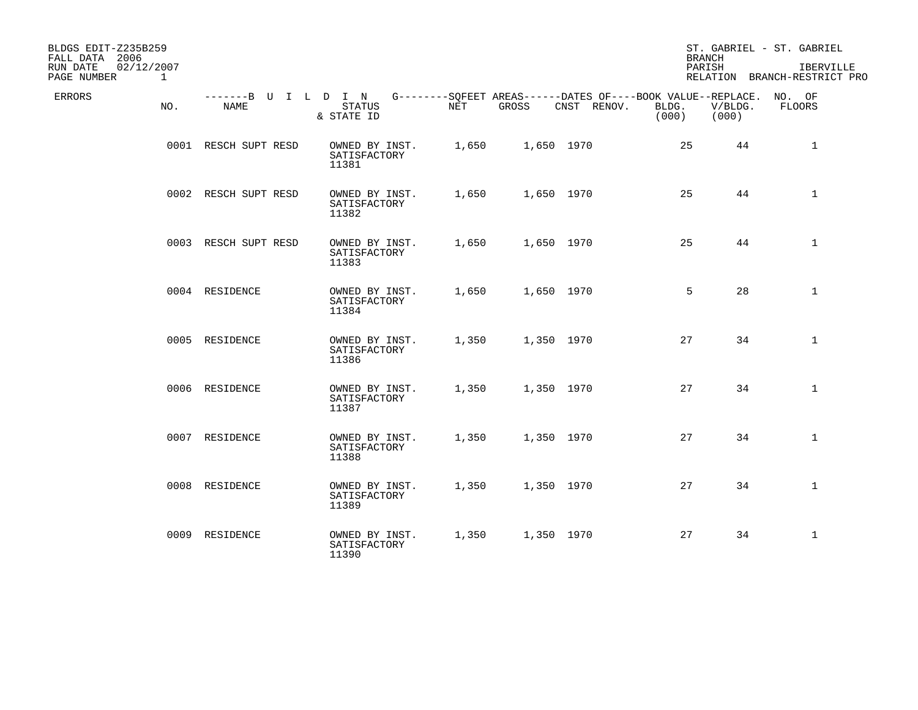| BLDGS EDIT-Z235B259<br>FALL DATA 2006<br>RUN DATE<br>02/12/2007<br>PAGE NUMBER | $\mathbf{1}$ |                              |                                         |       |            |                                                                            | <b>BRANCH</b><br>PARISH |                  | ST. GABRIEL - ST. GABRIEL<br>IBERVILLE<br>RELATION BRANCH-RESTRICT PRO |
|--------------------------------------------------------------------------------|--------------|------------------------------|-----------------------------------------|-------|------------|----------------------------------------------------------------------------|-------------------------|------------------|------------------------------------------------------------------------|
| ERRORS                                                                         | NO.          | -------B U I L D I N<br>NAME | STATUS<br>& STATE ID                    | NET   | GROSS      | G--------SQFEET AREAS------DATES OF----BOOK VALUE--REPLACE.<br>CNST RENOV. | BLDG.<br>(000)          | V/BLDG.<br>(000) | NO. OF<br>FLOORS                                                       |
|                                                                                |              | 0001 RESCH SUPT RESD         | OWNED BY INST.<br>SATISFACTORY<br>11381 | 1,650 | 1,650 1970 |                                                                            | 25                      | 44               | $\mathbf{1}$                                                           |
|                                                                                |              | 0002 RESCH SUPT RESD         | OWNED BY INST.<br>SATISFACTORY<br>11382 | 1,650 | 1,650 1970 |                                                                            | 25                      | 44               | $\mathbf 1$                                                            |
|                                                                                |              | 0003 RESCH SUPT RESD         | OWNED BY INST.<br>SATISFACTORY<br>11383 | 1,650 | 1,650 1970 |                                                                            | 25                      | 44               | $\mathbf{1}$                                                           |
|                                                                                |              | 0004 RESIDENCE               | OWNED BY INST.<br>SATISFACTORY<br>11384 | 1,650 | 1,650 1970 |                                                                            | 5                       | 28               | $\mathbf 1$                                                            |
|                                                                                |              | 0005 RESIDENCE               | OWNED BY INST.<br>SATISFACTORY<br>11386 | 1,350 | 1,350 1970 |                                                                            | 27                      | 34               | $\mathbf{1}$                                                           |
|                                                                                |              | 0006 RESIDENCE               | OWNED BY INST.<br>SATISFACTORY<br>11387 | 1,350 | 1,350 1970 |                                                                            | 27                      | 34               | $\mathbf{1}$                                                           |
|                                                                                |              | 0007 RESIDENCE               | OWNED BY INST.<br>SATISFACTORY<br>11388 | 1,350 | 1,350 1970 |                                                                            | 27                      | 34               | $\mathbf{1}$                                                           |
|                                                                                |              | 0008 RESIDENCE               | OWNED BY INST.<br>SATISFACTORY<br>11389 | 1,350 | 1,350 1970 |                                                                            | 27                      | 34               | $\mathbf{1}$                                                           |
|                                                                                |              | 0009 RESIDENCE               | OWNED BY INST.<br>SATISFACTORY<br>11390 | 1,350 | 1,350 1970 |                                                                            | 27                      | 34               | $\mathbf{1}$                                                           |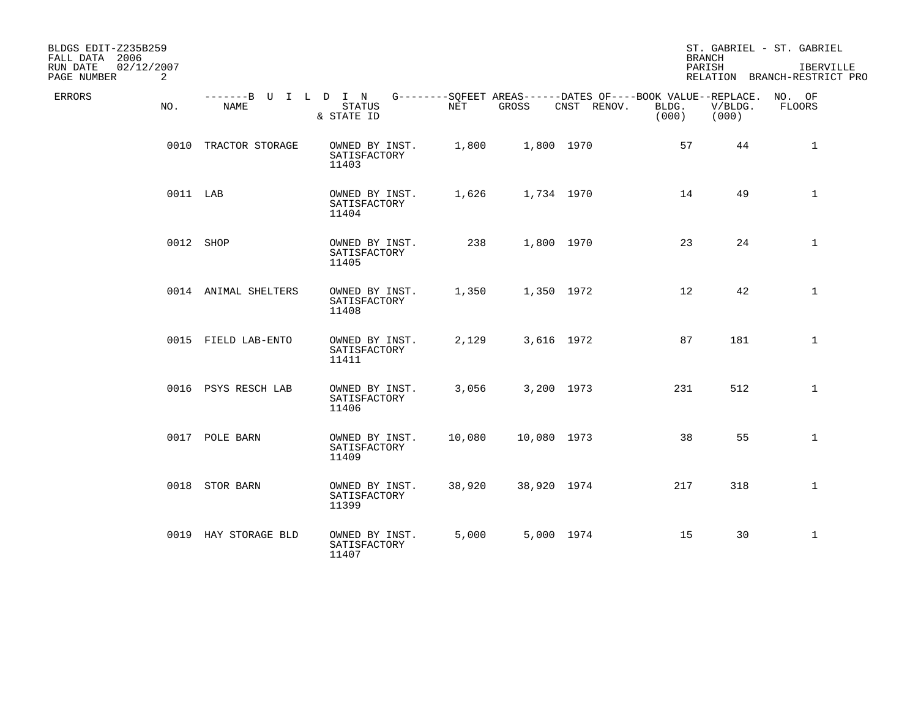| BLDGS EDIT-Z235B259<br>FALL DATA 2006 |          |                              |                                         |        |             |                                                                            |                | <b>BRANCH</b>    | ST. GABRIEL - ST. GABRIEL                 |
|---------------------------------------|----------|------------------------------|-----------------------------------------|--------|-------------|----------------------------------------------------------------------------|----------------|------------------|-------------------------------------------|
| RUN DATE<br>02/12/2007<br>PAGE NUMBER | 2        |                              |                                         |        |             |                                                                            |                | PARISH           | IBERVILLE<br>RELATION BRANCH-RESTRICT PRO |
| ERRORS                                | NO.      | -------B U I L D I N<br>NAME | <b>STATUS</b><br>& STATE ID             | NET    | GROSS       | G--------SQFEET AREAS------DATES OF----BOOK VALUE--REPLACE.<br>CNST RENOV. | BLDG.<br>(000) | V/BLDG.<br>(000) | NO. OF<br>FLOORS                          |
|                                       |          | 0010 TRACTOR STORAGE         | OWNED BY INST.<br>SATISFACTORY<br>11403 | 1,800  | 1,800 1970  |                                                                            | 57             | 44               | $\mathbf{1}$                              |
|                                       | 0011 LAB |                              | OWNED BY INST.<br>SATISFACTORY<br>11404 | 1,626  | 1,734 1970  |                                                                            | 14             | 49               | $\mathbf{1}$                              |
|                                       |          | 0012 SHOP                    | OWNED BY INST.<br>SATISFACTORY<br>11405 | 238    | 1,800 1970  |                                                                            | 23             | 24               | $\mathbf{1}$                              |
|                                       |          | 0014 ANIMAL SHELTERS         | OWNED BY INST.<br>SATISFACTORY<br>11408 | 1,350  | 1,350 1972  |                                                                            | 12             | 42               | $\mathbf{1}$                              |
|                                       |          | 0015 FIELD LAB-ENTO          | OWNED BY INST.<br>SATISFACTORY<br>11411 | 2,129  | 3,616 1972  |                                                                            | 87             | 181              | $\mathbf 1$                               |
|                                       |          | 0016 PSYS RESCH LAB          | OWNED BY INST.<br>SATISFACTORY<br>11406 | 3,056  | 3,200 1973  |                                                                            | 231            | 512              | $\mathbf 1$                               |
|                                       |          | 0017 POLE BARN               | OWNED BY INST.<br>SATISFACTORY<br>11409 | 10,080 | 10,080 1973 |                                                                            | 38             | 55               | $\mathbf{1}$                              |
|                                       |          | 0018 STOR BARN               | OWNED BY INST.<br>SATISFACTORY<br>11399 | 38,920 | 38,920 1974 |                                                                            | 217            | 318              | $\mathbf 1$                               |
|                                       |          | 0019 HAY STORAGE BLD         | OWNED BY INST.<br>SATISFACTORY<br>11407 | 5,000  | 5,000 1974  |                                                                            | 15             | 30               | $\mathbf{1}$                              |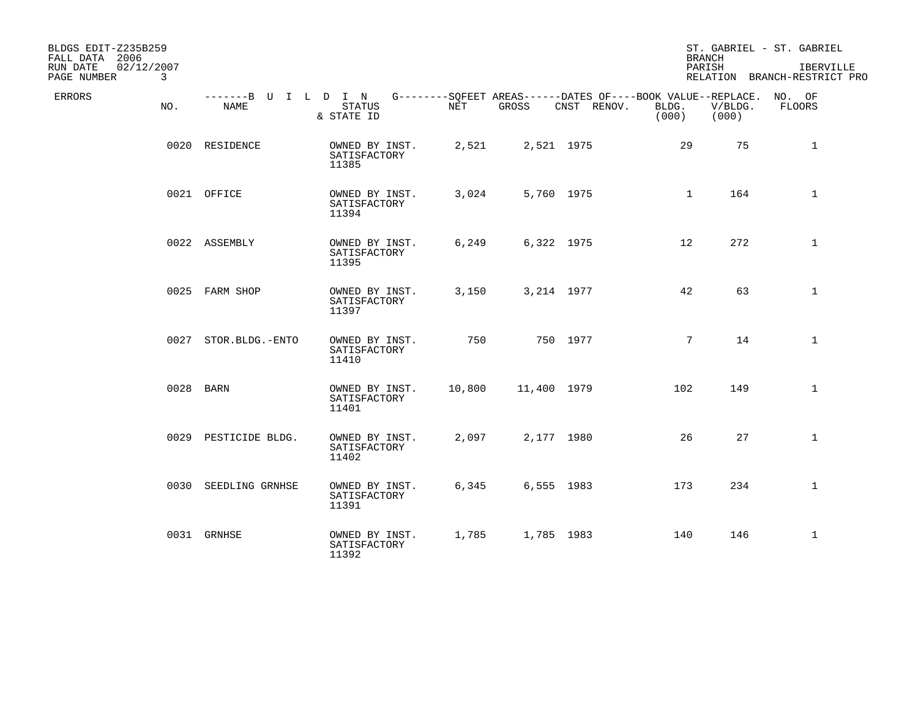| BLDGS EDIT-Z235B259<br>FALL DATA 2006<br>02/12/2007<br>RUN DATE<br>$\mathbf{3}$<br>PAGE NUMBER |                      |                                                                                                                 |        |             |             |                | <b>BRANCH</b><br>PARISH | ST. GABRIEL - ST. GABRIEL<br>IBERVILLE<br>RELATION BRANCH-RESTRICT PRO |
|------------------------------------------------------------------------------------------------|----------------------|-----------------------------------------------------------------------------------------------------------------|--------|-------------|-------------|----------------|-------------------------|------------------------------------------------------------------------|
| ERRORS<br>NO.                                                                                  | NAME                 | -------B U I L D I N G--------SQFEET AREAS------DATES OF----BOOK VALUE--REPLACE.<br><b>STATUS</b><br>& STATE ID | NET    | GROSS       | CNST RENOV. | BLDG.<br>(000) | V/BLDG.<br>(000)        | NO. OF<br>FLOORS                                                       |
|                                                                                                | 0020 RESIDENCE       | OWNED BY INST.<br>SATISFACTORY<br>11385                                                                         | 2,521  | 2,521 1975  |             |                | 29<br>75                | $\mathbf{1}$                                                           |
|                                                                                                | 0021 OFFICE          | OWNED BY INST.<br>SATISFACTORY<br>11394                                                                         | 3,024  | 5,760 1975  |             |                | 164<br>$\mathbf{1}$     | $\mathbf{1}$                                                           |
|                                                                                                | 0022 ASSEMBLY        | OWNED BY INST.<br>SATISFACTORY<br>11395                                                                         | 6,249  | 6,322 1975  |             |                | 12 <sup>°</sup><br>272  | 1                                                                      |
|                                                                                                | 0025 FARM SHOP       | OWNED BY INST.<br>SATISFACTORY<br>11397                                                                         | 3,150  | 3,214 1977  |             |                | 63<br>42                | $\mathbf{1}$                                                           |
|                                                                                                | 0027 STOR.BLDG.-ENTO | OWNED BY INST.<br>SATISFACTORY<br>11410                                                                         | 750    |             | 750 1977    |                | $7^{\circ}$<br>14       | $\mathbf{1}$                                                           |
|                                                                                                | 0028 BARN            | OWNED BY INST.<br>SATISFACTORY<br>11401                                                                         | 10,800 | 11,400 1979 |             |                | 102<br>149              | $\mathbf{1}$                                                           |
|                                                                                                | 0029 PESTICIDE BLDG. | OWNED BY INST.<br>SATISFACTORY<br>11402                                                                         | 2,097  | 2,177 1980  |             |                | 26<br>27                | $\mathbf{1}$                                                           |
|                                                                                                | 0030 SEEDLING GRNHSE | OWNED BY INST.<br>SATISFACTORY<br>11391                                                                         | 6,345  |             | 6,555 1983  |                | 173<br>234              | $\mathbf{1}$                                                           |
|                                                                                                | 0031 GRNHSE          | OWNED BY INST.<br>SATISFACTORY<br>11392                                                                         | 1,785  | 1,785 1983  |             |                | 140<br>146              | $\mathbf{1}$                                                           |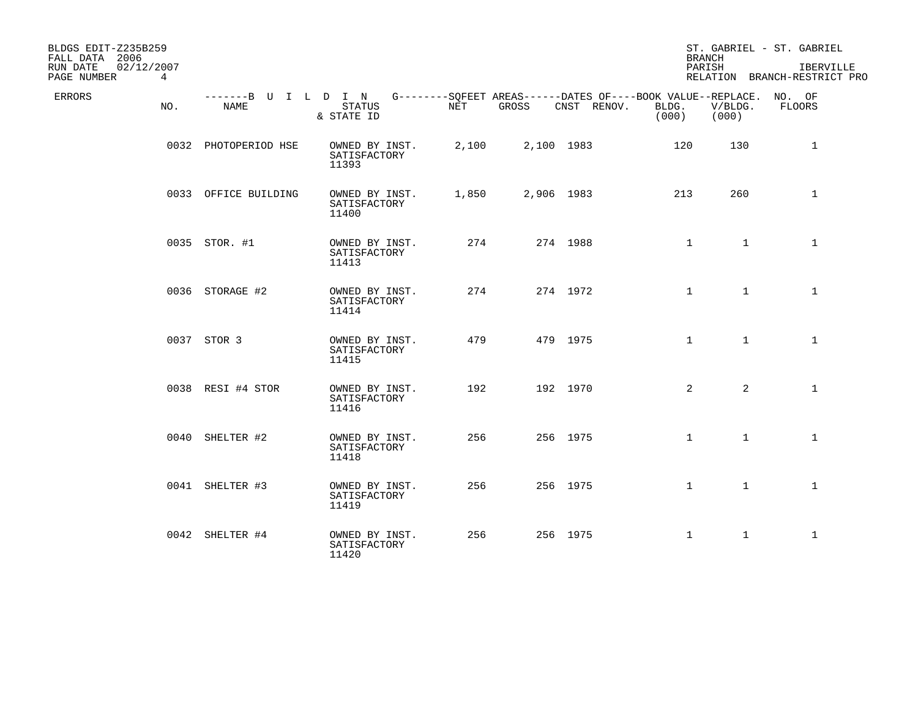| BLDGS EDIT-Z235B259<br>FALL DATA 2006 |     |                              |                                         |       |       |                                                                                   | <b>BRANCH</b>  |                  | ST. GABRIEL - ST. GABRIEL                 |
|---------------------------------------|-----|------------------------------|-----------------------------------------|-------|-------|-----------------------------------------------------------------------------------|----------------|------------------|-------------------------------------------|
| RUN DATE<br>02/12/2007<br>PAGE NUMBER | 4   |                              |                                         |       |       |                                                                                   | PARISH         |                  | IBERVILLE<br>RELATION BRANCH-RESTRICT PRO |
| ERRORS                                | NO. | -------B U I L D I N<br>NAME | <b>STATUS</b><br>& STATE ID             | NET   | GROSS | G--------SOFEET AREAS------DATES OF----BOOK VALUE--REPLACE. NO. OF<br>CNST RENOV. | BLDG.<br>(000) | V/BLDG.<br>(000) | FLOORS                                    |
|                                       |     | 0032 PHOTOPERIOD HSE         | OWNED BY INST.<br>SATISFACTORY<br>11393 | 2,100 |       | 2,100 1983                                                                        | 120            | 130              | $\mathbf{1}$                              |
|                                       |     | 0033 OFFICE BUILDING         | OWNED BY INST.<br>SATISFACTORY<br>11400 | 1,850 |       | 2,906 1983                                                                        | 213            | 260              | $\mathbf 1$                               |
|                                       |     | 0035 STOR. #1                | OWNED BY INST.<br>SATISFACTORY<br>11413 | 274   |       | 274 1988                                                                          | $\mathbf{1}$   | $\mathbf{1}$     | 1                                         |
|                                       |     | 0036 STORAGE #2              | OWNED BY INST.<br>SATISFACTORY<br>11414 | 274   |       | 274 1972                                                                          | $\mathbf{1}$   | $\mathbf{1}$     | $\mathbf{1}$                              |
|                                       |     | 0037 STOR 3                  | OWNED BY INST.<br>SATISFACTORY<br>11415 | 479   |       | 479 1975                                                                          | $\mathbf{1}$   | $\mathbf{1}$     | $\mathbf{1}$                              |
|                                       |     | 0038 RESI #4 STOR            | OWNED BY INST.<br>SATISFACTORY<br>11416 | 192   |       | 192 1970                                                                          | 2              | $\overline{2}$   | $\mathbf{1}$                              |
|                                       |     | 0040 SHELTER #2              | OWNED BY INST.<br>SATISFACTORY<br>11418 | 256   |       | 256 1975                                                                          | $\mathbf{1}$   | $\mathbf{1}$     | $\mathbf{1}$                              |
|                                       |     | 0041 SHELTER #3              | OWNED BY INST.<br>SATISFACTORY<br>11419 | 256   |       | 256 1975                                                                          | $\mathbf{1}$   | $\mathbf{1}$     | $\mathbf{1}$                              |
|                                       |     | 0042 SHELTER #4              | OWNED BY INST.<br>SATISFACTORY<br>11420 | 256   |       | 256 1975                                                                          | $\mathbf{1}$   | $\mathbf{1}$     | $\mathbf{1}$                              |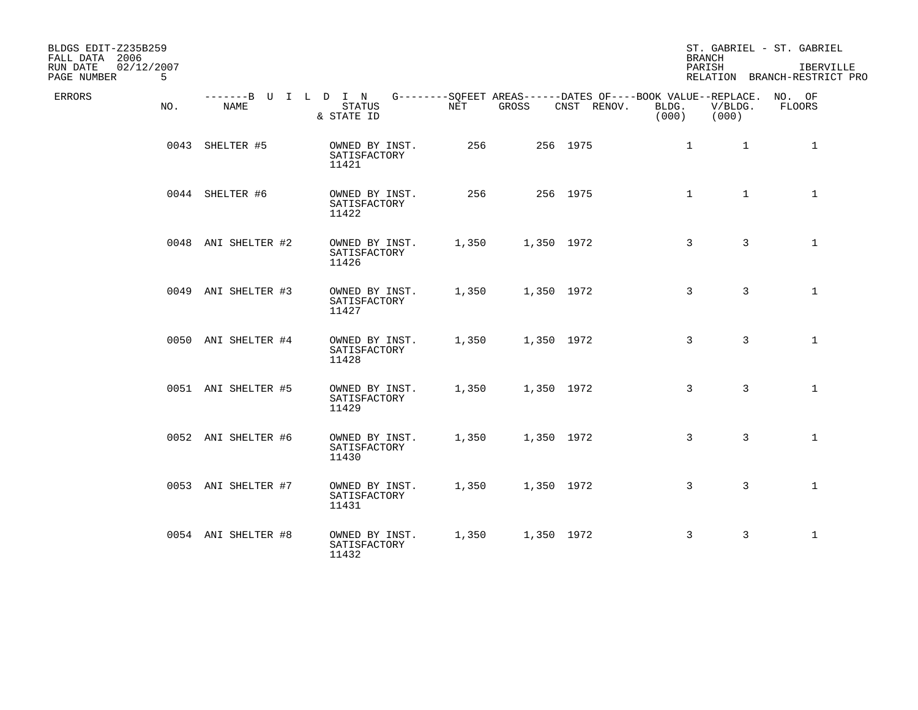| BLDGS EDIT-Z235B259<br>FALL DATA 2006<br>RUN DATE<br>02/12/2007<br>PAGE NUMBER<br>5 |                     |                                         |                      |                                                                                                          | <b>BRANCH</b><br>PARISH | ST. GABRIEL - ST. GABRIEL<br>RELATION BRANCH-RESTRICT PRO | IBERVILLE    |
|-------------------------------------------------------------------------------------|---------------------|-----------------------------------------|----------------------|----------------------------------------------------------------------------------------------------------|-------------------------|-----------------------------------------------------------|--------------|
| ERRORS<br>NO.                                                                       | NAME                | STATUS<br>& STATE ID                    | $\operatorname{NET}$ | -------B U I L D I N G--------SQFEET AREAS------DATES OF----BOOK VALUE--REPLACE.<br>GROSS<br>CNST RENOV. | BLDG.<br>(000)<br>(000) | NO. OF<br>V/BLDG.<br>FLOORS                               |              |
|                                                                                     | 0043 SHELTER #5     | OWNED BY INST.<br>SATISFACTORY<br>11421 | 256                  | 256 1975                                                                                                 | $\mathbf{1}$            | 1<br>1                                                    |              |
|                                                                                     | 0044 SHELTER #6     | OWNED BY INST.<br>SATISFACTORY<br>11422 | 256                  | 256 1975                                                                                                 | $\mathbf{1}$            | $\mathbf{1}$                                              | $\mathbf{1}$ |
|                                                                                     | 0048 ANI SHELTER #2 | OWNED BY INST.<br>SATISFACTORY<br>11426 | 1,350                | 1,350 1972                                                                                               | 3                       | $\overline{3}$<br>$\mathbf{1}$                            |              |
|                                                                                     | 0049 ANI SHELTER #3 | OWNED BY INST.<br>SATISFACTORY<br>11427 | 1,350                | 1,350 1972                                                                                               | 3                       | 3                                                         | $\mathbf{1}$ |
|                                                                                     | 0050 ANI SHELTER #4 | OWNED BY INST.<br>SATISFACTORY<br>11428 | 1,350                | 1,350 1972                                                                                               | 3                       | 3                                                         | $\mathbf{1}$ |
|                                                                                     | 0051 ANI SHELTER #5 | OWNED BY INST.<br>SATISFACTORY<br>11429 | 1,350                | 1,350 1972                                                                                               | 3                       | 3                                                         | $\mathbf{1}$ |
|                                                                                     | 0052 ANI SHELTER #6 | OWNED BY INST.<br>SATISFACTORY<br>11430 | 1,350                | 1,350 1972                                                                                               | 3                       | 3<br>$\mathbf{1}$                                         |              |
|                                                                                     | 0053 ANI SHELTER #7 | OWNED BY INST.<br>SATISFACTORY<br>11431 | 1,350                | 1,350 1972                                                                                               | 3                       | 3                                                         | $\mathbf{1}$ |
|                                                                                     | 0054 ANI SHELTER #8 | OWNED BY INST.<br>SATISFACTORY<br>11432 | 1,350                | 1,350 1972                                                                                               | 3                       | 3<br>$\mathbf{1}$                                         |              |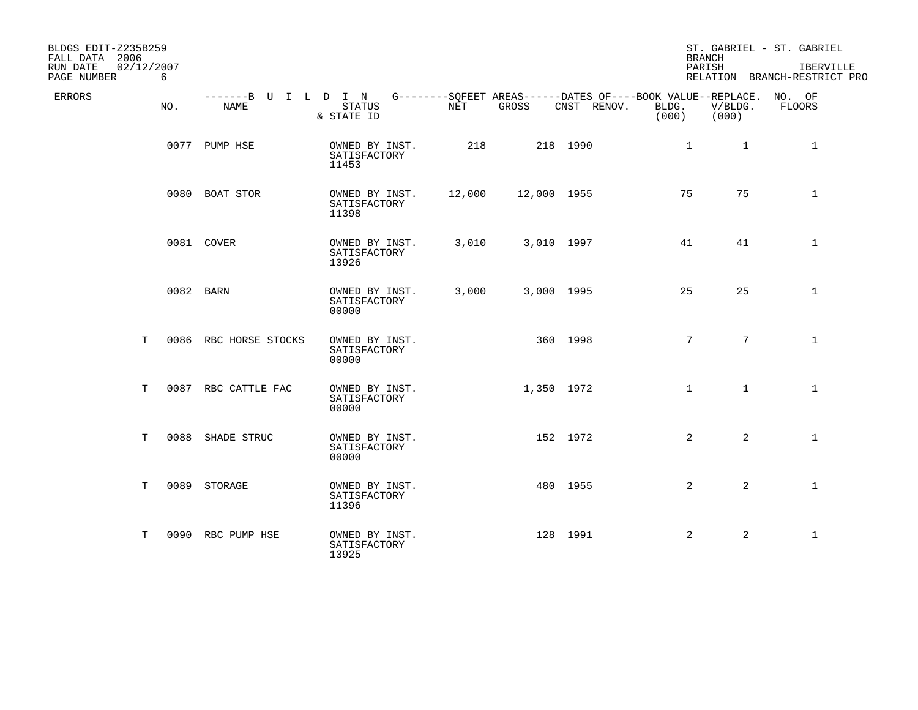| BLDGS EDIT-Z235B259<br>FALL DATA 2006<br>RUN DATE<br>02/12/2007<br>PAGE NUMBER | 6   |                              |                                         |        |             |                                                                                   | <b>BRANCH</b><br>PARISH |                  | ST. GABRIEL - ST. GABRIEL<br>IBERVILLE<br>RELATION BRANCH-RESTRICT PRO |
|--------------------------------------------------------------------------------|-----|------------------------------|-----------------------------------------|--------|-------------|-----------------------------------------------------------------------------------|-------------------------|------------------|------------------------------------------------------------------------|
| ERRORS                                                                         | NO. | -------B U I L D I N<br>NAME | STATUS<br>& STATE ID                    | NET    | GROSS       | G--------SQFEET AREAS------DATES OF----BOOK VALUE--REPLACE. NO. OF<br>CNST RENOV. | BLDG.<br>(000)          | V/BLDG.<br>(000) | FLOORS                                                                 |
|                                                                                |     | 0077 PUMP HSE                | OWNED BY INST.<br>SATISFACTORY<br>11453 | 218    |             | 218 1990                                                                          | $\mathbf{1}$            | $\mathbf{1}$     | 1                                                                      |
|                                                                                |     | 0080 BOAT STOR               | OWNED BY INST.<br>SATISFACTORY<br>11398 | 12,000 | 12,000 1955 |                                                                                   | 75                      | 75               | $\mathbf{1}$                                                           |
|                                                                                |     | 0081 COVER                   | OWNED BY INST.<br>SATISFACTORY<br>13926 | 3,010  | 3,010 1997  |                                                                                   | 41                      | 41               | $\mathbf 1$                                                            |
|                                                                                |     | 0082 BARN                    | OWNED BY INST.<br>SATISFACTORY<br>00000 | 3,000  | 3,000 1995  |                                                                                   | 25                      | 25               | $\mathbf{1}$                                                           |
| T                                                                              |     | 0086 RBC HORSE STOCKS        | OWNED BY INST.<br>SATISFACTORY<br>00000 |        |             | 360 1998                                                                          | $7\overline{ }$         | $7\overline{ }$  | $\mathbf{1}$                                                           |
| Т                                                                              |     | 0087 RBC CATTLE FAC          | OWNED BY INST.<br>SATISFACTORY<br>00000 |        | 1,350 1972  |                                                                                   | $\mathbf 1$             | $\mathbf{1}$     | $\mathbf{1}$                                                           |
| T                                                                              |     | 0088 SHADE STRUC             | OWNED BY INST.<br>SATISFACTORY<br>00000 |        |             | 152 1972                                                                          | $\overline{2}$          | $\overline{2}$   | $\mathbf{1}$                                                           |
| Т                                                                              |     | 0089 STORAGE                 | OWNED BY INST.<br>SATISFACTORY<br>11396 |        |             | 480 1955                                                                          | 2                       | $\overline{a}$   | $\mathbf{1}$                                                           |
| т                                                                              |     | 0090 RBC PUMP HSE            | OWNED BY INST.<br>SATISFACTORY<br>13925 |        |             | 128 1991                                                                          | 2                       | 2                | $\mathbf{1}$                                                           |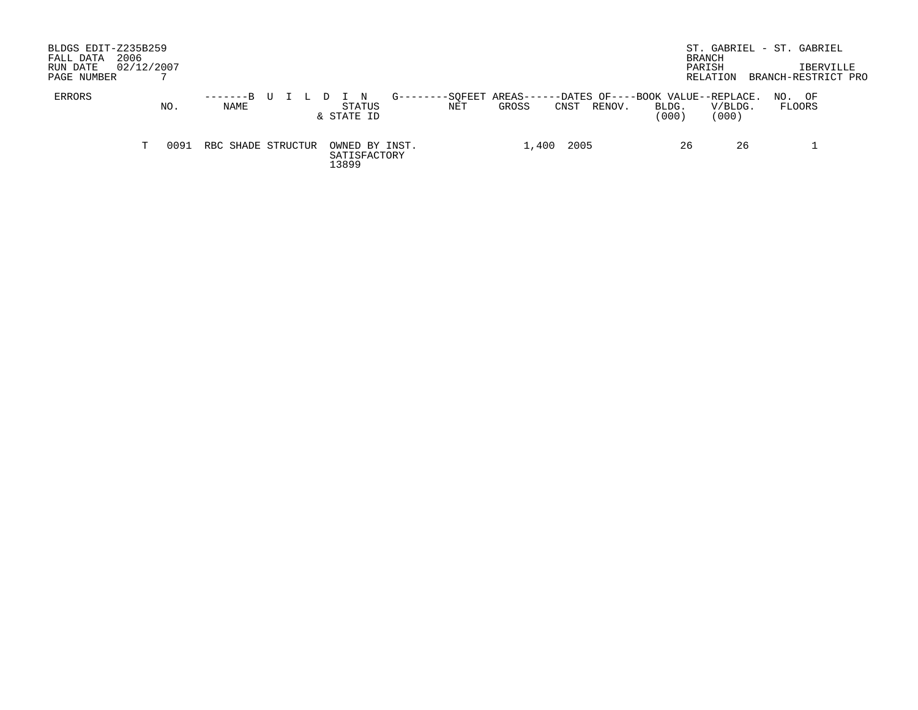| BLDGS EDIT-Z235B259<br>2006<br>FALL DATA<br>RUN DATE<br>PAGE NUMBER | 02/12/2007 |      |                    |  |  |       |                      |                |                           |       |       |      |        |                                                      | BRANCH<br>PARISH | RELATION         |     | ST. GABRIEL - ST. GABRIEL<br><b>IBERVILLE</b><br>BRANCH-RESTRICT PRO |  |
|---------------------------------------------------------------------|------------|------|--------------------|--|--|-------|----------------------|----------------|---------------------------|-------|-------|------|--------|------------------------------------------------------|------------------|------------------|-----|----------------------------------------------------------------------|--|
| ERRORS                                                              |            | NO.  | $-----B$ U<br>NAME |  |  |       | STATUS<br>& STATE ID | G-------       | -SOFEET AREAS-----<br>NET | GROSS |       | CNST | RENOV. | --DATES OF----BOOK VALUE--REPLACE.<br>BLDG.<br>(000) |                  | V/BLDG.<br>(000) | NO. | OF<br>FLOORS                                                         |  |
|                                                                     | T.         | 0091 | RBC SHADE STRUCTUR |  |  | 13899 | SATISFACTORY         | OWNED BY INST. |                           |       | 1,400 | 2005 |        |                                                      | 26               | 26               |     |                                                                      |  |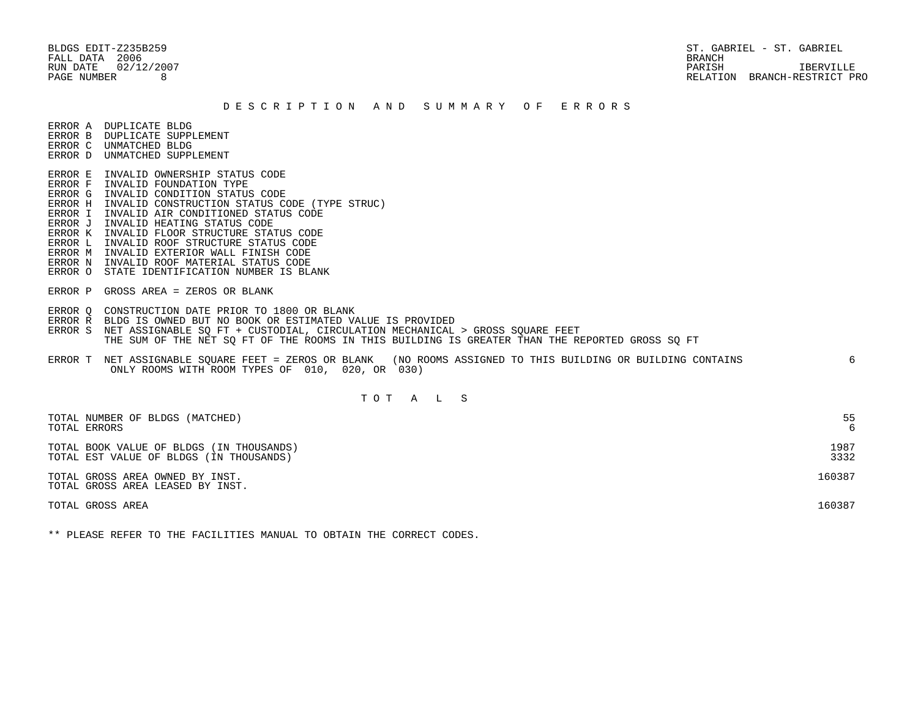BLDGS EDIT-Z235B259 ST. GABRIEL - ST. GABRIEL - ST. GABRIEL - ST. GABRIEL - ST. GABRIEL - ST. GABRIEL RUN DATE 02/12/2007 PARISH IBERVILLE PAGE NUMBER 8 RELATION BRANCH-RESTRICT PRO

#### D E S C R I P T I O N A N D S U M M A R Y O F E R R O R S

ERROR A DUPLICATE BLDG

- ERROR B DUPLICATE SUPPLEMENT
- ERROR C UNMATCHED BLDG ERROR D UNMATCHED SUPPLEMENT
- 
- ERROR E INVALID OWNERSHIP STATUS CODE
- ERROR F INVALID FOUNDATION TYPE ERROR G INVALID CONDITION STATUS CODE
- ERROR H INVALID CONSTRUCTION STATUS CODE (TYPE STRUC)
- ERROR I INVALID AIR CONDITIONED STATUS CODE
- ERROR J INVALID HEATING STATUS CODE
- ERROR K INVALID FLOOR STRUCTURE STATUS CODE
- ERROR L INVALID ROOF STRUCTURE STATUS CODE
- ERROR M INVALID EXTERIOR WALL FINISH CODE
- ERROR N INVALID ROOF MATERIAL STATUS CODE
- ERROR O STATE IDENTIFICATION NUMBER IS BLANK
- ERROR P GROSS AREA = ZEROS OR BLANK
- ERROR Q CONSTRUCTION DATE PRIOR TO 1800 OR BLANK
- ERROR R BLDG IS OWNED BUT NO BOOK OR ESTIMATED VALUE IS PROVIDED
- ERROR S NET ASSIGNABLE SO FT + CUSTODIAL, CIRCULATION MECHANICAL > GROSS SOUARE FEET THE SUM OF THE NET SQ FT OF THE ROOMS IN THIS BUILDING IS GREATER THAN THE REPORTED GROSS SQ FT
- ERROR T NET ASSIGNABLE SQUARE FEET = ZEROS OR BLANK (NO ROOMS ASSIGNED TO THIS BUILDING OR BUILDING CONTAINS 6 ONLY ROOMS WITH ROOM TYPES OF 010, 020, OR 030)

### T O T A L S

| TOTAL NUMBER OF BLDGS (MATCHED)                                     | 55     |
|---------------------------------------------------------------------|--------|
| TOTAL ERRORS                                                        | 6      |
| TOTAL BOOK VALUE OF BLDGS (IN THOUSANDS)                            | 1987   |
| TOTAL EST VALUE OF BLDGS (IN THOUSANDS)                             | 3332   |
| TOTAL GROSS AREA OWNED BY INST.<br>TOTAL GROSS AREA LEASED BY INST. | 160387 |
| TOTAL GROSS AREA                                                    | 160387 |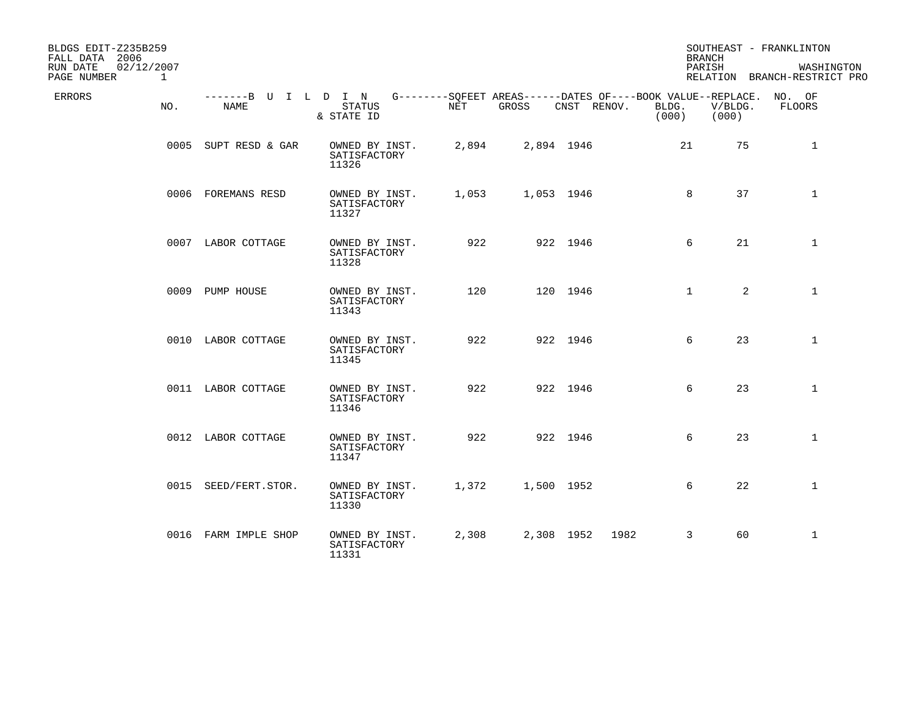| BLDGS EDIT-Z235B259<br>FALL DATA 2006<br>RUN DATE<br>PAGE NUMBER | 02/12/2007<br>$\mathbf{1}$ |                              |                                         |       |            |                    | <b>BRANCH</b><br>PARISH                                                              |                  | SOUTHEAST - FRANKLINTON<br>WASHINGTON<br>RELATION BRANCH-RESTRICT PRO |
|------------------------------------------------------------------|----------------------------|------------------------------|-----------------------------------------|-------|------------|--------------------|--------------------------------------------------------------------------------------|------------------|-----------------------------------------------------------------------|
| ERRORS                                                           | NO.                        | -------B U I L D I N<br>NAME | <b>STATUS</b><br>& STATE ID             | NET   | GROSS      | CNST RENOV.        | G--------SQFEET AREAS------DATES OF----BOOK VALUE--REPLACE. NO. OF<br>BLDG.<br>(000) | V/BLDG.<br>(000) | FLOORS                                                                |
|                                                                  |                            | 0005 SUPT RESD & GAR         | OWNED BY INST.<br>SATISFACTORY<br>11326 | 2,894 |            | 2,894 1946         | 21                                                                                   | 75               | $\mathbf{1}$                                                          |
|                                                                  |                            | 0006 FOREMANS RESD           | OWNED BY INST.<br>SATISFACTORY<br>11327 | 1,053 | 1,053 1946 |                    | 8                                                                                    | 37               | $\mathbf{1}$                                                          |
|                                                                  |                            | 0007 LABOR COTTAGE           | OWNED BY INST.<br>SATISFACTORY<br>11328 | 922   |            | 922 1946           | 6                                                                                    | 21               | $\mathbf{1}$                                                          |
|                                                                  |                            | 0009 PUMP HOUSE              | OWNED BY INST.<br>SATISFACTORY<br>11343 | 120   |            | 120 1946           | $\mathbf{1}$                                                                         | $\overline{a}$   | $\mathbf{1}$                                                          |
|                                                                  |                            | 0010 LABOR COTTAGE           | OWNED BY INST.<br>SATISFACTORY<br>11345 | 922   |            | 922 1946           | 6                                                                                    | 23               | $\mathbf 1$                                                           |
|                                                                  |                            | 0011 LABOR COTTAGE           | OWNED BY INST.<br>SATISFACTORY<br>11346 | 922   |            | 922 1946           | 6                                                                                    | 23               | $\mathbf{1}$                                                          |
|                                                                  |                            | 0012 LABOR COTTAGE           | OWNED BY INST.<br>SATISFACTORY<br>11347 | 922   |            | 922 1946           | 6                                                                                    | 23               | $\mathbf{1}$                                                          |
|                                                                  |                            | 0015 SEED/FERT.STOR.         | OWNED BY INST.<br>SATISFACTORY<br>11330 | 1,372 | 1,500 1952 |                    | 6                                                                                    | 22               | $\mathbf{1}$                                                          |
|                                                                  |                            | 0016 FARM IMPLE SHOP         | OWNED BY INST.<br>SATISFACTORY<br>11331 | 2,308 |            | 2,308 1952<br>1982 | 3                                                                                    | 60               | $\mathbf{1}$                                                          |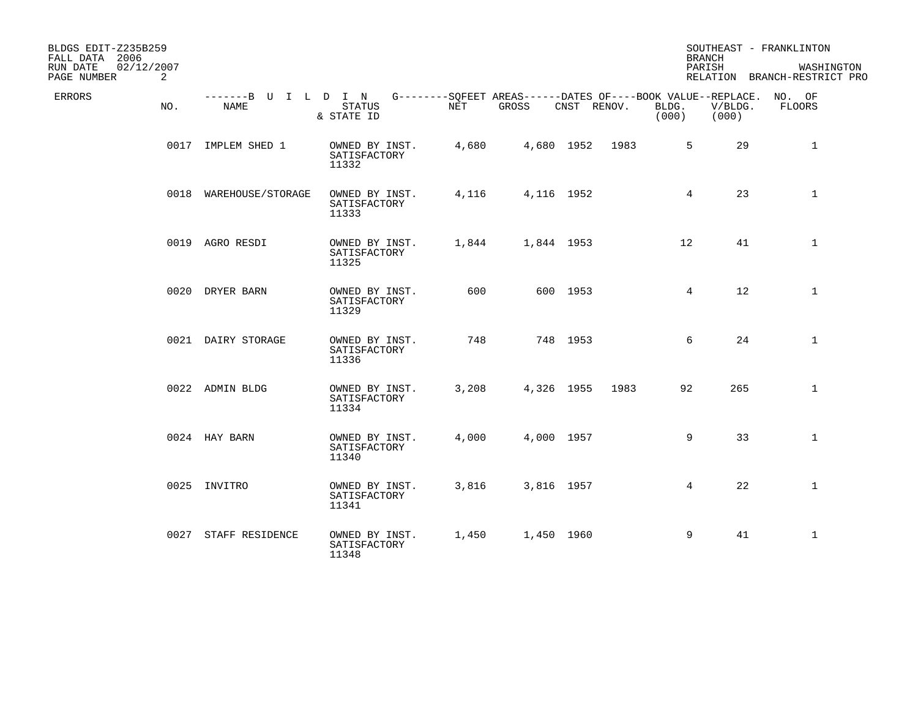| BLDGS EDIT-Z235B259<br>FALL DATA 2006<br>RUN DATE<br>02/12/2007 |                              |                                         |            |                                                                             |                 |      |                 | <b>BRANCH</b><br>PARISH | SOUTHEAST - FRANKLINTON<br>WASHINGTON |
|-----------------------------------------------------------------|------------------------------|-----------------------------------------|------------|-----------------------------------------------------------------------------|-----------------|------|-----------------|-------------------------|---------------------------------------|
| 2<br>PAGE NUMBER                                                |                              |                                         |            |                                                                             |                 |      |                 |                         | RELATION BRANCH-RESTRICT PRO          |
| ERRORS<br>NO.                                                   | -------B U I L D I N<br>NAME | <b>STATUS</b><br>& STATE ID             | <b>NET</b> | G--------SQFEET AREAS------DATES OF----BOOK VALUE--REPLACE. NO. OF<br>GROSS | CNST RENOV.     |      | BLDG.<br>(000)  | V/BLDG.<br>(000)        | FLOORS                                |
|                                                                 | 0017 IMPLEM SHED 1           | OWNED BY INST.<br>SATISFACTORY<br>11332 | 4,680      |                                                                             | 4,680 1952 1983 |      | 5               | 29                      | $\mathbf{1}$                          |
|                                                                 | 0018 WAREHOUSE/STORAGE       | OWNED BY INST.<br>SATISFACTORY<br>11333 | 4,116      |                                                                             | 4,116 1952      |      | $4\overline{ }$ | 23                      | $\mathbf{1}$                          |
|                                                                 | 0019 AGRO RESDI              | OWNED BY INST.<br>SATISFACTORY<br>11325 | 1,844      |                                                                             | 1,844 1953      |      | 12 <sup>°</sup> | 41                      | $\mathbf{1}$                          |
|                                                                 | 0020 DRYER BARN              | OWNED BY INST.<br>SATISFACTORY<br>11329 | 600        |                                                                             | 600 1953        |      | $4\overline{ }$ | 12                      | $\mathbf{1}$                          |
|                                                                 | 0021 DAIRY STORAGE           | OWNED BY INST.<br>SATISFACTORY<br>11336 | 748        |                                                                             | 748 1953        |      | 6               | 24                      | $\mathbf{1}$                          |
|                                                                 | 0022 ADMIN BLDG              | OWNED BY INST.<br>SATISFACTORY<br>11334 | 3,208      |                                                                             | 4,326 1955      | 1983 | 92              | 265                     | $\mathbf{1}$                          |
|                                                                 | 0024 HAY BARN                | OWNED BY INST.<br>SATISFACTORY<br>11340 | 4,000      |                                                                             | 4,000 1957      |      | 9               | 33                      | $\mathbf{1}$                          |
|                                                                 | 0025 INVITRO                 | OWNED BY INST.<br>SATISFACTORY<br>11341 | 3,816      |                                                                             | 3,816 1957      |      | $4\overline{ }$ | 22                      | $\mathbf{1}$                          |
|                                                                 | 0027 STAFF RESIDENCE         | OWNED BY INST.<br>SATISFACTORY<br>11348 | 1,450      |                                                                             | 1,450 1960      |      | 9               | 41                      | $\mathbf{1}$                          |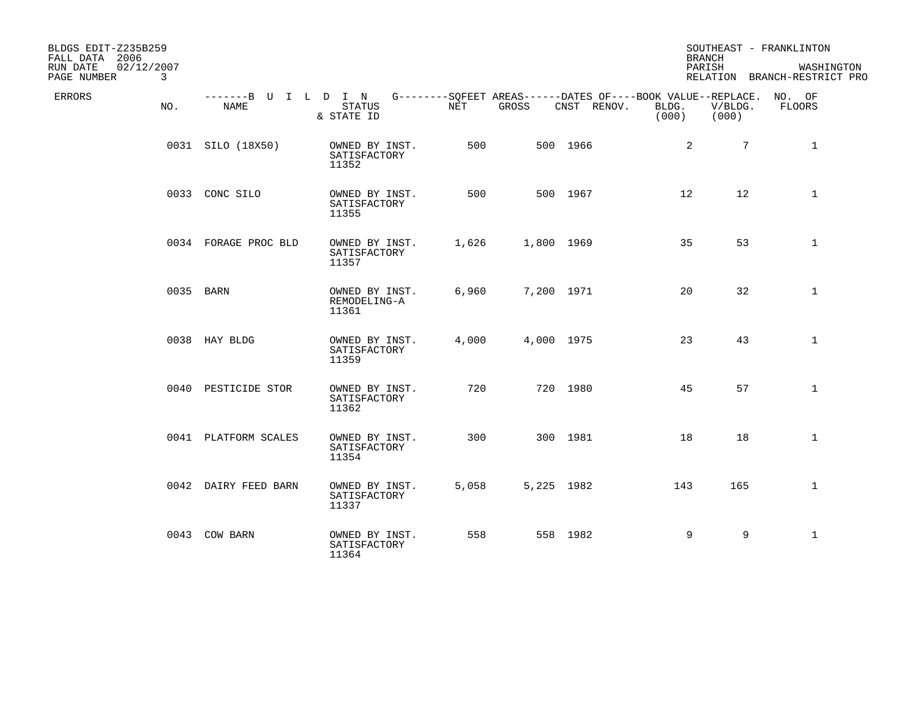| BLDGS EDIT-Z235B259<br>FALL DATA 2006<br>RUN DATE<br>02/12/2007<br>PAGE NUMBER | 3   |                              |                                         |       |            |                                                                                   | <b>BRANCH</b><br>PARISH |                  | SOUTHEAST - FRANKLINTON<br>WASHINGTON<br>RELATION BRANCH-RESTRICT PRO |
|--------------------------------------------------------------------------------|-----|------------------------------|-----------------------------------------|-------|------------|-----------------------------------------------------------------------------------|-------------------------|------------------|-----------------------------------------------------------------------|
| ERRORS                                                                         | NO. | -------B U I L D I N<br>NAME | $\mbox{{\sc STATUS}}$<br>& STATE ID     | NET   | GROSS      | G--------SQFEET AREAS------DATES OF----BOOK VALUE--REPLACE. NO. OF<br>CNST RENOV. | BLDG.<br>(000)          | V/BLDG.<br>(000) | FLOORS                                                                |
|                                                                                |     | 0031 SILO (18X50)            | OWNED BY INST.<br>SATISFACTORY<br>11352 | 500   |            | 500 1966                                                                          | 2                       | $7\overline{ }$  | $\mathbf{1}$                                                          |
|                                                                                |     | 0033 CONC SILO               | OWNED BY INST.<br>SATISFACTORY<br>11355 | 500   |            | 500 1967                                                                          | 12                      | 12               | $\mathbf{1}$                                                          |
|                                                                                |     | 0034 FORAGE PROC BLD         | OWNED BY INST.<br>SATISFACTORY<br>11357 | 1,626 | 1,800 1969 |                                                                                   | 35                      | 53               | 1                                                                     |
|                                                                                |     | 0035 BARN                    | OWNED BY INST.<br>REMODELING-A<br>11361 | 6,960 | 7,200 1971 |                                                                                   | 20                      | 32               | $\mathbf{1}$                                                          |
|                                                                                |     | 0038 HAY BLDG                | OWNED BY INST.<br>SATISFACTORY<br>11359 | 4,000 | 4,000 1975 |                                                                                   | 23                      | 43               | $\mathbf{1}$                                                          |
|                                                                                |     | 0040 PESTICIDE STOR          | OWNED BY INST.<br>SATISFACTORY<br>11362 | 720   |            | 720 1980                                                                          | 45                      | 57               | $\mathbf{1}$                                                          |
|                                                                                |     | 0041 PLATFORM SCALES         | OWNED BY INST.<br>SATISFACTORY<br>11354 | 300   |            | 300 1981                                                                          | 18                      | 18               | $\mathbf{1}$                                                          |
|                                                                                |     | 0042 DAIRY FEED BARN         | OWNED BY INST.<br>SATISFACTORY<br>11337 | 5,058 | 5,225 1982 |                                                                                   | 143                     | 165              | $\mathbf{1}$                                                          |
|                                                                                |     | 0043 COW BARN                | OWNED BY INST.<br>SATISFACTORY<br>11364 | 558   |            | 558 1982                                                                          | 9                       | 9                | $\mathbf{1}$                                                          |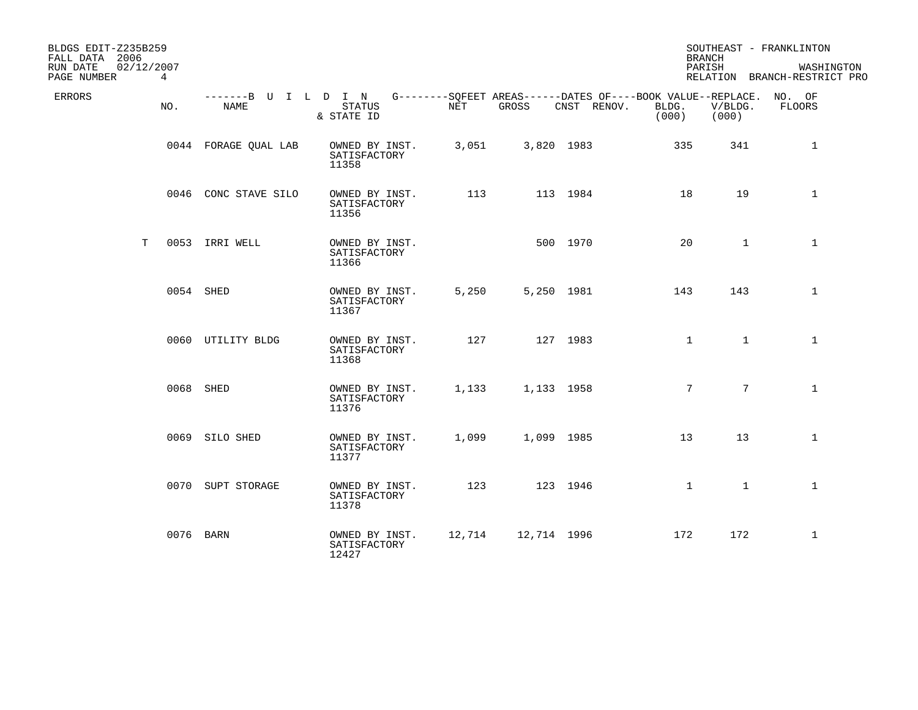| BLDGS EDIT-Z235B259<br>FALL DATA 2006<br>RUN DATE<br>02/12/2007 |           |                                     |                                         |            |             |                                                                                   | <b>BRANCH</b><br>PARISH |                  | SOUTHEAST - FRANKLINTON<br>WASHINGTON |
|-----------------------------------------------------------------|-----------|-------------------------------------|-----------------------------------------|------------|-------------|-----------------------------------------------------------------------------------|-------------------------|------------------|---------------------------------------|
| PAGE NUMBER                                                     | 4         |                                     |                                         |            |             |                                                                                   |                         |                  | RELATION BRANCH-RESTRICT PRO          |
| ERRORS                                                          | NO.       | -------B U I L D I N<br><b>NAME</b> | <b>STATUS</b><br>& STATE ID             | <b>NET</b> | GROSS       | G--------SOFEET AREAS------DATES OF----BOOK VALUE--REPLACE. NO. OF<br>CNST RENOV. | BLDG.<br>(000)          | V/BLDG.<br>(000) | FLOORS                                |
|                                                                 |           | 0044 FORAGE QUAL LAB                | OWNED BY INST.<br>SATISFACTORY<br>11358 | 3,051      | 3,820 1983  |                                                                                   | 335                     | 341              | 1                                     |
|                                                                 |           | 0046 CONC STAVE SILO                | OWNED BY INST.<br>SATISFACTORY<br>11356 | 113        |             | 113 1984                                                                          | 18                      | 19               | $\mathbf{1}$                          |
| Т                                                               |           | 0053 IRRI WELL                      | OWNED BY INST.<br>SATISFACTORY<br>11366 |            |             | 500 1970                                                                          | 20                      | $\mathbf{1}$     | $\mathbf{1}$                          |
|                                                                 | 0054 SHED |                                     | OWNED BY INST.<br>SATISFACTORY<br>11367 | 5,250      | 5,250 1981  |                                                                                   | 143                     | 143              | $\mathbf{1}$                          |
|                                                                 |           | 0060 UTILITY BLDG                   | OWNED BY INST.<br>SATISFACTORY<br>11368 | 127        |             | 127 1983                                                                          | $\mathbf{1}$            | $\mathbf{1}$     | $\mathbf{1}$                          |
|                                                                 | 0068 SHED |                                     | OWNED BY INST.<br>SATISFACTORY<br>11376 | 1,133      | 1,133 1958  |                                                                                   | 7                       | $7\overline{ }$  | $\mathbf{1}$                          |
|                                                                 |           | 0069 SILO SHED                      | OWNED BY INST.<br>SATISFACTORY<br>11377 | 1,099      | 1,099 1985  |                                                                                   | 13                      | 13               | $\mathbf{1}$                          |
|                                                                 |           | 0070 SUPT STORAGE                   | OWNED BY INST.<br>SATISFACTORY<br>11378 | 123        |             | 123 1946                                                                          | $\mathbf{1}$            | $\mathbf{1}$     | $\mathbf{1}$                          |
|                                                                 | 0076 BARN |                                     | OWNED BY INST.<br>SATISFACTORY<br>12427 | 12,714     | 12,714 1996 |                                                                                   | 172                     | 172              | $\mathbf{1}$                          |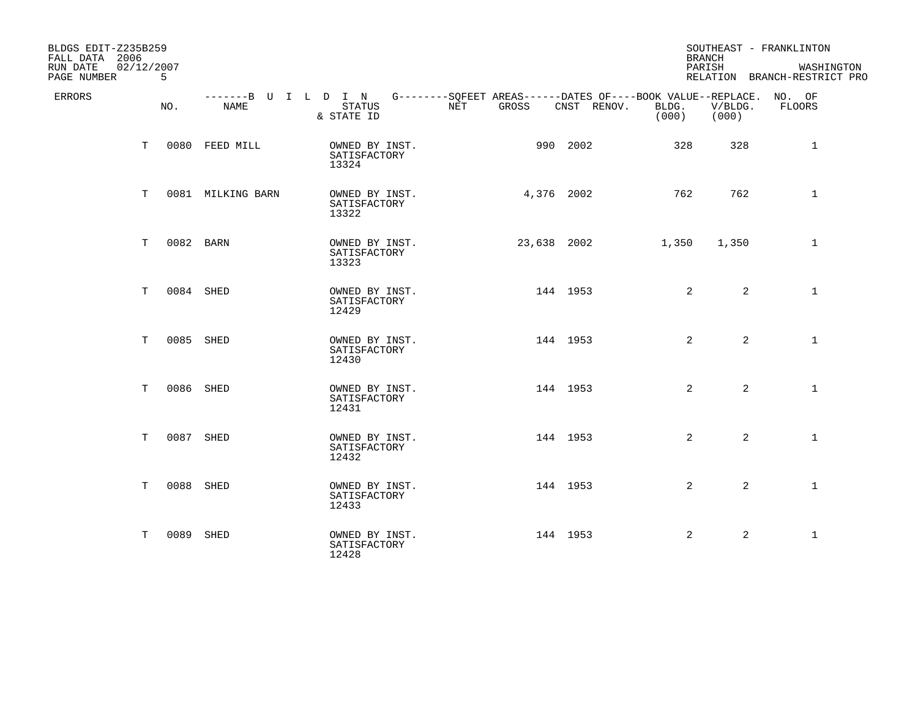| BLDGS EDIT-Z235B259<br>FALL DATA 2006<br>02/12/2007<br>RUN DATE<br>PAGE NUMBER | 5         |                   |                                                                                                                 |                               |             | <b>BRANCH</b><br>PARISH |                  | SOUTHEAST - FRANKLINTON<br>WASHINGTON<br>RELATION BRANCH-RESTRICT PRO |
|--------------------------------------------------------------------------------|-----------|-------------------|-----------------------------------------------------------------------------------------------------------------|-------------------------------|-------------|-------------------------|------------------|-----------------------------------------------------------------------|
| ERRORS                                                                         | NO.       | NAME              | -------B U I L D I N G--------SQFEET AREAS------DATES OF----BOOK VALUE--REPLACE. NO. OF<br>STATUS<br>& STATE ID | GROSS<br>$\operatorname{NET}$ | CNST RENOV. | BLDG.<br>(000)          | V/BLDG.<br>(000) | FLOORS                                                                |
| T.                                                                             |           | 0080 FEED MILL    | OWNED BY INST.<br>SATISFACTORY<br>13324                                                                         |                               | 990 2002    | 328                     | 328              | $\mathbf{1}$                                                          |
| T.                                                                             |           | 0081 MILKING BARN | OWNED BY INST.<br>SATISFACTORY<br>13322                                                                         |                               | 4,376 2002  | 762                     | 762              | $\mathbf{1}$                                                          |
| Т                                                                              | 0082 BARN |                   | OWNED BY INST.<br>SATISFACTORY<br>13323                                                                         | 23,638 2002                   |             | 1,350                   | 1,350            | $\mathbf{1}$                                                          |
| T.                                                                             | 0084 SHED |                   | OWNED BY INST.<br>SATISFACTORY<br>12429                                                                         |                               | 144 1953    | 2                       | $\overline{2}$   | $\mathbf{1}$                                                          |
| T                                                                              | 0085 SHED |                   | OWNED BY INST.<br>SATISFACTORY<br>12430                                                                         |                               | 144 1953    | 2                       | $\overline{2}$   | $\mathbf{1}$                                                          |
| Т                                                                              | 0086 SHED |                   | OWNED BY INST.<br>SATISFACTORY<br>12431                                                                         |                               | 144 1953    | 2                       | $\overline{2}$   | $\mathbf{1}$                                                          |
| T                                                                              | 0087 SHED |                   | OWNED BY INST.<br>SATISFACTORY<br>12432                                                                         |                               | 144 1953    | 2                       | $\overline{2}$   | $\mathbf{1}$                                                          |
| T                                                                              | 0088 SHED |                   | OWNED BY INST.<br>SATISFACTORY<br>12433                                                                         |                               | 144 1953    | 2                       | 2                | $\mathbf{1}$                                                          |
| т                                                                              | 0089 SHED |                   | OWNED BY INST.<br>SATISFACTORY<br>12428                                                                         |                               | 144 1953    | $\overline{a}$          | 2                | $\mathbf{1}$                                                          |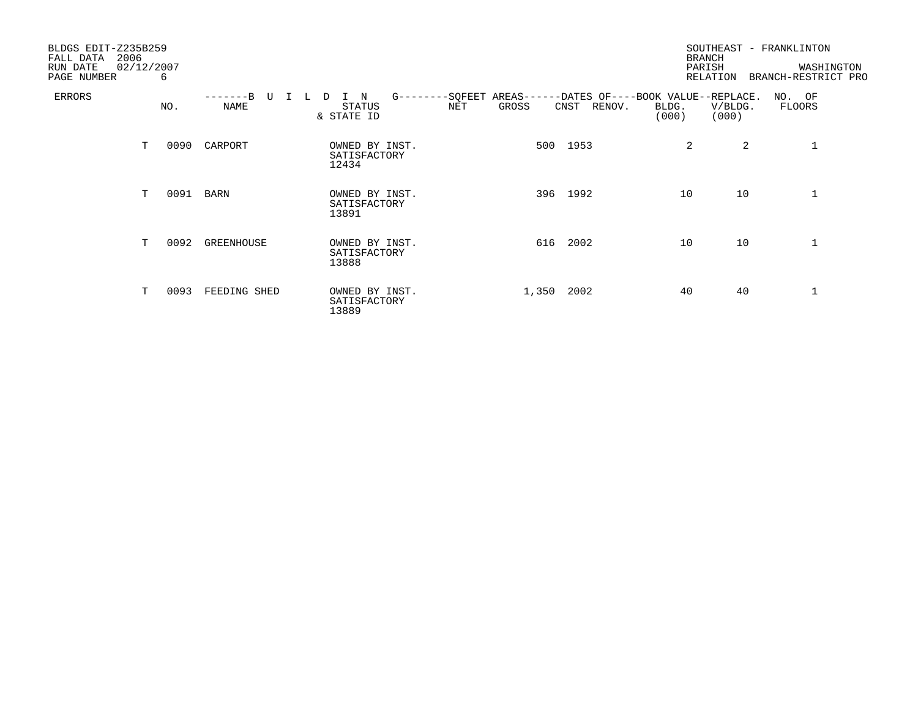| BLDGS EDIT-Z235B259<br>2006<br>FALL DATA<br>RUN DATE | 02/12/2007 |          |                        |                                                      |              |                                                                                         | SOUTHEAST - FRANKLINTON<br><b>BRANCH</b><br>PARISH | WASHINGTON                              |
|------------------------------------------------------|------------|----------|------------------------|------------------------------------------------------|--------------|-----------------------------------------------------------------------------------------|----------------------------------------------------|-----------------------------------------|
| PAGE NUMBER<br><b>ERRORS</b>                         |            | 6<br>NO. | -------R<br>TT<br>NAME | $G$ -------<br>N<br>D.<br>I.<br>STATUS<br>& STATE ID | GROSS<br>NET | -SQFEET AREAS------DATES OF----BOOK VALUE--REPLACE.<br>CNST<br>RENOV.<br>BLDG.<br>(000) | RELATION<br>V/BLDG.<br>(000)                       | BRANCH-RESTRICT PRO<br>NO. OF<br>FLOORS |
|                                                      | Т          | 0090     | CARPORT                | OWNED BY INST.<br>SATISFACTORY<br>12434              |              | 500 1953                                                                                | 2<br>2                                             |                                         |
|                                                      | T          | 0091     | BARN                   | OWNED BY INST.<br>SATISFACTORY<br>13891              |              | 396 1992                                                                                | 10<br>10                                           | 1                                       |
|                                                      | T          | 0092     | GREENHOUSE             | OWNED BY INST.<br>SATISFACTORY<br>13888              | 616          | 2002                                                                                    | 10<br>10                                           | 1                                       |
|                                                      | т          | 0093     | FEEDING SHED           | OWNED BY INST.<br>SATISFACTORY<br>13889              | 1,350 2002   |                                                                                         | 40<br>40                                           | 1                                       |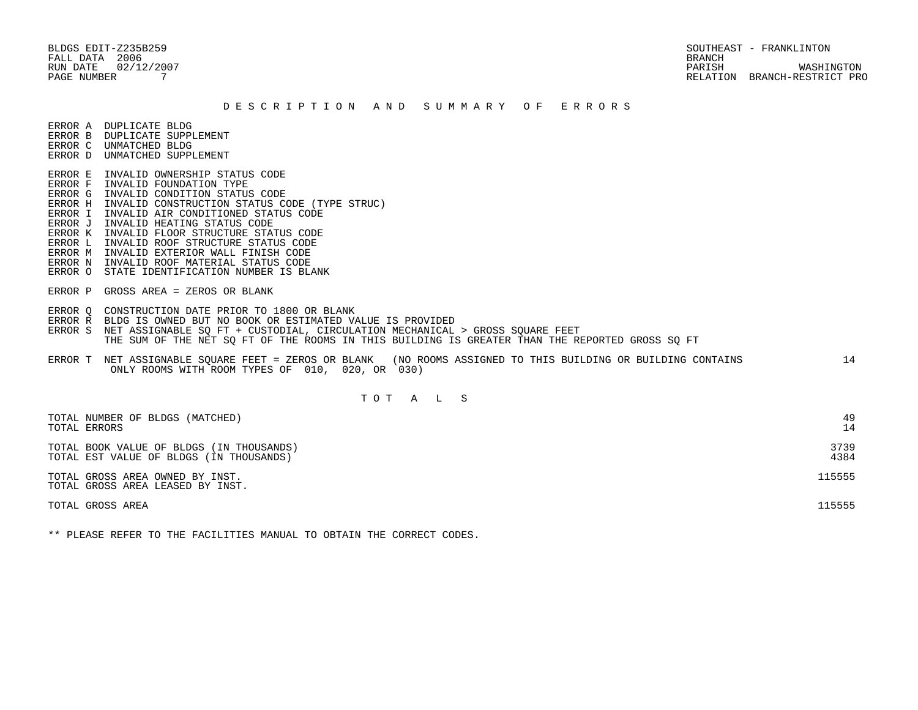BLDGS EDIT-Z235B259 SOUTHEAST - FRANKLINTON FALL DATA 2006 BRANCH

 RUN DATE 02/12/2007 PARISH WASHINGTON PAGE NUMBER 7 RELATION BRANCH-RESTRICT PRO

#### D E S C R I P T I O N A N D S U M M A R Y O F E R R O R S

ERROR A DUPLICATE BLDG

- ERROR B DUPLICATE SUPPLEMENT
- ERROR C UNMATCHED BLDG ERROR D UNMATCHED SUPPLEMENT
- 
- ERROR E INVALID OWNERSHIP STATUS CODE
- ERROR F INVALID FOUNDATION TYPE
- ERROR G INVALID CONDITION STATUS CODE
- ERROR H INVALID CONSTRUCTION STATUS CODE (TYPE STRUC)
- ERROR I INVALID AIR CONDITIONED STATUS CODE
- ERROR J INVALID HEATING STATUS CODE
- ERROR K INVALID FLOOR STRUCTURE STATUS CODE
- ERROR L INVALID ROOF STRUCTURE STATUS CODE
- ERROR M INVALID EXTERIOR WALL FINISH CODE
- ERROR N INVALID ROOF MATERIAL STATUS CODE
- ERROR O STATE IDENTIFICATION NUMBER IS BLANK
- ERROR P GROSS AREA = ZEROS OR BLANK
- ERROR Q CONSTRUCTION DATE PRIOR TO 1800 OR BLANK
- ERROR R BLDG IS OWNED BUT NO BOOK OR ESTIMATED VALUE IS PROVIDED
- ERROR S NET ASSIGNABLE SQ FT + CUSTODIAL, CIRCULATION MECHANICAL > GROSS SQUARE FEET THE SUM OF THE NET SQ FT OF THE ROOMS IN THIS BUILDING IS GREATER THAN THE REPORTED GROSS SQ FT
- ERROR T NET ASSIGNABLE SQUARE FEET = ZEROS OR BLANK (NO ROOMS ASSIGNED TO THIS BUILDING OR BUILDING CONTAINS 14 ONLY ROOMS WITH ROOM TYPES OF 010, 020, OR 030)

# T O T A L S

| TOTAL NUMBER OF BLDGS (MATCHED)                                     | 49     |
|---------------------------------------------------------------------|--------|
| TOTAL ERRORS                                                        | 14     |
| TOTAL BOOK VALUE OF BLDGS (IN THOUSANDS)                            | 3739   |
| TOTAL EST VALUE OF BLDGS (IN THOUSANDS)                             | 4384   |
| TOTAL GROSS AREA OWNED BY INST.<br>TOTAL GROSS AREA LEASED BY INST. | 115555 |
| TOTAL GROSS AREA                                                    | 15555  |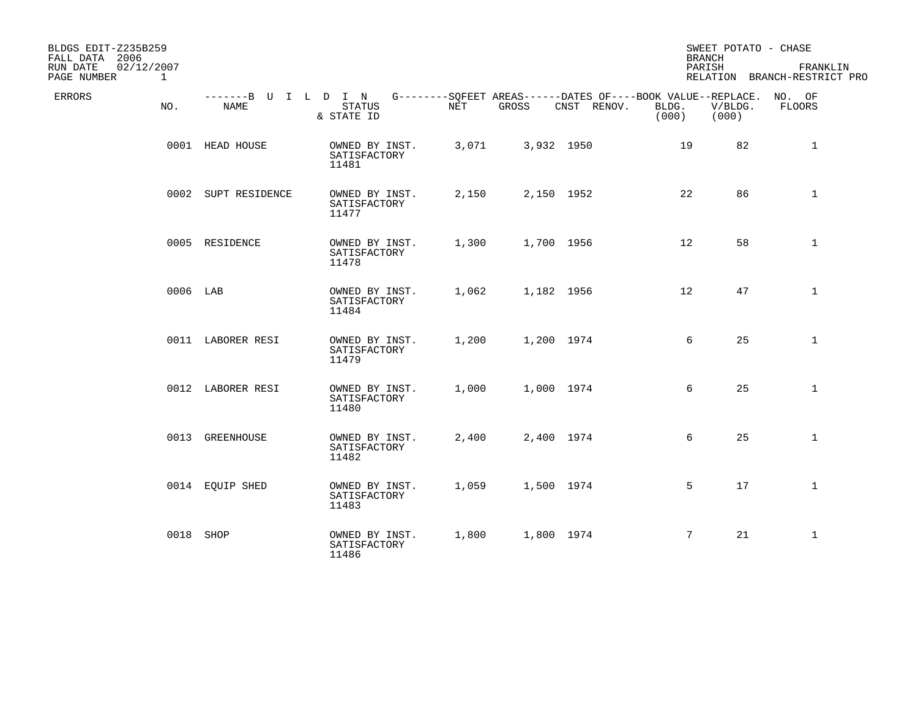| BLDGS EDIT-Z235B259<br>FALL DATA 2006<br>02/12/2007<br>RUN DATE<br>PAGE NUMBER<br>$\mathbf{1}$ |                     |                                                                                                                        |       |            |                               | SWEET POTATO - CHASE<br><b>BRANCH</b><br>PARISH | FRANKLIN<br>RELATION BRANCH-RESTRICT PRO |
|------------------------------------------------------------------------------------------------|---------------------|------------------------------------------------------------------------------------------------------------------------|-------|------------|-------------------------------|-------------------------------------------------|------------------------------------------|
| <b>ERRORS</b><br>NO.                                                                           | NAME                | -------B U I L D I N G--------SQFEET AREAS------DATES OF----BOOK VALUE--REPLACE. NO. OF<br><b>STATUS</b><br>& STATE ID | NET   | GROSS      | CNST RENOV.<br>BLDG.<br>(000) | V/BLDG.<br>(000)                                | FLOORS                                   |
|                                                                                                | 0001 HEAD HOUSE     | OWNED BY INST.<br>SATISFACTORY<br>11481                                                                                | 3,071 | 3,932 1950 |                               | 19<br>82                                        | $\mathbf{1}$                             |
|                                                                                                | 0002 SUPT RESIDENCE | OWNED BY INST.<br>SATISFACTORY<br>11477                                                                                | 2,150 | 2,150 1952 |                               | 22<br>86                                        | $\mathbf{1}$                             |
|                                                                                                | 0005 RESIDENCE      | OWNED BY INST.<br>SATISFACTORY<br>11478                                                                                | 1,300 | 1,700 1956 |                               | 58<br>12                                        | $\mathbf{1}$                             |
| 0006 LAB                                                                                       |                     | OWNED BY INST.<br>SATISFACTORY<br>11484                                                                                | 1,062 | 1,182 1956 |                               | 12<br>47                                        | $\mathbf{1}$                             |
|                                                                                                | 0011 LABORER RESI   | OWNED BY INST.<br>SATISFACTORY<br>11479                                                                                | 1,200 | 1,200 1974 |                               | 6<br>25                                         | $\mathbf{1}$                             |
|                                                                                                | 0012 LABORER RESI   | OWNED BY INST.<br>SATISFACTORY<br>11480                                                                                | 1,000 | 1,000 1974 |                               | 6<br>25                                         | $\mathbf{1}$                             |
|                                                                                                | 0013 GREENHOUSE     | OWNED BY INST.<br>SATISFACTORY<br>11482                                                                                | 2,400 | 2,400 1974 |                               | 6<br>25                                         | $\mathbf{1}$                             |
|                                                                                                | 0014 EQUIP SHED     | OWNED BY INST.<br>SATISFACTORY<br>11483                                                                                | 1,059 | 1,500 1974 |                               | 17<br>5                                         | $\mathbf{1}$                             |
|                                                                                                | 0018 SHOP           | OWNED BY INST.<br>SATISFACTORY<br>11486                                                                                | 1,800 | 1,800 1974 |                               | 21<br>7                                         | $\mathbf{1}$                             |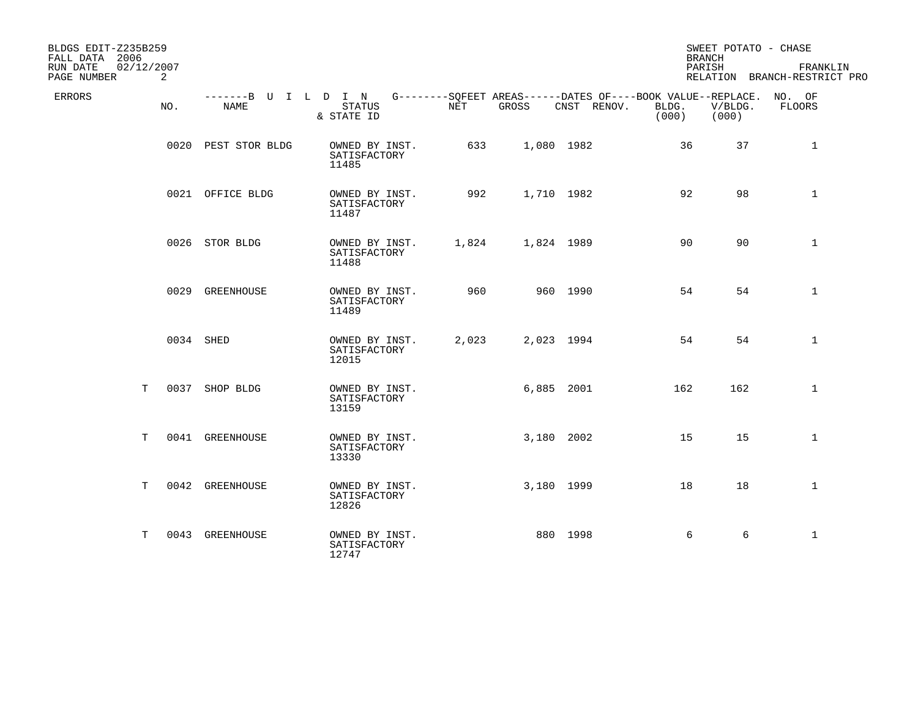| BLDGS EDIT-Z235B259<br>FALL DATA 2006 |     |                              |                                         |       |            |                                                                            | <b>BRANCH</b>  | SWEET POTATO - CHASE |                                          |
|---------------------------------------|-----|------------------------------|-----------------------------------------|-------|------------|----------------------------------------------------------------------------|----------------|----------------------|------------------------------------------|
| 02/12/2007<br>RUN DATE<br>PAGE NUMBER | 2   |                              |                                         |       |            |                                                                            | PARISH         |                      | FRANKLIN<br>RELATION BRANCH-RESTRICT PRO |
| <b>ERRORS</b>                         | NO. | -------B U I L D I N<br>NAME | STATUS<br>& STATE ID                    | NET   | GROSS      | G--------SOFEET AREAS------DATES OF----BOOK VALUE--REPLACE.<br>CNST RENOV. | BLDG.<br>(000) | V/BLDG.<br>(000)     | NO. OF<br>FLOORS                         |
|                                       |     | 0020 PEST STOR BLDG          | OWNED BY INST.<br>SATISFACTORY<br>11485 | 633   | 1,080 1982 |                                                                            | 36             | 37                   | $\mathbf{1}$                             |
|                                       |     | 0021 OFFICE BLDG             | OWNED BY INST.<br>SATISFACTORY<br>11487 | 992   | 1,710 1982 |                                                                            | 92             | 98                   | $\mathbf{1}$                             |
|                                       |     | 0026 STOR BLDG               | OWNED BY INST.<br>SATISFACTORY<br>11488 | 1,824 | 1,824 1989 |                                                                            | 90             | 90                   | $\mathbf 1$                              |
|                                       |     | 0029 GREENHOUSE              | OWNED BY INST.<br>SATISFACTORY<br>11489 | 960   |            | 960 1990                                                                   | 54             | 54                   | $\mathbf{1}$                             |
|                                       |     | 0034 SHED                    | OWNED BY INST.<br>SATISFACTORY<br>12015 | 2,023 | 2,023 1994 |                                                                            | 54             | 54                   | $\mathbf{1}$                             |
| T                                     |     | 0037 SHOP BLDG               | OWNED BY INST.<br>SATISFACTORY<br>13159 |       | 6,885 2001 |                                                                            | 162            | 162                  | $\mathbf 1$                              |
| Т                                     |     | 0041 GREENHOUSE              | OWNED BY INST.<br>SATISFACTORY<br>13330 |       | 3,180 2002 |                                                                            | 15             | 15                   | $\mathbf{1}$                             |
| T.                                    |     | 0042 GREENHOUSE              | OWNED BY INST.<br>SATISFACTORY<br>12826 |       | 3,180 1999 |                                                                            | 18             | 18                   | $\mathbf 1$                              |
| T                                     |     | 0043 GREENHOUSE              | OWNED BY INST.<br>SATISFACTORY<br>12747 |       |            | 880 1998                                                                   | 6              | 6                    | $\mathbf{1}$                             |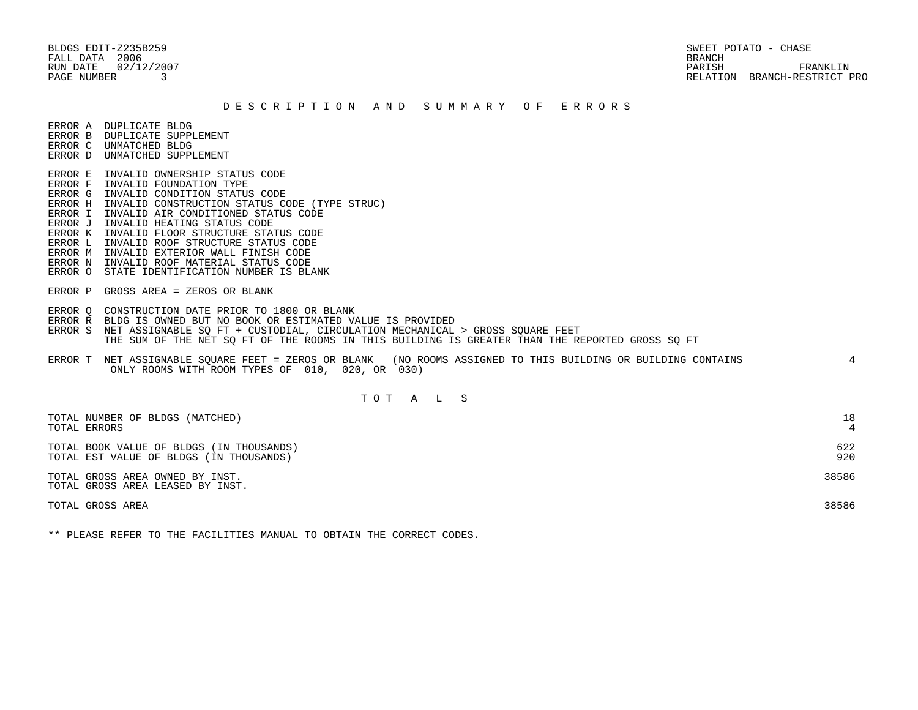BLDGS EDIT-Z235B259 SWEET POTATO - CHASE FALL DATA 2006 BRANCH

 RUN DATE 02/12/2007 PARISH FRANKLIN PAGE NUMBER 3 RELATION BRANCH-RESTRICT PRO

#### D E S C R I P T I O N A N D S U M M A R Y O F E R R O R S

ERROR A DUPLICATE BLDG

- ERROR B DUPLICATE SUPPLEMENT ERROR C UNMATCHED BLDG
- ERROR D UNMATCHED SUPPLEMENT
- 
- ERROR E INVALID OWNERSHIP STATUS CODE ERROR F INVALID FOUNDATION TYPE
- ERROR G INVALID CONDITION STATUS CODE
- ERROR H INVALID CONSTRUCTION STATUS CODE (TYPE STRUC)
- ERROR I INVALID AIR CONDITIONED STATUS CODE
- ERROR J INVALID HEATING STATUS CODE
- ERROR K INVALID FLOOR STRUCTURE STATUS CODE
- ERROR L INVALID ROOF STRUCTURE STATUS CODE
- ERROR M INVALID EXTERIOR WALL FINISH CODE
- ERROR N INVALID ROOF MATERIAL STATUS CODE
- ERROR O STATE IDENTIFICATION NUMBER IS BLANK
- ERROR P GROSS AREA = ZEROS OR BLANK
- ERROR Q CONSTRUCTION DATE PRIOR TO 1800 OR BLANK
- ERROR R BLDG IS OWNED BUT NO BOOK OR ESTIMATED VALUE IS PROVIDED
- ERROR S NET ASSIGNABLE SO FT + CUSTODIAL, CIRCULATION MECHANICAL > GROSS SOUARE FEET THE SUM OF THE NET SQ FT OF THE ROOMS IN THIS BUILDING IS GREATER THAN THE REPORTED GROSS SQ FT
- ERROR T NET ASSIGNABLE SQUARE FEET = ZEROS OR BLANK (NO ROOMS ASSIGNED TO THIS BUILDING OR BUILDING CONTAINS 4 ONLY ROOMS WITH ROOM TYPES OF 010, 020, OR 030)

# T O T A L S

| TOTAL NUMBER OF BLDGS (MATCHED)<br>TOTAL ERRORS                                     | 18         |
|-------------------------------------------------------------------------------------|------------|
| TOTAL BOOK VALUE OF BLDGS (IN THOUSANDS)<br>TOTAL EST VALUE OF BLDGS (IN THOUSANDS) | 622<br>920 |
| TOTAL GROSS AREA OWNED BY INST.<br>TOTAL GROSS AREA LEASED BY INST.                 | 38586      |
| TOTAL GROSS AREA                                                                    | 38586      |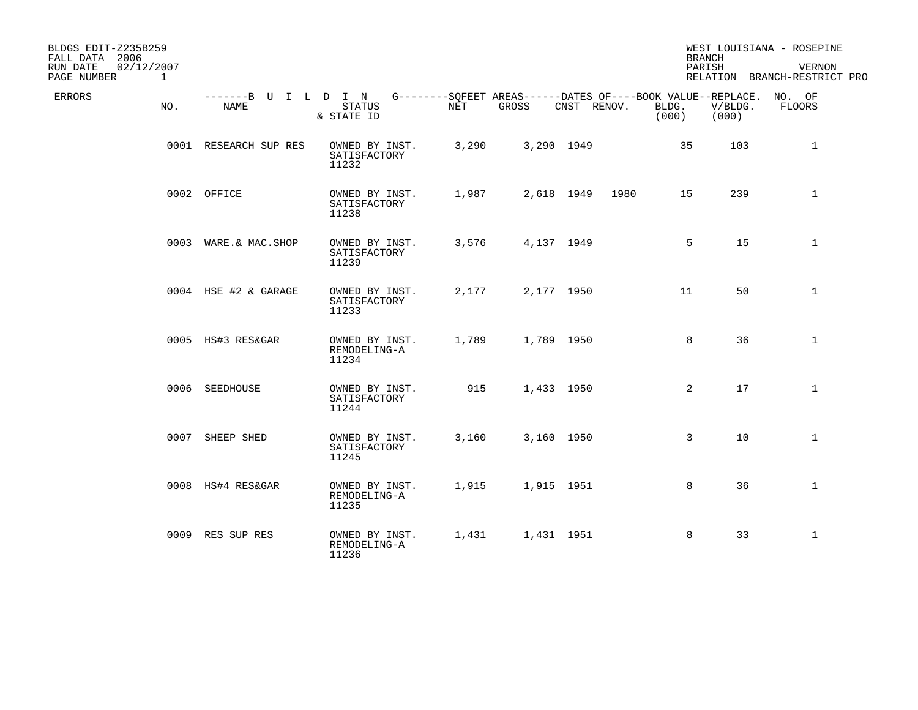| BLDGS EDIT-Z235B259<br>FALL DATA 2006<br>02/12/2007<br>RUN DATE<br>PAGE NUMBER<br>$\mathbf{1}$ |                              |                                         |       |                                                                      |             |      |                | <b>BRANCH</b><br>PARISH | WEST LOUISIANA - ROSEPINE<br><b>VERNON</b><br>RELATION BRANCH-RESTRICT PRO |
|------------------------------------------------------------------------------------------------|------------------------------|-----------------------------------------|-------|----------------------------------------------------------------------|-------------|------|----------------|-------------------------|----------------------------------------------------------------------------|
| ERRORS<br>NO.                                                                                  | -------B U I L D I N<br>NAME | <b>STATUS</b><br>& STATE ID             | NET   | G--------SQFEET AREAS------DATES OF----BOOK VALUE--REPLACE.<br>GROSS | CNST RENOV. |      | BLDG.<br>(000) | V/BLDG.<br>(000)        | NO. OF<br>FLOORS                                                           |
|                                                                                                | 0001 RESEARCH SUP RES        | OWNED BY INST.<br>SATISFACTORY<br>11232 | 3,290 |                                                                      | 3,290 1949  |      | 35             | 103                     | $\mathbf{1}$                                                               |
|                                                                                                | 0002 OFFICE                  | OWNED BY INST.<br>SATISFACTORY<br>11238 | 1,987 |                                                                      | 2,618 1949  | 1980 | 15             | 239                     | $\mathbf{1}$                                                               |
|                                                                                                | 0003 WARE.& MAC. SHOP        | OWNED BY INST.<br>SATISFACTORY<br>11239 | 3,576 |                                                                      | 4,137 1949  |      | 5              | 15                      | $\mathbf{1}$                                                               |
|                                                                                                | 0004 HSE #2 & GARAGE         | OWNED BY INST.<br>SATISFACTORY<br>11233 | 2,177 |                                                                      | 2,177 1950  |      | 11             | 50                      | $\mathbf 1$                                                                |
|                                                                                                | 0005 HS#3 RES&GAR            | OWNED BY INST.<br>REMODELING-A<br>11234 | 1,789 |                                                                      | 1,789 1950  |      | 8              | 36                      | $\mathbf{1}$                                                               |
|                                                                                                | 0006 SEEDHOUSE               | OWNED BY INST.<br>SATISFACTORY<br>11244 | 915   |                                                                      | 1,433 1950  |      | 2              | 17                      | $\mathbf 1$                                                                |
|                                                                                                | 0007 SHEEP SHED              | OWNED BY INST.<br>SATISFACTORY<br>11245 | 3,160 |                                                                      | 3,160 1950  |      | $\mathbf{3}$   | 10                      | $\mathbf{1}$                                                               |
|                                                                                                | 0008 HS#4 RES&GAR            | OWNED BY INST.<br>REMODELING-A<br>11235 | 1,915 |                                                                      | 1,915 1951  |      | 8              | 36                      | $\mathbf{1}$                                                               |
|                                                                                                | 0009 RES SUP RES             | OWNED BY INST.<br>REMODELING-A<br>11236 | 1,431 |                                                                      | 1,431 1951  |      | 8              | 33                      | $\mathbf{1}$                                                               |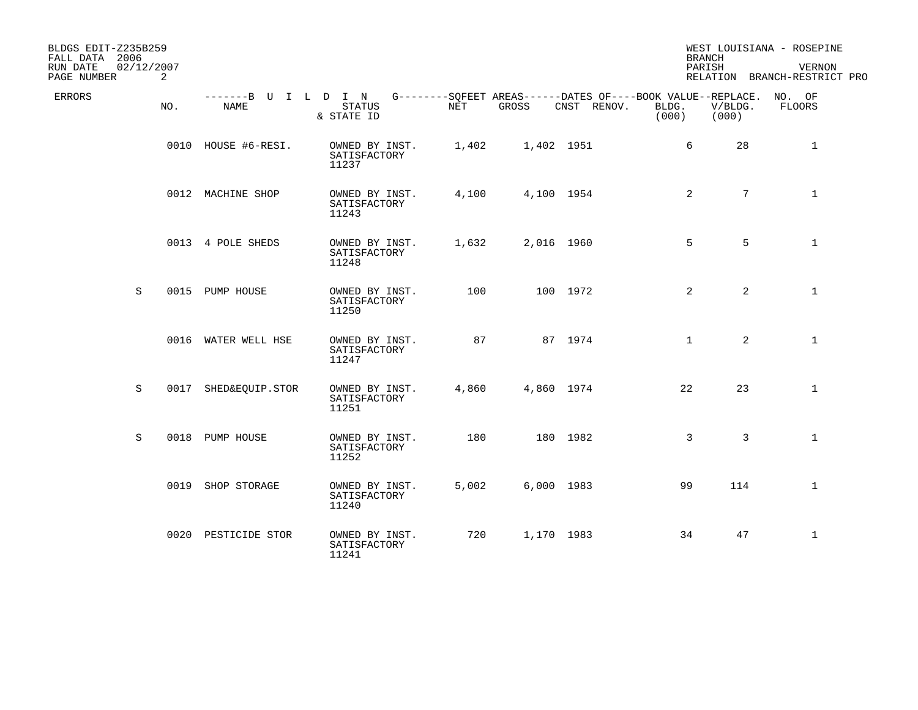| BLDGS EDIT-Z235B259<br>FALL DATA 2006<br>02/12/2007<br>RUN DATE<br>PAGE NUMBER | 2   |                      |                                                                                                                 |       |            |             |                | <b>BRANCH</b><br>PARISH           | WEST LOUISIANA - ROSEPINE<br><b>VERNON</b><br>RELATION BRANCH-RESTRICT PRO |
|--------------------------------------------------------------------------------|-----|----------------------|-----------------------------------------------------------------------------------------------------------------|-------|------------|-------------|----------------|-----------------------------------|----------------------------------------------------------------------------|
| ERRORS                                                                         | NO. | NAME                 | -------B U I L D I N G--------SQFEET AREAS------DATES OF----BOOK VALUE--REPLACE.<br><b>STATUS</b><br>& STATE ID | NET   | GROSS      | CNST RENOV. | BLDG.<br>(000) | V/BLDG.<br>(000)                  | NO. OF<br>FLOORS                                                           |
|                                                                                |     | 0010 HOUSE #6-RESI.  | OWNED BY INST.<br>SATISFACTORY<br>11237                                                                         | 1,402 | 1,402 1951 |             |                | 6<br>28                           | 1                                                                          |
|                                                                                |     | 0012 MACHINE SHOP    | OWNED BY INST.<br>SATISFACTORY<br>11243                                                                         | 4,100 | 4,100 1954 |             |                | $7\overline{ }$<br>$\overline{2}$ | $\mathbf{1}$                                                               |
|                                                                                |     | 0013 4 POLE SHEDS    | OWNED BY INST.<br>SATISFACTORY<br>11248                                                                         | 1,632 | 2,016 1960 |             |                | 5<br>5                            | $\mathbf{1}$                                                               |
| S                                                                              |     | 0015 PUMP HOUSE      | OWNED BY INST.<br>SATISFACTORY<br>11250                                                                         | 100   |            | 100 1972    |                | $\overline{2}$<br>$\overline{2}$  | $\mathbf{1}$                                                               |
|                                                                                |     | 0016 WATER WELL HSE  | OWNED BY INST.<br>SATISFACTORY<br>11247                                                                         | 87    |            | 87 1974     |                | $\overline{2}$<br>$\mathbf{1}$    | $\mathbf{1}$                                                               |
| S                                                                              |     | 0017 SHED&EQUIP.STOR | OWNED BY INST.<br>SATISFACTORY<br>11251                                                                         | 4,860 | 4,860 1974 |             | 22             | 23                                | $\mathbf{1}$                                                               |
| S                                                                              |     | 0018 PUMP HOUSE      | OWNED BY INST.<br>SATISFACTORY<br>11252                                                                         | 180   |            | 180 1982    |                | 3<br>3                            | $\mathbf{1}$                                                               |
|                                                                                |     | 0019 SHOP STORAGE    | OWNED BY INST.<br>SATISFACTORY<br>11240                                                                         | 5,002 | 6,000 1983 |             | 99             | 114                               | $\mathbf{1}$                                                               |
|                                                                                |     | 0020 PESTICIDE STOR  | OWNED BY INST.<br>SATISFACTORY<br>11241                                                                         | 720   | 1,170 1983 |             | 34             | 47                                | $\mathbf{1}$                                                               |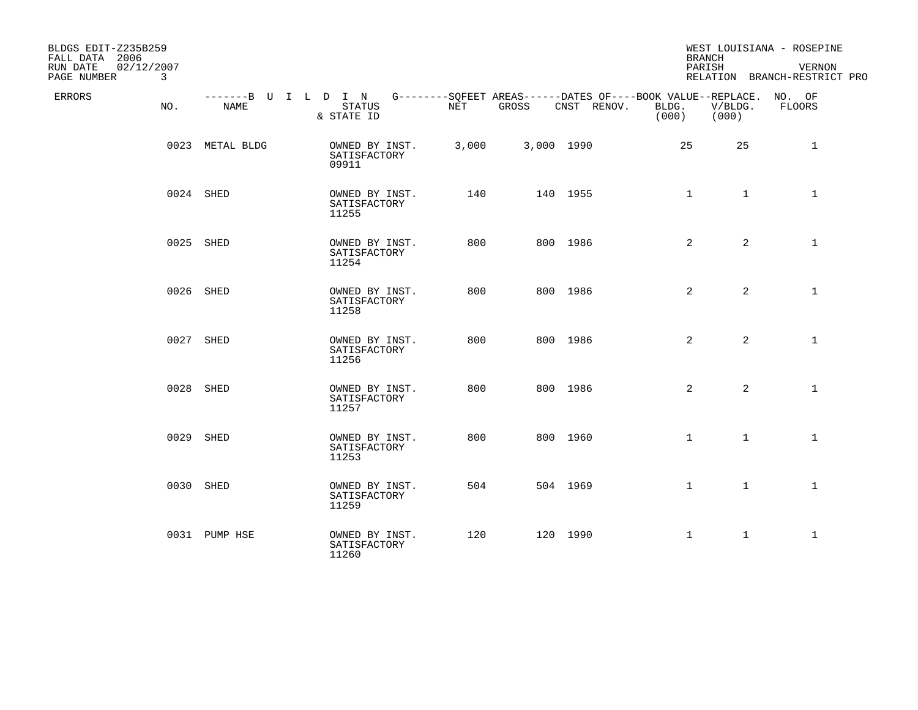| BLDGS EDIT-Z235B259<br>FALL DATA 2006<br>RUN DATE<br>02/12/2007<br>PAGE NUMBER<br>3 |                              |                                         |       |            |                                                                                   | <b>BRANCH</b><br>PARISH |                  | WEST LOUISIANA - ROSEPINE<br>VERNON<br>RELATION BRANCH-RESTRICT PRO |
|-------------------------------------------------------------------------------------|------------------------------|-----------------------------------------|-------|------------|-----------------------------------------------------------------------------------|-------------------------|------------------|---------------------------------------------------------------------|
| ERRORS<br>NO.                                                                       | -------B U I L D I N<br>NAME | <b>STATUS</b><br>& STATE ID             | NET   | GROSS      | G--------SQFEET AREAS------DATES OF----BOOK VALUE--REPLACE. NO. OF<br>CNST RENOV. | BLDG.<br>(000)          | V/BLDG.<br>(000) | FLOORS                                                              |
|                                                                                     | 0023 METAL BLDG              | OWNED BY INST.<br>SATISFACTORY<br>09911 | 3,000 | 3,000 1990 |                                                                                   | 25                      | 25               | 1                                                                   |
|                                                                                     | 0024 SHED                    | OWNED BY INST.<br>SATISFACTORY<br>11255 | 140   |            | 140 1955                                                                          | $\mathbf{1}$            | $\mathbf{1}$     | $\mathbf{1}$                                                        |
|                                                                                     | 0025 SHED                    | OWNED BY INST.<br>SATISFACTORY<br>11254 | 800   |            | 800 1986                                                                          | $\overline{2}$          | $\overline{2}$   | $\mathbf{1}$                                                        |
|                                                                                     | 0026 SHED                    | OWNED BY INST.<br>SATISFACTORY<br>11258 | 800   |            | 800 1986                                                                          | $\overline{2}$          | $\overline{a}$   | $\mathbf{1}$                                                        |
|                                                                                     | 0027 SHED                    | OWNED BY INST.<br>SATISFACTORY<br>11256 | 800   |            | 800 1986                                                                          | $\overline{2}$          | $\overline{a}$   | $\mathbf{1}$                                                        |
|                                                                                     | 0028 SHED                    | OWNED BY INST.<br>SATISFACTORY<br>11257 | 800   |            | 800 1986                                                                          | $\overline{a}$          | $\overline{2}$   | $\mathbf{1}$                                                        |
|                                                                                     | 0029 SHED                    | OWNED BY INST.<br>SATISFACTORY<br>11253 | 800   |            | 800 1960                                                                          | $\mathbf{1}$            | $\mathbf{1}$     | $\mathbf{1}$                                                        |
|                                                                                     | 0030 SHED                    | OWNED BY INST.<br>SATISFACTORY<br>11259 | 504   |            | 504 1969                                                                          | $\mathbf{1}$            | $\mathbf{1}$     | $\mathbf{1}$                                                        |
|                                                                                     | 0031 PUMP HSE                | OWNED BY INST.<br>SATISFACTORY<br>11260 | 120   |            | 120 1990                                                                          | $\mathbf 1$             | $\mathbf{1}$     | $\mathbf{1}$                                                        |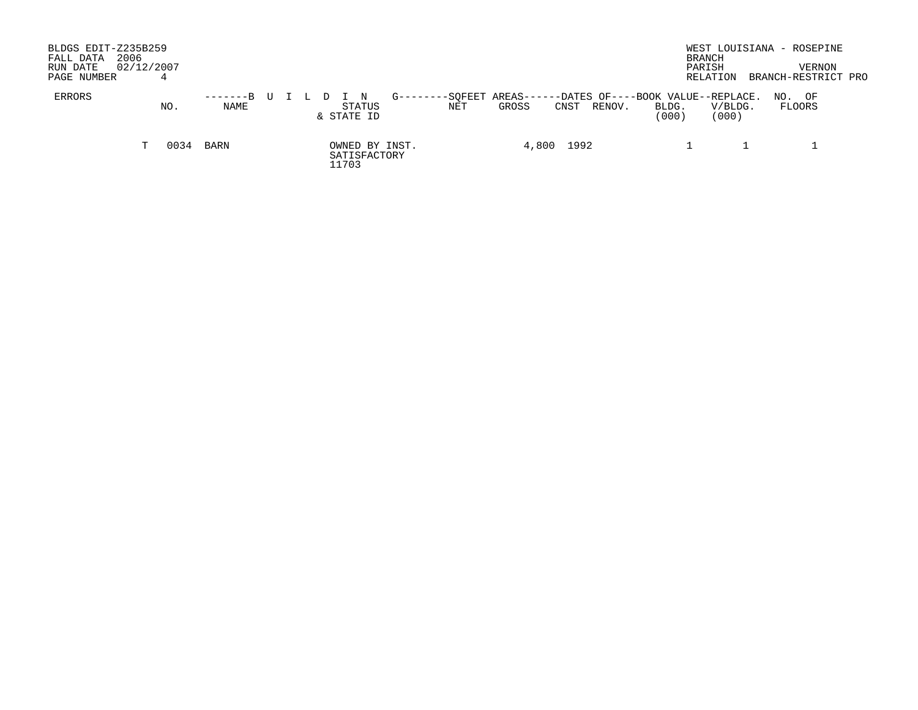| BLDGS EDIT-Z235B259<br>2006<br>FALL DATA<br>RUN DATE<br>PAGE NUMBER |    | 02/12/2007 |                    |  |  |       |                      |                |                |                 |            |        |                                                     | WEST LOUISIANA - ROSEPINE<br>BRANCH<br>PARISH<br>RELATION |     | VERNON<br>BRANCH-RESTRICT PRO |  |
|---------------------------------------------------------------------|----|------------|--------------------|--|--|-------|----------------------|----------------|----------------|-----------------|------------|--------|-----------------------------------------------------|-----------------------------------------------------------|-----|-------------------------------|--|
| ERRORS                                                              |    | NO.        | $-----B$ U<br>NAME |  |  |       | STATUS<br>& STATE ID | $G - - - - -$  | -SOFEET<br>NET | AREAS-<br>GROSS | CNST       | RENOV. | -DATES OF----BOOK VALUE--REPLACE.<br>BLDG.<br>(000) | V/BLDG.<br>(000)                                          | NO. | OF<br>FLOORS                  |  |
|                                                                     | T. | 0034       | BARN               |  |  | 11703 | SATISFACTORY         | OWNED BY INST. |                |                 | 4,800 1992 |        |                                                     |                                                           |     |                               |  |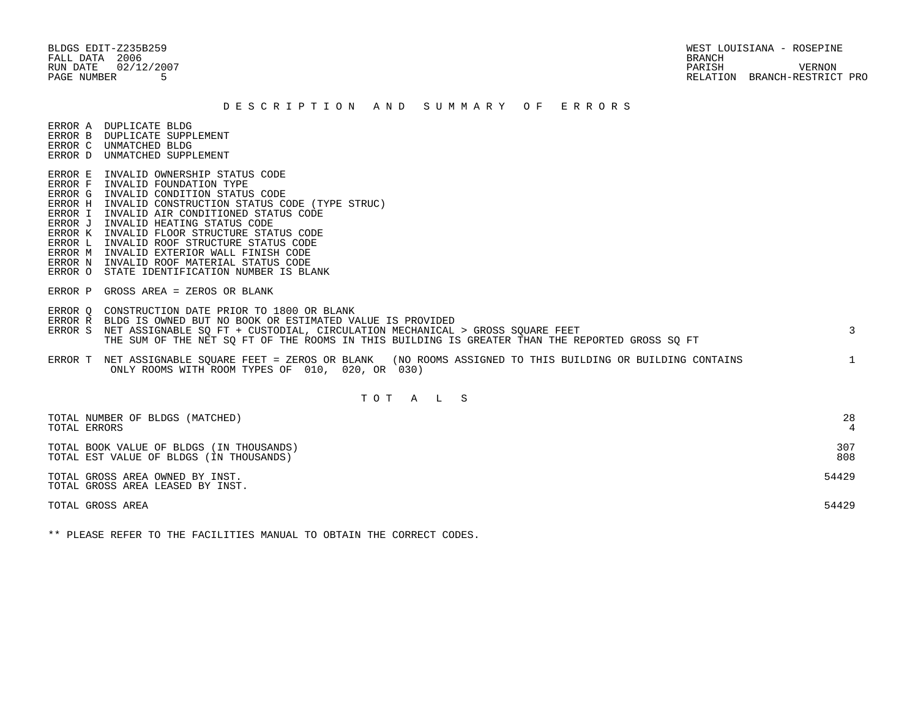BLDGS EDIT-Z235B259 WEST LOUISIANA - ROSEPINE RUN DATE 02/12/2007 PARISH VERNON PAGE NUMBER 5 RELATION BRANCH-RESTRICT PRO

#### D E S C R I P T I O N A N D S U M M A R Y O F E R R O R S

ERROR A DUPLICATE BLDG

- ERROR B DUPLICATE SUPPLEMENT
- ERROR C UNMATCHED BLDG ERROR D UNMATCHED SUPPLEMENT
- 
- ERROR E INVALID OWNERSHIP STATUS CODE
- ERROR F INVALID FOUNDATION TYPE
- ERROR G INVALID CONDITION STATUS CODE
- ERROR H INVALID CONSTRUCTION STATUS CODE (TYPE STRUC)
- ERROR I INVALID AIR CONDITIONED STATUS CODE
- ERROR J INVALID HEATING STATUS CODE
- ERROR K INVALID FLOOR STRUCTURE STATUS CODE
- ERROR L INVALID ROOF STRUCTURE STATUS CODE
- ERROR M INVALID EXTERIOR WALL FINISH CODE
- ERROR N INVALID ROOF MATERIAL STATUS CODE
- ERROR O STATE IDENTIFICATION NUMBER IS BLANK
- ERROR P GROSS AREA = ZEROS OR BLANK
- ERROR Q CONSTRUCTION DATE PRIOR TO 1800 OR BLANK
- ERROR R BLDG IS OWNED BUT NO BOOK OR ESTIMATED VALUE IS PROVIDED
- ERROR S NET ASSIGNABLE SO FT + CUSTODIAL, CIRCULATION MECHANICAL > GROSS SOUARE FEET 3 THE SUM OF THE NET SQ FT OF THE ROOMS IN THIS BUILDING IS GREATER THAN THE REPORTED GROSS SQ FT
- ERROR T NET ASSIGNABLE SQUARE FEET = ZEROS OR BLANK (NO ROOMS ASSIGNED TO THIS BUILDING OR BUILDING CONTAINS 1 ONLY ROOMS WITH ROOM TYPES OF 010, 020, OR 030)

# T O T A L S

| TOTAL NUMBER OF BLDGS (MATCHED)                                     | 28    |
|---------------------------------------------------------------------|-------|
| TOTAL ERRORS                                                        | 4     |
| TOTAL BOOK VALUE OF BLDGS (IN THOUSANDS)                            | 307   |
| TOTAL EST VALUE OF BLDGS (IN THOUSANDS)                             | 808   |
| TOTAL GROSS AREA OWNED BY INST.<br>TOTAL GROSS AREA LEASED BY INST. | 54429 |
| TOTAL GROSS AREA                                                    | 54429 |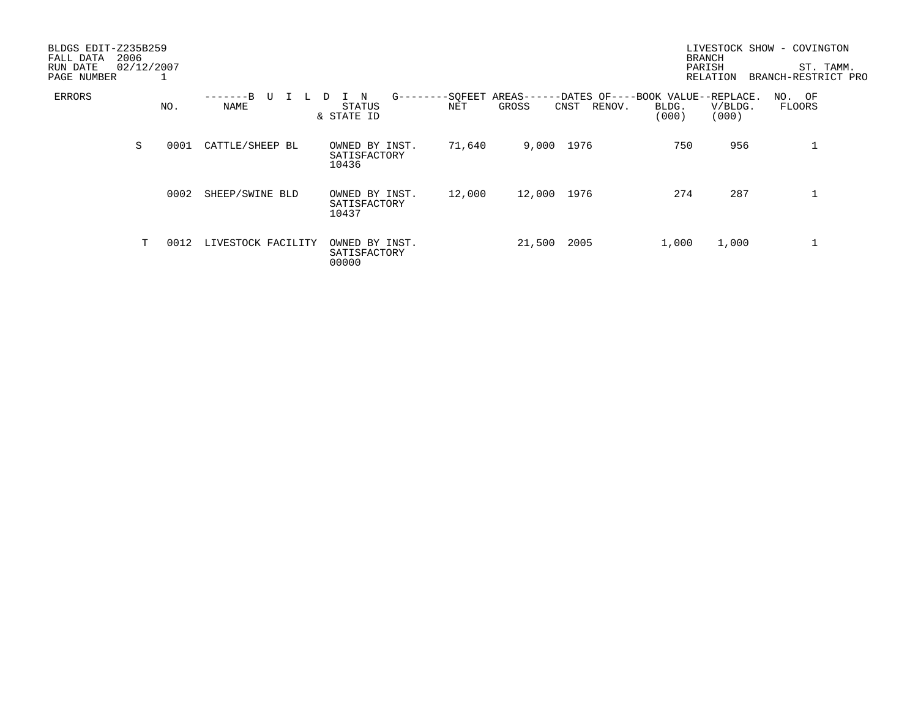| BLDGS EDIT-Z235B259<br>2006<br>FALL DATA<br>RUN DATE<br>PAGE NUMBER |   | 02/12/2007 |                    |                                         |                |                                                                         |                | <b>BRANCH</b><br>PARISH<br><b>RELATION</b> | LIVESTOCK SHOW - COVINGTON<br>ST. TAMM.<br>BRANCH-RESTRICT PRO |
|---------------------------------------------------------------------|---|------------|--------------------|-----------------------------------------|----------------|-------------------------------------------------------------------------|----------------|--------------------------------------------|----------------------------------------------------------------|
| ERRORS                                                              |   | NO.        | –––––––R<br>NAME   | $G$ ------<br>N<br>STATUS<br>& STATE ID | -SQFEET<br>NET | AREAS--<br>-DATES OF----BOOK VALUE--REPLACE.<br>GROSS<br>RENOV.<br>CNST | BLDG.<br>(000) | V/BLDG.<br>(000)                           | NO. OF<br>FLOORS                                               |
|                                                                     | S | 0001       | CATTLE/SHEEP BL    | OWNED BY INST.<br>SATISFACTORY<br>10436 | 71,640         | 9,000 1976                                                              | 750            | 956                                        | 1                                                              |
|                                                                     |   | 0002       | SHEEP/SWINE BLD    | OWNED BY INST.<br>SATISFACTORY<br>10437 | 12,000         | 12,000 1976                                                             | 274            | 287                                        |                                                                |
|                                                                     | T | 0012       | LIVESTOCK FACILITY | OWNED BY INST.<br>SATISFACTORY<br>00000 |                | 21,500<br>2005                                                          | 1,000          | 1,000                                      |                                                                |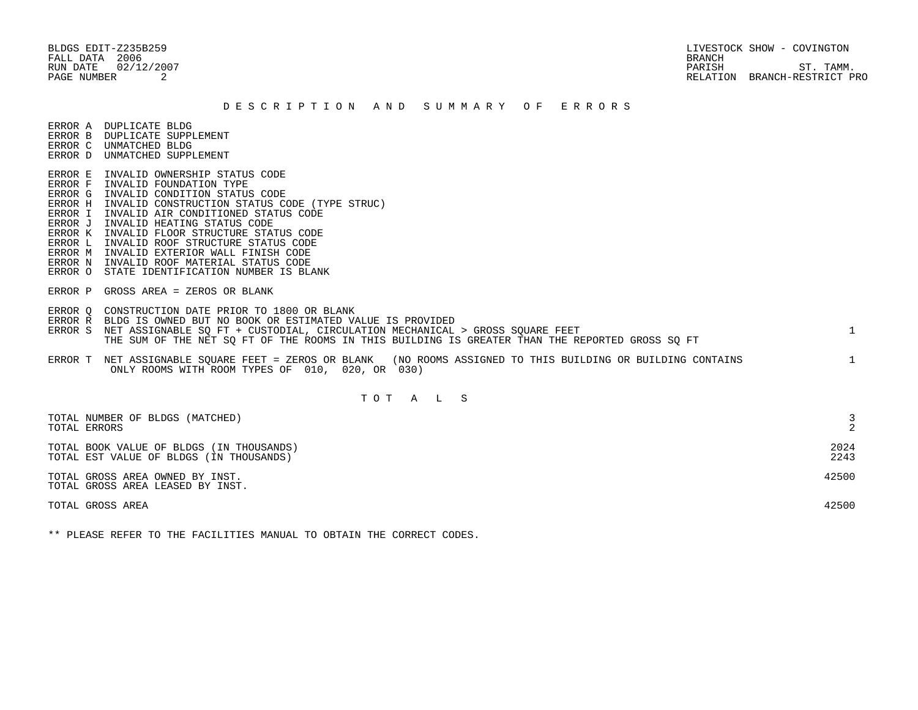BLDGS EDIT-Z235B259 LIVESTOCK SHOW - COVINGTON RUN DATE  $02/12/2007$  ST. TAMM. PAGE NUMBER 2 RELATION BRANCH-RESTRICT PRO

#### D E S C R I P T I O N A N D S U M M A R Y O F E R R O R S

ERROR A DUPLICATE BLDG

- ERROR B DUPLICATE SUPPLEMENT
- ERROR C UNMATCHED BLDG ERROR D UNMATCHED SUPPLEMENT
- 
- ERROR E INVALID OWNERSHIP STATUS CODE
- ERROR F INVALID FOUNDATION TYPE
- ERROR G INVALID CONDITION STATUS CODE
- ERROR H INVALID CONSTRUCTION STATUS CODE (TYPE STRUC)
- ERROR I INVALID AIR CONDITIONED STATUS CODE
- ERROR J INVALID HEATING STATUS CODE
- ERROR K INVALID FLOOR STRUCTURE STATUS CODE
- ERROR L INVALID ROOF STRUCTURE STATUS CODE
- ERROR M INVALID EXTERIOR WALL FINISH CODE
- ERROR N INVALID ROOF MATERIAL STATUS CODE
- ERROR O STATE IDENTIFICATION NUMBER IS BLANK
- ERROR P GROSS AREA = ZEROS OR BLANK
- ERROR Q CONSTRUCTION DATE PRIOR TO 1800 OR BLANK
- ERROR R BLDG IS OWNED BUT NO BOOK OR ESTIMATED VALUE IS PROVIDED
- ERROR S NET ASSIGNABLE SO FT + CUSTODIAL, CIRCULATION MECHANICAL > GROSS SOUARE FEET 1 THE SUM OF THE NET SQ FT OF THE ROOMS IN THIS BUILDING IS GREATER THAN THE REPORTED GROSS SQ FT
- ERROR T NET ASSIGNABLE SQUARE FEET = ZEROS OR BLANK (NO ROOMS ASSIGNED TO THIS BUILDING OR BUILDING CONTAINS 1 ONLY ROOMS WITH ROOM TYPES OF 010, 020, OR 030)

# T O T A L S

| TOTAL NUMBER OF BLDGS (MATCHED)<br>TOTAL ERRORS                                     |              |
|-------------------------------------------------------------------------------------|--------------|
| TOTAL BOOK VALUE OF BLDGS (IN THOUSANDS)<br>TOTAL EST VALUE OF BLDGS (IN THOUSANDS) | 2024<br>2243 |
| TOTAL GROSS AREA OWNED BY INST.<br>TOTAL GROSS AREA LEASED BY INST.                 | 42500        |
| TOTAL GROSS AREA                                                                    | 42500        |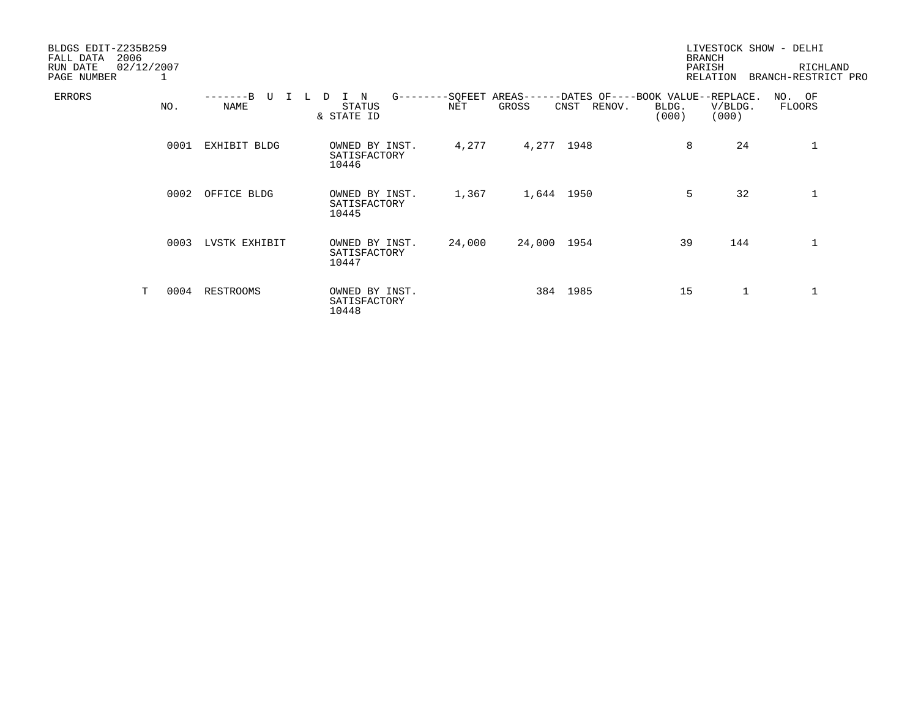| BLDGS EDIT-Z235B259<br>2006<br>FALL DATA<br>02/12/2007<br>RUN DATE<br>PAGE NUMBER | 1    |                      |                                            |        |                           |                                                     |                | <b>BRANCH</b><br>PARISH<br>RELATION | LIVESTOCK SHOW - DELHI<br>RICHLAND<br>BRANCH-RESTRICT PRO |
|-----------------------------------------------------------------------------------|------|----------------------|--------------------------------------------|--------|---------------------------|-----------------------------------------------------|----------------|-------------------------------------|-----------------------------------------------------------|
| ERRORS                                                                            | NO.  | $---B$<br>TT<br>NAME | G-------<br>N<br>D<br>STATUS<br>& STATE ID | NET    | -SQFEET AREAS---<br>GROSS | -DATES OF----BOOK VALUE--REPLACE.<br>CNST<br>RENOV. | BLDG.<br>(000) | V/BLDG.<br>(000)                    | NO. OF<br>FLOORS                                          |
|                                                                                   | 0001 | EXHIBIT BLDG         | OWNED BY INST.<br>SATISFACTORY<br>10446    | 4,277  | 4,277 1948                |                                                     | 8              | 24                                  | 1                                                         |
|                                                                                   | 0002 | OFFICE BLDG          | OWNED BY INST.<br>SATISFACTORY<br>10445    | 1,367  | 1,644 1950                |                                                     | 5              | 32                                  | 1                                                         |
|                                                                                   | 0003 | LVSTK EXHIBIT        | OWNED BY INST.<br>SATISFACTORY<br>10447    | 24,000 | 24,000 1954               |                                                     | 39             | 144                                 | 1                                                         |
| T                                                                                 | 0004 | RESTROOMS            | OWNED BY INST.<br>SATISFACTORY<br>10448    |        |                           | 384 1985                                            | 15             | $\mathbf{1}$                        | 1                                                         |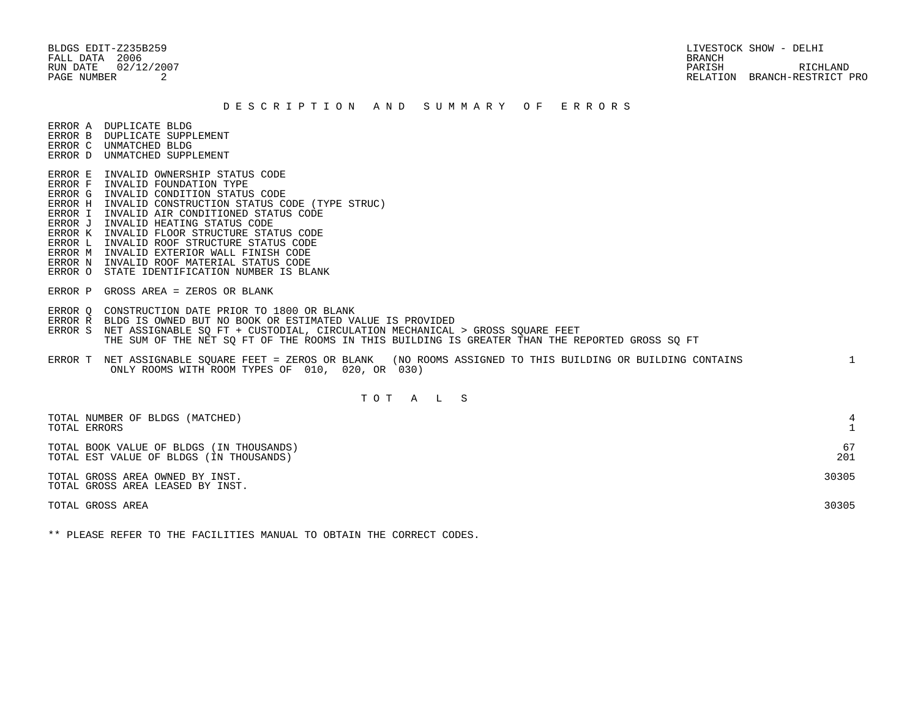BLDGS EDIT-Z235B259 LIVESTOCK SHOW - DELHI FALL DATA 2006 BRANCH

 RUN DATE 02/12/2007 PARISH RICHLAND PAGE NUMBER 2 RELATION BRANCH-RESTRICT PRO

### D E S C R I P T I O N A N D S U M M A R Y O F E R R O R S

ERROR A DUPLICATE BLDG

- ERROR B DUPLICATE SUPPLEMENT
- ERROR C UNMATCHED BLDG ERROR D UNMATCHED SUPPLEMENT
- 
- ERROR E INVALID OWNERSHIP STATUS CODE
- ERROR F INVALID FOUNDATION TYPE ERROR G INVALID CONDITION STATUS CODE
- ERROR H INVALID CONSTRUCTION STATUS CODE (TYPE STRUC)
- ERROR I INVALID AIR CONDITIONED STATUS CODE
- ERROR J INVALID HEATING STATUS CODE
- ERROR K INVALID FLOOR STRUCTURE STATUS CODE
- ERROR L INVALID ROOF STRUCTURE STATUS CODE
- ERROR M INVALID EXTERIOR WALL FINISH CODE
- ERROR N INVALID ROOF MATERIAL STATUS CODE
- ERROR O STATE IDENTIFICATION NUMBER IS BLANK
- ERROR P GROSS AREA = ZEROS OR BLANK
- ERROR Q CONSTRUCTION DATE PRIOR TO 1800 OR BLANK
- ERROR R BLDG IS OWNED BUT NO BOOK OR ESTIMATED VALUE IS PROVIDED
- ERROR S NET ASSIGNABLE SQ FT + CUSTODIAL, CIRCULATION MECHANICAL > GROSS SQUARE FEET THE SUM OF THE NET SQ FT OF THE ROOMS IN THIS BUILDING IS GREATER THAN THE REPORTED GROSS SQ FT
- ERROR T NET ASSIGNABLE SQUARE FEET = ZEROS OR BLANK (NO ROOMS ASSIGNED TO THIS BUILDING OR BUILDING CONTAINS 1 ONLY ROOMS WITH ROOM TYPES OF 010, 020, OR 030)

## T O T A L S

| TOTAL NUMBER OF BLDGS (MATCHED)<br>TOTAL ERRORS                                     |           |
|-------------------------------------------------------------------------------------|-----------|
| TOTAL BOOK VALUE OF BLDGS (IN THOUSANDS)<br>TOTAL EST VALUE OF BLDGS (IN THOUSANDS) | 67<br>201 |
| TOTAL GROSS AREA OWNED BY INST.<br>TOTAL GROSS AREA LEASED BY INST.                 | 30305     |
| TOTAL GROSS AREA                                                                    | 30305     |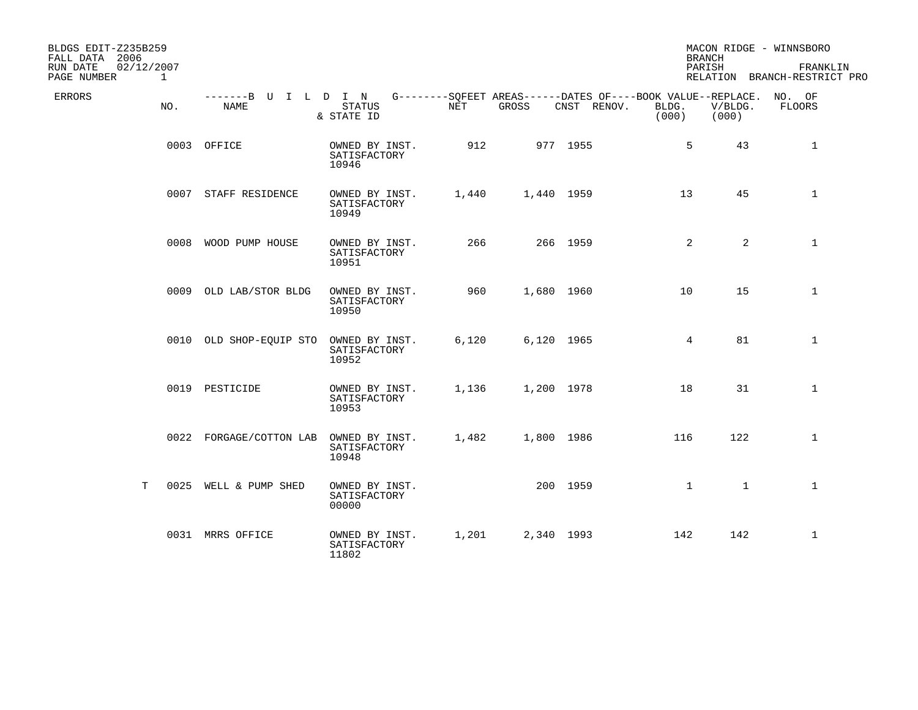| BLDGS EDIT-Z235B259<br>FALL DATA 2006<br>02/12/2007<br>RUN DATE |     |                              |                                         |       |            |                                                                            | <b>BRANCH</b><br>PARISH |                  | MACON RIDGE - WINNSBORO<br>FRANKLIN |
|-----------------------------------------------------------------|-----|------------------------------|-----------------------------------------|-------|------------|----------------------------------------------------------------------------|-------------------------|------------------|-------------------------------------|
| PAGE NUMBER                                                     | 1   |                              |                                         |       |            |                                                                            |                         |                  | RELATION BRANCH-RESTRICT PRO        |
| <b>ERRORS</b>                                                   | NO. | -------B U I L D I N<br>NAME | <b>STATUS</b><br>& STATE ID             | NET   | GROSS      | G--------SOFEET AREAS------DATES OF----BOOK VALUE--REPLACE.<br>CNST RENOV. | BLDG.<br>(000)          | V/BLDG.<br>(000) | NO. OF<br>FLOORS                    |
|                                                                 |     | 0003 OFFICE                  | OWNED BY INST.<br>SATISFACTORY<br>10946 | 912   |            | 977 1955                                                                   | 5                       | 43               | $\mathbf{1}$                        |
|                                                                 |     | 0007 STAFF RESIDENCE         | OWNED BY INST.<br>SATISFACTORY<br>10949 | 1,440 | 1,440 1959 |                                                                            | 13                      | 45               | $\mathbf{1}$                        |
|                                                                 |     | 0008 WOOD PUMP HOUSE         | OWNED BY INST.<br>SATISFACTORY<br>10951 | 266   |            | 266 1959                                                                   | 2                       | $\overline{a}$   | $\mathbf{1}$                        |
|                                                                 |     | 0009 OLD LAB/STOR BLDG       | OWNED BY INST.<br>SATISFACTORY<br>10950 | 960   | 1,680 1960 |                                                                            | 10                      | 15               | $\mathbf 1$                         |
|                                                                 |     | 0010 OLD SHOP-EQUIP STO      | OWNED BY INST.<br>SATISFACTORY<br>10952 | 6,120 | 6,120 1965 |                                                                            | $4\overline{ }$         | 81               | $\mathbf 1$                         |
|                                                                 |     | 0019 PESTICIDE               | OWNED BY INST.<br>SATISFACTORY<br>10953 | 1,136 | 1,200 1978 |                                                                            | 18                      | 31               | $\mathbf{1}$                        |
|                                                                 |     | 0022 FORGAGE/COTTON LAB      | OWNED BY INST.<br>SATISFACTORY<br>10948 | 1,482 | 1,800 1986 |                                                                            | 116                     | 122              | $\mathbf{1}$                        |
| Т                                                               |     | 0025 WELL & PUMP SHED        | OWNED BY INST.<br>SATISFACTORY<br>00000 |       |            | 200 1959                                                                   | $\mathbf{1}$            | $\mathbf{1}$     | $\mathbf 1$                         |
|                                                                 |     | 0031 MRRS OFFICE             | OWNED BY INST.<br>SATISFACTORY<br>11802 | 1,201 | 2,340 1993 |                                                                            | 142                     | 142              | $\mathbf{1}$                        |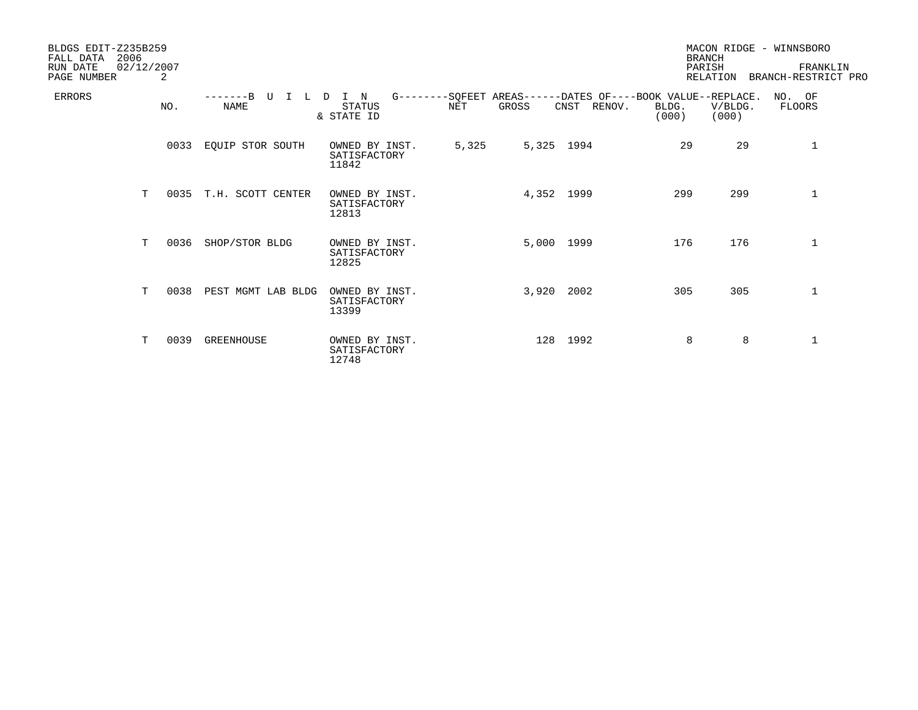| BLDGS EDIT-Z235B259<br>2006<br>FALL DATA<br>RUN DATE<br>PAGE NUMBER | 02/12/2007 | 2    |                            |                                                    |       |       |                                                                            |                | <b>BRANCH</b><br>PARISH<br>RELATION | MACON RIDGE - WINNSBORO<br>FRANKLIN<br>BRANCH-RESTRICT PRO |
|---------------------------------------------------------------------|------------|------|----------------------------|----------------------------------------------------|-------|-------|----------------------------------------------------------------------------|----------------|-------------------------------------|------------------------------------------------------------|
| <b>ERRORS</b>                                                       |            | NO.  | $---B$<br>T<br><b>NAME</b> | I N<br><sup>D</sup><br><b>STATUS</b><br>& STATE ID | NET   | GROSS | G--------SQFEET AREAS------DATES OF----BOOK VALUE--REPLACE.<br>CNST RENOV. | BLDG.<br>(000) | V/BLDG.<br>(000)                    | NO. OF<br>FLOORS                                           |
|                                                                     |            | 0033 | EQUIP STOR SOUTH           | OWNED BY INST.<br>SATISFACTORY<br>11842            | 5,325 |       | 5,325 1994                                                                 | 29             | 29                                  | 1                                                          |
|                                                                     | T          | 0035 | T.H. SCOTT CENTER          | OWNED BY INST.<br>SATISFACTORY<br>12813            |       |       | 4,352 1999                                                                 | 299            | 299                                 | 1                                                          |
|                                                                     | T.         | 0036 | SHOP/STOR BLDG             | OWNED BY INST.<br>SATISFACTORY<br>12825            |       |       | 5,000 1999                                                                 | 176            | 176                                 | $\mathbf 1$                                                |
|                                                                     | T          | 0038 | PEST MGMT LAB BLDG         | OWNED BY INST.<br>SATISFACTORY<br>13399            |       |       | 3,920 2002                                                                 | 305            | 305                                 | 1                                                          |
|                                                                     | т          | 0039 | <b>GREENHOUSE</b>          | OWNED BY INST.<br>SATISFACTORY<br>12748            |       |       | 128 1992                                                                   | 8              | 8                                   | 1                                                          |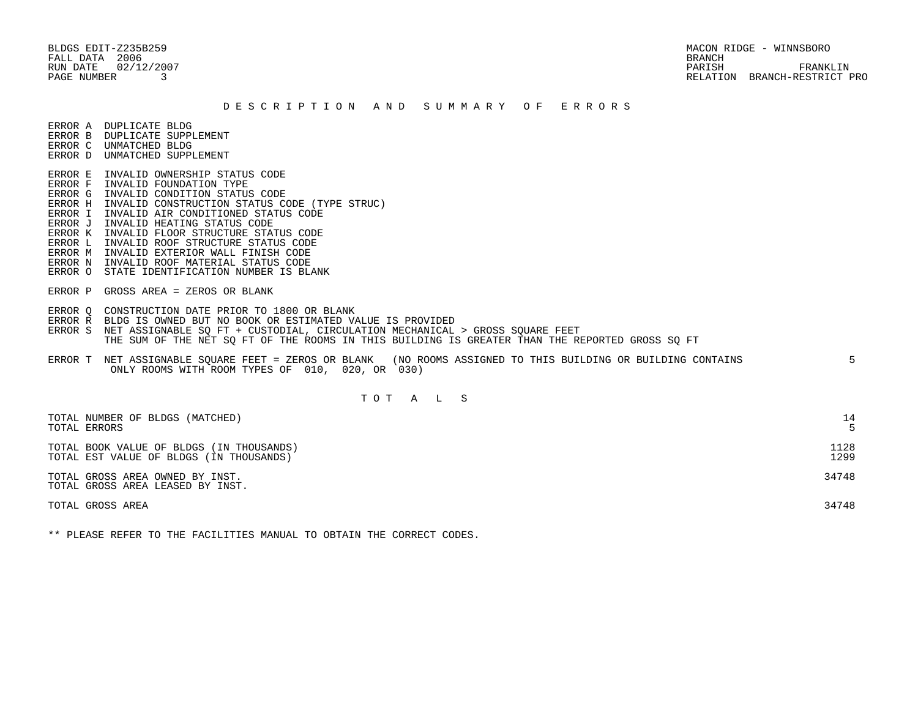FALL DATA 2006 BRANCH

 BLDGS EDIT-Z235B259 MACON RIDGE - WINNSBORO RUN DATE 02/12/2007 PARISH FRANKLIN PAGE NUMBER 3 RELATION BRANCH-RESTRICT PRO

### D E S C R I P T I O N A N D S U M M A R Y O F E R R O R S

ERROR A DUPLICATE BLDG

- ERROR B DUPLICATE SUPPLEMENT
- ERROR C UNMATCHED BLDG ERROR D UNMATCHED SUPPLEMENT
- 
- ERROR E INVALID OWNERSHIP STATUS CODE ERROR F INVALID FOUNDATION TYPE
- ERROR G INVALID CONDITION STATUS CODE
- ERROR H INVALID CONSTRUCTION STATUS CODE (TYPE STRUC)
- ERROR I INVALID AIR CONDITIONED STATUS CODE
- ERROR J INVALID HEATING STATUS CODE
- ERROR K INVALID FLOOR STRUCTURE STATUS CODE
- ERROR L INVALID ROOF STRUCTURE STATUS CODE
- ERROR M INVALID EXTERIOR WALL FINISH CODE
- ERROR N INVALID ROOF MATERIAL STATUS CODE
- ERROR O STATE IDENTIFICATION NUMBER IS BLANK
- ERROR P GROSS AREA = ZEROS OR BLANK
- ERROR Q CONSTRUCTION DATE PRIOR TO 1800 OR BLANK
- ERROR R BLDG IS OWNED BUT NO BOOK OR ESTIMATED VALUE IS PROVIDED
- ERROR S NET ASSIGNABLE SO FT + CUSTODIAL, CIRCULATION MECHANICAL > GROSS SOUARE FEET THE SUM OF THE NET SQ FT OF THE ROOMS IN THIS BUILDING IS GREATER THAN THE REPORTED GROSS SQ FT
- ERROR T NET ASSIGNABLE SQUARE FEET = ZEROS OR BLANK (NO ROOMS ASSIGNED TO THIS BUILDING OR BUILDING CONTAINS 5 ONLY ROOMS WITH ROOM TYPES OF 010, 020, OR 030)

## T O T A L S

| TOTAL NUMBER OF BLDGS (MATCHED)<br>TOTAL ERRORS                                     | 14           |
|-------------------------------------------------------------------------------------|--------------|
| TOTAL BOOK VALUE OF BLDGS (IN THOUSANDS)<br>TOTAL EST VALUE OF BLDGS (IN THOUSANDS) | 1128<br>1299 |
| TOTAL GROSS AREA OWNED BY INST.<br>TOTAL GROSS AREA LEASED BY INST.                 | 34748        |
| TOTAL GROSS AREA                                                                    | 34748        |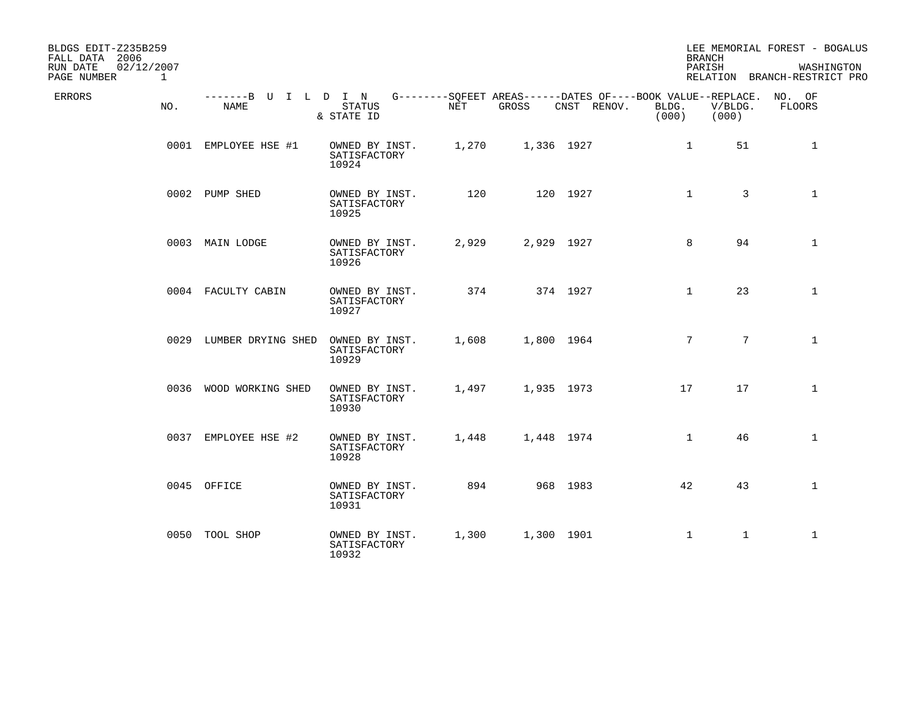| BLDGS EDIT-Z235B259<br>FALL DATA 2006<br>02/12/2007<br>RUN DATE<br>PAGE NUMBER<br>$\mathbf{1}$ |                              |                                         |       |            |                                                                            |                 | <b>BRANCH</b><br>PARISH | LEE MEMORIAL FOREST - BOGALUS<br>WASHINGTON<br>RELATION BRANCH-RESTRICT PRO |
|------------------------------------------------------------------------------------------------|------------------------------|-----------------------------------------|-------|------------|----------------------------------------------------------------------------|-----------------|-------------------------|-----------------------------------------------------------------------------|
| ERRORS<br>NO.                                                                                  | -------B U I L D I N<br>NAME | <b>STATUS</b><br>& STATE ID             | NET   | GROSS      | G--------SQFEET AREAS------DATES OF----BOOK VALUE--REPLACE.<br>CNST RENOV. | BLDG.<br>(000)  | V/BLDG.<br>(000)        | NO. OF<br>FLOORS                                                            |
|                                                                                                | 0001 EMPLOYEE HSE #1         | OWNED BY INST.<br>SATISFACTORY<br>10924 | 1,270 | 1,336 1927 |                                                                            | $\mathbf{1}$    | 51                      | 1                                                                           |
|                                                                                                | 0002 PUMP SHED               | OWNED BY INST.<br>SATISFACTORY<br>10925 | 120   |            | 120 1927                                                                   | $\mathbf{1}$    | 3                       | $\mathbf{1}$                                                                |
|                                                                                                | 0003 MAIN LODGE              | OWNED BY INST.<br>SATISFACTORY<br>10926 | 2,929 | 2,929 1927 |                                                                            | 8               | 94                      | $\mathbf{1}$                                                                |
|                                                                                                | 0004 FACULTY CABIN           | OWNED BY INST.<br>SATISFACTORY<br>10927 | 374   |            | 374 1927                                                                   | $\mathbf{1}$    | 23                      | $\mathbf{1}$                                                                |
|                                                                                                | 0029 LUMBER DRYING SHED      | OWNED BY INST.<br>SATISFACTORY<br>10929 | 1,608 | 1,800 1964 |                                                                            | $7\overline{ }$ | $7\overline{ }$         | $\mathbf{1}$                                                                |
|                                                                                                | 0036 WOOD WORKING SHED       | OWNED BY INST.<br>SATISFACTORY<br>10930 | 1,497 | 1,935 1973 |                                                                            | 17              | 17                      | $\mathbf{1}$                                                                |
|                                                                                                | 0037 EMPLOYEE HSE #2         | OWNED BY INST.<br>SATISFACTORY<br>10928 | 1,448 | 1,448 1974 |                                                                            | $\mathbf{1}$    | 46                      | $\mathbf{1}$                                                                |
|                                                                                                | 0045 OFFICE                  | OWNED BY INST.<br>SATISFACTORY<br>10931 | 894   |            | 968 1983                                                                   | 42              | 43                      | $\mathbf{1}$                                                                |
|                                                                                                | 0050 TOOL SHOP               | OWNED BY INST.<br>SATISFACTORY<br>10932 | 1,300 | 1,300 1901 |                                                                            | 1               | $\mathbf{1}$            | $\mathbf{1}$                                                                |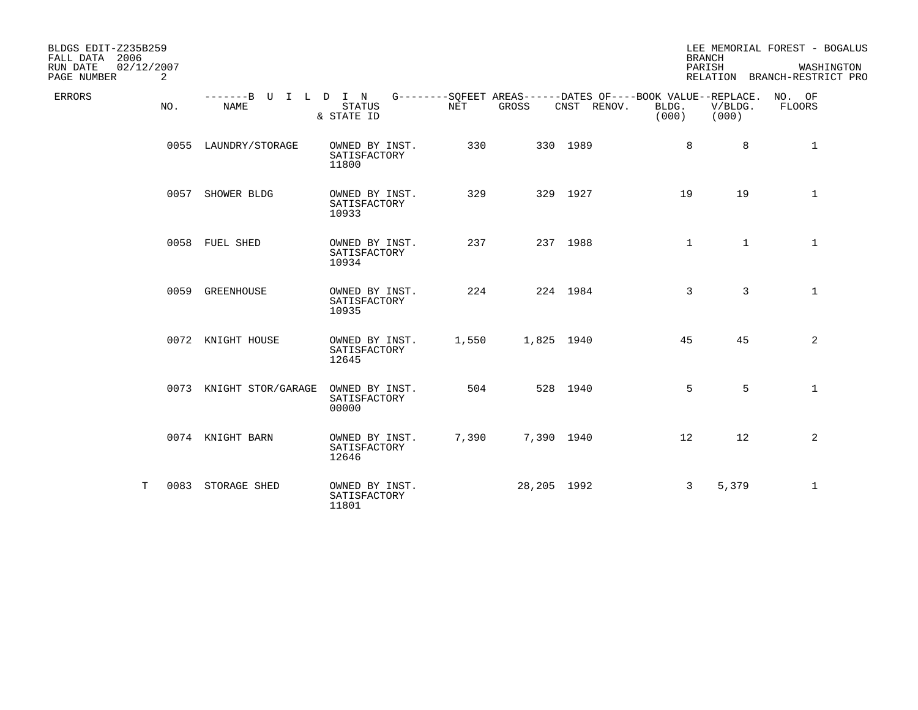| BLDGS EDIT-Z235B259<br>FALL DATA 2006<br>RUN DATE<br>02/12/2007<br>PAGE NUMBER<br>2 |                                                                                                 |                                         |       |             |             | <b>BRANCH</b><br>PARISH |                  | LEE MEMORIAL FOREST - BOGALUS<br>WASHINGTON<br>RELATION BRANCH-RESTRICT PRO |
|-------------------------------------------------------------------------------------|-------------------------------------------------------------------------------------------------|-----------------------------------------|-------|-------------|-------------|-------------------------|------------------|-----------------------------------------------------------------------------|
| ERRORS<br>NO.                                                                       | -------B U I L D I N G--------SOFEET AREAS------DATES OF----BOOK VALUE--REPLACE. NO. OF<br>NAME | <b>STATUS</b><br>& STATE ID             | NET   | GROSS       | CNST RENOV. | BLDG.<br>(000)          | V/BLDG.<br>(000) | FLOORS                                                                      |
|                                                                                     | 0055 LAUNDRY/STORAGE                                                                            | OWNED BY INST.<br>SATISFACTORY<br>11800 | 330   |             | 330 1989    | 8                       | 8                | $\mathbf{1}$                                                                |
|                                                                                     | 0057 SHOWER BLDG                                                                                | OWNED BY INST.<br>SATISFACTORY<br>10933 | 329   |             | 329 1927    | 19                      | 19               | $\mathbf 1$                                                                 |
|                                                                                     | 0058 FUEL SHED                                                                                  | OWNED BY INST.<br>SATISFACTORY<br>10934 | 237   |             | 237 1988    | $\mathbf{1}$            | $\mathbf{1}$     | $\mathbf{1}$                                                                |
|                                                                                     | 0059 GREENHOUSE                                                                                 | OWNED BY INST.<br>SATISFACTORY<br>10935 | 224   |             | 224 1984    | 3                       | 3                | $\mathbf{1}$                                                                |
|                                                                                     | 0072 KNIGHT HOUSE                                                                               | OWNED BY INST.<br>SATISFACTORY<br>12645 | 1,550 | 1,825 1940  |             | 45                      | 45               | 2                                                                           |
|                                                                                     | 0073 KNIGHT STOR/GARAGE                                                                         | OWNED BY INST.<br>SATISFACTORY<br>00000 | 504   |             | 528 1940    | 5                       | 5                | $\mathbf{1}$                                                                |
|                                                                                     | 0074 KNIGHT BARN                                                                                | OWNED BY INST.<br>SATISFACTORY<br>12646 | 7,390 | 7,390 1940  |             | $12 \overline{ }$       | 12               | $\overline{2}$                                                              |
| Т                                                                                   | 0083 STORAGE SHED                                                                               | OWNED BY INST.<br>SATISFACTORY<br>11801 |       | 28,205 1992 |             | 3                       | 5,379            | $\mathbf 1$                                                                 |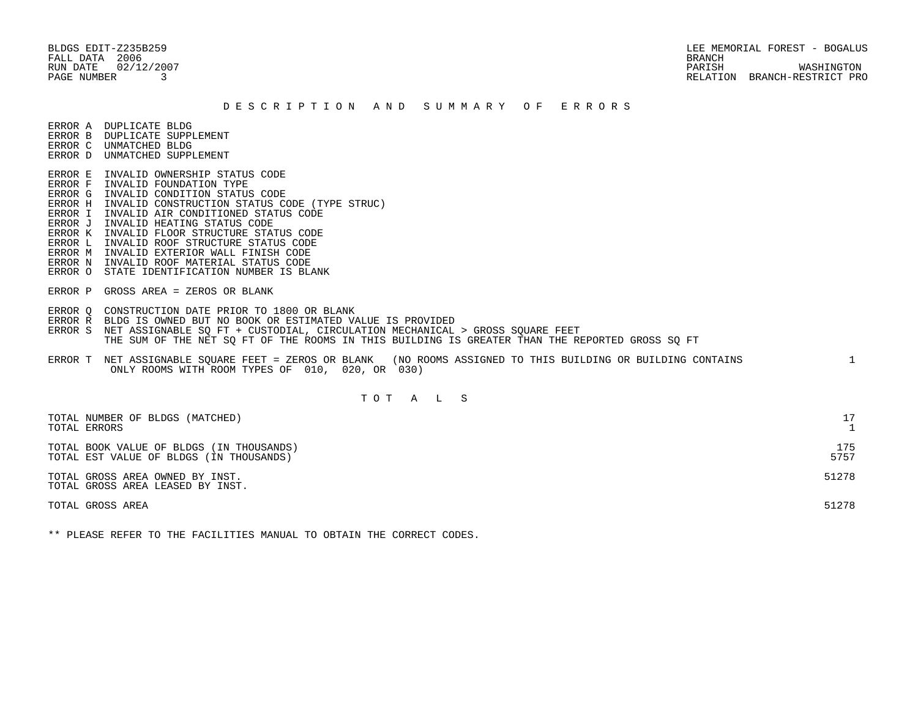FALL DATA 2006 BRANCH

 BLDGS EDIT-Z235B259 LEE MEMORIAL FOREST - BOGALUS RUN DATE 02/12/2007 PARISH WASHINGTON PAGE NUMBER 3 RELATION BRANCH-RESTRICT PRO

#### D E S C R I P T I O N A N D S U M M A R Y O F E R R O R S

ERROR A DUPLICATE BLDG

- ERROR B DUPLICATE SUPPLEMENT
- ERROR C UNMATCHED BLDG ERROR D UNMATCHED SUPPLEMENT
- 
- ERROR E INVALID OWNERSHIP STATUS CODE
- ERROR F INVALID FOUNDATION TYPE
- ERROR G INVALID CONDITION STATUS CODE
- ERROR H INVALID CONSTRUCTION STATUS CODE (TYPE STRUC)
- ERROR I INVALID AIR CONDITIONED STATUS CODE
- ERROR J INVALID HEATING STATUS CODE
- ERROR K INVALID FLOOR STRUCTURE STATUS CODE
- ERROR L INVALID ROOF STRUCTURE STATUS CODE
- ERROR M INVALID EXTERIOR WALL FINISH CODE
- ERROR N INVALID ROOF MATERIAL STATUS CODE
- ERROR O STATE IDENTIFICATION NUMBER IS BLANK
- ERROR P GROSS AREA = ZEROS OR BLANK
- ERROR Q CONSTRUCTION DATE PRIOR TO 1800 OR BLANK
- ERROR R BLDG IS OWNED BUT NO BOOK OR ESTIMATED VALUE IS PROVIDED
- ERROR S NET ASSIGNABLE SO FT + CUSTODIAL, CIRCULATION MECHANICAL > GROSS SOUARE FEET THE SUM OF THE NET SQ FT OF THE ROOMS IN THIS BUILDING IS GREATER THAN THE REPORTED GROSS SQ FT
- ERROR T NET ASSIGNABLE SQUARE FEET = ZEROS OR BLANK (NO ROOMS ASSIGNED TO THIS BUILDING OR BUILDING CONTAINS 1 ONLY ROOMS WITH ROOM TYPES OF 010, 020, OR 030)

## T O T A L S

| TOTAL NUMBER OF BLDGS (MATCHED)<br>TOTAL ERRORS                                     |             |
|-------------------------------------------------------------------------------------|-------------|
| TOTAL BOOK VALUE OF BLDGS (IN THOUSANDS)<br>TOTAL EST VALUE OF BLDGS (IN THOUSANDS) | 175<br>5757 |
| TOTAL GROSS AREA OWNED BY INST.<br>TOTAL GROSS AREA LEASED BY INST.                 | 51278       |
| TOTAL GROSS AREA                                                                    | 51278       |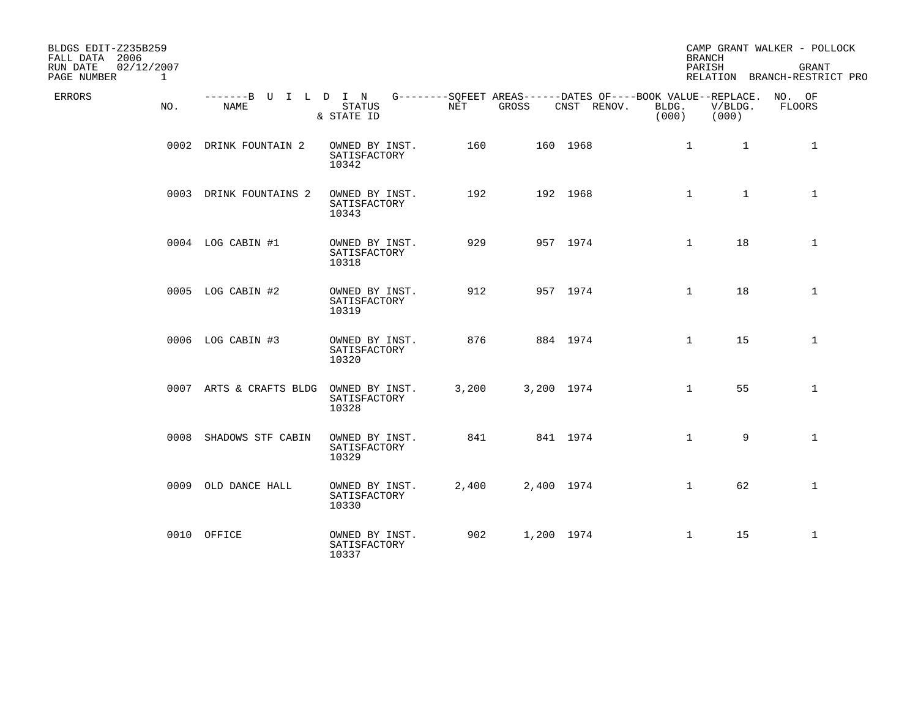| BLDGS EDIT-Z235B259<br>FALL DATA 2006<br>02/12/2007<br>RUN DATE<br>PAGE NUMBER | $\mathbf{1}$ |                              |                                         |       |            |                                                                                   | <b>BRANCH</b><br>PARISH |                  | CAMP GRANT WALKER - POLLOCK<br><b>GRANT</b><br>RELATION BRANCH-RESTRICT PRO |
|--------------------------------------------------------------------------------|--------------|------------------------------|-----------------------------------------|-------|------------|-----------------------------------------------------------------------------------|-------------------------|------------------|-----------------------------------------------------------------------------|
| ERRORS                                                                         | NO.          | -------B U I L D I N<br>NAME | STATUS<br>& STATE ID                    | NET   | GROSS      | G--------SQFEET AREAS------DATES OF----BOOK VALUE--REPLACE. NO. OF<br>CNST RENOV. | BLDG.<br>(000)          | V/BLDG.<br>(000) | FLOORS                                                                      |
|                                                                                |              | 0002 DRINK FOUNTAIN 2        | OWNED BY INST.<br>SATISFACTORY<br>10342 | 160   |            | 160 1968                                                                          | $\mathbf{1}$            | $\mathbf{1}$     | $\mathbf{1}$                                                                |
|                                                                                |              | 0003 DRINK FOUNTAINS 2       | OWNED BY INST.<br>SATISFACTORY<br>10343 | 192   |            | 192 1968                                                                          | $\mathbf{1}$            | $\mathbf{1}$     | $\mathbf{1}$                                                                |
|                                                                                |              | 0004 LOG CABIN #1            | OWNED BY INST.<br>SATISFACTORY<br>10318 | 929   |            | 957 1974                                                                          | $\mathbf{1}$            | 18               | $\mathbf{1}$                                                                |
|                                                                                |              | 0005 LOG CABIN #2            | OWNED BY INST.<br>SATISFACTORY<br>10319 | 912   |            | 957 1974                                                                          | $\mathbf{1}$            | 18               | $\mathbf{1}$                                                                |
|                                                                                |              | 0006 LOG CABIN #3            | OWNED BY INST.<br>SATISFACTORY<br>10320 | 876   |            | 884 1974                                                                          | $\mathbf{1}$            | 15               | $\mathbf{1}$                                                                |
|                                                                                |              | 0007 ARTS & CRAFTS BLDG      | OWNED BY INST.<br>SATISFACTORY<br>10328 | 3,200 | 3,200 1974 |                                                                                   | $\mathbf{1}$            | 55               | $\mathbf{1}$                                                                |
|                                                                                |              | 0008 SHADOWS STF CABIN       | OWNED BY INST.<br>SATISFACTORY<br>10329 | 841   |            | 841 1974                                                                          | $\mathbf{1}$            | 9                | $\mathbf{1}$                                                                |
|                                                                                |              | 0009 OLD DANCE HALL          | OWNED BY INST.<br>SATISFACTORY<br>10330 | 2,400 | 2,400 1974 |                                                                                   | $\mathbf{1}$            | 62               | $\mathbf{1}$                                                                |
|                                                                                |              | 0010 OFFICE                  | OWNED BY INST.<br>SATISFACTORY<br>10337 | 902   | 1,200 1974 |                                                                                   | $\mathbf{1}$            | 15               | $\mathbf{1}$                                                                |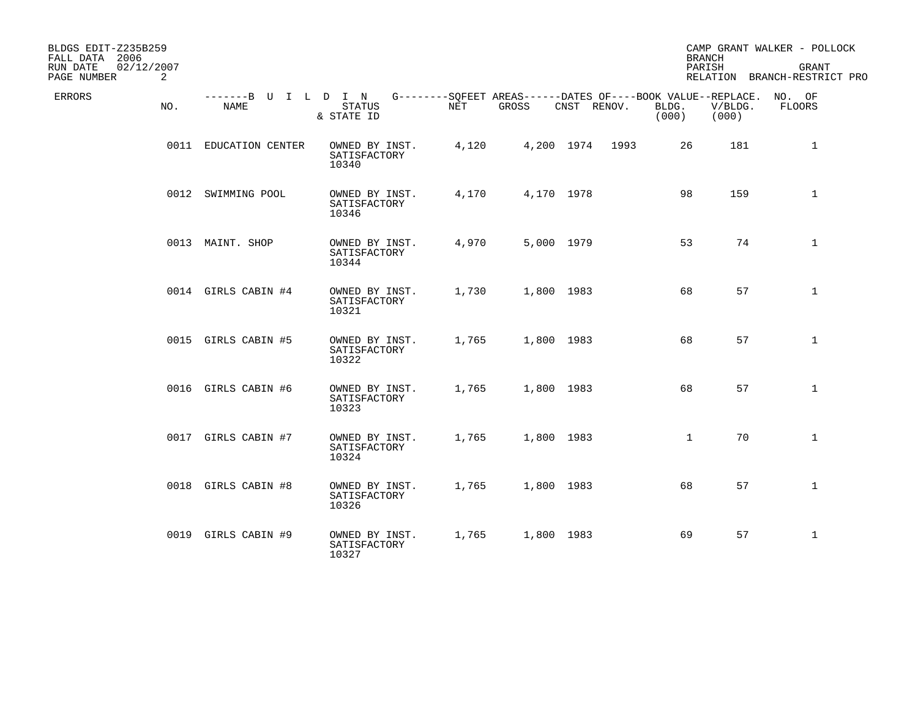| BLDGS EDIT-Z235B259<br>FALL DATA 2006<br>02/12/2007<br>RUN DATE<br>PAGE NUMBER | 2   |                              |                                         |       |            |                    |                                                                               | <b>BRANCH</b><br>PARISH | CAMP GRANT WALKER - POLLOCK<br><b>GRANT</b><br>RELATION BRANCH-RESTRICT PRO |
|--------------------------------------------------------------------------------|-----|------------------------------|-----------------------------------------|-------|------------|--------------------|-------------------------------------------------------------------------------|-------------------------|-----------------------------------------------------------------------------|
| <b>ERRORS</b>                                                                  | NO. | -------B U I L D I N<br>NAME | <b>STATUS</b><br>& STATE ID             | NET   | GROSS      | CNST RENOV.        | G--------SQFEET AREAS------DATES OF----BOOK VALUE--REPLACE.<br>BLDG.<br>(000) | V/BLDG.<br>(000)        | NO. OF<br>FLOORS                                                            |
|                                                                                |     | 0011 EDUCATION CENTER        | OWNED BY INST.<br>SATISFACTORY<br>10340 | 4,120 |            | 4,200 1974<br>1993 | 26                                                                            | 181                     | $\mathbf{1}$                                                                |
|                                                                                |     | 0012 SWIMMING POOL           | OWNED BY INST.<br>SATISFACTORY<br>10346 | 4,170 | 4,170 1978 |                    | 98                                                                            | 159                     | $\mathbf{1}$                                                                |
|                                                                                |     | 0013 MAINT. SHOP             | OWNED BY INST.<br>SATISFACTORY<br>10344 | 4,970 | 5,000 1979 |                    | 53                                                                            | 74                      | $\mathbf{1}$                                                                |
|                                                                                |     | 0014 GIRLS CABIN #4          | OWNED BY INST.<br>SATISFACTORY<br>10321 | 1,730 | 1,800 1983 |                    | 68                                                                            | 57                      | $\mathbf{1}$                                                                |
|                                                                                |     | 0015 GIRLS CABIN #5          | OWNED BY INST.<br>SATISFACTORY<br>10322 | 1,765 | 1,800 1983 |                    | 68                                                                            | 57                      | $\mathbf{1}$                                                                |
|                                                                                |     | 0016 GIRLS CABIN #6          | OWNED BY INST.<br>SATISFACTORY<br>10323 | 1,765 | 1,800 1983 |                    | 68                                                                            | 57                      | $\mathbf{1}$                                                                |
|                                                                                |     | 0017 GIRLS CABIN #7          | OWNED BY INST.<br>SATISFACTORY<br>10324 | 1,765 | 1,800 1983 |                    | $\mathbf{1}$                                                                  | 70                      | $\mathbf{1}$                                                                |
|                                                                                |     | 0018 GIRLS CABIN #8          | OWNED BY INST.<br>SATISFACTORY<br>10326 | 1,765 | 1,800 1983 |                    | 68                                                                            | 57                      | $\mathbf{1}$                                                                |
|                                                                                |     | 0019 GIRLS CABIN #9          | OWNED BY INST.<br>SATISFACTORY<br>10327 | 1,765 | 1,800 1983 |                    | 69                                                                            | 57                      | $\mathbf{1}$                                                                |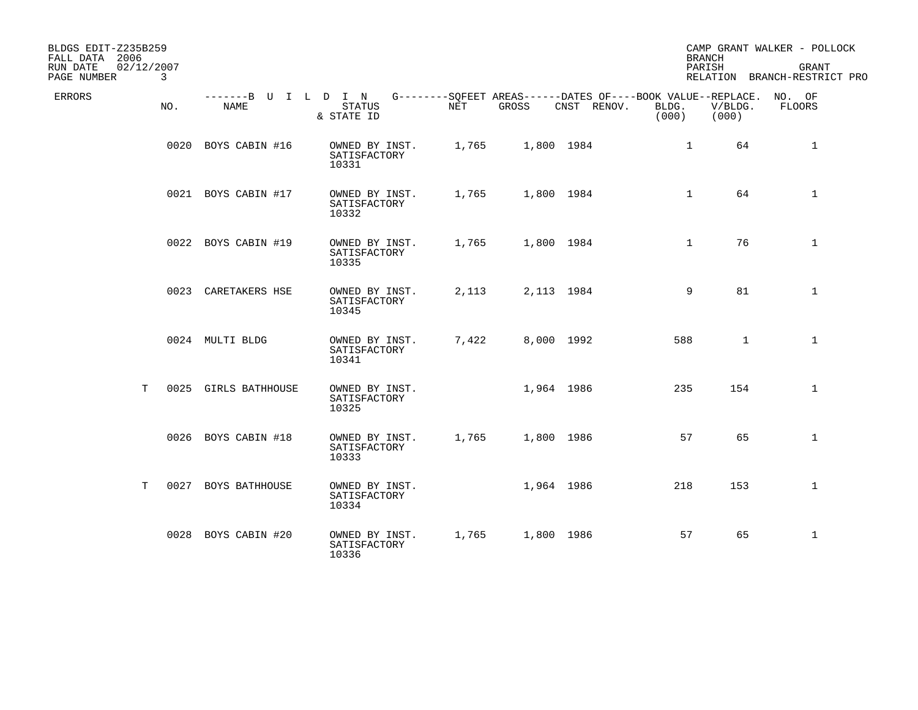| BLDGS EDIT-Z235B259<br>FALL DATA 2006<br>02/12/2007<br>RUN DATE<br>PAGE NUMBER | 3    |                              |                                         |       |            |                                                                            |                | <b>BRANCH</b><br>PARISH | CAMP GRANT WALKER - POLLOCK<br>GRANT<br>RELATION BRANCH-RESTRICT PRO |
|--------------------------------------------------------------------------------|------|------------------------------|-----------------------------------------|-------|------------|----------------------------------------------------------------------------|----------------|-------------------------|----------------------------------------------------------------------|
| ERRORS                                                                         | NO.  | -------B U I L D I N<br>NAME | <b>STATUS</b><br>& STATE ID             | NET   | GROSS      | G--------SOFEET AREAS------DATES OF----BOOK VALUE--REPLACE.<br>CNST RENOV. | BLDG.<br>(000) | V/BLDG.<br>(000)        | NO. OF<br>FLOORS                                                     |
|                                                                                |      | 0020 BOYS CABIN #16          | OWNED BY INST.<br>SATISFACTORY<br>10331 | 1,765 | 1,800 1984 |                                                                            | $\mathbf{1}$   | 64                      | $\mathbf{1}$                                                         |
|                                                                                |      | 0021 BOYS CABIN #17          | OWNED BY INST.<br>SATISFACTORY<br>10332 | 1,765 | 1,800 1984 |                                                                            | $\mathbf{1}$   | 64                      | $\mathbf 1$                                                          |
|                                                                                |      | 0022 BOYS CABIN #19          | OWNED BY INST.<br>SATISFACTORY<br>10335 | 1,765 | 1,800 1984 |                                                                            | $\mathbf{1}$   | 76                      | $\mathbf{1}$                                                         |
|                                                                                |      | 0023 CARETAKERS HSE          | OWNED BY INST.<br>SATISFACTORY<br>10345 | 2,113 | 2,113 1984 |                                                                            | 9              | 81                      | $\mathbf 1$                                                          |
|                                                                                |      | 0024 MULTI BLDG              | OWNED BY INST.<br>SATISFACTORY<br>10341 | 7,422 | 8,000 1992 |                                                                            | 588            | 1                       | $\mathbf{1}$                                                         |
| T.                                                                             |      | 0025 GIRLS BATHHOUSE         | OWNED BY INST.<br>SATISFACTORY<br>10325 |       | 1,964 1986 |                                                                            | 235            | 154                     | $\mathbf{1}$                                                         |
|                                                                                |      | 0026 BOYS CABIN #18          | OWNED BY INST.<br>SATISFACTORY<br>10333 | 1,765 | 1,800 1986 |                                                                            | 57             | 65                      | 1                                                                    |
| Т                                                                              | 0027 | <b>BOYS BATHHOUSE</b>        | OWNED BY INST.<br>SATISFACTORY<br>10334 |       | 1,964 1986 |                                                                            | 218            | 153                     | $\mathbf{1}$                                                         |
|                                                                                |      | 0028 BOYS CABIN #20          | OWNED BY INST.<br>SATISFACTORY<br>10336 | 1,765 | 1,800 1986 |                                                                            | 57             | 65                      | $\mathbf{1}$                                                         |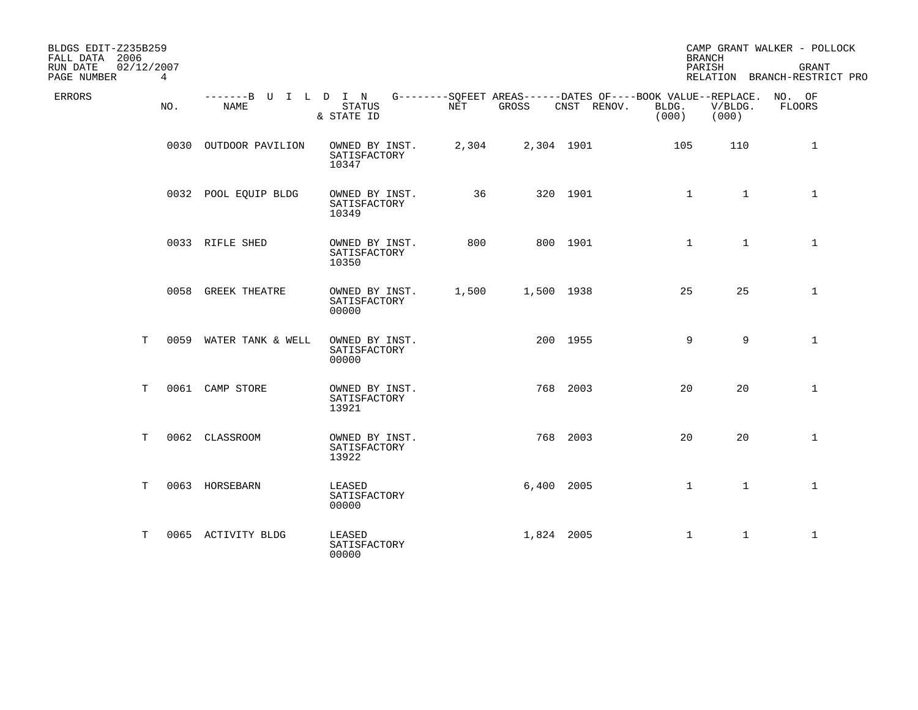| BLDGS EDIT-Z235B259<br>FALL DATA 2006<br>RUN DATE | 02/12/2007  |                              |                                         |       |            |                                                                            | <b>BRANCH</b><br>PARISH |                  | CAMP GRANT WALKER - POLLOCK<br><b>GRANT</b> |
|---------------------------------------------------|-------------|------------------------------|-----------------------------------------|-------|------------|----------------------------------------------------------------------------|-------------------------|------------------|---------------------------------------------|
| PAGE NUMBER                                       | $4^{\circ}$ |                              |                                         |       |            |                                                                            |                         |                  | RELATION BRANCH-RESTRICT PRO                |
| ERRORS                                            | NO.         | -------B U I L D I N<br>NAME | <b>STATUS</b><br>& STATE ID             | NET   | GROSS      | G--------SQFEET AREAS------DATES OF----BOOK VALUE--REPLACE.<br>CNST RENOV. | BLDG.<br>(000)          | V/BLDG.<br>(000) | NO. OF<br>FLOORS                            |
|                                                   |             | 0030 OUTDOOR PAVILION        | OWNED BY INST.<br>SATISFACTORY<br>10347 | 2,304 | 2,304 1901 |                                                                            | 105                     | 110              | 1                                           |
|                                                   |             | 0032 POOL EQUIP BLDG         | OWNED BY INST.<br>SATISFACTORY<br>10349 | 36    |            | 320 1901                                                                   | $\mathbf{1}$            | $\mathbf{1}$     | $\mathbf 1$                                 |
|                                                   |             | 0033 RIFLE SHED              | OWNED BY INST.<br>SATISFACTORY<br>10350 | 800   |            | 800 1901                                                                   | $\mathbf{1}$            | $\mathbf{1}$     | $\mathbf 1$                                 |
|                                                   |             | 0058 GREEK THEATRE           | OWNED BY INST.<br>SATISFACTORY<br>00000 | 1,500 | 1,500 1938 |                                                                            | 25                      | 25               | $\mathbf 1$                                 |
| Т                                                 |             | 0059 WATER TANK & WELL       | OWNED BY INST.<br>SATISFACTORY<br>00000 |       |            | 200 1955                                                                   | 9                       | 9                | $\mathbf{1}$                                |
| Т                                                 |             | 0061 CAMP STORE              | OWNED BY INST.<br>SATISFACTORY<br>13921 |       |            | 768 2003                                                                   | 20                      | 20               | $\mathbf{1}$                                |
| т                                                 |             | 0062 CLASSROOM               | OWNED BY INST.<br>SATISFACTORY<br>13922 |       |            | 768 2003                                                                   | 20                      | 20               | $\mathbf{1}$                                |
| T                                                 |             | 0063 HORSEBARN               | LEASED<br>SATISFACTORY<br>00000         |       | 6,400 2005 |                                                                            | $\mathbf{1}$            | $\mathbf{1}$     | $\mathbf{1}$                                |
| т                                                 |             | 0065 ACTIVITY BLDG           | LEASED<br>SATISFACTORY<br>00000         |       | 1,824 2005 |                                                                            | $\mathbf 1$             | $\mathbf{1}$     | $\mathbf{1}$                                |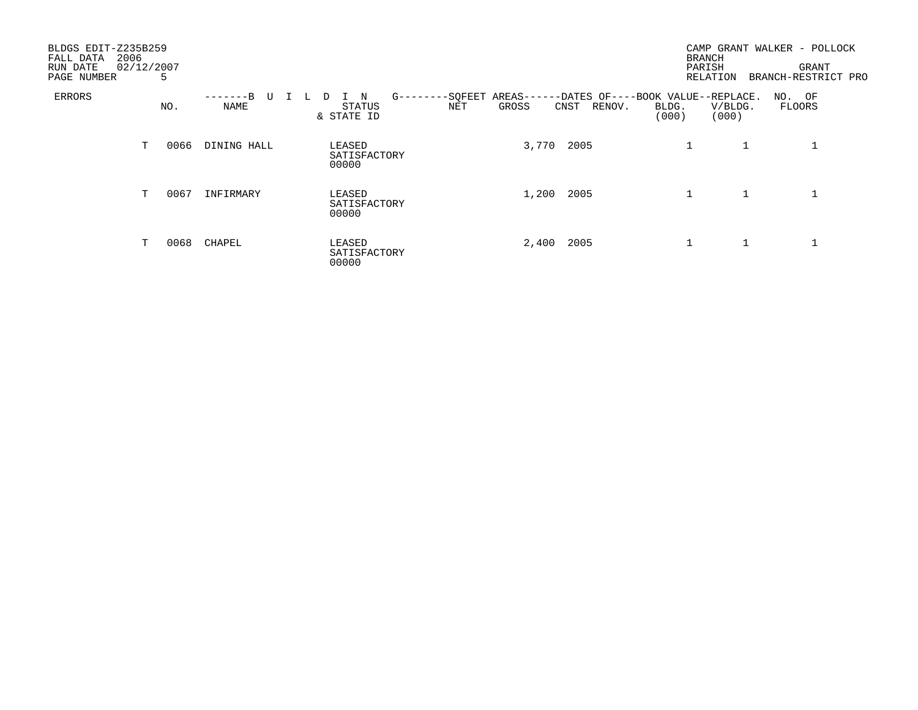| BLDGS EDIT-Z235B259<br>2006<br>FALL DATA<br>RUN DATE<br>PAGE NUMBER | 02/12/2007 | 5    |                        |                                                                    |                                                                         | <b>BRANCH</b><br>PARISH<br>RELATION |                  | CAMP GRANT WALKER - POLLOCK<br>GRANT<br>BRANCH-RESTRICT PRO |
|---------------------------------------------------------------------|------------|------|------------------------|--------------------------------------------------------------------|-------------------------------------------------------------------------|-------------------------------------|------------------|-------------------------------------------------------------|
| ERRORS                                                              |            | NO.  | – – – – B<br>U<br>NAME | -SQFEET<br>$G$ --<br>N<br>---<br>Ш.<br>NET<br>STATUS<br>& STATE ID | AREAS--<br>-DATES OF----BOOK VALUE--REPLACE.<br>GROSS<br>RENOV.<br>CNST | BLDG.<br>(000)                      | V/BLDG.<br>(000) | NO. OF<br>FLOORS                                            |
|                                                                     | т          | 0066 | DINING HALL            | LEASED<br>SATISFACTORY<br>00000                                    | 2005<br>3,770                                                           |                                     |                  |                                                             |
|                                                                     | T          | 0067 | INFIRMARY              | LEASED<br>SATISFACTORY<br>00000                                    | 2005<br>1,200                                                           | $\mathbf 1$                         |                  |                                                             |
|                                                                     | T          | 0068 | CHAPEL                 | LEASED<br>SATISFACTORY<br>00000                                    | 2005<br>2,400                                                           |                                     |                  |                                                             |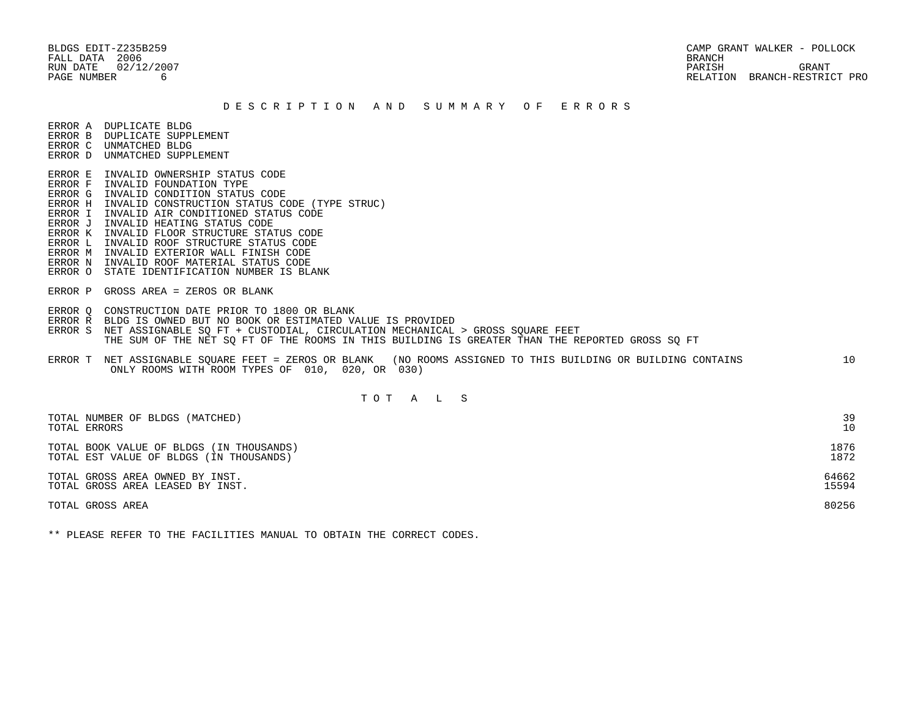FALL DATA 2006 BRANCH

 BLDGS EDIT-Z235B259 CAMP GRANT WALKER - POLLOCK RUN DATE  $02/12/2007$  GRANT PAGE NUMBER 6 RELATION BRANCH-RESTRICT PRO

### D E S C R I P T I O N A N D S U M M A R Y O F E R R O R S

ERROR A DUPLICATE BLDG

- ERROR B DUPLICATE SUPPLEMENT ERROR C UNMATCHED BLDG
- ERROR D UNMATCHED SUPPLEMENT

 ERROR E INVALID OWNERSHIP STATUS CODE ERROR F INVALID FOUNDATION TYPE ERROR G INVALID CONDITION STATUS CODE

- ERROR H INVALID CONSTRUCTION STATUS CODE (TYPE STRUC)
- ERROR I INVALID AIR CONDITIONED STATUS CODE
- ERROR J INVALID HEATING STATUS CODE
- ERROR K INVALID FLOOR STRUCTURE STATUS CODE
- ERROR L INVALID ROOF STRUCTURE STATUS CODE
- ERROR M INVALID EXTERIOR WALL FINISH CODE
- ERROR N INVALID ROOF MATERIAL STATUS CODE
- ERROR O STATE IDENTIFICATION NUMBER IS BLANK
- ERROR P GROSS AREA = ZEROS OR BLANK
- ERROR Q CONSTRUCTION DATE PRIOR TO 1800 OR BLANK
- ERROR R BLDG IS OWNED BUT NO BOOK OR ESTIMATED VALUE IS PROVIDED
- ERROR S NET ASSIGNABLE SO FT + CUSTODIAL, CIRCULATION MECHANICAL > GROSS SOUARE FEET THE SUM OF THE NET SQ FT OF THE ROOMS IN THIS BUILDING IS GREATER THAN THE REPORTED GROSS SQ FT
- ERROR T NET ASSIGNABLE SQUARE FEET = ZEROS OR BLANK (NO ROOMS ASSIGNED TO THIS BUILDING OR BUILDING CONTAINS 10 ONLY ROOMS WITH ROOM TYPES OF 010, 020, OR 030)

## T O T A L S

| TOTAL NUMBER OF BLDGS (MATCHED)          | 39    |
|------------------------------------------|-------|
| TOTAL ERRORS                             | 10    |
| TOTAL BOOK VALUE OF BLDGS (IN THOUSANDS) | 1876  |
| TOTAL EST VALUE OF BLDGS (IN THOUSANDS)  | 1872  |
| TOTAL GROSS AREA OWNED BY INST.          | 64662 |
| TOTAL GROSS AREA LEASED BY INST.         | 15594 |
| TOTAL GROSS AREA                         | 80256 |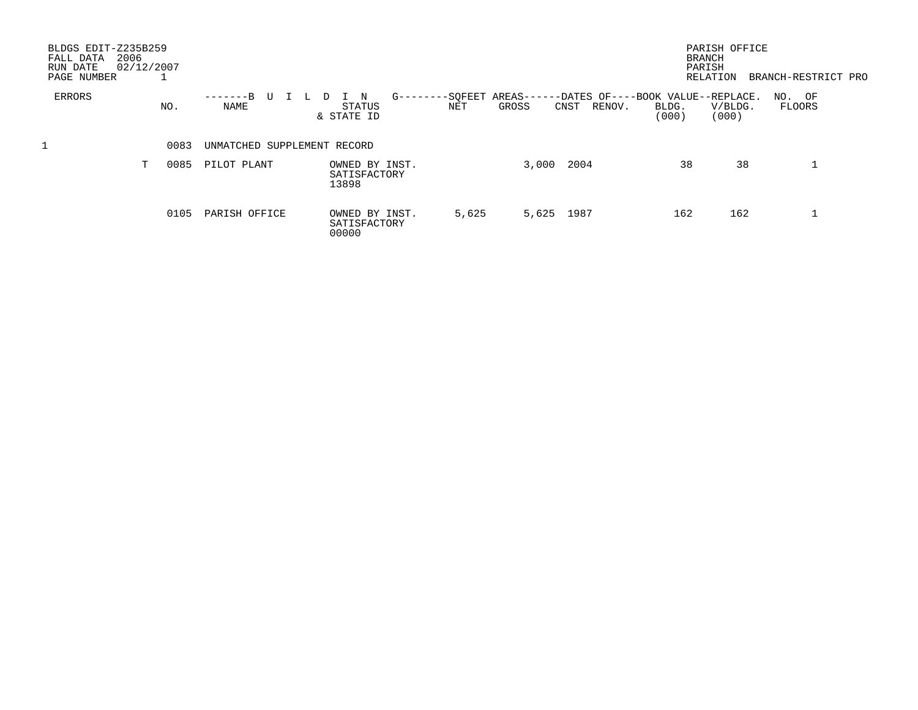| BLDGS EDIT-Z235B259<br>2006<br>FALL DATA<br>RUN DATE<br>PAGE NUMBER | 02/12/2007 |      |                             |      |                                         |               |       |                          |                                                     |                | PARISH OFFICE<br><b>BRANCH</b><br>PARISH<br>RELATION | BRANCH-RESTRICT PRO |  |
|---------------------------------------------------------------------|------------|------|-----------------------------|------|-----------------------------------------|---------------|-------|--------------------------|-----------------------------------------------------|----------------|------------------------------------------------------|---------------------|--|
| ERRORS                                                              | NO.        |      | $---B$<br>NAME              | - Lu | N<br>STATUS<br>& STATE ID               | $G - - - - -$ | NET   | -SOFEET AREAS--<br>GROSS | -DATES OF----BOOK VALUE--REPLACE.<br>RENOV.<br>CNST | BLDG.<br>(000) | V/BLDG.<br>(000)                                     | NO. OF<br>FLOORS    |  |
|                                                                     |            | 0083 | UNMATCHED SUPPLEMENT RECORD |      |                                         |               |       |                          |                                                     |                |                                                      |                     |  |
|                                                                     | т          | 0085 | PILOT PLANT                 |      | OWNED BY INST.<br>SATISFACTORY<br>13898 |               |       | 3,000                    | 2004                                                |                | 38<br>38                                             |                     |  |
|                                                                     |            | 0105 | PARISH OFFICE               |      | OWNED BY INST.<br>SATISFACTORY<br>00000 |               | 5,625 |                          | 5,625 1987                                          |                | 162<br>162                                           |                     |  |